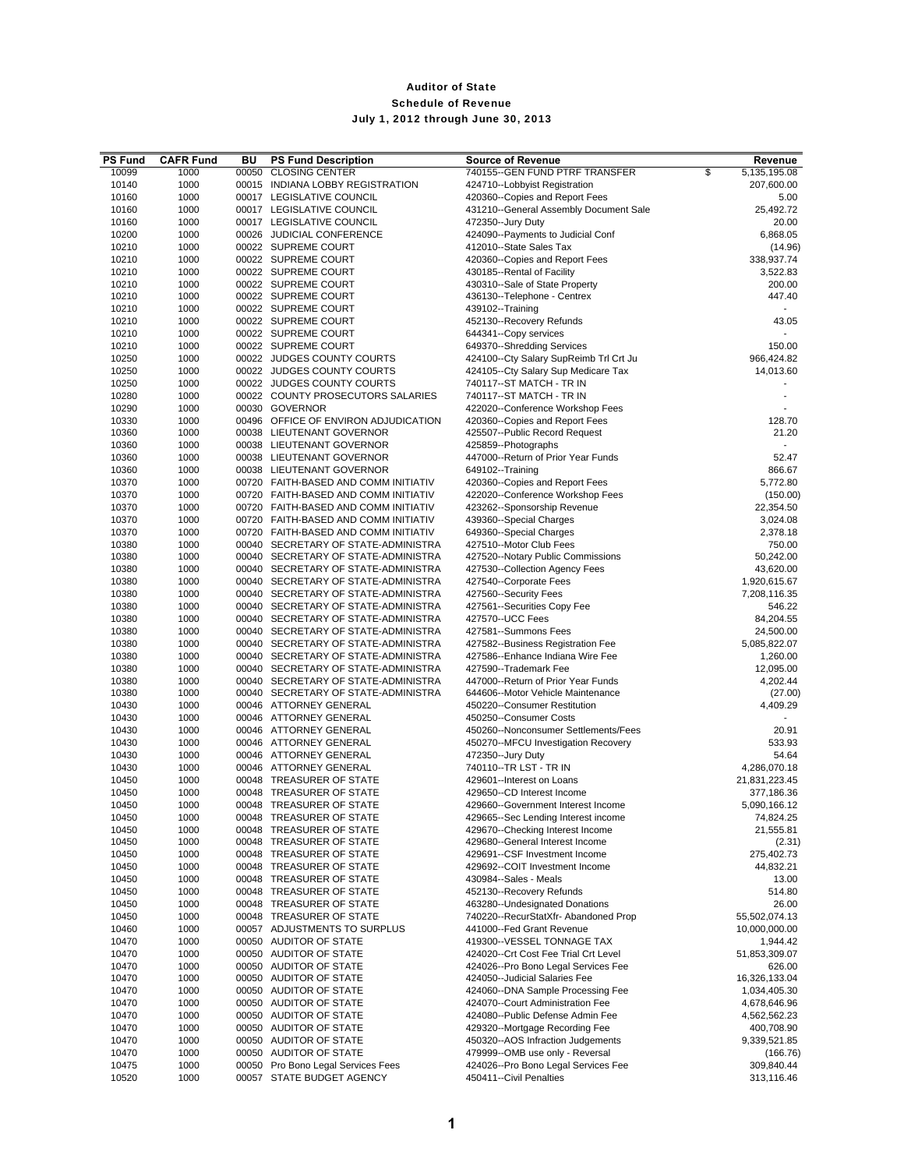| <b>PS Fund</b> | <b>CAFR Fund</b> | BU    | <b>PS Fund Description</b>                           | <b>Source of Revenue</b>                                                | Revenue                 |
|----------------|------------------|-------|------------------------------------------------------|-------------------------------------------------------------------------|-------------------------|
| 10099          | 1000             | 00050 | <b>CLOSING CENTER</b>                                | 740155--GEN FUND PTRF TRANSFER                                          | \$<br>5,135,195.08      |
| 10140          | 1000             |       | 00015 INDIANA LOBBY REGISTRATION                     | 424710--Lobbyist Registration                                           | 207,600.00              |
| 10160          | 1000             |       | 00017 LEGISLATIVE COUNCIL                            | 420360--Copies and Report Fees                                          | 5.00                    |
| 10160          | 1000             |       | 00017 LEGISLATIVE COUNCIL                            | 431210--General Assembly Document Sale                                  | 25,492.72               |
| 10160          | 1000             |       | 00017 LEGISLATIVE COUNCIL                            | 472350--Jury Duty                                                       | 20.00                   |
| 10200          | 1000             |       | 00026 JUDICIAL CONFERENCE                            | 424090--Payments to Judicial Conf                                       | 6,868.05                |
| 10210          | 1000             |       | 00022 SUPREME COURT                                  | 412010--State Sales Tax                                                 | (14.96)                 |
| 10210          | 1000             |       | 00022 SUPREME COURT                                  | 420360--Copies and Report Fees                                          | 338,937.74              |
| 10210          | 1000             |       | 00022 SUPREME COURT                                  | 430185--Rental of Facility                                              | 3,522.83                |
| 10210          | 1000             |       | 00022 SUPREME COURT                                  | 430310--Sale of State Property                                          | 200.00                  |
| 10210          | 1000             |       | 00022 SUPREME COURT                                  | 436130--Telephone - Centrex                                             | 447.40                  |
| 10210          | 1000             |       | 00022 SUPREME COURT                                  | 439102--Training                                                        |                         |
| 10210          | 1000             |       | 00022 SUPREME COURT                                  | 452130--Recovery Refunds                                                | 43.05                   |
| 10210          | 1000             |       | 00022 SUPREME COURT                                  | 644341--Copy services                                                   |                         |
| 10210          | 1000             |       | 00022 SUPREME COURT                                  | 649370--Shredding Services                                              | 150.00                  |
| 10250          | 1000             |       | 00022 JUDGES COUNTY COURTS                           | 424100--Cty Salary SupReimb Trl Crt Ju                                  | 966,424.82              |
| 10250          | 1000             |       | 00022 JUDGES COUNTY COURTS                           | 424105--Cty Salary Sup Medicare Tax                                     | 14,013.60               |
| 10250          | 1000             |       | 00022 JUDGES COUNTY COURTS                           | 740117--ST MATCH - TR IN                                                |                         |
| 10280          | 1000             |       | 00022 COUNTY PROSECUTORS SALARIES                    | 740117--ST MATCH - TR IN                                                |                         |
| 10290          | 1000             |       | 00030 GOVERNOR                                       | 422020--Conference Workshop Fees                                        |                         |
| 10330          | 1000             |       | 00496 OFFICE OF ENVIRON ADJUDICATION                 | 420360--Copies and Report Fees                                          | 128.70                  |
| 10360          | 1000             |       | 00038 LIEUTENANT GOVERNOR                            | 425507--Public Record Request                                           | 21.20                   |
| 10360          | 1000             |       | 00038 LIEUTENANT GOVERNOR                            | 425859--Photographs                                                     |                         |
| 10360          | 1000             |       | 00038 LIEUTENANT GOVERNOR                            | 447000--Return of Prior Year Funds                                      | 52.47                   |
| 10360          | 1000             |       | 00038 LIEUTENANT GOVERNOR                            | 649102--Training                                                        | 866.67                  |
| 10370          | 1000             |       | 00720 FAITH-BASED AND COMM INITIATIV                 | 420360--Copies and Report Fees                                          | 5,772.80                |
| 10370          | 1000             |       | 00720 FAITH-BASED AND COMM INITIATIV                 | 422020--Conference Workshop Fees                                        | (150.00)                |
| 10370          | 1000             |       | 00720 FAITH-BASED AND COMM INITIATIV                 | 423262--Sponsorship Revenue                                             | 22,354.50               |
| 10370          | 1000             |       | 00720 FAITH-BASED AND COMM INITIATIV                 | 439360--Special Charges                                                 | 3,024.08                |
| 10370          | 1000             |       | 00720 FAITH-BASED AND COMM INITIATIV                 | 649360--Special Charges                                                 | 2,378.18                |
| 10380          | 1000             |       | 00040 SECRETARY OF STATE-ADMINISTRA                  | 427510--Motor Club Fees                                                 | 750.00                  |
| 10380          | 1000             |       | 00040 SECRETARY OF STATE-ADMINISTRA                  | 427520--Notary Public Commissions                                       | 50,242.00               |
| 10380          | 1000             |       | 00040 SECRETARY OF STATE-ADMINISTRA                  | 427530--Collection Agency Fees                                          | 43,620.00               |
| 10380          | 1000             |       | 00040 SECRETARY OF STATE-ADMINISTRA                  | 427540--Corporate Fees                                                  | 1,920,615.67            |
| 10380          | 1000             |       | 00040 SECRETARY OF STATE-ADMINISTRA                  | 427560--Security Fees                                                   | 7,208,116.35            |
| 10380          | 1000             |       | 00040 SECRETARY OF STATE-ADMINISTRA                  | 427561--Securities Copy Fee                                             | 546.22                  |
| 10380          | 1000             |       | 00040 SECRETARY OF STATE-ADMINISTRA                  | 427570--UCC Fees                                                        | 84,204.55               |
| 10380          | 1000             |       | 00040 SECRETARY OF STATE-ADMINISTRA                  | 427581--Summons Fees                                                    | 24,500.00               |
| 10380          | 1000             |       | 00040 SECRETARY OF STATE-ADMINISTRA                  | 427582--Business Registration Fee                                       | 5,085,822.07            |
| 10380          | 1000             |       | 00040 SECRETARY OF STATE-ADMINISTRA                  | 427586--Enhance Indiana Wire Fee                                        | 1,260.00                |
| 10380          | 1000             |       | 00040 SECRETARY OF STATE-ADMINISTRA                  | 427590--Trademark Fee                                                   | 12,095.00               |
| 10380          | 1000             |       | 00040 SECRETARY OF STATE-ADMINISTRA                  | 447000--Return of Prior Year Funds                                      | 4,202.44                |
| 10380          | 1000             |       | 00040 SECRETARY OF STATE-ADMINISTRA                  | 644606--Motor Vehicle Maintenance                                       | (27.00)                 |
| 10430          | 1000             |       | 00046 ATTORNEY GENERAL                               | 450220--Consumer Restitution                                            | 4,409.29                |
| 10430          | 1000             |       | 00046 ATTORNEY GENERAL                               | 450250--Consumer Costs                                                  |                         |
| 10430          | 1000             |       | 00046 ATTORNEY GENERAL                               | 450260--Nonconsumer Settlements/Fees                                    | 20.91                   |
| 10430          | 1000             |       | 00046 ATTORNEY GENERAL                               | 450270--MFCU Investigation Recovery                                     | 533.93                  |
| 10430          | 1000             |       | 00046 ATTORNEY GENERAL                               | 472350--Jury Duty                                                       | 54.64                   |
| 10430          | 1000             |       | 00046 ATTORNEY GENERAL                               | 740110--TR LST - TR IN                                                  | 4,286,070.18            |
| 10450          | 1000             |       | 00048 TREASURER OF STATE                             | 429601--Interest on Loans                                               | 21,831,223.45           |
| 10450          | 1000             |       | 00048 TREASURER OF STATE                             | 429650--CD Interest Income                                              | 377,186.36              |
| 10450          | 1000             |       | 00048 TREASURER OF STATE                             | 429660--Government Interest Income                                      | 5,090,166.12            |
| 10450          | 1000             | 00048 | TREASURER OF STATE                                   |                                                                         | 74,824.25               |
| 10450          | 1000             |       | 00048 TREASURER OF STATE                             | 429665--Sec Lending Interest income<br>429670--Checking Interest Income | 21,555.81               |
| 10450          | 1000             |       | 00048 TREASURER OF STATE                             | 429680--General Interest Income                                         |                         |
| 10450          |                  |       | 00048 TREASURER OF STATE                             | 429691--CSF Investment Income                                           | (2.31)                  |
| 10450          | 1000<br>1000     |       | 00048 TREASURER OF STATE                             | 429692--COIT Investment Income                                          | 275,402.73<br>44,832.21 |
|                |                  |       |                                                      | 430984--Sales - Meals                                                   |                         |
| 10450          | 1000             |       | 00048 TREASURER OF STATE<br>00048 TREASURER OF STATE |                                                                         | 13.00                   |
| 10450          | 1000             |       |                                                      | 452130--Recovery Refunds                                                | 514.80                  |
| 10450          | 1000             |       | 00048 TREASURER OF STATE                             | 463280--Undesignated Donations                                          | 26.00                   |
| 10450          | 1000             |       | 00048 TREASURER OF STATE                             | 740220--RecurStatXfr- Abandoned Prop                                    | 55,502,074.13           |
| 10460          | 1000             |       | 00057 ADJUSTMENTS TO SURPLUS                         | 441000--Fed Grant Revenue                                               | 10,000,000.00           |
| 10470          | 1000             |       | 00050 AUDITOR OF STATE                               | 419300--VESSEL TONNAGE TAX                                              | 1,944.42                |
| 10470          | 1000             |       | 00050 AUDITOR OF STATE                               | 424020--Crt Cost Fee Trial Crt Level                                    | 51,853,309.07           |
| 10470          | 1000             |       | 00050 AUDITOR OF STATE                               | 424026--Pro Bono Legal Services Fee                                     | 626.00                  |
| 10470          | 1000             |       | 00050 AUDITOR OF STATE                               | 424050--Judicial Salaries Fee                                           | 16,326,133.04           |
| 10470          | 1000             |       | 00050 AUDITOR OF STATE                               | 424060--DNA Sample Processing Fee                                       | 1,034,405.30            |
| 10470          | 1000             |       | 00050 AUDITOR OF STATE                               | 424070--Court Administration Fee                                        | 4,678,646.96            |
| 10470          | 1000             |       | 00050 AUDITOR OF STATE                               | 424080--Public Defense Admin Fee                                        | 4,562,562.23            |
| 10470          | 1000             |       | 00050 AUDITOR OF STATE                               | 429320--Mortgage Recording Fee                                          | 400,708.90              |
| 10470          | 1000             |       | 00050 AUDITOR OF STATE                               | 450320--AOS Infraction Judgements                                       | 9,339,521.85            |
| 10470          | 1000             |       | 00050 AUDITOR OF STATE                               | 479999--OMB use only - Reversal                                         | (166.76)                |
| 10475          | 1000             |       | 00050 Pro Bono Legal Services Fees                   | 424026--Pro Bono Legal Services Fee                                     | 309,840.44              |
| 10520          | 1000             |       | 00057 STATE BUDGET AGENCY                            | 450411--Civil Penalties                                                 | 313,116.46              |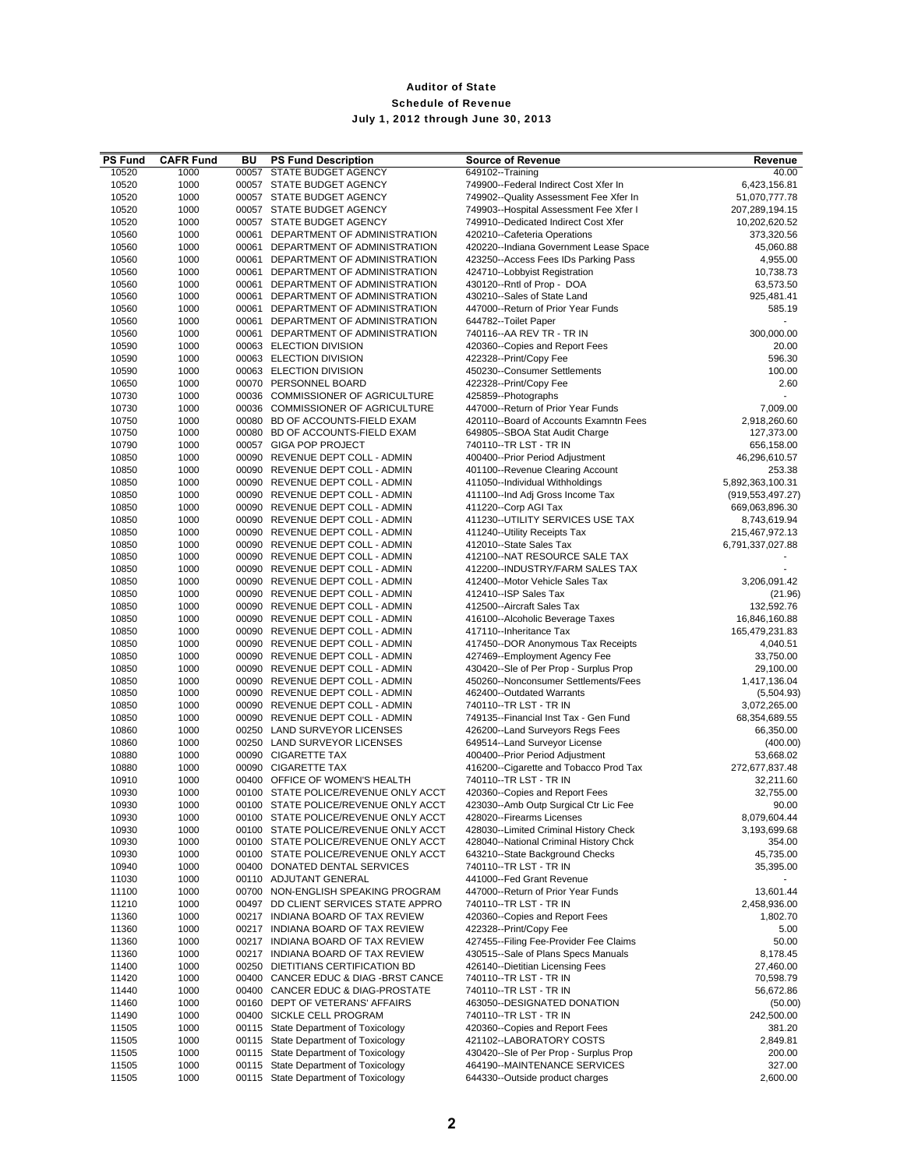| <b>PS Fund</b> | <b>CAFR Fund</b> | BU    | <b>PS Fund Description</b>                                                   | <b>Source of Revenue</b>                                                       | Revenue                         |
|----------------|------------------|-------|------------------------------------------------------------------------------|--------------------------------------------------------------------------------|---------------------------------|
| 10520          | 1000             | 00057 | STATE BUDGET AGENCY                                                          | 649102--Training                                                               | 40.00                           |
| 10520          | 1000             |       | 00057 STATE BUDGET AGENCY                                                    | 749900--Federal Indirect Cost Xfer In                                          | 6,423,156.81                    |
| 10520          | 1000             |       | 00057 STATE BUDGET AGENCY                                                    | 749902--Quality Assessment Fee Xfer In                                         | 51,070,777.78                   |
| 10520<br>10520 | 1000<br>1000     |       | 00057 STATE BUDGET AGENCY<br>00057 STATE BUDGET AGENCY                       | 749903--Hospital Assessment Fee Xfer I<br>749910--Dedicated Indirect Cost Xfer | 207,289,194.15<br>10,202,620.52 |
| 10560          | 1000             |       | 00061 DEPARTMENT OF ADMINISTRATION                                           | 420210--Cafeteria Operations                                                   | 373,320.56                      |
| 10560          | 1000             |       | 00061 DEPARTMENT OF ADMINISTRATION                                           | 420220--Indiana Government Lease Space                                         | 45,060.88                       |
| 10560          | 1000             |       | 00061 DEPARTMENT OF ADMINISTRATION                                           | 423250--Access Fees IDs Parking Pass                                           | 4,955.00                        |
| 10560          | 1000             |       | 00061 DEPARTMENT OF ADMINISTRATION                                           | 424710--Lobbyist Registration                                                  | 10,738.73                       |
| 10560          | 1000             |       | 00061 DEPARTMENT OF ADMINISTRATION                                           | 430120--Rntl of Prop - DOA                                                     | 63,573.50                       |
| 10560          | 1000             |       | 00061 DEPARTMENT OF ADMINISTRATION                                           | 430210--Sales of State Land                                                    | 925,481.41                      |
| 10560          | 1000             |       | 00061 DEPARTMENT OF ADMINISTRATION                                           | 447000--Return of Prior Year Funds                                             | 585.19                          |
| 10560          | 1000             |       | 00061 DEPARTMENT OF ADMINISTRATION                                           | 644782--Toilet Paper                                                           |                                 |
| 10560          | 1000             |       | 00061 DEPARTMENT OF ADMINISTRATION                                           | 740116--AA REV TR - TR IN                                                      | 300,000.00                      |
| 10590<br>10590 | 1000<br>1000     |       | 00063 ELECTION DIVISION<br>00063 ELECTION DIVISION                           | 420360--Copies and Report Fees<br>422328--Print/Copy Fee                       | 20.00<br>596.30                 |
| 10590          | 1000             |       | 00063 ELECTION DIVISION                                                      | 450230--Consumer Settlements                                                   | 100.00                          |
| 10650          | 1000             |       | 00070 PERSONNEL BOARD                                                        | 422328--Print/Copy Fee                                                         | 2.60                            |
| 10730          | 1000             |       | 00036 COMMISSIONER OF AGRICULTURE                                            | 425859--Photographs                                                            |                                 |
| 10730          | 1000             |       | 00036 COMMISSIONER OF AGRICULTURE                                            | 447000--Return of Prior Year Funds                                             | 7,009.00                        |
| 10750          | 1000             |       | 00080 BD OF ACCOUNTS-FIELD EXAM                                              | 420110--Board of Accounts Examntn Fees                                         | 2,918,260.60                    |
| 10750          | 1000             |       | 00080 BD OF ACCOUNTS-FIELD EXAM                                              | 649805--SBOA Stat Audit Charge                                                 | 127,373.00                      |
| 10790          | 1000             |       | 00057 GIGA POP PROJECT                                                       | 740110--TR LST - TR IN                                                         | 656,158.00                      |
| 10850          | 1000             |       | 00090 REVENUE DEPT COLL - ADMIN                                              | 400400--Prior Period Adjustment                                                | 46,296,610.57                   |
| 10850          | 1000             |       | 00090 REVENUE DEPT COLL - ADMIN                                              | 401100--Revenue Clearing Account                                               | 253.38                          |
| 10850          | 1000             |       | 00090 REVENUE DEPT COLL - ADMIN                                              | 411050--Individual Withholdings                                                | 5,892,363,100.31                |
| 10850<br>10850 | 1000             |       | 00090 REVENUE DEPT COLL - ADMIN                                              | 411100--Ind Adj Gross Income Tax                                               | (919, 553, 497.27)              |
| 10850          | 1000<br>1000     |       | 00090 REVENUE DEPT COLL - ADMIN<br>00090 REVENUE DEPT COLL - ADMIN           | 411220--Corp AGI Tax<br>411230--UTILITY SERVICES USE TAX                       | 669,063,896.30<br>8,743,619.94  |
| 10850          | 1000             |       | 00090 REVENUE DEPT COLL - ADMIN                                              | 411240--Utility Receipts Tax                                                   | 215,467,972.13                  |
| 10850          | 1000             |       | 00090 REVENUE DEPT COLL - ADMIN                                              | 412010--State Sales Tax                                                        | 6,791,337,027.88                |
| 10850          | 1000             |       | 00090 REVENUE DEPT COLL - ADMIN                                              | 412100--NAT RESOURCE SALE TAX                                                  |                                 |
| 10850          | 1000             |       | 00090 REVENUE DEPT COLL - ADMIN                                              | 412200--INDUSTRY/FARM SALES TAX                                                |                                 |
| 10850          | 1000             |       | 00090 REVENUE DEPT COLL - ADMIN                                              | 412400--Motor Vehicle Sales Tax                                                | 3,206,091.42                    |
| 10850          | 1000             |       | 00090 REVENUE DEPT COLL - ADMIN                                              | 412410--ISP Sales Tax                                                          | (21.96)                         |
| 10850          | 1000             |       | 00090 REVENUE DEPT COLL - ADMIN                                              | 412500--Aircraft Sales Tax                                                     | 132,592.76                      |
| 10850          | 1000             |       | 00090 REVENUE DEPT COLL - ADMIN                                              | 416100--Alcoholic Beverage Taxes                                               | 16,846,160.88                   |
| 10850          | 1000             |       | 00090 REVENUE DEPT COLL - ADMIN                                              | 417110--Inheritance Tax                                                        | 165,479,231.83                  |
| 10850          | 1000             |       | 00090 REVENUE DEPT COLL - ADMIN                                              | 417450--DOR Anonymous Tax Receipts                                             | 4,040.51                        |
| 10850          | 1000<br>1000     |       | 00090 REVENUE DEPT COLL - ADMIN                                              | 427469--Employment Agency Fee                                                  | 33,750.00                       |
| 10850<br>10850 | 1000             |       | 00090 REVENUE DEPT COLL - ADMIN<br>00090 REVENUE DEPT COLL - ADMIN           | 430420--Sle of Per Prop - Surplus Prop<br>450260--Nonconsumer Settlements/Fees | 29,100.00<br>1,417,136.04       |
| 10850          | 1000             |       | 00090 REVENUE DEPT COLL - ADMIN                                              | 462400--Outdated Warrants                                                      | (5,504.93)                      |
| 10850          | 1000             |       | 00090 REVENUE DEPT COLL - ADMIN                                              | 740110--TR LST - TR IN                                                         | 3,072,265.00                    |
| 10850          | 1000             |       | 00090 REVENUE DEPT COLL - ADMIN                                              | 749135--Financial Inst Tax - Gen Fund                                          | 68,354,689.55                   |
| 10860          | 1000             |       | 00250 LAND SURVEYOR LICENSES                                                 | 426200--Land Surveyors Regs Fees                                               | 66,350.00                       |
| 10860          | 1000             |       | 00250 LAND SURVEYOR LICENSES                                                 | 649514--Land Surveyor License                                                  | (400.00)                        |
| 10880          | 1000             |       | 00090 CIGARETTE TAX                                                          | 400400--Prior Period Adjustment                                                | 53,668.02                       |
| 10880          | 1000             |       | 00090 CIGARETTE TAX                                                          | 416200--Cigarette and Tobacco Prod Tax                                         | 272,677,837.48                  |
| 10910          | 1000             |       | 00400 OFFICE OF WOMEN'S HEALTH                                               | 740110--TR LST - TR IN                                                         | 32,211.60                       |
| 10930<br>10930 | 1000<br>1000     |       | 00100 STATE POLICE/REVENUE ONLY ACCT                                         | 420360--Copies and Report Fees                                                 | 32,755.00<br>90.00              |
|                |                  |       | 00100 STATE POLICE/REVENUE ONLY ACCT                                         | 423030--Amb Outp Surgical Ctr Lic Fee                                          | 8,079,604.44                    |
| 10930<br>10930 | 1000<br>1000     |       | 00100 STATE POLICE/REVENUE ONLY ACCT<br>00100 STATE POLICE/REVENUE ONLY ACCT | 428020--Firearms Licenses<br>428030--Limited Criminal History Check            | 3,193,699.68                    |
| 10930          | 1000             |       | 00100 STATE POLICE/REVENUE ONLY ACCT                                         | 428040--National Criminal History Chck                                         | 354.00                          |
| 10930          | 1000             |       | 00100 STATE POLICE/REVENUE ONLY ACCT                                         | 643210--State Background Checks                                                | 45,735.00                       |
| 10940          | 1000             |       | 00400 DONATED DENTAL SERVICES                                                | 740110--TR LST - TR IN                                                         | 35,395.00                       |
| 11030          | 1000             |       | 00110 ADJUTANT GENERAL                                                       | 441000--Fed Grant Revenue                                                      |                                 |
| 11100          | 1000             |       | 00700 NON-ENGLISH SPEAKING PROGRAM                                           | 447000--Return of Prior Year Funds                                             | 13,601.44                       |
| 11210          | 1000             |       | 00497 DD CLIENT SERVICES STATE APPRO                                         | 740110--TR LST - TR IN                                                         | 2,458,936.00                    |
| 11360          | 1000             |       | 00217 INDIANA BOARD OF TAX REVIEW                                            | 420360--Copies and Report Fees                                                 | 1,802.70                        |
| 11360          | 1000             |       | 00217 INDIANA BOARD OF TAX REVIEW                                            | 422328--Print/Copy Fee                                                         | 5.00                            |
| 11360<br>11360 | 1000<br>1000     |       | 00217 INDIANA BOARD OF TAX REVIEW<br>00217 INDIANA BOARD OF TAX REVIEW       | 427455--Filing Fee-Provider Fee Claims<br>430515--Sale of Plans Specs Manuals  | 50.00<br>8,178.45               |
| 11400          | 1000             |       | 00250 DIETITIANS CERTIFICATION BD                                            | 426140--Dietitian Licensing Fees                                               | 27,460.00                       |
| 11420          | 1000             |       | 00400 CANCER EDUC & DIAG -BRST CANCE                                         | 740110--TR LST - TR IN                                                         | 70,598.79                       |
| 11440          | 1000             |       | 00400 CANCER EDUC & DIAG-PROSTATE                                            | 740110--TR LST - TR IN                                                         | 56,672.86                       |
| 11460          | 1000             |       | 00160 DEPT OF VETERANS' AFFAIRS                                              | 463050--DESIGNATED DONATION                                                    | (50.00)                         |
| 11490          | 1000             |       | 00400 SICKLE CELL PROGRAM                                                    | 740110--TR LST - TR IN                                                         | 242,500.00                      |
| 11505          | 1000             |       | 00115 State Department of Toxicology                                         | 420360--Copies and Report Fees                                                 | 381.20                          |
| 11505          | 1000             |       | 00115 State Department of Toxicology                                         | 421102--LABORATORY COSTS                                                       | 2,849.81                        |
| 11505          | 1000             |       | 00115 State Department of Toxicology                                         | 430420--Sle of Per Prop - Surplus Prop                                         | 200.00                          |
| 11505          | 1000             |       | 00115 State Department of Toxicology                                         | 464190--MAINTENANCE SERVICES                                                   | 327.00                          |
| 11505          | 1000             |       | 00115 State Department of Toxicology                                         | 644330--Outside product charges                                                | 2,600.00                        |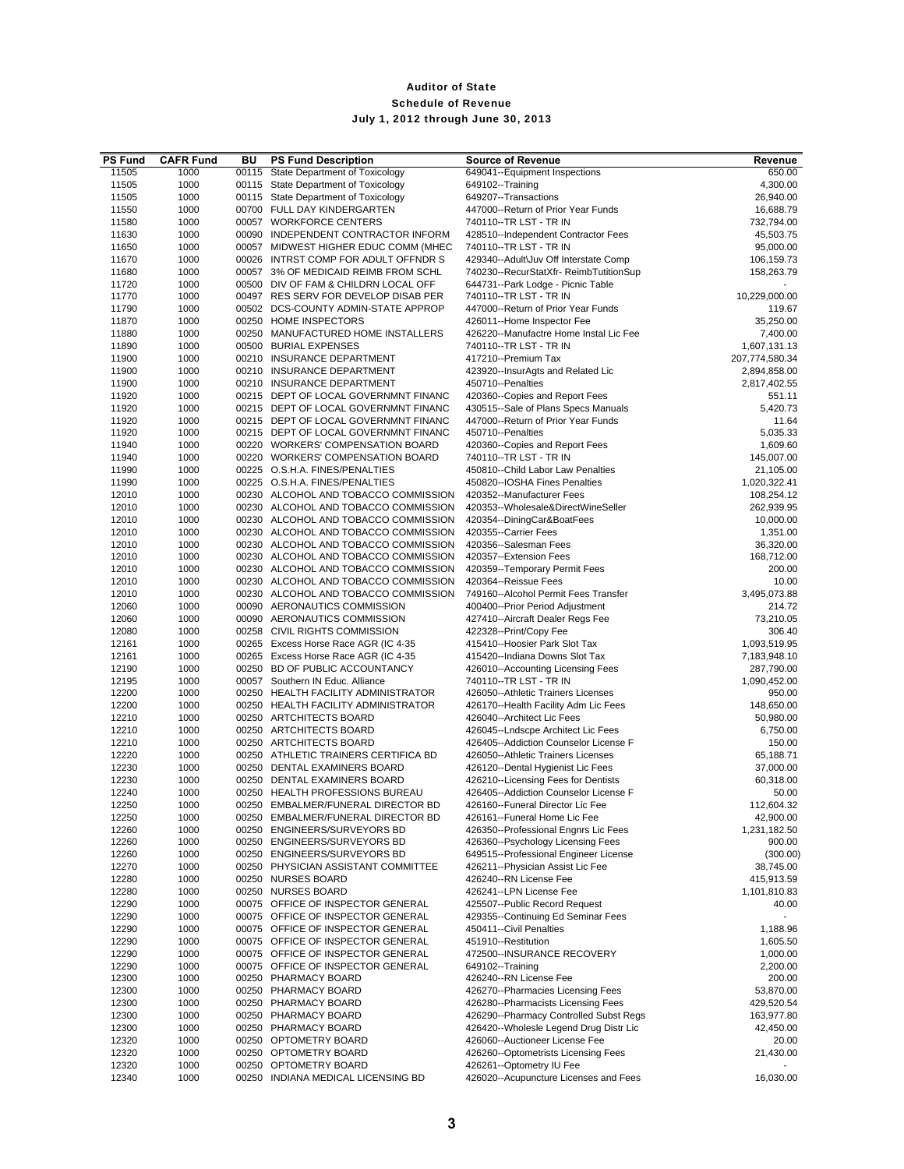| <b>PS Fund</b> | <b>CAFR Fund</b> | BU | <b>PS Fund Description</b>           | <b>Source of Revenue</b>                                      | Revenue        |
|----------------|------------------|----|--------------------------------------|---------------------------------------------------------------|----------------|
| 11505          | 1000             |    | 00115 State Department of Toxicology | 649041--Equipment Inspections                                 | 650.00         |
| 11505          | 1000             |    | 00115 State Department of Toxicology | 649102--Training                                              | 4,300.00       |
| 11505          | 1000             |    | 00115 State Department of Toxicology | 649207--Transactions                                          | 26,940.00      |
| 11550          | 1000             |    | 00700 FULL DAY KINDERGARTEN          | 447000--Return of Prior Year Funds                            | 16,688.79      |
| 11580          | 1000             |    | 00057 WORKFORCE CENTERS              | 740110--TR LST - TR IN                                        | 732,794.00     |
| 11630          | 1000             |    | 00090 INDEPENDENT CONTRACTOR INFORM  | 428510--Independent Contractor Fees                           | 45,503.75      |
| 11650          | 1000             |    | 00057 MIDWEST HIGHER EDUC COMM (MHEC | 740110--TR LST - TR IN                                        | 95,000.00      |
| 11670          | 1000             |    | 00026 INTRST COMP FOR ADULT OFFNDR S | 429340--Adult\Juv Off Interstate Comp                         | 106,159.73     |
| 11680          | 1000             |    | 00057 3% OF MEDICAID REIMB FROM SCHL | 740230--RecurStatXfr-ReimbTutitionSup                         | 158,263.79     |
| 11720          | 1000             |    | 00500 DIV OF FAM & CHILDRN LOCAL OFF | 644731--Park Lodge - Picnic Table                             |                |
| 11770          | 1000             |    | 00497 RES SERV FOR DEVELOP DISAB PER | 740110--TR LST - TR IN                                        | 10,229,000.00  |
| 11790          | 1000             |    | 00502 DCS-COUNTY ADMIN-STATE APPROP  | 447000--Return of Prior Year Funds                            | 119.67         |
| 11870          | 1000             |    | 00250 HOME INSPECTORS                | 426011--Home Inspector Fee                                    | 35,250.00      |
| 11880          | 1000             |    | 00250 MANUFACTURED HOME INSTALLERS   | 426220--Manufactre Home Instal Lic Fee                        | 7,400.00       |
| 11890          | 1000             |    | 00500 BURIAL EXPENSES                | 740110--TR LST - TR IN                                        | 1,607,131.13   |
| 11900          | 1000             |    | 00210 INSURANCE DEPARTMENT           | 417210--Premium Tax                                           | 207,774,580.34 |
| 11900          | 1000             |    | 00210 INSURANCE DEPARTMENT           | 423920--InsurAgts and Related Lic                             | 2,894,858.00   |
| 11900          | 1000             |    | 00210 INSURANCE DEPARTMENT           | 450710--Penalties                                             | 2,817,402.55   |
| 11920          | 1000             |    | 00215 DEPT OF LOCAL GOVERNMNT FINANC | 420360--Copies and Report Fees                                | 551.11         |
| 11920          | 1000             |    | 00215 DEPT OF LOCAL GOVERNMNT FINANC | 430515--Sale of Plans Specs Manuals                           | 5,420.73       |
| 11920          | 1000             |    | 00215 DEPT OF LOCAL GOVERNMNT FINANC | 447000--Return of Prior Year Funds                            | 11.64          |
| 11920          | 1000             |    | 00215 DEPT OF LOCAL GOVERNMNT FINANC | 450710--Penalties                                             | 5,035.33       |
| 11940          | 1000             |    | 00220 WORKERS' COMPENSATION BOARD    | 420360--Copies and Report Fees                                | 1,609.60       |
| 11940          | 1000             |    | 00220 WORKERS' COMPENSATION BOARD    | 740110--TR LST - TR IN                                        | 145,007.00     |
| 11990          | 1000             |    | 00225 O.S.H.A. FINES/PENALTIES       | 450810--Child Labor Law Penalties                             | 21,105.00      |
| 11990          | 1000             |    | 00225 O.S.H.A. FINES/PENALTIES       | 450820--IOSHA Fines Penalties                                 | 1,020,322.41   |
| 12010          | 1000             |    | 00230 ALCOHOL AND TOBACCO COMMISSION | 420352--Manufacturer Fees                                     | 108,254.12     |
| 12010          | 1000             |    | 00230 ALCOHOL AND TOBACCO COMMISSION | 420353--Wholesale&DirectWineSeller                            | 262,939.95     |
| 12010          | 1000             |    | 00230 ALCOHOL AND TOBACCO COMMISSION | 420354--DiningCar&BoatFees                                    | 10,000.00      |
| 12010          | 1000             |    | 00230 ALCOHOL AND TOBACCO COMMISSION | 420355--Carrier Fees                                          | 1,351.00       |
| 12010          | 1000             |    | 00230 ALCOHOL AND TOBACCO COMMISSION | 420356--Salesman Fees                                         | 36,320.00      |
| 12010          | 1000             |    | 00230 ALCOHOL AND TOBACCO COMMISSION | 420357--Extension Fees                                        | 168,712.00     |
| 12010          | 1000             |    | 00230 ALCOHOL AND TOBACCO COMMISSION | 420359--Temporary Permit Fees                                 | 200.00         |
| 12010          | 1000             |    | 00230 ALCOHOL AND TOBACCO COMMISSION | 420364--Reissue Fees                                          | 10.00          |
| 12010          | 1000             |    | 00230 ALCOHOL AND TOBACCO COMMISSION | 749160--Alcohol Permit Fees Transfer                          | 3,495,073.88   |
| 12060          | 1000             |    | 00090 AERONAUTICS COMMISSION         | 400400--Prior Period Adjustment                               | 214.72         |
| 12060          | 1000             |    | 00090 AERONAUTICS COMMISSION         | 427410--Aircraft Dealer Regs Fee                              | 73,210.05      |
| 12080          | 1000             |    | 00258 CIVIL RIGHTS COMMISSION        | 422328--Print/Copy Fee                                        | 306.40         |
| 12161          | 1000             |    | 00265 Excess Horse Race AGR (IC 4-35 | 415410--Hoosier Park Slot Tax                                 | 1,093,519.95   |
| 12161          | 1000             |    | 00265 Excess Horse Race AGR (IC 4-35 | 415420--Indiana Downs Slot Tax                                | 7,183,948.10   |
| 12190          | 1000             |    | 00250 BD OF PUBLIC ACCOUNTANCY       | 426010--Accounting Licensing Fees                             | 287,790.00     |
| 12195          | 1000             |    | 00057 Southern IN Educ. Alliance     | 740110--TR LST - TR IN                                        | 1,090,452.00   |
| 12200          | 1000             |    | 00250 HEALTH FACILITY ADMINISTRATOR  | 426050--Athletic Trainers Licenses                            | 950.00         |
| 12200          | 1000             |    | 00250 HEALTH FACILITY ADMINISTRATOR  | 426170--Health Facility Adm Lic Fees                          | 148,650.00     |
| 12210          | 1000             |    | 00250 ARTCHITECTS BOARD              | 426040--Architect Lic Fees                                    | 50,980.00      |
| 12210          | 1000             |    | 00250 ARTCHITECTS BOARD              | 426045--Lndscpe Architect Lic Fees                            | 6,750.00       |
| 12210          | 1000             |    | 00250 ARTCHITECTS BOARD              | 426405--Addiction Counselor License F                         | 150.00         |
| 12220          | 1000             |    | 00250 ATHLETIC TRAINERS CERTIFICA BD | 426050--Athletic Trainers Licenses                            | 65,188.71      |
| 12230          | 1000             |    | 00250 DENTAL EXAMINERS BOARD         | 426120--Dental Hygienist Lic Fees                             | 37,000.00      |
| 12230          | 1000             |    | 00250 DENTAL EXAMINERS BOARD         | 426210--Licensing Fees for Dentists                           | 60,318.00      |
| 12240          | 1000             |    | 00250 HEALTH PROFESSIONS BUREAU      | 426405--Addiction Counselor License F                         | 50.00          |
| 12250          | 1000             |    | 00250 EMBALMER/FUNERAL DIRECTOR BD   | 426160--Funeral Director Lic Fee                              | 112,604.32     |
| 12250          | 1000             |    | 00250 EMBALMER/FUNERAL DIRECTOR BD   | 426161--Funeral Home Lic Fee                                  | 42,900.00      |
| 12260          | 1000             |    | 00250 ENGINEERS/SURVEYORS BD         | 426350--Professional Engnrs Lic Fees                          | 1,231,182.50   |
| 12260          | 1000             |    | 00250 ENGINEERS/SURVEYORS BD         | 426360--Psychology Licensing Fees                             | 900.00         |
| 12260          | 1000             |    | 00250 ENGINEERS/SURVEYORS BD         | 649515--Professional Engineer License                         | (300.00)       |
| 12270          | 1000             |    | 00250 PHYSICIAN ASSISTANT COMMITTEE  | 426211--Physician Assist Lic Fee                              | 38,745.00      |
| 12280          | 1000             |    | 00250 NURSES BOARD                   | 426240--RN License Fee                                        | 415,913.59     |
| 12280          | 1000             |    | 00250 NURSES BOARD                   | 426241--LPN License Fee                                       | 1,101,810.83   |
| 12290          | 1000             |    | 00075 OFFICE OF INSPECTOR GENERAL    | 425507--Public Record Request                                 | 40.00          |
| 12290          | 1000             |    | 00075 OFFICE OF INSPECTOR GENERAL    | 429355--Continuing Ed Seminar Fees<br>450411--Civil Penalties |                |
| 12290          | 1000             |    | 00075 OFFICE OF INSPECTOR GENERAL    |                                                               | 1,188.96       |
| 12290          | 1000             |    | 00075 OFFICE OF INSPECTOR GENERAL    | 451910--Restitution                                           | 1,605.50       |
| 12290          | 1000             |    | 00075 OFFICE OF INSPECTOR GENERAL    | 472500--INSURANCE RECOVERY                                    | 1,000.00       |
| 12290          | 1000             |    | 00075 OFFICE OF INSPECTOR GENERAL    | 649102--Training                                              | 2,200.00       |
| 12300          | 1000             |    | 00250 PHARMACY BOARD                 | 426240--RN License Fee                                        | 200.00         |
| 12300          | 1000             |    | 00250 PHARMACY BOARD                 | 426270--Pharmacies Licensing Fees                             | 53,870.00      |
| 12300          | 1000             |    | 00250 PHARMACY BOARD                 | 426280--Pharmacists Licensing Fees                            | 429,520.54     |
| 12300          | 1000             |    | 00250 PHARMACY BOARD                 | 426290--Pharmacy Controlled Subst Regs                        | 163,977.80     |
| 12300          | 1000             |    | 00250 PHARMACY BOARD                 | 426420--Wholesle Legend Drug Distr Lic                        | 42,450.00      |
| 12320          | 1000             |    | 00250 OPTOMETRY BOARD                | 426060--Auctioneer License Fee                                | 20.00          |
| 12320          | 1000             |    | 00250 OPTOMETRY BOARD                | 426260--Optometrists Licensing Fees                           | 21,430.00      |
| 12320          | 1000             |    | 00250 OPTOMETRY BOARD                | 426261--Optometry IU Fee                                      | 16,030.00      |
| 12340          | 1000             |    | 00250 INDIANA MEDICAL LICENSING BD   | 426020--Acupuncture Licenses and Fees                         |                |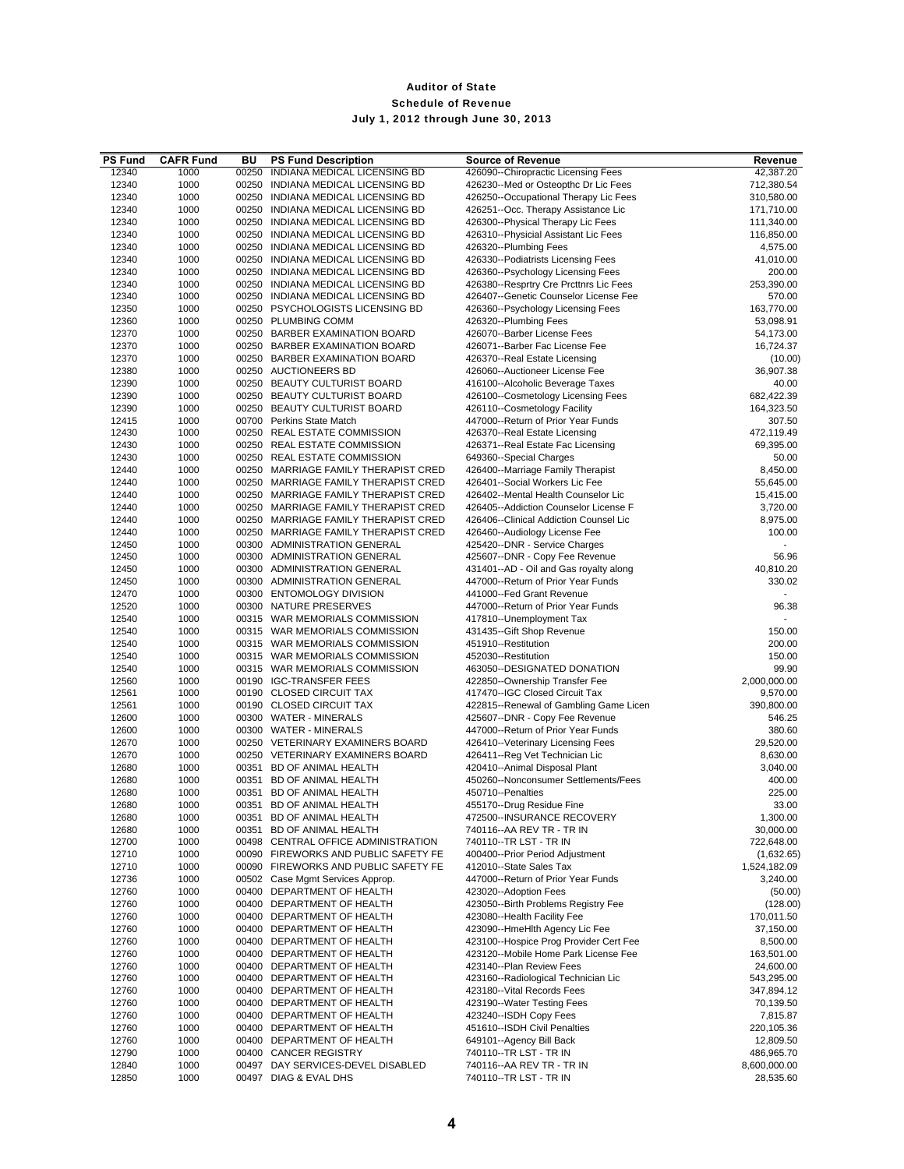| <b>PS Fund</b> | <b>CAFR Fund</b> | BU    | <b>PS Fund Description</b>                                                   | <b>Source of Revenue</b>                                                     | Revenue                    |
|----------------|------------------|-------|------------------------------------------------------------------------------|------------------------------------------------------------------------------|----------------------------|
| 12340          | 1000             | 00250 | INDIANA MEDICAL LICENSING BD                                                 | 426090--Chiropractic Licensing Fees                                          | 42,387.20                  |
| 12340          | 1000             |       | 00250 INDIANA MEDICAL LICENSING BD                                           | 426230--Med or Osteopthc Dr Lic Fees                                         | 712,380.54                 |
| 12340<br>12340 | 1000<br>1000     |       | 00250 INDIANA MEDICAL LICENSING BD<br>00250 INDIANA MEDICAL LICENSING BD     | 426250--Occupational Therapy Lic Fees<br>426251--Occ. Therapy Assistance Lic | 310,580.00<br>171,710.00   |
| 12340          | 1000             |       | 00250 INDIANA MEDICAL LICENSING BD                                           | 426300--Physical Therapy Lic Fees                                            | 111,340.00                 |
| 12340          | 1000             |       | 00250 INDIANA MEDICAL LICENSING BD                                           | 426310--Physicial Assistant Lic Fees                                         | 116,850.00                 |
| 12340          | 1000             |       | 00250 INDIANA MEDICAL LICENSING BD                                           | 426320--Plumbing Fees                                                        | 4,575.00                   |
| 12340          | 1000             |       | 00250 INDIANA MEDICAL LICENSING BD                                           | 426330--Podiatrists Licensing Fees                                           | 41,010.00                  |
| 12340          | 1000             |       | 00250 INDIANA MEDICAL LICENSING BD                                           | 426360--Psychology Licensing Fees                                            | 200.00                     |
| 12340          | 1000             |       | 00250 INDIANA MEDICAL LICENSING BD                                           | 426380--Resprtry Cre Prcttnrs Lic Fees                                       | 253,390.00                 |
| 12340          | 1000             |       | 00250 INDIANA MEDICAL LICENSING BD                                           | 426407--Genetic Counselor License Fee                                        | 570.00                     |
| 12350<br>12360 | 1000<br>1000     |       | 00250 PSYCHOLOGISTS LICENSING BD<br>00250 PLUMBING COMM                      | 426360--Psychology Licensing Fees<br>426320--Plumbing Fees                   | 163,770.00<br>53,098.91    |
| 12370          | 1000             |       | 00250 BARBER EXAMINATION BOARD                                               | 426070--Barber License Fees                                                  | 54,173.00                  |
| 12370          | 1000             |       | 00250 BARBER EXAMINATION BOARD                                               | 426071--Barber Fac License Fee                                               | 16,724.37                  |
| 12370          | 1000             |       | 00250 BARBER EXAMINATION BOARD                                               | 426370--Real Estate Licensing                                                | (10.00)                    |
| 12380          | 1000             |       | 00250 AUCTIONEERS BD                                                         | 426060--Auctioneer License Fee                                               | 36,907.38                  |
| 12390          | 1000             |       | 00250 BEAUTY CULTURIST BOARD                                                 | 416100--Alcoholic Beverage Taxes                                             | 40.00                      |
| 12390          | 1000             |       | 00250 BEAUTY CULTURIST BOARD                                                 | 426100--Cosmetology Licensing Fees                                           | 682,422.39                 |
| 12390<br>12415 | 1000             |       | 00250 BEAUTY CULTURIST BOARD<br>00700 Perkins State Match                    | 426110--Cosmetology Facility                                                 | 164,323.50<br>307.50       |
| 12430          | 1000<br>1000     |       | 00250 REAL ESTATE COMMISSION                                                 | 447000--Return of Prior Year Funds<br>426370--Real Estate Licensing          | 472,119.49                 |
| 12430          | 1000             |       | 00250 REAL ESTATE COMMISSION                                                 | 426371--Real Estate Fac Licensing                                            | 69,395.00                  |
| 12430          | 1000             |       | 00250 REAL ESTATE COMMISSION                                                 | 649360--Special Charges                                                      | 50.00                      |
| 12440          | 1000             |       | 00250 MARRIAGE FAMILY THERAPIST CRED                                         | 426400--Marriage Family Therapist                                            | 8,450.00                   |
| 12440          | 1000             |       | 00250 MARRIAGE FAMILY THERAPIST CRED                                         | 426401--Social Workers Lic Fee                                               | 55,645.00                  |
| 12440          | 1000             |       | 00250 MARRIAGE FAMILY THERAPIST CRED                                         | 426402--Mental Health Counselor Lic                                          | 15,415.00                  |
| 12440          | 1000             |       | 00250 MARRIAGE FAMILY THERAPIST CRED                                         | 426405--Addiction Counselor License F                                        | 3,720.00                   |
| 12440          | 1000             |       | 00250 MARRIAGE FAMILY THERAPIST CRED                                         | 426406--Clinical Addiction Counsel Lic                                       | 8,975.00                   |
| 12440<br>12450 | 1000<br>1000     |       | 00250 MARRIAGE FAMILY THERAPIST CRED<br>00300 ADMINISTRATION GENERAL         | 426460--Audiology License Fee<br>425420--DNR - Service Charges               | 100.00                     |
| 12450          | 1000             |       | 00300 ADMINISTRATION GENERAL                                                 | 425607--DNR - Copy Fee Revenue                                               | 56.96                      |
| 12450          | 1000             |       | 00300 ADMINISTRATION GENERAL                                                 | 431401--AD - Oil and Gas royalty along                                       | 40,810.20                  |
| 12450          | 1000             |       | 00300 ADMINISTRATION GENERAL                                                 | 447000--Return of Prior Year Funds                                           | 330.02                     |
| 12470          | 1000             |       | 00300 ENTOMOLOGY DIVISION                                                    | 441000--Fed Grant Revenue                                                    |                            |
| 12520          | 1000             |       | 00300 NATURE PRESERVES                                                       | 447000--Return of Prior Year Funds                                           | 96.38                      |
| 12540          | 1000             |       | 00315 WAR MEMORIALS COMMISSION                                               | 417810--Unemployment Tax                                                     |                            |
| 12540<br>12540 | 1000             |       | 00315 WAR MEMORIALS COMMISSION<br>00315 WAR MEMORIALS COMMISSION             | 431435--Gift Shop Revenue<br>451910--Restitution                             | 150.00<br>200.00           |
| 12540          | 1000<br>1000     |       | 00315 WAR MEMORIALS COMMISSION                                               | 452030--Restitution                                                          | 150.00                     |
| 12540          | 1000             |       | 00315 WAR MEMORIALS COMMISSION                                               | 463050--DESIGNATED DONATION                                                  | 99.90                      |
| 12560          | 1000             |       | 00190 IGC-TRANSFER FEES                                                      | 422850--Ownership Transfer Fee                                               | 2,000,000.00               |
| 12561          | 1000             |       | 00190 CLOSED CIRCUIT TAX                                                     | 417470--IGC Closed Circuit Tax                                               | 9,570.00                   |
| 12561          | 1000             |       | 00190 CLOSED CIRCUIT TAX                                                     | 422815--Renewal of Gambling Game Licen                                       | 390,800.00                 |
| 12600          | 1000             |       | 00300 WATER - MINERALS                                                       | 425607--DNR - Copy Fee Revenue                                               | 546.25                     |
| 12600          | 1000             |       | 00300 WATER - MINERALS                                                       | 447000--Return of Prior Year Funds<br>426410--Veterinary Licensing Fees      | 380.60                     |
| 12670<br>12670 | 1000<br>1000     |       | 00250 VETERINARY EXAMINERS BOARD<br>00250 VETERINARY EXAMINERS BOARD         | 426411--Reg Vet Technician Lic                                               | 29,520.00<br>8,630.00      |
| 12680          | 1000             |       | 00351 BD OF ANIMAL HEALTH                                                    | 420410--Animal Disposal Plant                                                | 3,040.00                   |
| 12680          | 1000             |       | 00351 BD OF ANIMAL HEALTH                                                    | 450260--Nonconsumer Settlements/Fees                                         | 400.00                     |
| 12680          | 1000             |       | 00351 BD OF ANIMAL HEALTH                                                    | 450710--Penalties                                                            | 225.00                     |
| 12680          | 1000             |       | 00351 BD OF ANIMAL HEALTH                                                    | 455170--Drug Residue Fine                                                    | 33.00                      |
| 12680          | 1000             | 00351 | BD OF ANIMAL HEALTH                                                          | 472500--INSURANCE RECOVERY                                                   | 1,300.00                   |
| 12680          | 1000             |       | 00351 BD OF ANIMAL HEALTH                                                    | 740116 -- AA REV TR - TR IN                                                  | 30,000.00                  |
| 12700          | 1000             |       | 00498 CENTRAL OFFICE ADMINISTRATION                                          | 740110--TR LST - TR IN                                                       | 722,648.00                 |
| 12710<br>12710 | 1000<br>1000     |       | 00090 FIREWORKS AND PUBLIC SAFETY FE<br>00090 FIREWORKS AND PUBLIC SAFETY FE | 400400--Prior Period Adjustment<br>412010--State Sales Tax                   | (1,632.65)<br>1,524,182.09 |
| 12736          | 1000             |       | 00502 Case Mgmt Services Approp.                                             | 447000--Return of Prior Year Funds                                           | 3,240.00                   |
| 12760          | 1000             |       | 00400 DEPARTMENT OF HEALTH                                                   | 423020--Adoption Fees                                                        | (50.00)                    |
| 12760          | 1000             |       | 00400 DEPARTMENT OF HEALTH                                                   | 423050--Birth Problems Registry Fee                                          | (128.00)                   |
| 12760          | 1000             |       | 00400 DEPARTMENT OF HEALTH                                                   | 423080--Health Facility Fee                                                  | 170,011.50                 |
| 12760          | 1000             |       | 00400 DEPARTMENT OF HEALTH                                                   | 423090--HmeHlth Agency Lic Fee                                               | 37,150.00                  |
| 12760          | 1000             |       | 00400 DEPARTMENT OF HEALTH                                                   | 423100--Hospice Prog Provider Cert Fee                                       | 8,500.00                   |
| 12760<br>12760 | 1000<br>1000     |       | 00400 DEPARTMENT OF HEALTH<br>00400 DEPARTMENT OF HEALTH                     | 423120--Mobile Home Park License Fee<br>423140--Plan Review Fees             | 163,501.00<br>24,600.00    |
| 12760          | 1000             |       | 00400 DEPARTMENT OF HEALTH                                                   | 423160--Radiological Technician Lic                                          | 543,295.00                 |
| 12760          | 1000             |       | 00400 DEPARTMENT OF HEALTH                                                   | 423180--Vital Records Fees                                                   | 347,894.12                 |
| 12760          | 1000             |       | 00400 DEPARTMENT OF HEALTH                                                   | 423190--Water Testing Fees                                                   | 70,139.50                  |
| 12760          | 1000             |       | 00400 DEPARTMENT OF HEALTH                                                   | 423240--ISDH Copy Fees                                                       | 7,815.87                   |
| 12760          | 1000             |       | 00400 DEPARTMENT OF HEALTH                                                   | 451610--ISDH Civil Penalties                                                 | 220,105.36                 |
| 12760          | 1000             |       | 00400 DEPARTMENT OF HEALTH                                                   | 649101--Agency Bill Back                                                     | 12,809.50                  |
| 12790          | 1000             |       | 00400 CANCER REGISTRY                                                        | 740110--TR LST - TR IN                                                       | 486,965.70                 |
| 12840<br>12850 | 1000<br>1000     |       | 00497 DAY SERVICES-DEVEL DISABLED<br>00497 DIAG & EVAL DHS                   | 740116--AA REV TR - TR IN<br>740110--TR LST - TR IN                          | 8,600,000.00<br>28,535.60  |
|                |                  |       |                                                                              |                                                                              |                            |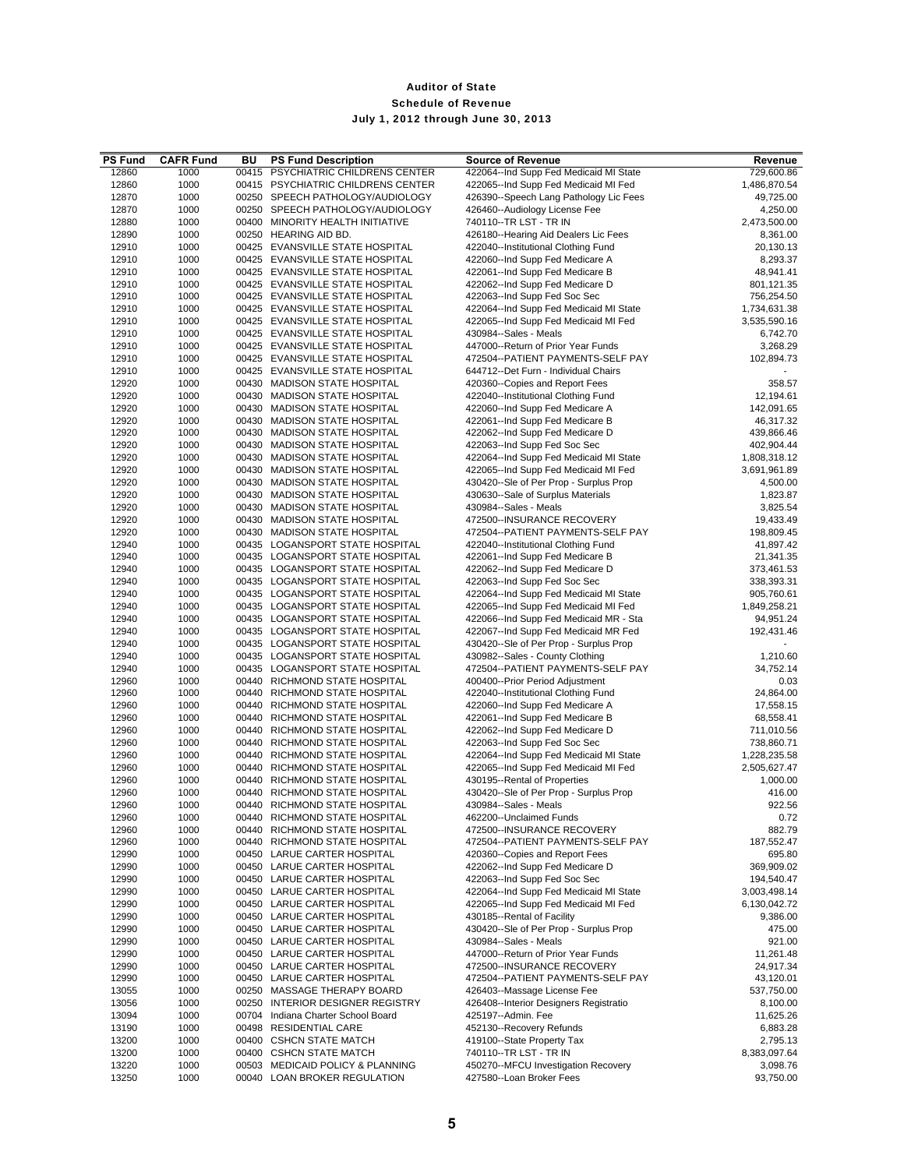| <b>PS Fund</b> | <b>CAFR Fund</b> | BU | <b>PS Fund Description</b>         | <b>Source of Revenue</b>               | Revenue      |
|----------------|------------------|----|------------------------------------|----------------------------------------|--------------|
| 12860          | 1000             |    | 00415 PSYCHIATRIC CHILDRENS CENTER | 422064--Ind Supp Fed Medicaid MI State | 729,600.86   |
| 12860          | 1000             |    | 00415 PSYCHIATRIC CHILDRENS CENTER | 422065--Ind Supp Fed Medicaid MI Fed   | 1,486,870.54 |
| 12870          | 1000             |    | 00250 SPEECH PATHOLOGY/AUDIOLOGY   | 426390--Speech Lang Pathology Lic Fees | 49,725.00    |
| 12870          | 1000             |    | 00250 SPEECH PATHOLOGY/AUDIOLOGY   | 426460--Audiology License Fee          | 4,250.00     |
| 12880          | 1000             |    | 00400 MINORITY HEALTH INITIATIVE   | 740110--TR LST - TR IN                 | 2,473,500.00 |
| 12890          | 1000             |    | 00250 HEARING AID BD.              | 426180--Hearing Aid Dealers Lic Fees   | 8,361.00     |
| 12910          | 1000             |    | 00425 EVANSVILLE STATE HOSPITAL    | 422040--Institutional Clothing Fund    | 20,130.13    |
| 12910          | 1000             |    | 00425 EVANSVILLE STATE HOSPITAL    | 422060--Ind Supp Fed Medicare A        | 8,293.37     |
| 12910          | 1000             |    | 00425 EVANSVILLE STATE HOSPITAL    | 422061--Ind Supp Fed Medicare B        | 48,941.41    |
| 12910          | 1000             |    | 00425 EVANSVILLE STATE HOSPITAL    | 422062--Ind Supp Fed Medicare D        | 801,121.35   |
| 12910          | 1000             |    | 00425 EVANSVILLE STATE HOSPITAL    | 422063--Ind Supp Fed Soc Sec           | 756,254.50   |
| 12910          | 1000             |    | 00425 EVANSVILLE STATE HOSPITAL    | 422064--Ind Supp Fed Medicaid MI State | 1,734,631.38 |
| 12910          | 1000             |    | 00425 EVANSVILLE STATE HOSPITAL    | 422065--Ind Supp Fed Medicaid MI Fed   | 3,535,590.16 |
| 12910          | 1000             |    | 00425 EVANSVILLE STATE HOSPITAL    | 430984--Sales - Meals                  | 6,742.70     |
| 12910          | 1000             |    | 00425 EVANSVILLE STATE HOSPITAL    | 447000--Return of Prior Year Funds     | 3,268.29     |
| 12910          | 1000             |    | 00425 EVANSVILLE STATE HOSPITAL    | 472504--PATIENT PAYMENTS-SELF PAY      | 102,894.73   |
| 12910          | 1000             |    | 00425 EVANSVILLE STATE HOSPITAL    | 644712--Det Furn - Individual Chairs   |              |
| 12920          | 1000             |    | 00430 MADISON STATE HOSPITAL       | 420360--Copies and Report Fees         | 358.57       |
| 12920          | 1000             |    | 00430 MADISON STATE HOSPITAL       | 422040--Institutional Clothing Fund    | 12,194.61    |
|                |                  |    |                                    |                                        |              |
| 12920          | 1000             |    | 00430 MADISON STATE HOSPITAL       | 422060--Ind Supp Fed Medicare A        | 142,091.65   |
| 12920          | 1000             |    | 00430 MADISON STATE HOSPITAL       | 422061--Ind Supp Fed Medicare B        | 46,317.32    |
| 12920          | 1000             |    | 00430 MADISON STATE HOSPITAL       | 422062--Ind Supp Fed Medicare D        | 439,866.46   |
| 12920          | 1000             |    | 00430 MADISON STATE HOSPITAL       | 422063--Ind Supp Fed Soc Sec           | 402,904.44   |
| 12920          | 1000             |    | 00430 MADISON STATE HOSPITAL       | 422064--Ind Supp Fed Medicaid MI State | 1,808,318.12 |
| 12920          | 1000             |    | 00430 MADISON STATE HOSPITAL       | 422065--Ind Supp Fed Medicaid MI Fed   | 3,691,961.89 |
| 12920          | 1000             |    | 00430 MADISON STATE HOSPITAL       | 430420--Sle of Per Prop - Surplus Prop | 4,500.00     |
| 12920          | 1000             |    | 00430 MADISON STATE HOSPITAL       | 430630--Sale of Surplus Materials      | 1,823.87     |
| 12920          | 1000             |    | 00430 MADISON STATE HOSPITAL       | 430984--Sales - Meals                  | 3,825.54     |
| 12920          | 1000             |    | 00430 MADISON STATE HOSPITAL       | 472500--INSURANCE RECOVERY             | 19,433.49    |
| 12920          | 1000             |    | 00430 MADISON STATE HOSPITAL       | 472504--PATIENT PAYMENTS-SELF PAY      | 198,809.45   |
| 12940          | 1000             |    | 00435 LOGANSPORT STATE HOSPITAL    | 422040--Institutional Clothing Fund    | 41,897.42    |
| 12940          | 1000             |    | 00435 LOGANSPORT STATE HOSPITAL    | 422061--Ind Supp Fed Medicare B        | 21,341.35    |
| 12940          | 1000             |    | 00435 LOGANSPORT STATE HOSPITAL    | 422062--Ind Supp Fed Medicare D        | 373,461.53   |
| 12940          | 1000             |    | 00435 LOGANSPORT STATE HOSPITAL    | 422063--Ind Supp Fed Soc Sec           | 338,393.31   |
| 12940          | 1000             |    | 00435 LOGANSPORT STATE HOSPITAL    | 422064--Ind Supp Fed Medicaid MI State | 905,760.61   |
| 12940          | 1000             |    | 00435 LOGANSPORT STATE HOSPITAL    | 422065--Ind Supp Fed Medicaid MI Fed   | 1,849,258.21 |
| 12940          | 1000             |    | 00435 LOGANSPORT STATE HOSPITAL    | 422066--Ind Supp Fed Medicaid MR - Sta | 94,951.24    |
| 12940          | 1000             |    | 00435 LOGANSPORT STATE HOSPITAL    | 422067--Ind Supp Fed Medicaid MR Fed   | 192,431.46   |
| 12940          | 1000             |    | 00435 LOGANSPORT STATE HOSPITAL    | 430420--Sle of Per Prop - Surplus Prop |              |
| 12940          | 1000             |    | 00435 LOGANSPORT STATE HOSPITAL    | 430982--Sales - County Clothing        | 1,210.60     |
| 12940          | 1000             |    | 00435 LOGANSPORT STATE HOSPITAL    | 472504--PATIENT PAYMENTS-SELF PAY      | 34,752.14    |
| 12960          | 1000             |    | 00440 RICHMOND STATE HOSPITAL      | 400400--Prior Period Adjustment        | 0.03         |
| 12960          | 1000             |    | 00440 RICHMOND STATE HOSPITAL      | 422040--Institutional Clothing Fund    | 24,864.00    |
| 12960          | 1000             |    | 00440 RICHMOND STATE HOSPITAL      | 422060--Ind Supp Fed Medicare A        | 17,558.15    |
| 12960          | 1000             |    | 00440 RICHMOND STATE HOSPITAL      | 422061--Ind Supp Fed Medicare B        | 68,558.41    |
| 12960          | 1000             |    | 00440 RICHMOND STATE HOSPITAL      | 422062--Ind Supp Fed Medicare D        | 711,010.56   |
| 12960          | 1000             |    | 00440 RICHMOND STATE HOSPITAL      | 422063--Ind Supp Fed Soc Sec           | 738,860.71   |
| 12960          | 1000             |    | 00440 RICHMOND STATE HOSPITAL      | 422064--Ind Supp Fed Medicaid MI State | 1,228,235.58 |
| 12960          | 1000             |    | 00440 RICHMOND STATE HOSPITAL      | 422065--Ind Supp Fed Medicaid MI Fed   | 2,505,627.47 |
| 12960          | 1000             |    | 00440 RICHMOND STATE HOSPITAL      | 430195--Rental of Properties           | 1,000.00     |
| 12960          | 1000             |    | 00440 RICHMOND STATE HOSPITAL      | 430420--Sle of Per Prop - Surplus Prop | 416.00       |
| 12960          | 1000             |    | 00440 RICHMOND STATE HOSPITAL      | 430984--Sales - Meals                  | 922.56       |
| 12960          | 1000             |    | 00440 RICHMOND STATE HOSPITAL      | 462200--Unclaimed Funds                | 0.72         |
| 12960          | 1000             |    | 00440 RICHMOND STATE HOSPITAL      | 472500--INSURANCE RECOVERY             | 882.79       |
| 12960          | 1000             |    | 00440 RICHMOND STATE HOSPITAL      | 472504--PATIENT PAYMENTS-SELF PAY      | 187,552.47   |
|                |                  |    |                                    | 420360--Copies and Report Fees         |              |
| 12990          | 1000             |    | 00450 LARUE CARTER HOSPITAL        |                                        | 695.80       |
| 12990          | 1000             |    | 00450 LARUE CARTER HOSPITAL        | 422062--Ind Supp Fed Medicare D        | 369,909.02   |
| 12990          | 1000             |    | 00450 LARUE CARTER HOSPITAL        | 422063--Ind Supp Fed Soc Sec           | 194,540.47   |
| 12990          | 1000             |    | 00450 LARUE CARTER HOSPITAL        | 422064--Ind Supp Fed Medicaid MI State | 3,003,498.14 |
| 12990          | 1000             |    | 00450 LARUE CARTER HOSPITAL        | 422065--Ind Supp Fed Medicaid MI Fed   | 6,130,042.72 |
| 12990          | 1000             |    | 00450 LARUE CARTER HOSPITAL        | 430185--Rental of Facility             | 9,386.00     |
| 12990          | 1000             |    | 00450 LARUE CARTER HOSPITAL        | 430420--Sle of Per Prop - Surplus Prop | 475.00       |
| 12990          | 1000             |    | 00450 LARUE CARTER HOSPITAL        | 430984--Sales - Meals                  | 921.00       |
| 12990          | 1000             |    | 00450 LARUE CARTER HOSPITAL        | 447000--Return of Prior Year Funds     | 11,261.48    |
| 12990          | 1000             |    | 00450 LARUE CARTER HOSPITAL        | 472500--INSURANCE RECOVERY             | 24,917.34    |
| 12990          | 1000             |    | 00450 LARUE CARTER HOSPITAL        | 472504--PATIENT PAYMENTS-SELF PAY      | 43,120.01    |
| 13055          | 1000             |    | 00250 MASSAGE THERAPY BOARD        | 426403--Massage License Fee            | 537,750.00   |
| 13056          | 1000             |    | 00250 INTERIOR DESIGNER REGISTRY   | 426408--Interior Designers Registratio | 8,100.00     |
| 13094          | 1000             |    | 00704 Indiana Charter School Board | 425197--Admin. Fee                     | 11,625.26    |
| 13190          | 1000             |    | 00498 RESIDENTIAL CARE             | 452130--Recovery Refunds               | 6,883.28     |
| 13200          | 1000             |    | 00400 CSHCN STATE MATCH            | 419100--State Property Tax             | 2,795.13     |
| 13200          | 1000             |    | 00400 CSHCN STATE MATCH            | 740110--TR LST - TR IN                 | 8,383,097.64 |
| 13220          | 1000             |    | 00503 MEDICAID POLICY & PLANNING   | 450270--MFCU Investigation Recovery    | 3,098.76     |
| 13250          | 1000             |    | 00040 LOAN BROKER REGULATION       | 427580--Loan Broker Fees               | 93,750.00    |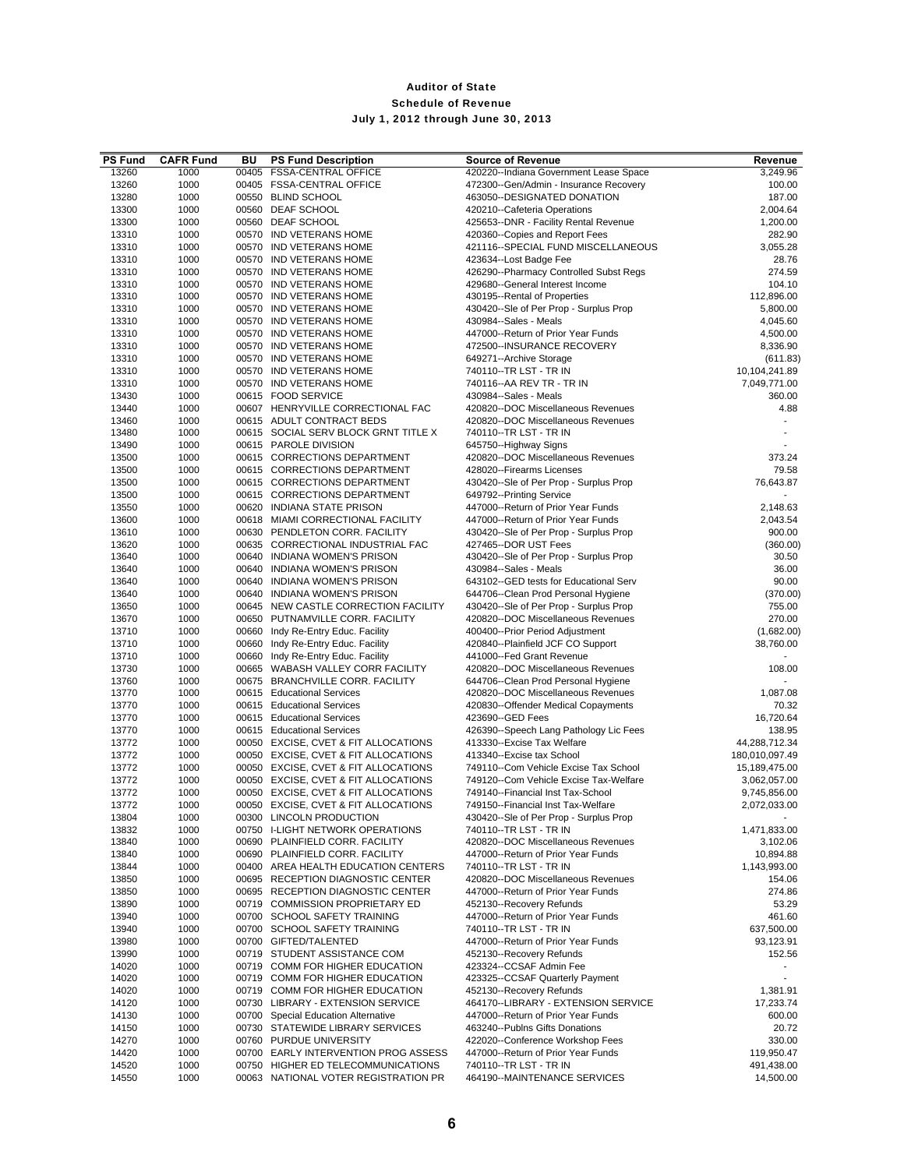| <b>PS Fund</b> | <b>CAFR Fund</b> | BU | <b>PS Fund Description</b>                                                 | <b>Source of Revenue</b>                                                  | Revenue                  |
|----------------|------------------|----|----------------------------------------------------------------------------|---------------------------------------------------------------------------|--------------------------|
| 13260          | 1000             |    | 00405 FSSA-CENTRAL OFFICE                                                  | 420220--Indiana Government Lease Space                                    | 3,249.96                 |
| 13260          | 1000             |    | 00405 FSSA-CENTRAL OFFICE                                                  | 472300--Gen/Admin - Insurance Recovery                                    | 100.00                   |
| 13280          | 1000             |    | 00550 BLIND SCHOOL                                                         | 463050--DESIGNATED DONATION                                               | 187.00                   |
| 13300<br>13300 | 1000<br>1000     |    | 00560 DEAF SCHOOL<br>00560 DEAF SCHOOL                                     | 420210--Cafeteria Operations<br>425653--DNR - Facility Rental Revenue     | 2,004.64<br>1,200.00     |
| 13310          | 1000             |    | 00570 IND VETERANS HOME                                                    | 420360--Copies and Report Fees                                            | 282.90                   |
| 13310          | 1000             |    | 00570 IND VETERANS HOME                                                    | 421116--SPECIAL FUND MISCELLANEOUS                                        | 3,055.28                 |
| 13310          | 1000             |    | 00570 IND VETERANS HOME                                                    | 423634--Lost Badge Fee                                                    | 28.76                    |
| 13310          | 1000             |    | 00570 IND VETERANS HOME                                                    | 426290--Pharmacy Controlled Subst Regs                                    | 274.59                   |
| 13310          | 1000             |    | 00570 IND VETERANS HOME                                                    | 429680--General Interest Income                                           | 104.10                   |
| 13310          | 1000             |    | 00570 IND VETERANS HOME                                                    | 430195--Rental of Properties                                              | 112,896.00               |
| 13310          | 1000             |    | 00570 IND VETERANS HOME                                                    | 430420--Sle of Per Prop - Surplus Prop                                    | 5,800.00                 |
| 13310          | 1000             |    | 00570 IND VETERANS HOME                                                    | 430984--Sales - Meals                                                     | 4,045.60                 |
| 13310<br>13310 | 1000<br>1000     |    | 00570 IND VETERANS HOME<br>00570 IND VETERANS HOME                         | 447000--Return of Prior Year Funds<br>472500--INSURANCE RECOVERY          | 4,500.00<br>8,336.90     |
| 13310          | 1000             |    | 00570 IND VETERANS HOME                                                    | 649271--Archive Storage                                                   | (611.83)                 |
| 13310          | 1000             |    | 00570 IND VETERANS HOME                                                    | 740110--TR LST - TR IN                                                    | 10,104,241.89            |
| 13310          | 1000             |    | 00570 IND VETERANS HOME                                                    | 740116 -- AA REV TR - TR IN                                               | 7,049,771.00             |
| 13430          | 1000             |    | 00615 FOOD SERVICE                                                         | 430984--Sales - Meals                                                     | 360.00                   |
| 13440          | 1000             |    | 00607 HENRYVILLE CORRECTIONAL FAC                                          | 420820--DOC Miscellaneous Revenues                                        | 4.88                     |
| 13460          | 1000             |    | 00615 ADULT CONTRACT BEDS                                                  | 420820--DOC Miscellaneous Revenues                                        |                          |
| 13480          | 1000             |    | 00615 SOCIAL SERV BLOCK GRNT TITLE X                                       | 740110--TR LST - TR IN                                                    |                          |
| 13490          | 1000             |    | 00615 PAROLE DIVISION                                                      | 645750--Highway Signs                                                     |                          |
| 13500          | 1000             |    | 00615 CORRECTIONS DEPARTMENT                                               | 420820--DOC Miscellaneous Revenues                                        | 373.24                   |
| 13500          | 1000             |    | 00615 CORRECTIONS DEPARTMENT                                               | 428020--Firearms Licenses                                                 | 79.58                    |
| 13500          | 1000             |    | 00615 CORRECTIONS DEPARTMENT<br>00615 CORRECTIONS DEPARTMENT               | 430420--Sle of Per Prop - Surplus Prop                                    | 76,643.87                |
| 13500<br>13550 | 1000             |    | 00620 INDIANA STATE PRISON                                                 | 649792--Printing Service<br>447000--Return of Prior Year Funds            | 2,148.63                 |
| 13600          | 1000<br>1000     |    | 00618 MIAMI CORRECTIONAL FACILITY                                          | 447000--Return of Prior Year Funds                                        | 2,043.54                 |
| 13610          | 1000             |    | 00630 PENDLETON CORR. FACILITY                                             | 430420--Sle of Per Prop - Surplus Prop                                    | 900.00                   |
| 13620          | 1000             |    | 00635 CORRECTIONAL INDUSTRIAL FAC                                          | 427465--DOR UST Fees                                                      | (360.00)                 |
| 13640          | 1000             |    | 00640 INDIANA WOMEN'S PRISON                                               | 430420--Sle of Per Prop - Surplus Prop                                    | 30.50                    |
| 13640          | 1000             |    | 00640 INDIANA WOMEN'S PRISON                                               | 430984--Sales - Meals                                                     | 36.00                    |
| 13640          | 1000             |    | 00640 INDIANA WOMEN'S PRISON                                               | 643102--GED tests for Educational Serv                                    | 90.00                    |
| 13640          | 1000             |    | 00640 INDIANA WOMEN'S PRISON                                               | 644706--Clean Prod Personal Hygiene                                       | (370.00)                 |
| 13650          | 1000             |    | 00645 NEW CASTLE CORRECTION FACILITY                                       | 430420--Sle of Per Prop - Surplus Prop                                    | 755.00                   |
| 13670          | 1000             |    | 00650 PUTNAMVILLE CORR. FACILITY                                           | 420820--DOC Miscellaneous Revenues                                        | 270.00                   |
| 13710          | 1000             |    | 00660 Indy Re-Entry Educ. Facility                                         | 400400--Prior Period Adjustment                                           | (1,682.00)               |
| 13710          | 1000             |    | 00660 Indy Re-Entry Educ. Facility                                         | 420840--Plainfield JCF CO Support                                         | 38,760.00                |
| 13710          | 1000             |    | 00660 Indy Re-Entry Educ. Facility                                         | 441000--Fed Grant Revenue                                                 |                          |
| 13730          | 1000             |    | 00665 WABASH VALLEY CORR FACILITY                                          | 420820--DOC Miscellaneous Revenues                                        | 108.00                   |
| 13760          | 1000             |    | 00675 BRANCHVILLE CORR. FACILITY                                           | 644706--Clean Prod Personal Hygiene                                       |                          |
| 13770<br>13770 | 1000<br>1000     |    | 00615 Educational Services<br>00615 Educational Services                   | 420820--DOC Miscellaneous Revenues<br>420830--Offender Medical Copayments | 1,087.08<br>70.32        |
| 13770          | 1000             |    | 00615 Educational Services                                                 | 423690--GED Fees                                                          | 16,720.64                |
| 13770          | 1000             |    | 00615 Educational Services                                                 | 426390--Speech Lang Pathology Lic Fees                                    | 138.95                   |
| 13772          | 1000             |    | 00050 EXCISE, CVET & FIT ALLOCATIONS                                       | 413330--Excise Tax Welfare                                                | 44,288,712.34            |
| 13772          | 1000             |    | 00050 EXCISE, CVET & FIT ALLOCATIONS                                       | 413340--Excise tax School                                                 | 180,010,097.49           |
| 13772          | 1000             |    | 00050 EXCISE, CVET & FIT ALLOCATIONS                                       | 749110--Com Vehicle Excise Tax School                                     | 15,189,475.00            |
| 13772          | 1000             |    | 00050 EXCISE, CVET & FIT ALLOCATIONS                                       | 749120--Com Vehicle Excise Tax-Welfare                                    | 3,062,057.00             |
| 13772          | 1000             |    | 00050 EXCISE, CVET & FIT ALLOCATIONS                                       | 749140--Financial Inst Tax-School                                         | 9,745,856.00             |
| 13772          | 1000             |    | 00050 EXCISE, CVET & FIT ALLOCATIONS                                       | 749150--Financial Inst Tax-Welfare                                        | 2,072,033.00             |
| 13804          | 1000             |    | 00300 LINCOLN PRODUCTION                                                   | 430420--Sle of Per Prop - Surplus Prop                                    |                          |
| 13832          | 1000             |    | 00750 I-LIGHT NETWORK OPERATIONS                                           | 740110--TR LST - TR IN                                                    | 1,471,833.00             |
| 13840          | 1000             |    | 00690 PLAINFIELD CORR. FACILITY                                            | 420820--DOC Miscellaneous Revenues                                        | 3,102.06                 |
| 13840          | 1000             |    | 00690 PLAINFIELD CORR. FACILITY                                            | 447000--Return of Prior Year Funds                                        | 10,894.88                |
| 13844          | 1000             |    | 00400 AREA HEALTH EDUCATION CENTERS                                        | 740110--TR LST - TR IN<br>420820--DOC Miscellaneous Revenues              | 1,143,993.00             |
| 13850<br>13850 | 1000<br>1000     |    | 00695 RECEPTION DIAGNOSTIC CENTER<br>00695 RECEPTION DIAGNOSTIC CENTER     | 447000--Return of Prior Year Funds                                        | 154.06<br>274.86         |
| 13890          | 1000             |    | 00719 COMMISSION PROPRIETARY ED                                            | 452130--Recovery Refunds                                                  | 53.29                    |
| 13940          | 1000             |    | 00700 SCHOOL SAFETY TRAINING                                               | 447000--Return of Prior Year Funds                                        | 461.60                   |
| 13940          | 1000             |    | 00700 SCHOOL SAFETY TRAINING                                               | 740110--TR LST - TR IN                                                    | 637,500.00               |
| 13980          | 1000             |    | 00700 GIFTED/TALENTED                                                      | 447000--Return of Prior Year Funds                                        | 93,123.91                |
| 13990          | 1000             |    | 00719 STUDENT ASSISTANCE COM                                               | 452130--Recovery Refunds                                                  | 152.56                   |
| 14020          | 1000             |    | 00719 COMM FOR HIGHER EDUCATION                                            | 423324--CCSAF Admin Fee                                                   |                          |
| 14020          | 1000             |    | 00719 COMM FOR HIGHER EDUCATION                                            | 423325--CCSAF Quarterly Payment                                           |                          |
| 14020          | 1000             |    | 00719 COMM FOR HIGHER EDUCATION                                            | 452130--Recovery Refunds                                                  | 1,381.91                 |
| 14120          | 1000             |    | 00730 LIBRARY - EXTENSION SERVICE                                          | 464170--LIBRARY - EXTENSION SERVICE                                       | 17,233.74                |
| 14130          | 1000             |    | 00700 Special Education Alternative                                        | 447000--Return of Prior Year Funds                                        | 600.00                   |
| 14150          | 1000             |    | 00730 STATEWIDE LIBRARY SERVICES                                           | 463240--Publns Gifts Donations                                            | 20.72                    |
| 14270          | 1000             |    | 00760 PURDUE UNIVERSITY                                                    | 422020--Conference Workshop Fees                                          | 330.00                   |
| 14420          | 1000             |    | 00700 EARLY INTERVENTION PROG ASSESS<br>00750 HIGHER ED TELECOMMUNICATIONS | 447000--Return of Prior Year Funds<br>740110--TR LST - TR IN              | 119,950.47<br>491,438.00 |
| 14520<br>14550 | 1000<br>1000     |    | 00063 NATIONAL VOTER REGISTRATION PR                                       | 464190--MAINTENANCE SERVICES                                              | 14,500.00                |
|                |                  |    |                                                                            |                                                                           |                          |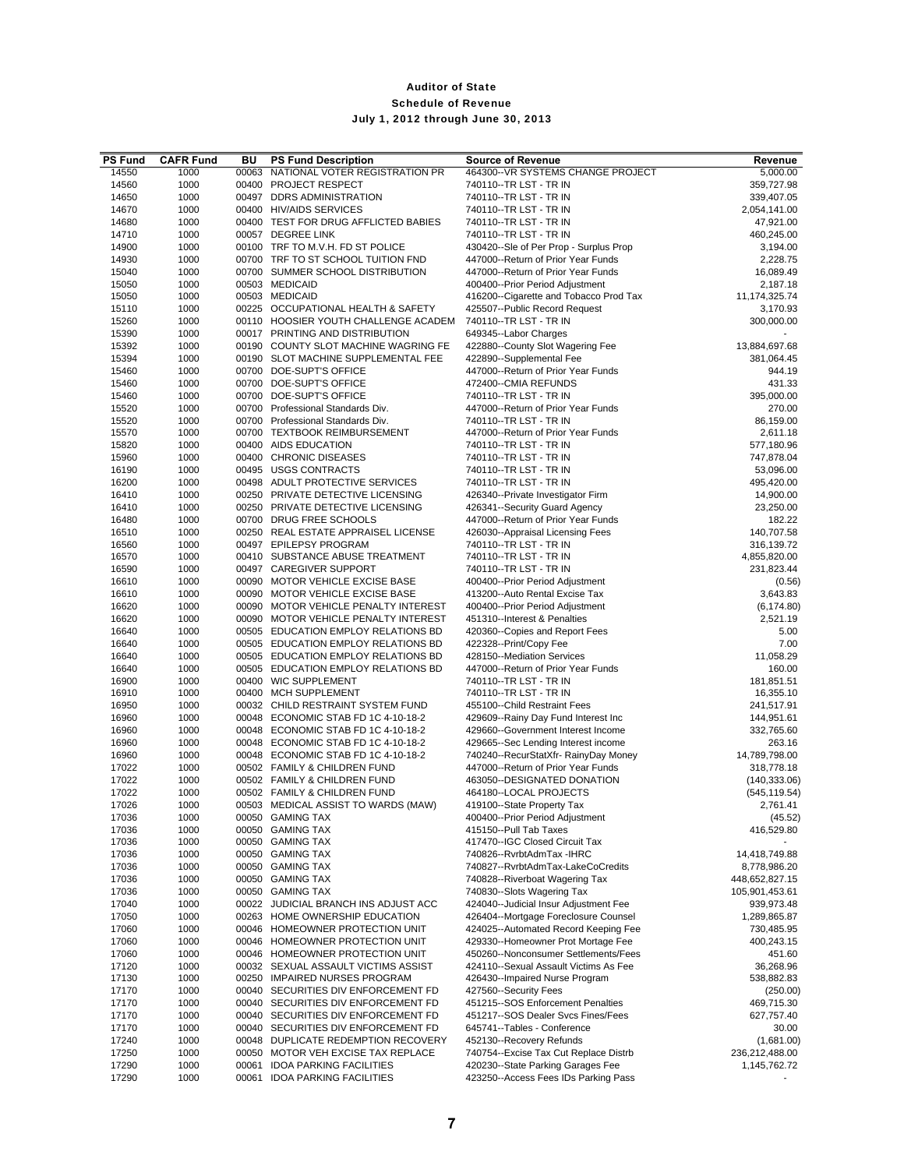| <b>PS Fund</b> | <b>CAFR Fund</b> | BU    | <b>PS Fund Description</b>           | <b>Source of Revenue</b>               | Revenue        |
|----------------|------------------|-------|--------------------------------------|----------------------------------------|----------------|
| 14550          | 1000             | 00063 | NATIONAL VOTER REGISTRATION PR       | 464300--VR SYSTEMS CHANGE PROJECT      | 5,000.00       |
| 14560          | 1000             |       | 00400 PROJECT RESPECT                | 740110 -- TR LST - TR IN               | 359,727.98     |
| 14650          | 1000             |       | 00497 DDRS ADMINISTRATION            | 740110--TR LST - TR IN                 | 339,407.05     |
| 14670          | 1000             |       | 00400 HIV/AIDS SERVICES              | 740110--TR LST - TR IN                 | 2,054,141.00   |
| 14680          | 1000             |       | 00400 TEST FOR DRUG AFFLICTED BABIES | 740110--TR LST - TR IN                 | 47,921.00      |
| 14710          | 1000             |       | 00057 DEGREE LINK                    | 740110 -- TR LST - TR IN               | 460,245.00     |
| 14900          | 1000             |       | 00100 TRF TO M.V.H. FD ST POLICE     | 430420--Sle of Per Prop - Surplus Prop | 3,194.00       |
| 14930          | 1000             |       | 00700 TRF TO ST SCHOOL TUITION FND   | 447000--Return of Prior Year Funds     | 2,228.75       |
| 15040          | 1000             |       | 00700 SUMMER SCHOOL DISTRIBUTION     | 447000--Return of Prior Year Funds     | 16,089.49      |
| 15050          | 1000             |       | 00503 MEDICAID                       | 400400--Prior Period Adjustment        | 2,187.18       |
| 15050          | 1000             |       | 00503 MEDICAID                       | 416200--Cigarette and Tobacco Prod Tax | 11,174,325.74  |
| 15110          | 1000             |       | 00225 OCCUPATIONAL HEALTH & SAFETY   | 425507--Public Record Request          | 3,170.93       |
| 15260          | 1000             |       | 00110 HOOSIER YOUTH CHALLENGE ACADEM | 740110--TR LST - TR IN                 | 300,000.00     |
| 15390          | 1000             |       | 00017 PRINTING AND DISTRIBUTION      | 649345--Labor Charges                  |                |
| 15392          | 1000             |       | 00190 COUNTY SLOT MACHINE WAGRING FE | 422880--County Slot Wagering Fee       | 13,884,697.68  |
| 15394          | 1000             |       | 00190 SLOT MACHINE SUPPLEMENTAL FEE  | 422890--Supplemental Fee               | 381,064.45     |
| 15460          | 1000             |       | 00700 DOE-SUPT'S OFFICE              | 447000--Return of Prior Year Funds     | 944.19         |
| 15460          | 1000             |       | 00700 DOE-SUPT'S OFFICE              | 472400--CMIA REFUNDS                   | 431.33         |
| 15460          | 1000             |       | 00700 DOE-SUPT'S OFFICE              | 740110--TR LST - TR IN                 | 395,000.00     |
| 15520          | 1000             |       | 00700 Professional Standards Div.    | 447000--Return of Prior Year Funds     | 270.00         |
| 15520          | 1000             |       | 00700 Professional Standards Div.    | 740110--TR LST - TR IN                 | 86,159.00      |
| 15570          | 1000             |       | 00700 TEXTBOOK REIMBURSEMENT         | 447000--Return of Prior Year Funds     | 2,611.18       |
|                |                  |       |                                      |                                        |                |
| 15820          | 1000             |       | 00400 AIDS EDUCATION                 | 740110--TR LST - TR IN                 | 577,180.96     |
| 15960          | 1000             |       | 00400 CHRONIC DISEASES               | 740110 -- TR LST - TR IN               | 747,878.04     |
| 16190          | 1000             |       | 00495 USGS CONTRACTS                 | 740110--TR LST - TR IN                 | 53,096.00      |
| 16200          | 1000             |       | 00498 ADULT PROTECTIVE SERVICES      | 740110--TR LST - TR IN                 | 495,420.00     |
| 16410          | 1000             |       | 00250 PRIVATE DETECTIVE LICENSING    | 426340--Private Investigator Firm      | 14,900.00      |
| 16410          | 1000             |       | 00250 PRIVATE DETECTIVE LICENSING    | 426341--Security Guard Agency          | 23,250.00      |
| 16480          | 1000             |       | 00700 DRUG FREE SCHOOLS              | 447000--Return of Prior Year Funds     | 182.22         |
| 16510          | 1000             |       | 00250 REAL ESTATE APPRAISEL LICENSE  | 426030--Appraisal Licensing Fees       | 140,707.58     |
| 16560          | 1000             |       | 00497 EPILEPSY PROGRAM               | 740110 -- TR LST - TR IN               | 316,139.72     |
| 16570          | 1000             |       | 00410 SUBSTANCE ABUSE TREATMENT      | 740110 -- TR LST - TR IN               | 4,855,820.00   |
| 16590          | 1000             |       | 00497 CAREGIVER SUPPORT              | 740110--TR LST - TR IN                 | 231,823.44     |
| 16610          | 1000             |       | 00090 MOTOR VEHICLE EXCISE BASE      | 400400--Prior Period Adjustment        | (0.56)         |
| 16610          | 1000             |       | 00090 MOTOR VEHICLE EXCISE BASE      | 413200--Auto Rental Excise Tax         | 3,643.83       |
| 16620          | 1000             |       | 00090 MOTOR VEHICLE PENALTY INTEREST | 400400--Prior Period Adjustment        | (6, 174.80)    |
| 16620          | 1000             |       | 00090 MOTOR VEHICLE PENALTY INTEREST | 451310--Interest & Penalties           | 2,521.19       |
| 16640          | 1000             |       | 00505 EDUCATION EMPLOY RELATIONS BD  | 420360--Copies and Report Fees         | 5.00           |
| 16640          | 1000             |       | 00505 EDUCATION EMPLOY RELATIONS BD  | 422328--Print/Copy Fee                 | 7.00           |
| 16640          | 1000             |       | 00505 EDUCATION EMPLOY RELATIONS BD  | 428150--Mediation Services             | 11,058.29      |
| 16640          | 1000             |       | 00505 EDUCATION EMPLOY RELATIONS BD  | 447000--Return of Prior Year Funds     | 160.00         |
| 16900          | 1000             |       | 00400 WIC SUPPLEMENT                 | 740110--TR LST - TR IN                 | 181,851.51     |
| 16910          | 1000             |       | 00400 MCH SUPPLEMENT                 | 740110--TR LST - TR IN                 | 16,355.10      |
| 16950          | 1000             |       | 00032 CHILD RESTRAINT SYSTEM FUND    | 455100--Child Restraint Fees           | 241,517.91     |
| 16960          | 1000             |       | 00048 ECONOMIC STAB FD 1C 4-10-18-2  | 429609--Rainy Day Fund Interest Inc    | 144,951.61     |
| 16960          | 1000             |       | 00048 ECONOMIC STAB FD 1C 4-10-18-2  | 429660--Government Interest Income     | 332,765.60     |
| 16960          | 1000             |       | 00048 ECONOMIC STAB FD 1C 4-10-18-2  | 429665--Sec Lending Interest income    | 263.16         |
| 16960          | 1000             |       | 00048 ECONOMIC STAB FD 1C 4-10-18-2  | 740240--RecurStatXfr- RainyDay Money   | 14,789,798.00  |
| 17022          | 1000             |       | 00502 FAMILY & CHILDREN FUND         | 447000--Return of Prior Year Funds     | 318,778.18     |
| 17022          | 1000             |       | 00502 FAMILY & CHILDREN FUND         | 463050--DESIGNATED DONATION            | (140, 333.06)  |
| 17022          | 1000             |       | 00502 FAMILY & CHILDREN FUND         | 464180--LOCAL PROJECTS                 | (545, 119.54)  |
| 17026          | 1000             |       | 00503 MEDICAL ASSIST TO WARDS (MAW)  | 419100--State Property Tax             | 2,761.41       |
| 17036          | 1000             |       | 00050 GAMING TAX                     | 400400--Prior Period Adjustment        | (45.52)        |
| 17036          | 1000             |       | 00050 GAMING TAX                     | 415150--Pull Tab Taxes                 | 416,529.80     |
| 17036          | 1000             |       | 00050 GAMING TAX                     | 417470--IGC Closed Circuit Tax         |                |
| 17036          | 1000             |       | 00050 GAMING TAX                     | 740826--RvrbtAdmTax -IHRC              | 14,418,749.88  |
| 17036          | 1000             |       | 00050 GAMING TAX                     | 740827--RvrbtAdmTax-LakeCoCredits      | 8,778,986.20   |
| 17036          | 1000             |       | 00050 GAMING TAX                     | 740828--Riverboat Wagering Tax         | 448,652,827.15 |
| 17036          | 1000             |       | 00050 GAMING TAX                     | 740830--Slots Wagering Tax             | 105,901,453.61 |
| 17040          | 1000             |       | 00022 JUDICIAL BRANCH INS ADJUST ACC | 424040--Judicial Insur Adjustment Fee  | 939,973.48     |
| 17050          | 1000             |       | 00263 HOME OWNERSHIP EDUCATION       | 426404--Mortgage Foreclosure Counsel   | 1,289,865.87   |
| 17060          | 1000             |       | 00046 HOMEOWNER PROTECTION UNIT      | 424025--Automated Record Keeping Fee   | 730,485.95     |
| 17060          | 1000             |       | 00046 HOMEOWNER PROTECTION UNIT      | 429330--Homeowner Prot Mortage Fee     | 400,243.15     |
| 17060          | 1000             |       | 00046 HOMEOWNER PROTECTION UNIT      | 450260--Nonconsumer Settlements/Fees   | 451.60         |
| 17120          | 1000             |       | 00032 SEXUAL ASSAULT VICTIMS ASSIST  | 424110--Sexual Assault Victims As Fee  | 36,268.96      |
| 17130          | 1000             |       | 00250 IMPAIRED NURSES PROGRAM        | 426430--Impaired Nurse Program         | 538,882.83     |
| 17170          | 1000             |       | 00040 SECURITIES DIV ENFORCEMENT FD  | 427560--Security Fees                  |                |
|                |                  |       |                                      |                                        | (250.00)       |
| 17170          | 1000             |       | 00040 SECURITIES DIV ENFORCEMENT FD  | 451215--SOS Enforcement Penalties      | 469,715.30     |
| 17170          | 1000             |       | 00040 SECURITIES DIV ENFORCEMENT FD  | 451217--SOS Dealer Svcs Fines/Fees     | 627,757.40     |
| 17170          | 1000             |       | 00040 SECURITIES DIV ENFORCEMENT FD  | 645741--Tables - Conference            | 30.00          |
| 17240          | 1000             |       | 00048 DUPLICATE REDEMPTION RECOVERY  | 452130--Recovery Refunds               | (1,681.00)     |
| 17250          | 1000             |       | 00050 MOTOR VEH EXCISE TAX REPLACE   | 740754--Excise Tax Cut Replace Distrb  | 236,212,488.00 |
| 17290          | 1000             | 00061 | <b>IDOA PARKING FACILITIES</b>       | 420230--State Parking Garages Fee      | 1,145,762.72   |
| 17290          | 1000             |       | 00061 IDOA PARKING FACILITIES        | 423250--Access Fees IDs Parking Pass   |                |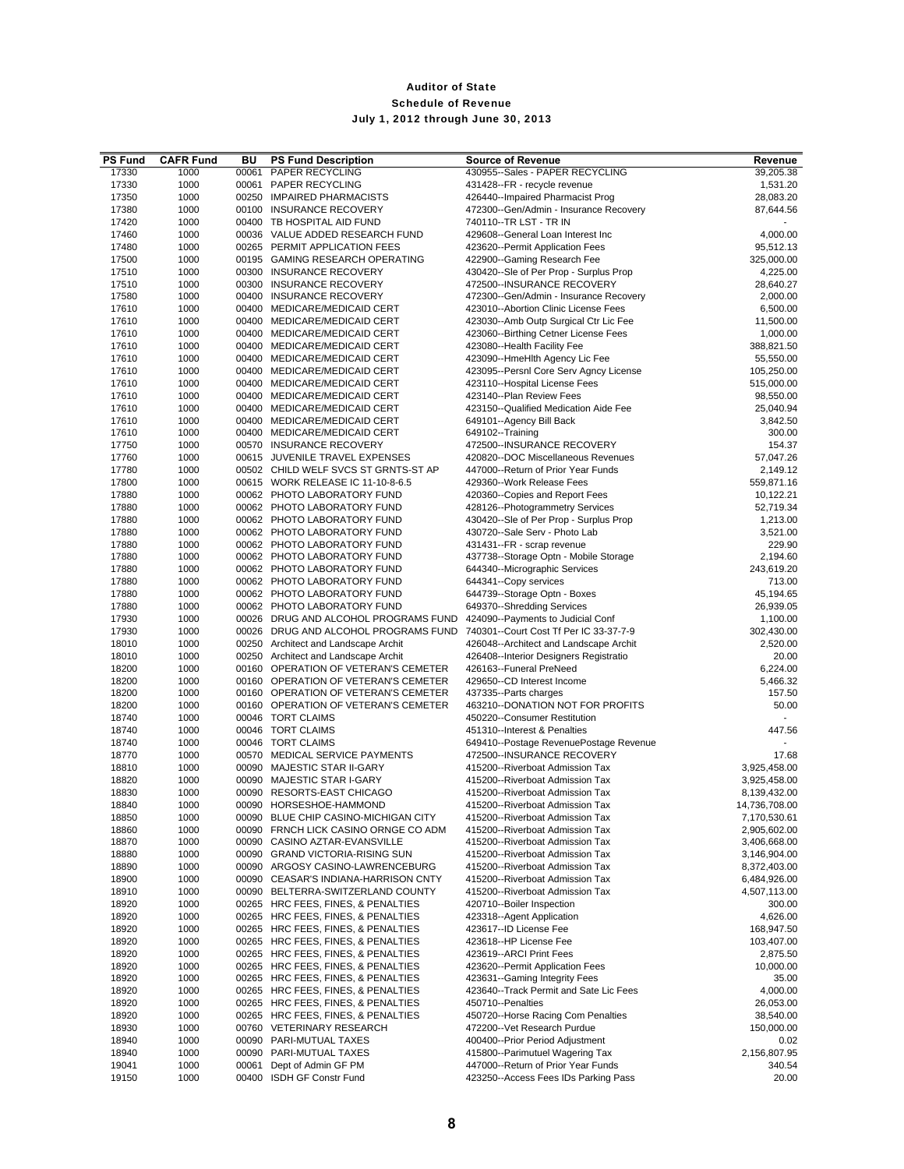| <b>PS Fund</b> | <b>CAFR Fund</b> | BU    | <b>PS Fund Description</b>           | <b>Source of Revenue</b>               | Revenue       |
|----------------|------------------|-------|--------------------------------------|----------------------------------------|---------------|
| 17330          | 1000             | 00061 | PAPER RECYCLING                      | 430955--Sales - PAPER RECYCLING        | 39,205.38     |
| 17330          | 1000             |       | 00061 PAPER RECYCLING                | 431428--FR - recycle revenue           | 1,531.20      |
| 17350          | 1000             |       | 00250 IMPAIRED PHARMACISTS           | 426440--Impaired Pharmacist Prog       | 28,083.20     |
| 17380          | 1000             |       | 00100 INSURANCE RECOVERY             | 472300--Gen/Admin - Insurance Recovery | 87,644.56     |
| 17420          | 1000             |       | 00400 TB HOSPITAL AID FUND           | 740110--TR LST - TR IN                 |               |
| 17460          | 1000             |       | 00036 VALUE ADDED RESEARCH FUND      | 429608--General Loan Interest Inc      | 4,000.00      |
| 17480          | 1000             |       | 00265 PERMIT APPLICATION FEES        | 423620--Permit Application Fees        | 95,512.13     |
| 17500          | 1000             |       | 00195 GAMING RESEARCH OPERATING      | 422900--Gaming Research Fee            | 325,000.00    |
| 17510          | 1000             |       | 00300 INSURANCE RECOVERY             | 430420--Sle of Per Prop - Surplus Prop | 4,225.00      |
| 17510          | 1000             |       | 00300 INSURANCE RECOVERY             | 472500--INSURANCE RECOVERY             | 28,640.27     |
| 17580          | 1000             |       | 00400 INSURANCE RECOVERY             | 472300--Gen/Admin - Insurance Recovery | 2,000.00      |
| 17610          | 1000             |       | 00400 MEDICARE/MEDICAID CERT         | 423010--Abortion Clinic License Fees   | 6,500.00      |
| 17610          | 1000             |       | 00400 MEDICARE/MEDICAID CERT         | 423030--Amb Outp Surgical Ctr Lic Fee  | 11,500.00     |
| 17610          | 1000             |       | 00400 MEDICARE/MEDICAID CERT         | 423060--Birthing Cetner License Fees   | 1,000.00      |
| 17610          | 1000             |       | 00400 MEDICARE/MEDICAID CERT         | 423080--Health Facility Fee            | 388,821.50    |
| 17610          | 1000             |       | 00400 MEDICARE/MEDICAID CERT         | 423090--HmeHlth Agency Lic Fee         | 55,550.00     |
| 17610          | 1000             |       | 00400 MEDICARE/MEDICAID CERT         | 423095--Persnl Core Serv Agncy License | 105,250.00    |
| 17610          | 1000             |       | 00400 MEDICARE/MEDICAID CERT         | 423110--Hospital License Fees          | 515,000.00    |
| 17610          | 1000             |       | 00400 MEDICARE/MEDICAID CERT         | 423140--Plan Review Fees               | 98,550.00     |
| 17610          | 1000             |       | 00400 MEDICARE/MEDICAID CERT         | 423150--Qualified Medication Aide Fee  | 25,040.94     |
| 17610          | 1000             |       | 00400 MEDICARE/MEDICAID CERT         | 649101--Agency Bill Back               | 3,842.50      |
| 17610          | 1000             |       | 00400 MEDICARE/MEDICAID CERT         | 649102--Training                       | 300.00        |
| 17750          | 1000             |       | 00570 INSURANCE RECOVERY             | 472500--INSURANCE RECOVERY             | 154.37        |
| 17760          | 1000             |       | 00615 JUVENILE TRAVEL EXPENSES       | 420820--DOC Miscellaneous Revenues     | 57,047.26     |
| 17780          | 1000             |       | 00502 CHILD WELF SVCS ST GRNTS-ST AP | 447000--Return of Prior Year Funds     | 2,149.12      |
| 17800          | 1000             |       | 00615 WORK RELEASE IC 11-10-8-6.5    | 429360--Work Release Fees              | 559,871.16    |
| 17880          | 1000             |       | 00062 PHOTO LABORATORY FUND          | 420360--Copies and Report Fees         | 10,122.21     |
| 17880          | 1000             |       | 00062 PHOTO LABORATORY FUND          | 428126--Photogrammetry Services        | 52,719.34     |
| 17880          | 1000             |       | 00062 PHOTO LABORATORY FUND          | 430420--Sle of Per Prop - Surplus Prop | 1,213.00      |
| 17880          | 1000             |       | 00062 PHOTO LABORATORY FUND          | 430720--Sale Serv - Photo Lab          | 3,521.00      |
| 17880          | 1000             |       | 00062 PHOTO LABORATORY FUND          | 431431--FR - scrap revenue             | 229.90        |
| 17880          | 1000             |       | 00062 PHOTO LABORATORY FUND          | 437738--Storage Optn - Mobile Storage  | 2,194.60      |
| 17880          | 1000             |       | 00062 PHOTO LABORATORY FUND          | 644340--Micrographic Services          | 243,619.20    |
| 17880          | 1000             |       | 00062 PHOTO LABORATORY FUND          | 644341--Copy services                  | 713.00        |
| 17880          | 1000             |       | 00062 PHOTO LABORATORY FUND          | 644739--Storage Optn - Boxes           | 45,194.65     |
| 17880          | 1000             |       | 00062 PHOTO LABORATORY FUND          | 649370--Shredding Services             | 26,939.05     |
| 17930          | 1000             |       | 00026 DRUG AND ALCOHOL PROGRAMS FUND | 424090--Payments to Judicial Conf      | 1,100.00      |
| 17930          | 1000             |       | 00026 DRUG AND ALCOHOL PROGRAMS FUND | 740301--Court Cost Tf Per IC 33-37-7-9 | 302,430.00    |
| 18010          | 1000             |       | 00250 Architect and Landscape Archit | 426048--Architect and Landscape Archit | 2,520.00      |
| 18010          | 1000             |       | 00250 Architect and Landscape Archit | 426408--Interior Designers Registratio | 20.00         |
| 18200          | 1000             |       | 00160 OPERATION OF VETERAN'S CEMETER | 426163--Funeral PreNeed                | 6,224.00      |
| 18200          | 1000             |       | 00160 OPERATION OF VETERAN'S CEMETER | 429650--CD Interest Income             | 5,466.32      |
| 18200          | 1000             |       | 00160 OPERATION OF VETERAN'S CEMETER | 437335--Parts charges                  | 157.50        |
| 18200          | 1000             |       | 00160 OPERATION OF VETERAN'S CEMETER | 463210--DONATION NOT FOR PROFITS       | 50.00         |
| 18740          | 1000             |       | 00046 TORT CLAIMS                    | 450220--Consumer Restitution           |               |
| 18740          | 1000             |       | 00046 TORT CLAIMS                    | 451310--Interest & Penalties           | 447.56        |
| 18740          | 1000             |       | 00046 TORT CLAIMS                    | 649410--Postage RevenuePostage Revenue |               |
| 18770          | 1000             |       | 00570 MEDICAL SERVICE PAYMENTS       | 472500--INSURANCE RECOVERY             | 17.68         |
| 18810          | 1000             |       | 00090 MAJESTIC STAR II-GARY          | 415200--Riverboat Admission Tax        | 3,925,458.00  |
| 18820          | 1000             |       | 00090 MAJESTIC STAR I-GARY           | 415200--Riverboat Admission Tax        | 3,925,458.00  |
| 18830          | 1000             |       | 00090 RESORTS-EAST CHICAGO           | 415200--Riverboat Admission Tax        | 8,139,432.00  |
| 18840          | 1000             |       | 00090 HORSESHOE-HAMMOND              | 415200--Riverboat Admission Tax        | 14,736,708.00 |
| 18850          | 1000             |       | 00090 BLUE CHIP CASINO-MICHIGAN CITY | 415200--Riverboat Admission Tax        | 7,170,530.61  |
| 18860          | 1000             |       | 00090 FRNCH LICK CASINO ORNGE CO ADM | 415200--Riverboat Admission Tax        | 2,905,602.00  |
| 18870          | 1000             |       | 00090 CASINO AZTAR-EVANSVILLE        | 415200--Riverboat Admission Tax        | 3,406,668.00  |
| 18880          | 1000             |       | 00090 GRAND VICTORIA-RISING SUN      | 415200--Riverboat Admission Tax        | 3,146,904.00  |
| 18890          | 1000             |       | 00090 ARGOSY CASINO-LAWRENCEBURG     | 415200--Riverboat Admission Tax        | 8,372,403.00  |
| 18900          | 1000             |       | 00090 CEASAR'S INDIANA-HARRISON CNTY | 415200--Riverboat Admission Tax        | 6,484,926.00  |
| 18910          | 1000             |       | 00090 BELTERRA-SWITZERLAND COUNTY    | 415200--Riverboat Admission Tax        | 4,507,113.00  |
| 18920          | 1000             |       | 00265 HRC FEES, FINES, & PENALTIES   | 420710--Boiler Inspection              | 300.00        |
| 18920          | 1000             |       | 00265 HRC FEES, FINES, & PENALTIES   | 423318--Agent Application              | 4,626.00      |
| 18920          | 1000             |       | 00265 HRC FEES, FINES, & PENALTIES   | 423617--ID License Fee                 | 168,947.50    |
| 18920          | 1000             |       | 00265 HRC FEES, FINES, & PENALTIES   | 423618--HP License Fee                 | 103,407.00    |
| 18920          | 1000             |       | 00265 HRC FEES, FINES, & PENALTIES   | 423619--ARCI Print Fees                | 2,875.50      |
| 18920          | 1000             |       | 00265 HRC FEES, FINES, & PENALTIES   | 423620--Permit Application Fees        | 10,000.00     |
| 18920          | 1000             |       | 00265 HRC FEES, FINES, & PENALTIES   | 423631--Gaming Integrity Fees          | 35.00         |
| 18920          | 1000             |       | 00265 HRC FEES, FINES, & PENALTIES   | 423640--Track Permit and Sate Lic Fees | 4,000.00      |
| 18920          | 1000             |       | 00265 HRC FEES, FINES, & PENALTIES   | 450710--Penalties                      | 26,053.00     |
| 18920          | 1000             |       | 00265 HRC FEES, FINES, & PENALTIES   | 450720--Horse Racing Com Penalties     | 38,540.00     |
| 18930          | 1000             |       | 00760 VETERINARY RESEARCH            | 472200--Vet Research Purdue            | 150,000.00    |
| 18940          | 1000             |       | 00090 PARI-MUTUAL TAXES              | 400400--Prior Period Adjustment        | 0.02          |
| 18940          | 1000             |       | 00090 PARI-MUTUAL TAXES              | 415800--Parimutuel Wagering Tax        | 2,156,807.95  |
| 19041          | 1000             | 00061 | Dept of Admin GF PM                  | 447000--Return of Prior Year Funds     | 340.54        |
| 19150          | 1000             |       | 00400 ISDH GF Constr Fund            | 423250--Access Fees IDs Parking Pass   | 20.00         |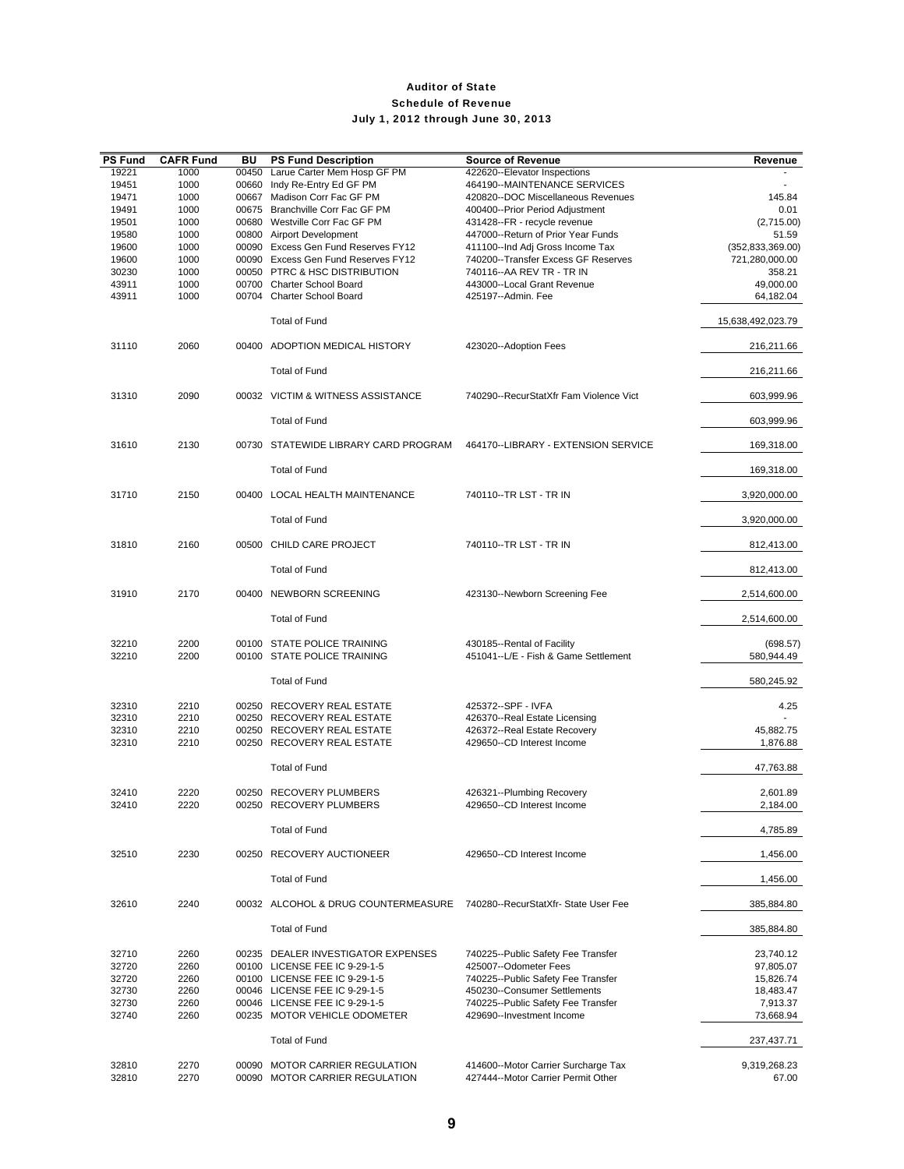| <b>PS Fund</b> | <b>CAFR Fund</b> | BU    | <b>PS Fund Description</b>                                              | <b>Source of Revenue</b>                                                  | Revenue               |
|----------------|------------------|-------|-------------------------------------------------------------------------|---------------------------------------------------------------------------|-----------------------|
| 19221          | 1000             | 00450 | Larue Carter Mem Hosp GF PM                                             | 422620--Elevator Inspections                                              |                       |
| 19451          | 1000             | 00660 | Indy Re-Entry Ed GF PM                                                  | 464190--MAINTENANCE SERVICES                                              |                       |
| 19471<br>19491 | 1000<br>1000     | 00667 | Madison Corr Fac GF PM<br>00675 Branchville Corr Fac GF PM              | 420820--DOC Miscellaneous Revenues                                        | 145.84<br>0.01        |
| 19501          | 1000             |       | 00680 Westville Corr Fac GF PM                                          | 400400--Prior Period Adjustment<br>431428--FR - recycle revenue           | (2,715.00)            |
| 19580          | 1000             |       | 00800 Airport Development                                               | 447000--Return of Prior Year Funds                                        | 51.59                 |
| 19600          | 1000             |       | 00090 Excess Gen Fund Reserves FY12                                     | 411100--Ind Adj Gross Income Tax                                          | (352, 833, 369.00)    |
| 19600          | 1000             |       | 00090 Excess Gen Fund Reserves FY12                                     | 740200--Transfer Excess GF Reserves                                       | 721,280,000.00        |
| 30230          | 1000             |       | 00050 PTRC & HSC DISTRIBUTION                                           | 740116 -- AA REV TR - TR IN                                               | 358.21                |
| 43911          | 1000             |       | 00700 Charter School Board                                              | 443000--Local Grant Revenue                                               | 49,000.00             |
| 43911          | 1000             |       | 00704 Charter School Board                                              | 425197--Admin, Fee                                                        | 64,182.04             |
|                |                  |       | <b>Total of Fund</b>                                                    |                                                                           | 15,638,492,023.79     |
| 31110          | 2060             |       | 00400 ADOPTION MEDICAL HISTORY                                          | 423020--Adoption Fees                                                     | 216,211.66            |
|                |                  |       | <b>Total of Fund</b>                                                    |                                                                           | 216,211.66            |
| 31310          | 2090             |       | 00032 VICTIM & WITNESS ASSISTANCE                                       | 740290--RecurStatXfr Fam Violence Vict                                    | 603,999.96            |
|                |                  |       | <b>Total of Fund</b>                                                    |                                                                           | 603,999.96            |
| 31610          | 2130             |       | 00730 STATEWIDE LIBRARY CARD PROGRAM                                    | 464170--LIBRARY - EXTENSION SERVICE                                       | 169,318.00            |
|                |                  |       | <b>Total of Fund</b>                                                    |                                                                           | 169,318.00            |
| 31710          | 2150             |       | 00400 LOCAL HEALTH MAINTENANCE                                          | 740110--TR LST - TR IN                                                    | 3,920,000.00          |
|                |                  |       | <b>Total of Fund</b>                                                    |                                                                           | 3,920,000.00          |
| 31810          | 2160             |       | 00500 CHILD CARE PROJECT                                                | 740110--TR LST - TR IN                                                    | 812,413.00            |
|                |                  |       | <b>Total of Fund</b>                                                    |                                                                           | 812,413.00            |
| 31910          | 2170             |       | 00400 NEWBORN SCREENING                                                 | 423130--Newborn Screening Fee                                             | 2,514,600.00          |
|                |                  |       | <b>Total of Fund</b>                                                    |                                                                           | 2,514,600.00          |
| 32210          | 2200             |       | 00100 STATE POLICE TRAINING                                             | 430185--Rental of Facility                                                | (698.57)              |
| 32210          | 2200             |       | 00100 STATE POLICE TRAINING                                             | 451041--L/E - Fish & Game Settlement                                      | 580,944.49            |
|                |                  |       | <b>Total of Fund</b>                                                    |                                                                           | 580,245.92            |
| 32310          | 2210             |       | 00250 RECOVERY REAL ESTATE                                              | 425372 -- SPF - IVFA                                                      | 4.25                  |
| 32310          | 2210             |       | 00250 RECOVERY REAL ESTATE                                              | 426370--Real Estate Licensing                                             |                       |
| 32310<br>32310 | 2210<br>2210     |       | 00250 RECOVERY REAL ESTATE<br>00250 RECOVERY REAL ESTATE                | 426372--Real Estate Recovery<br>429650--CD Interest Income                | 45,882.75<br>1,876.88 |
|                |                  |       |                                                                         |                                                                           |                       |
|                |                  |       | <b>Total of Fund</b>                                                    |                                                                           | 47,763.88             |
| 32410          | 2220             |       | 00250 RECOVERY PLUMBERS                                                 | 426321--Plumbing Recovery                                                 | 2,601.89              |
| 32410          | 2220             |       | 00250 RECOVERY PLUMBERS                                                 | 429650--CD Interest Income                                                | 2,184.00              |
|                |                  |       | <b>Total of Fund</b>                                                    |                                                                           | 4,785.89              |
| 32510          | 2230             |       | 00250 RECOVERY AUCTIONEER                                               | 429650--CD Interest Income                                                | 1,456.00              |
|                |                  |       | <b>Total of Fund</b>                                                    |                                                                           | 1,456.00              |
| 32610          | 2240             |       | 00032 ALCOHOL & DRUG COUNTERMEASURE 740280--RecurStatXfr-State User Fee |                                                                           | 385,884.80            |
|                |                  |       | <b>Total of Fund</b>                                                    |                                                                           | 385,884.80            |
| 32710          | 2260             |       | 00235 DEALER INVESTIGATOR EXPENSES                                      | 740225--Public Safety Fee Transfer                                        | 23,740.12             |
| 32720          | 2260             |       | 00100 LICENSE FEE IC 9-29-1-5                                           | 425007--Odometer Fees                                                     | 97,805.07             |
| 32720          | 2260             |       | 00100 LICENSE FEE IC 9-29-1-5                                           | 740225--Public Safety Fee Transfer                                        | 15,826.74             |
| 32730          | 2260             |       | 00046 LICENSE FEE IC 9-29-1-5                                           | 450230--Consumer Settlements                                              | 18,483.47             |
| 32730<br>32740 | 2260<br>2260     |       | 00046 LICENSE FEE IC 9-29-1-5<br>00235 MOTOR VEHICLE ODOMETER           | 740225--Public Safety Fee Transfer<br>429690--Investment Income           | 7,913.37<br>73,668.94 |
|                |                  |       | <b>Total of Fund</b>                                                    |                                                                           | 237,437.71            |
|                |                  |       |                                                                         |                                                                           |                       |
| 32810<br>32810 | 2270<br>2270     |       | 00090 MOTOR CARRIER REGULATION<br>00090 MOTOR CARRIER REGULATION        | 414600--Motor Carrier Surcharge Tax<br>427444--Motor Carrier Permit Other | 9,319,268.23<br>67.00 |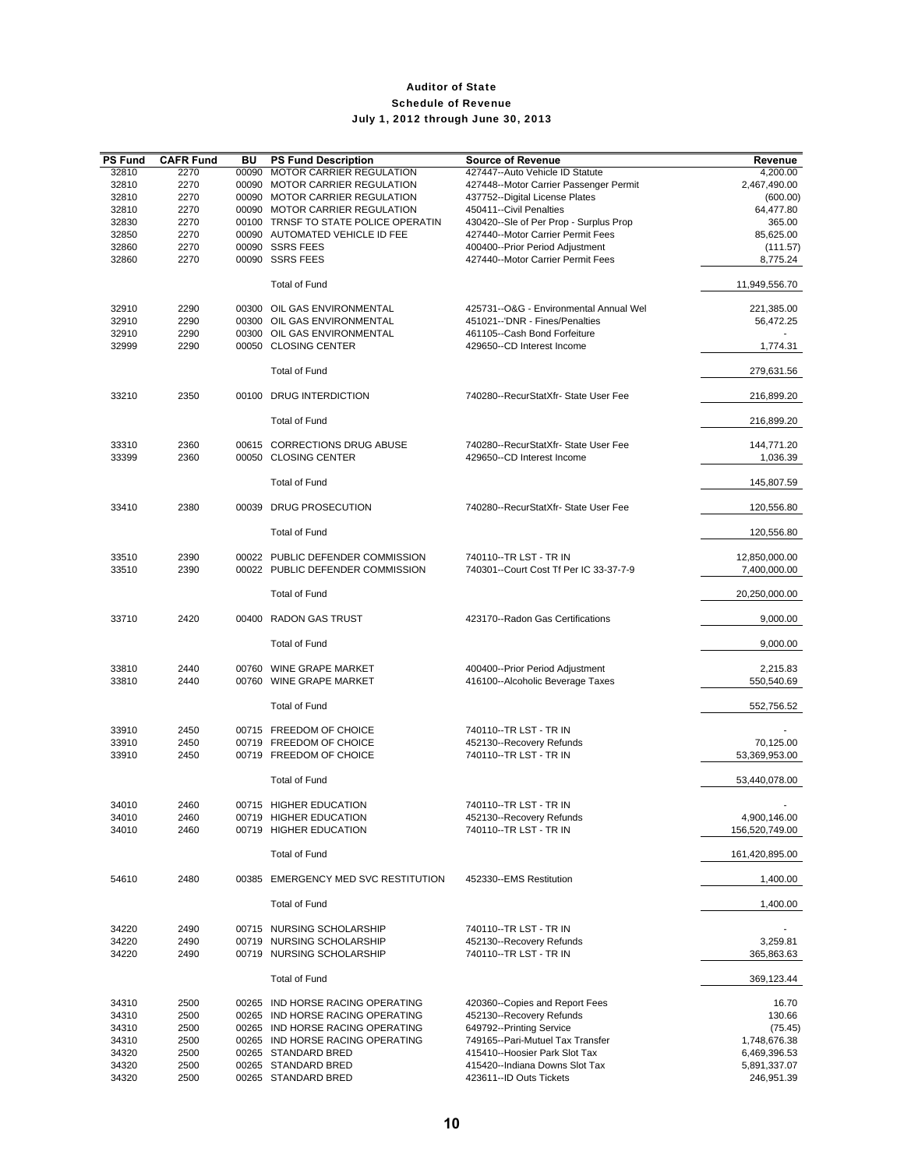| <b>PS Fund</b> | <b>CAFR Fund</b> | BU    | <b>PS Fund Description</b>           | <b>Source of Revenue</b>               | Revenue        |
|----------------|------------------|-------|--------------------------------------|----------------------------------------|----------------|
| 32810          | 2270             | 00090 | <b>MOTOR CARRIER REGULATION</b>      | 427447--Auto Vehicle ID Statute        | 4,200.00       |
| 32810          | 2270             |       | 00090 MOTOR CARRIER REGULATION       | 427448--Motor Carrier Passenger Permit | 2,467,490.00   |
|                |                  |       |                                      |                                        |                |
| 32810          | 2270             |       | 00090 MOTOR CARRIER REGULATION       | 437752--Digital License Plates         | (600.00)       |
| 32810          | 2270             |       | 00090 MOTOR CARRIER REGULATION       | 450411--Civil Penalties                | 64,477.80      |
| 32830          | 2270             |       | 00100 TRNSF TO STATE POLICE OPERATIN | 430420--Sle of Per Prop - Surplus Prop | 365.00         |
| 32850          | 2270             |       | 00090 AUTOMATED VEHICLE ID FEE       | 427440--Motor Carrier Permit Fees      | 85,625.00      |
| 32860          | 2270             |       | 00090 SSRS FEES                      | 400400--Prior Period Adjustment        | (111.57)       |
| 32860          | 2270             |       | 00090 SSRS FEES                      | 427440--Motor Carrier Permit Fees      | 8,775.24       |
|                |                  |       |                                      |                                        |                |
|                |                  |       | <b>Total of Fund</b>                 |                                        | 11,949,556.70  |
| 32910          | 2290             |       | 00300 OIL GAS ENVIRONMENTAL          | 425731--O&G - Environmental Annual Wel | 221,385.00     |
| 32910          | 2290             |       | 00300 OIL GAS ENVIRONMENTAL          | 451021--'DNR - Fines/Penalties         | 56,472.25      |
| 32910          | 2290             |       | 00300 OIL GAS ENVIRONMENTAL          | 461105--Cash Bond Forfeiture           |                |
|                |                  |       |                                      |                                        |                |
| 32999          | 2290             |       | 00050 CLOSING CENTER                 | 429650--CD Interest Income             | 1,774.31       |
|                |                  |       |                                      |                                        |                |
|                |                  |       | <b>Total of Fund</b>                 |                                        | 279,631.56     |
| 33210          | 2350             |       | 00100 DRUG INTERDICTION              | 740280--RecurStatXfr- State User Fee   | 216,899.20     |
|                |                  |       | <b>Total of Fund</b>                 |                                        | 216,899.20     |
|                |                  |       |                                      |                                        |                |
| 33310          | 2360             |       | 00615 CORRECTIONS DRUG ABUSE         | 740280--RecurStatXfr- State User Fee   | 144,771.20     |
| 33399          | 2360             |       | 00050 CLOSING CENTER                 | 429650--CD Interest Income             | 1,036.39       |
|                |                  |       | <b>Total of Fund</b>                 |                                        | 145,807.59     |
|                |                  |       |                                      |                                        |                |
| 33410          | 2380             |       | 00039 DRUG PROSECUTION               | 740280--RecurStatXfr- State User Fee   | 120,556.80     |
|                |                  |       |                                      |                                        |                |
|                |                  |       | <b>Total of Fund</b>                 |                                        | 120,556.80     |
|                |                  |       |                                      |                                        |                |
| 33510          | 2390             |       | 00022 PUBLIC DEFENDER COMMISSION     | 740110--TR LST - TR IN                 | 12,850,000.00  |
| 33510          | 2390             |       | 00022 PUBLIC DEFENDER COMMISSION     | 740301--Court Cost Tf Per IC 33-37-7-9 | 7,400,000.00   |
|                |                  |       | <b>Total of Fund</b>                 |                                        | 20,250,000.00  |
| 33710          | 2420             |       | 00400 RADON GAS TRUST                | 423170--Radon Gas Certifications       | 9,000.00       |
|                |                  |       |                                      |                                        |                |
|                |                  |       | <b>Total of Fund</b>                 |                                        | 9,000.00       |
|                |                  |       |                                      |                                        |                |
|                |                  |       |                                      |                                        |                |
| 33810          | 2440             |       | 00760 WINE GRAPE MARKET              | 400400--Prior Period Adjustment        | 2,215.83       |
| 33810          | 2440             |       | 00760 WINE GRAPE MARKET              | 416100--Alcoholic Beverage Taxes       | 550,540.69     |
|                |                  |       |                                      |                                        |                |
|                |                  |       | <b>Total of Fund</b>                 |                                        | 552,756.52     |
|                |                  |       |                                      |                                        |                |
| 33910          | 2450             |       | 00715 FREEDOM OF CHOICE              | 740110--TR LST - TR IN                 |                |
| 33910          | 2450             |       | 00719 FREEDOM OF CHOICE              | 452130--Recovery Refunds               | 70,125.00      |
| 33910          | 2450             |       | 00719 FREEDOM OF CHOICE              | 740110--TR LST - TR IN                 | 53,369,953.00  |
|                |                  |       |                                      |                                        |                |
|                |                  |       | <b>Total of Fund</b>                 |                                        | 53,440,078.00  |
|                |                  |       |                                      |                                        |                |
| 34010          | 2460             |       | 00715 HIGHER EDUCATION               | 740110--TR LST - TR IN                 |                |
| 34010          | 2460             |       | 00719 HIGHER EDUCATION               | 452130--Recovery Refunds               | 4,900,146.00   |
| 34010          | 2460             |       | 00719 HIGHER EDUCATION               | 740110--TR LST - TR IN                 | 156,520,749.00 |
|                |                  |       |                                      |                                        |                |
|                |                  |       | <b>Total of Fund</b>                 |                                        | 161,420,895.00 |
|                |                  |       |                                      |                                        |                |
|                |                  |       |                                      |                                        |                |
| 54610          | 2480             |       | 00385 EMERGENCY MED SVC RESTITUTION  | 452330--EMS Restitution                | 1,400.00       |
|                |                  |       |                                      |                                        |                |
|                |                  |       | <b>Total of Fund</b>                 |                                        | 1,400.00       |
| 34220          | 2490             |       | 00715 NURSING SCHOLARSHIP            | 740110--TR LST - TR IN                 |                |
|                |                  |       |                                      |                                        |                |
| 34220          | 2490             |       | 00719 NURSING SCHOLARSHIP            | 452130--Recovery Refunds               | 3,259.81       |
| 34220          | 2490             |       | 00719 NURSING SCHOLARSHIP            | 740110--TR LST - TR IN                 | 365,863.63     |
|                |                  |       |                                      |                                        |                |
|                |                  |       | <b>Total of Fund</b>                 |                                        | 369,123.44     |
|                |                  |       |                                      |                                        |                |
| 34310          | 2500             |       | 00265 IND HORSE RACING OPERATING     | 420360--Copies and Report Fees         | 16.70          |
| 34310          | 2500             |       | 00265 IND HORSE RACING OPERATING     | 452130--Recovery Refunds               | 130.66         |
| 34310          | 2500             |       | 00265 IND HORSE RACING OPERATING     | 649792--Printing Service               | (75.45)        |
| 34310          | 2500             |       | 00265 IND HORSE RACING OPERATING     | 749165--Pari-Mutuel Tax Transfer       | 1,748,676.38   |
| 34320          | 2500             |       | 00265 STANDARD BRED                  | 415410--Hoosier Park Slot Tax          | 6,469,396.53   |
|                |                  |       |                                      |                                        |                |
| 34320          | 2500             |       | 00265 STANDARD BRED                  | 415420--Indiana Downs Slot Tax         | 5,891,337.07   |
| 34320          | 2500             |       | 00265 STANDARD BRED                  | 423611--ID Outs Tickets                | 246,951.39     |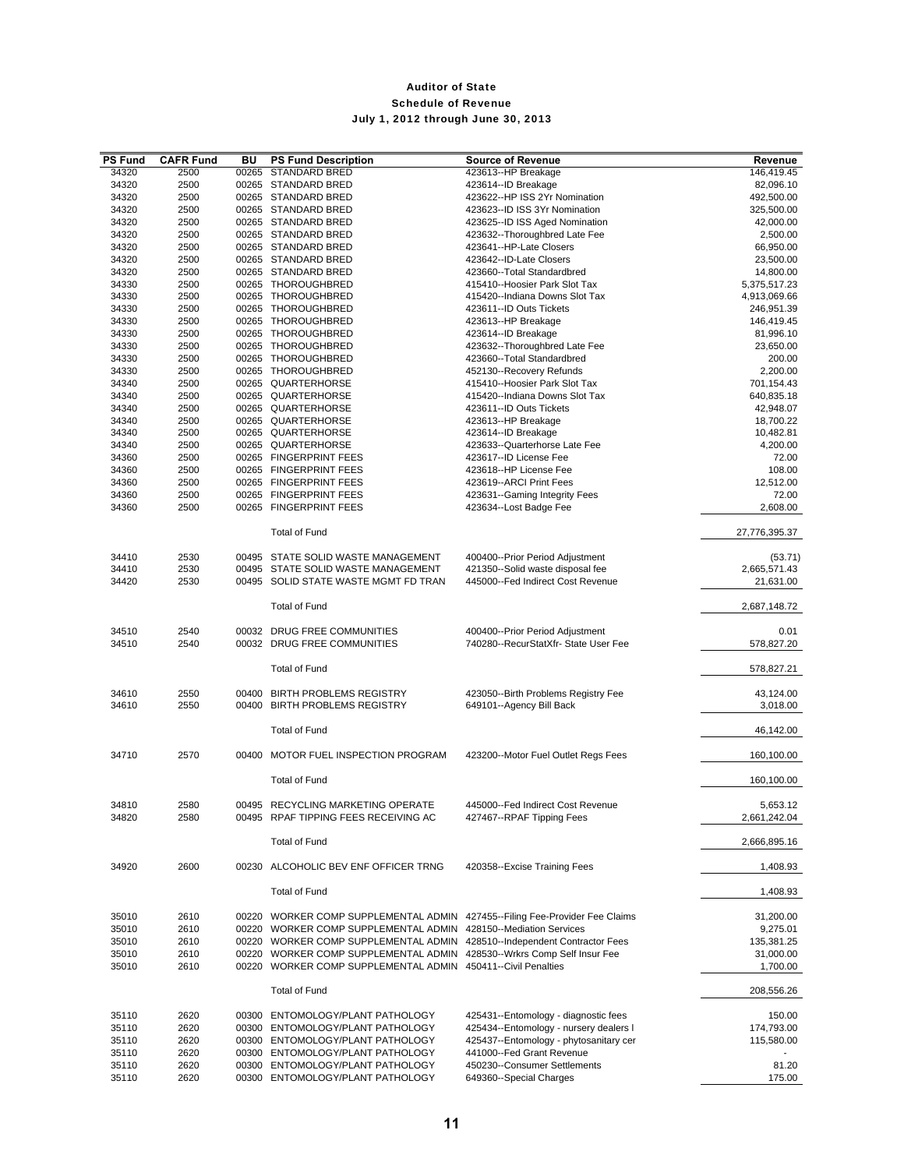| <b>PS Fund</b> | <b>CAFR Fund</b> | BU    | <b>PS Fund Description</b>                                                  | <b>Source of Revenue</b>               | Revenue       |
|----------------|------------------|-------|-----------------------------------------------------------------------------|----------------------------------------|---------------|
| 34320          | 2500             | 00265 | <b>STANDARD BRED</b>                                                        | 423613--HP Breakage                    | 146,419.45    |
| 34320          | 2500             |       | 00265 STANDARD BRED                                                         | 423614--ID Breakage                    | 82,096.10     |
| 34320          | 2500             |       | 00265 STANDARD BRED                                                         | 423622--HP ISS 2Yr Nomination          | 492,500.00    |
| 34320          | 2500             |       | 00265 STANDARD BRED                                                         | 423623--ID ISS 3Yr Nomination          | 325,500.00    |
| 34320          | 2500             |       | 00265 STANDARD BRED                                                         | 423625--ID ISS Aged Nomination         | 42,000.00     |
| 34320          | 2500             |       | 00265 STANDARD BRED                                                         | 423632--Thoroughbred Late Fee          | 2,500.00      |
| 34320          | 2500             |       | 00265 STANDARD BRED                                                         | 423641--HP-Late Closers                | 66,950.00     |
| 34320          | 2500             |       | 00265 STANDARD BRED                                                         | 423642--ID-Late Closers                | 23,500.00     |
| 34320          | 2500             |       | 00265 STANDARD BRED                                                         | 423660--Total Standardbred             | 14,800.00     |
| 34330          | 2500             |       | 00265 THOROUGHBRED                                                          | 415410--Hoosier Park Slot Tax          | 5,375,517.23  |
| 34330          | 2500             |       | 00265 THOROUGHBRED                                                          | 415420--Indiana Downs Slot Tax         | 4,913,069.66  |
| 34330          | 2500             |       | 00265 THOROUGHBRED                                                          | 423611--ID Outs Tickets                | 246,951.39    |
| 34330          | 2500             |       | 00265 THOROUGHBRED                                                          | 423613--HP Breakage                    | 146,419.45    |
| 34330          | 2500             |       | 00265 THOROUGHBRED                                                          | 423614--ID Breakage                    | 81,996.10     |
| 34330          | 2500             |       | 00265 THOROUGHBRED                                                          | 423632--Thoroughbred Late Fee          | 23,650.00     |
| 34330          | 2500             |       | 00265 THOROUGHBRED                                                          | 423660--Total Standardbred             | 200.00        |
| 34330          | 2500             |       | 00265 THOROUGHBRED                                                          | 452130--Recovery Refunds               | 2,200.00      |
| 34340          | 2500             |       | 00265 QUARTERHORSE                                                          | 415410--Hoosier Park Slot Tax          | 701,154.43    |
| 34340          | 2500             |       | 00265 QUARTERHORSE                                                          | 415420--Indiana Downs Slot Tax         | 640,835.18    |
| 34340          | 2500             |       | 00265 QUARTERHORSE                                                          | 423611--ID Outs Tickets                | 42,948.07     |
| 34340          | 2500             |       | 00265 QUARTERHORSE                                                          | 423613--HP Breakage                    | 18,700.22     |
| 34340          | 2500             |       | 00265 QUARTERHORSE                                                          | 423614--ID Breakage                    | 10,482.81     |
| 34340          | 2500             |       | 00265 QUARTERHORSE                                                          | 423633--Quarterhorse Late Fee          | 4,200.00      |
| 34360          | 2500             |       | 00265 FINGERPRINT FEES                                                      | 423617--ID License Fee                 | 72.00         |
| 34360          | 2500             |       | 00265 FINGERPRINT FEES                                                      | 423618--HP License Fee                 | 108.00        |
| 34360          | 2500             |       | 00265 FINGERPRINT FEES                                                      | 423619--ARCI Print Fees                | 12,512.00     |
| 34360          | 2500             | 00265 | <b>FINGERPRINT FEES</b>                                                     | 423631--Gaming Integrity Fees          | 72.00         |
| 34360          | 2500             |       | 00265 FINGERPRINT FEES                                                      | 423634--Lost Badge Fee                 | 2,608.00      |
|                |                  |       |                                                                             |                                        |               |
|                |                  |       | <b>Total of Fund</b>                                                        |                                        | 27,776,395.37 |
|                |                  |       |                                                                             |                                        |               |
| 34410          | 2530             |       | 00495 STATE SOLID WASTE MANAGEMENT                                          | 400400--Prior Period Adjustment        | (53.71)       |
| 34410          | 2530             |       | 00495 STATE SOLID WASTE MANAGEMENT                                          | 421350--Solid waste disposal fee       | 2,665,571.43  |
| 34420          | 2530             |       | 00495 SOLID STATE WASTE MGMT FD TRAN                                        | 445000--Fed Indirect Cost Revenue      | 21,631.00     |
|                |                  |       |                                                                             |                                        |               |
|                |                  |       | <b>Total of Fund</b>                                                        |                                        | 2,687,148.72  |
|                |                  |       |                                                                             |                                        |               |
| 34510          | 2540             |       | 00032 DRUG FREE COMMUNITIES                                                 | 400400--Prior Period Adjustment        | 0.01          |
| 34510          | 2540             |       | 00032 DRUG FREE COMMUNITIES                                                 | 740280--RecurStatXfr- State User Fee   | 578,827.20    |
|                |                  |       |                                                                             |                                        |               |
|                |                  |       | <b>Total of Fund</b>                                                        |                                        | 578,827.21    |
| 34610          | 2550             | 00400 | <b>BIRTH PROBLEMS REGISTRY</b>                                              | 423050--Birth Problems Registry Fee    | 43,124.00     |
| 34610          | 2550             | 00400 | <b>BIRTH PROBLEMS REGISTRY</b>                                              | 649101--Agency Bill Back               | 3,018.00      |
|                |                  |       |                                                                             |                                        |               |
|                |                  |       | <b>Total of Fund</b>                                                        |                                        | 46,142.00     |
|                |                  |       |                                                                             |                                        |               |
| 34710          | 2570             |       | 00400 MOTOR FUEL INSPECTION PROGRAM                                         | 423200--Motor Fuel Outlet Regs Fees    | 160,100.00    |
|                |                  |       |                                                                             |                                        |               |
|                |                  |       | <b>Total of Fund</b>                                                        |                                        | 160,100.00    |
|                |                  |       |                                                                             |                                        |               |
| 34810          | 2580             |       | 00495 RECYCLING MARKETING OPERATE                                           | 445000--Fed Indirect Cost Revenue      | 5,653.12      |
| 34820          | 2580             |       | 00495 RPAF TIPPING FEES RECEIVING AC                                        | 427467--RPAF Tipping Fees              | 2,661,242.04  |
|                |                  |       |                                                                             |                                        |               |
|                |                  |       | <b>Total of Fund</b>                                                        |                                        | 2,666,895.16  |
|                |                  |       |                                                                             |                                        |               |
| 34920          | 2600             |       | 00230 ALCOHOLIC BEV ENF OFFICER TRNG                                        | 420358--Excise Training Fees           | 1,408.93      |
|                |                  |       |                                                                             |                                        |               |
|                |                  |       | <b>Total of Fund</b>                                                        |                                        | 1,408.93      |
|                |                  |       |                                                                             |                                        |               |
| 35010          | 2610             |       | 00220 WORKER COMP SUPPLEMENTAL ADMIN 427455--Filing Fee-Provider Fee Claims |                                        | 31,200.00     |
| 35010          | 2610             |       | 00220 WORKER COMP SUPPLEMENTAL ADMIN                                        | 428150--Mediation Services             | 9,275.01      |
| 35010          | 2610             |       | 00220 WORKER COMP SUPPLEMENTAL ADMIN 428510--Independent Contractor Fees    |                                        | 135,381.25    |
| 35010          | 2610             |       | 00220 WORKER COMP SUPPLEMENTAL ADMIN 428530--Wrkrs Comp Self Insur Fee      |                                        | 31,000.00     |
| 35010          | 2610             |       | 00220 WORKER COMP SUPPLEMENTAL ADMIN 450411--Civil Penalties                |                                        | 1,700.00      |
|                |                  |       |                                                                             |                                        |               |
|                |                  |       | <b>Total of Fund</b>                                                        |                                        | 208,556.26    |
|                |                  |       |                                                                             |                                        |               |
| 35110          | 2620             |       | 00300 ENTOMOLOGY/PLANT PATHOLOGY                                            | 425431--Entomology - diagnostic fees   | 150.00        |
| 35110          | 2620             |       | 00300 ENTOMOLOGY/PLANT PATHOLOGY                                            | 425434--Entomology - nursery dealers I | 174,793.00    |
| 35110          | 2620             |       | 00300 ENTOMOLOGY/PLANT PATHOLOGY                                            | 425437--Entomology - phytosanitary cer | 115,580.00    |
| 35110          | 2620             |       | 00300 ENTOMOLOGY/PLANT PATHOLOGY                                            | 441000--Fed Grant Revenue              |               |
| 35110          | 2620             |       | 00300 ENTOMOLOGY/PLANT PATHOLOGY                                            | 450230--Consumer Settlements           | 81.20         |
| 35110          | 2620             |       | 00300 ENTOMOLOGY/PLANT PATHOLOGY                                            | 649360--Special Charges                | 175.00        |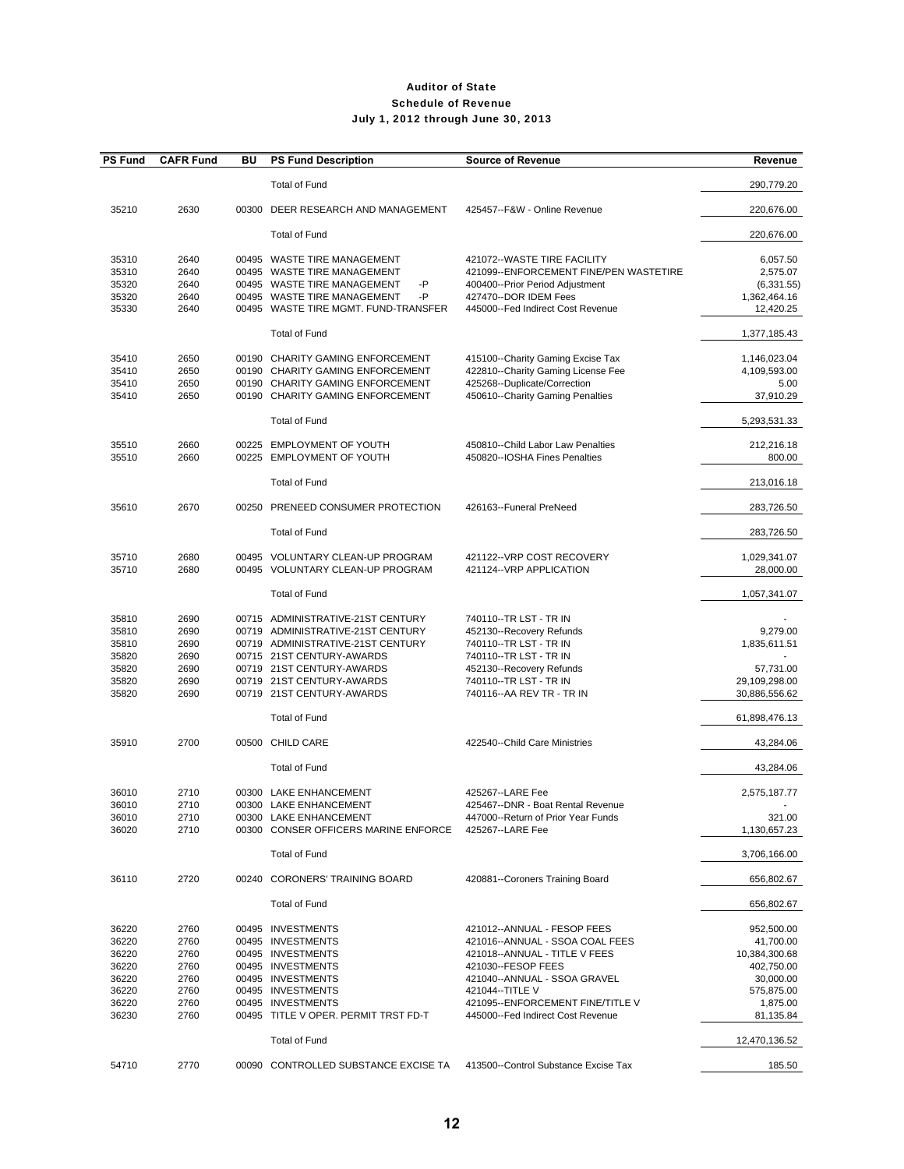| <b>PS Fund</b>                                                       | <b>CAFR Fund</b>                                             | BU | <b>PS Fund Description</b>                                                                                                                                                                                                      | <b>Source of Revenue</b>                                                                                                                                                                                                                            | Revenue                                                                                                    |
|----------------------------------------------------------------------|--------------------------------------------------------------|----|---------------------------------------------------------------------------------------------------------------------------------------------------------------------------------------------------------------------------------|-----------------------------------------------------------------------------------------------------------------------------------------------------------------------------------------------------------------------------------------------------|------------------------------------------------------------------------------------------------------------|
|                                                                      |                                                              |    | <b>Total of Fund</b>                                                                                                                                                                                                            |                                                                                                                                                                                                                                                     | 290,779.20                                                                                                 |
| 35210                                                                | 2630                                                         |    | 00300 DEER RESEARCH AND MANAGEMENT                                                                                                                                                                                              | 425457--F&W - Online Revenue                                                                                                                                                                                                                        | 220,676.00                                                                                                 |
|                                                                      |                                                              |    | Total of Fund                                                                                                                                                                                                                   |                                                                                                                                                                                                                                                     | 220,676.00                                                                                                 |
| 35310<br>35310<br>35320<br>35320<br>35330                            | 2640<br>2640<br>2640<br>2640<br>2640                         |    | 00495 WASTE TIRE MANAGEMENT<br>00495 WASTE TIRE MANAGEMENT<br>00495 WASTE TIRE MANAGEMENT<br>-P<br>00495 WASTE TIRE MANAGEMENT<br>-P<br>00495 WASTE TIRE MGMT. FUND-TRANSFER                                                    | 421072--WASTE TIRE FACILITY<br>421099--ENFORCEMENT FINE/PEN WASTETIRE<br>400400--Prior Period Adjustment<br>427470--DOR IDEM Fees<br>445000--Fed Indirect Cost Revenue                                                                              | 6,057.50<br>2,575.07<br>(6,331.55)<br>1,362,464.16<br>12,420.25                                            |
|                                                                      |                                                              |    | <b>Total of Fund</b>                                                                                                                                                                                                            |                                                                                                                                                                                                                                                     | 1,377,185.43                                                                                               |
| 35410<br>35410<br>35410<br>35410                                     | 2650<br>2650<br>2650<br>2650                                 |    | 00190 CHARITY GAMING ENFORCEMENT<br>00190 CHARITY GAMING ENFORCEMENT<br>00190 CHARITY GAMING ENFORCEMENT<br>00190 CHARITY GAMING ENFORCEMENT                                                                                    | 415100--Charity Gaming Excise Tax<br>422810--Charity Gaming License Fee<br>425268--Duplicate/Correction<br>450610--Charity Gaming Penalties                                                                                                         | 1,146,023.04<br>4,109,593.00<br>5.00<br>37,910.29                                                          |
|                                                                      |                                                              |    | <b>Total of Fund</b>                                                                                                                                                                                                            |                                                                                                                                                                                                                                                     | 5,293,531.33                                                                                               |
| 35510<br>35510                                                       | 2660<br>2660                                                 |    | 00225 EMPLOYMENT OF YOUTH<br>00225 EMPLOYMENT OF YOUTH                                                                                                                                                                          | 450810--Child Labor Law Penalties<br>450820--IOSHA Fines Penalties                                                                                                                                                                                  | 212,216.18<br>800.00                                                                                       |
|                                                                      |                                                              |    | <b>Total of Fund</b>                                                                                                                                                                                                            |                                                                                                                                                                                                                                                     | 213,016.18                                                                                                 |
| 35610                                                                | 2670                                                         |    | 00250 PRENEED CONSUMER PROTECTION                                                                                                                                                                                               | 426163--Funeral PreNeed                                                                                                                                                                                                                             | 283,726.50                                                                                                 |
|                                                                      |                                                              |    | <b>Total of Fund</b>                                                                                                                                                                                                            |                                                                                                                                                                                                                                                     | 283,726.50                                                                                                 |
| 35710<br>35710                                                       | 2680<br>2680                                                 |    | 00495 VOLUNTARY CLEAN-UP PROGRAM<br>00495 VOLUNTARY CLEAN-UP PROGRAM                                                                                                                                                            | 421122--VRP COST RECOVERY<br>421124--VRP APPLICATION                                                                                                                                                                                                | 1,029,341.07<br>28,000.00                                                                                  |
|                                                                      |                                                              |    | <b>Total of Fund</b>                                                                                                                                                                                                            |                                                                                                                                                                                                                                                     | 1,057,341.07                                                                                               |
| 35810<br>35810<br>35810<br>35820<br>35820<br>35820<br>35820          | 2690<br>2690<br>2690<br>2690<br>2690<br>2690<br>2690         |    | 00715 ADMINISTRATIVE-21ST CENTURY<br>00719 ADMINISTRATIVE-21ST CENTURY<br>00719 ADMINISTRATIVE-21ST CENTURY<br>00715 21ST CENTURY-AWARDS<br>00719 21ST CENTURY-AWARDS<br>00719 21ST CENTURY-AWARDS<br>00719 21ST CENTURY-AWARDS | 740110--TR LST - TR IN<br>452130--Recovery Refunds<br>740110--TR LST - TR IN<br>740110 -- TR LST - TR IN<br>452130--Recovery Refunds<br>740110--TR LST - TR IN<br>740116 -- AA REV TR - TR IN                                                       | 9,279.00<br>1,835,611.51<br>57,731.00<br>29,109,298.00<br>30,886,556.62                                    |
|                                                                      |                                                              |    | <b>Total of Fund</b>                                                                                                                                                                                                            |                                                                                                                                                                                                                                                     | 61,898,476.13                                                                                              |
| 35910                                                                | 2700                                                         |    | 00500 CHILD CARE                                                                                                                                                                                                                | 422540--Child Care Ministries                                                                                                                                                                                                                       | 43,284.06                                                                                                  |
|                                                                      |                                                              |    | <b>Total of Fund</b>                                                                                                                                                                                                            |                                                                                                                                                                                                                                                     | 43,284.06                                                                                                  |
| 36010<br>36010<br>36010<br>36020                                     | 2710<br>2710<br>2710<br>2710                                 |    | 00300 LAKE ENHANCEMENT<br>00300 LAKE ENHANCEMENT<br>00300 LAKE ENHANCEMENT<br>00300 CONSER OFFICERS MARINE ENFORCE                                                                                                              | 425267--LARE Fee<br>425467--DNR - Boat Rental Revenue<br>447000--Return of Prior Year Funds<br>425267--LARE Fee                                                                                                                                     | 2,575,187.77<br>321.00<br>1,130,657.23                                                                     |
|                                                                      |                                                              |    | <b>Total of Fund</b>                                                                                                                                                                                                            |                                                                                                                                                                                                                                                     | 3,706,166.00                                                                                               |
| 36110                                                                | 2720                                                         |    | 00240 CORONERS' TRAINING BOARD                                                                                                                                                                                                  | 420881--Coroners Training Board                                                                                                                                                                                                                     | 656,802.67                                                                                                 |
|                                                                      |                                                              |    | <b>Total of Fund</b>                                                                                                                                                                                                            |                                                                                                                                                                                                                                                     | 656,802.67                                                                                                 |
| 36220<br>36220<br>36220<br>36220<br>36220<br>36220<br>36220<br>36230 | 2760<br>2760<br>2760<br>2760<br>2760<br>2760<br>2760<br>2760 |    | 00495 INVESTMENTS<br>00495 INVESTMENTS<br>00495 INVESTMENTS<br>00495 INVESTMENTS<br>00495 INVESTMENTS<br>00495 INVESTMENTS<br>00495 INVESTMENTS<br>00495 TITLE V OPER. PERMIT TRST FD-T                                         | 421012--ANNUAL - FESOP FEES<br>421016--ANNUAL - SSOA COAL FEES<br>421018--ANNUAL - TITLE V FEES<br>421030--FESOP FEES<br>421040--ANNUAL - SSOA GRAVEL<br>421044 -- TITLE V<br>421095--ENFORCEMENT FINE/TITLE V<br>445000--Fed Indirect Cost Revenue | 952,500.00<br>41,700.00<br>10,384,300.68<br>402,750.00<br>30,000.00<br>575,875.00<br>1,875.00<br>81,135.84 |
|                                                                      |                                                              |    | <b>Total of Fund</b>                                                                                                                                                                                                            |                                                                                                                                                                                                                                                     | 12,470,136.52                                                                                              |
| 54710                                                                | 2770                                                         |    | 00090 CONTROLLED SUBSTANCE EXCISE TA                                                                                                                                                                                            | 413500--Control Substance Excise Tax                                                                                                                                                                                                                | 185.50                                                                                                     |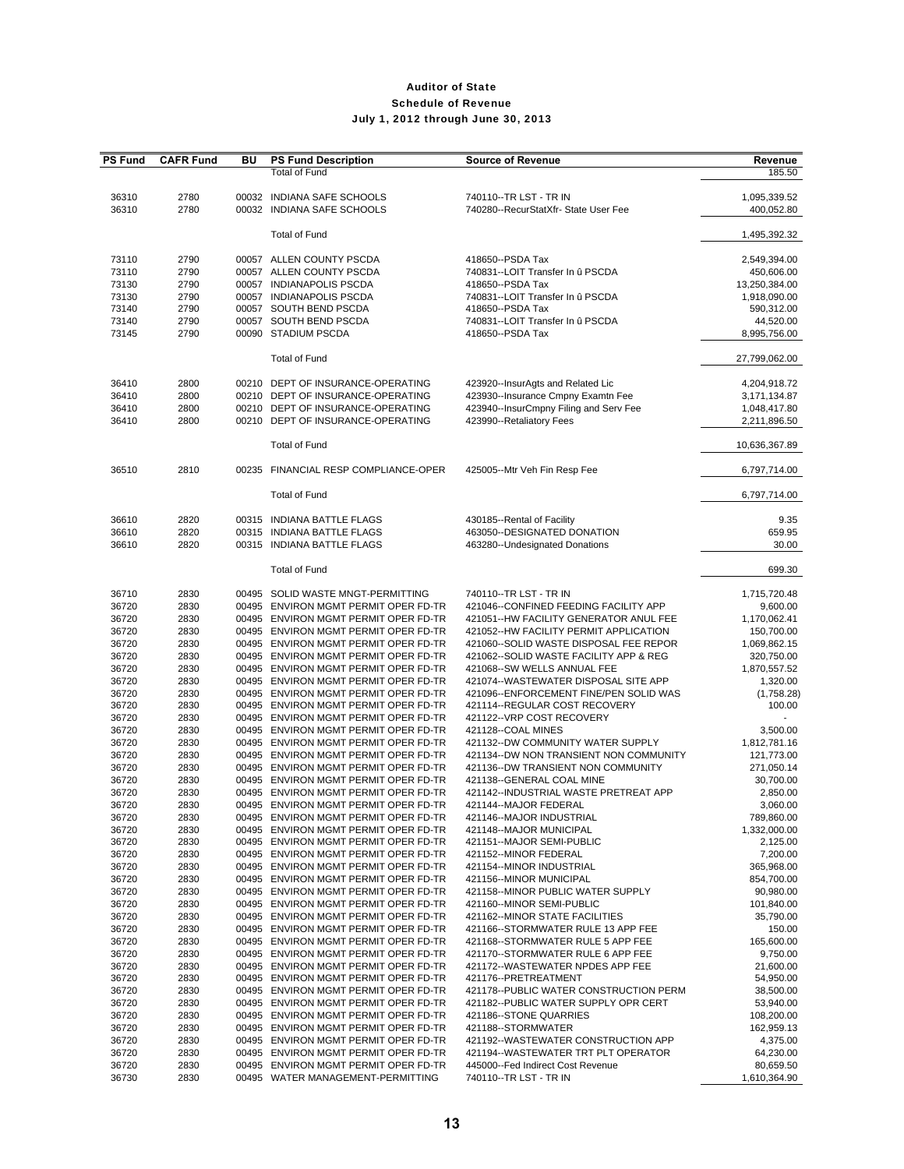| <b>PS Fund</b> | <b>CAFR Fund</b> | ΒU | <b>PS Fund Description</b>                               | <b>Source of Revenue</b>               | Revenue       |
|----------------|------------------|----|----------------------------------------------------------|----------------------------------------|---------------|
|                |                  |    | <b>Total of Fund</b>                                     |                                        | 185.50        |
|                |                  |    |                                                          |                                        |               |
| 36310          | 2780             |    | 00032 INDIANA SAFE SCHOOLS                               | 740110--TR LST - TR IN                 | 1,095,339.52  |
| 36310          | 2780             |    | 00032 INDIANA SAFE SCHOOLS                               | 740280--RecurStatXfr- State User Fee   | 400,052.80    |
|                |                  |    |                                                          |                                        |               |
|                |                  |    | <b>Total of Fund</b>                                     |                                        | 1,495,392.32  |
|                |                  |    |                                                          |                                        |               |
| 73110          | 2790             |    | 00057 ALLEN COUNTY PSCDA                                 | 418650--PSDA Tax                       | 2,549,394.00  |
| 73110          | 2790             |    | 00057 ALLEN COUNTY PSCDA                                 | 740831--LOIT Transfer In û PSCDA       | 450,606.00    |
| 73130          | 2790             |    | 00057 INDIANAPOLIS PSCDA                                 | 418650--PSDA Tax                       | 13,250,384.00 |
| 73130          | 2790             |    | 00057 INDIANAPOLIS PSCDA                                 | 740831--LOIT Transfer In û PSCDA       | 1,918,090.00  |
| 73140          | 2790             |    | 00057 SOUTH BEND PSCDA                                   | 418650--PSDA Tax                       | 590,312.00    |
| 73140          | 2790             |    | 00057 SOUTH BEND PSCDA                                   | 740831--LOIT Transfer In û PSCDA       | 44,520.00     |
| 73145          | 2790             |    | 00090 STADIUM PSCDA                                      | 418650--PSDA Tax                       | 8,995,756.00  |
|                |                  |    |                                                          |                                        |               |
|                |                  |    | <b>Total of Fund</b>                                     |                                        | 27,799,062.00 |
|                |                  |    |                                                          |                                        |               |
| 36410          | 2800             |    | 00210 DEPT OF INSURANCE-OPERATING                        | 423920--InsurAgts and Related Lic      | 4,204,918.72  |
| 36410          | 2800             |    | 00210 DEPT OF INSURANCE-OPERATING                        | 423930--Insurance Cmpny Examtn Fee     | 3,171,134.87  |
| 36410          | 2800             |    | 00210 DEPT OF INSURANCE-OPERATING                        | 423940--InsurCmpny Filing and Serv Fee | 1,048,417.80  |
| 36410          | 2800             |    | 00210 DEPT OF INSURANCE-OPERATING                        | 423990--Retaliatory Fees               | 2,211,896.50  |
|                |                  |    |                                                          |                                        |               |
|                |                  |    | <b>Total of Fund</b>                                     |                                        | 10,636,367.89 |
|                |                  |    |                                                          |                                        |               |
| 36510          | 2810             |    | 00235 FINANCIAL RESP COMPLIANCE-OPER                     | 425005--Mtr Veh Fin Resp Fee           | 6,797,714.00  |
|                |                  |    |                                                          |                                        |               |
|                |                  |    | <b>Total of Fund</b>                                     |                                        | 6,797,714.00  |
|                |                  |    |                                                          |                                        |               |
|                |                  |    |                                                          |                                        |               |
| 36610          | 2820             |    | 00315 INDIANA BATTLE FLAGS<br>00315 INDIANA BATTLE FLAGS | 430185--Rental of Facility             | 9.35          |
| 36610          | 2820             |    |                                                          | 463050--DESIGNATED DONATION            | 659.95        |
| 36610          | 2820             |    | 00315 INDIANA BATTLE FLAGS                               | 463280--Undesignated Donations         | 30.00         |
|                |                  |    | <b>Total of Fund</b>                                     |                                        |               |
|                |                  |    |                                                          |                                        | 699.30        |
|                |                  |    |                                                          |                                        |               |
| 36710          | 2830             |    | 00495 SOLID WASTE MNGT-PERMITTING                        | 740110--TR LST - TR IN                 | 1,715,720.48  |
| 36720          | 2830             |    | 00495 ENVIRON MGMT PERMIT OPER FD-TR                     | 421046--CONFINED FEEDING FACILITY APP  | 9,600.00      |
| 36720          | 2830             |    | 00495 ENVIRON MGMT PERMIT OPER FD-TR                     | 421051--HW FACILITY GENERATOR ANUL FEE | 1,170,062.41  |
| 36720          | 2830             |    | 00495 ENVIRON MGMT PERMIT OPER FD-TR                     | 421052--HW FACILITY PERMIT APPLICATION | 150,700.00    |
| 36720          | 2830             |    | 00495 ENVIRON MGMT PERMIT OPER FD-TR                     | 421060--SOLID WASTE DISPOSAL FEE REPOR | 1,069,862.15  |
| 36720          | 2830             |    | 00495 ENVIRON MGMT PERMIT OPER FD-TR                     | 421062--SOLID WASTE FACILITY APP & REG | 320,750.00    |
| 36720          | 2830             |    | 00495 ENVIRON MGMT PERMIT OPER FD-TR                     | 421068--SW WELLS ANNUAL FEE            | 1,870,557.52  |
| 36720          | 2830             |    | 00495 ENVIRON MGMT PERMIT OPER FD-TR                     | 421074--WASTEWATER DISPOSAL SITE APP   | 1,320.00      |
| 36720          | 2830             |    | 00495 ENVIRON MGMT PERMIT OPER FD-TR                     | 421096--ENFORCEMENT FINE/PEN SOLID WAS | (1,758.28)    |
| 36720          | 2830             |    | 00495 ENVIRON MGMT PERMIT OPER FD-TR                     | 421114--REGULAR COST RECOVERY          | 100.00        |
| 36720          | 2830             |    | 00495 ENVIRON MGMT PERMIT OPER FD-TR                     | 421122--VRP COST RECOVERY              |               |
| 36720          | 2830             |    | 00495 ENVIRON MGMT PERMIT OPER FD-TR                     | 421128--COAL MINES                     | 3,500.00      |
| 36720          | 2830             |    | 00495 ENVIRON MGMT PERMIT OPER FD-TR                     | 421132--DW COMMUNITY WATER SUPPLY      | 1,812,781.16  |
| 36720          | 2830             |    | 00495 ENVIRON MGMT PERMIT OPER FD-TR                     | 421134--DW NON TRANSIENT NON COMMUNITY | 121,773.00    |
| 36720          | 2830             |    | 00495 ENVIRON MGMT PERMIT OPER FD-TR                     | 421136--DW TRANSIENT NON COMMUNITY     | 271,050.14    |
| 36720          | 2830             |    | 00495 ENVIRON MGMT PERMIT OPER FD-TR                     | 421138--GENERAL COAL MINE              | 30,700.00     |
| 36720          | 2830             |    | 00495 ENVIRON MGMT PERMIT OPER FD-TR                     | 421142--INDUSTRIAL WASTE PRETREAT APP  | 2,850.00      |
| 36720          | 2830             |    | 00495 ENVIRON MGMT PERMIT OPER FD-TR                     | 421144--MAJOR FEDERAL                  | 3,060.00      |
| 36720          | 2830             |    | 00495 ENVIRON MGMT PERMIT OPER FD-TR                     | 421146--MAJOR INDUSTRIAL               | 789,860.00    |
| 36720          | 2830             |    | 00495 ENVIRON MGMT PERMIT OPER FD-TR                     | 421148--MAJOR MUNICIPAL                | 1,332,000.00  |
| 36720          | 2830             |    | 00495 ENVIRON MGMT PERMIT OPER FD-TR                     | 421151--MAJOR SEMI-PUBLIC              | 2,125.00      |
| 36720          | 2830             |    | 00495 ENVIRON MGMT PERMIT OPER FD-TR                     | 421152--MINOR FEDERAL                  | 7,200.00      |
| 36720          | 2830             |    | 00495 ENVIRON MGMT PERMIT OPER FD-TR                     | 421154--MINOR INDUSTRIAL               | 365,968.00    |
| 36720          | 2830             |    | 00495 ENVIRON MGMT PERMIT OPER FD-TR                     | 421156--MINOR MUNICIPAL                | 854.700.00    |
| 36720          | 2830             |    | 00495 ENVIRON MGMT PERMIT OPER FD-TR                     | 421158--MINOR PUBLIC WATER SUPPLY      | 90,980.00     |
| 36720          | 2830             |    | 00495 ENVIRON MGMT PERMIT OPER FD-TR                     | 421160--MINOR SEMI-PUBLIC              | 101,840.00    |
| 36720          | 2830             |    | 00495 ENVIRON MGMT PERMIT OPER FD-TR                     | 421162--MINOR STATE FACILITIES         | 35,790.00     |
| 36720          | 2830             |    | 00495 ENVIRON MGMT PERMIT OPER FD-TR                     | 421166--STORMWATER RULE 13 APP FEE     | 150.00        |
| 36720          | 2830             |    | 00495 ENVIRON MGMT PERMIT OPER FD-TR                     | 421168--STORMWATER RULE 5 APP FEE      | 165,600.00    |
| 36720          | 2830             |    | 00495 ENVIRON MGMT PERMIT OPER FD-TR                     | 421170--STORMWATER RULE 6 APP FEE      | 9,750.00      |
| 36720          | 2830             |    | 00495 ENVIRON MGMT PERMIT OPER FD-TR                     | 421172--WASTEWATER NPDES APP FEE       | 21,600.00     |
| 36720          | 2830             |    | 00495 ENVIRON MGMT PERMIT OPER FD-TR                     | 421176--PRETREATMENT                   | 54,950.00     |
| 36720          | 2830             |    | 00495 ENVIRON MGMT PERMIT OPER FD-TR                     | 421178--PUBLIC WATER CONSTRUCTION PERM | 38,500.00     |
| 36720          | 2830             |    | 00495 ENVIRON MGMT PERMIT OPER FD-TR                     | 421182--PUBLIC WATER SUPPLY OPR CERT   | 53,940.00     |
| 36720          | 2830             |    | 00495 ENVIRON MGMT PERMIT OPER FD-TR                     | 421186--STONE QUARRIES                 | 108,200.00    |
| 36720          | 2830             |    | 00495 ENVIRON MGMT PERMIT OPER FD-TR                     | 421188--STORMWATER                     | 162,959.13    |
| 36720          | 2830             |    | 00495 ENVIRON MGMT PERMIT OPER FD-TR                     | 421192--WASTEWATER CONSTRUCTION APP    | 4,375.00      |
| 36720          | 2830             |    | 00495 ENVIRON MGMT PERMIT OPER FD-TR                     | 421194--WASTEWATER TRT PLT OPERATOR    | 64,230.00     |
| 36720          | 2830             |    | 00495 ENVIRON MGMT PERMIT OPER FD-TR                     | 445000--Fed Indirect Cost Revenue      | 80,659.50     |
| 36730          | 2830             |    | 00495 WATER MANAGEMENT-PERMITTING                        | 740110--TR LST - TR IN                 | 1,610,364.90  |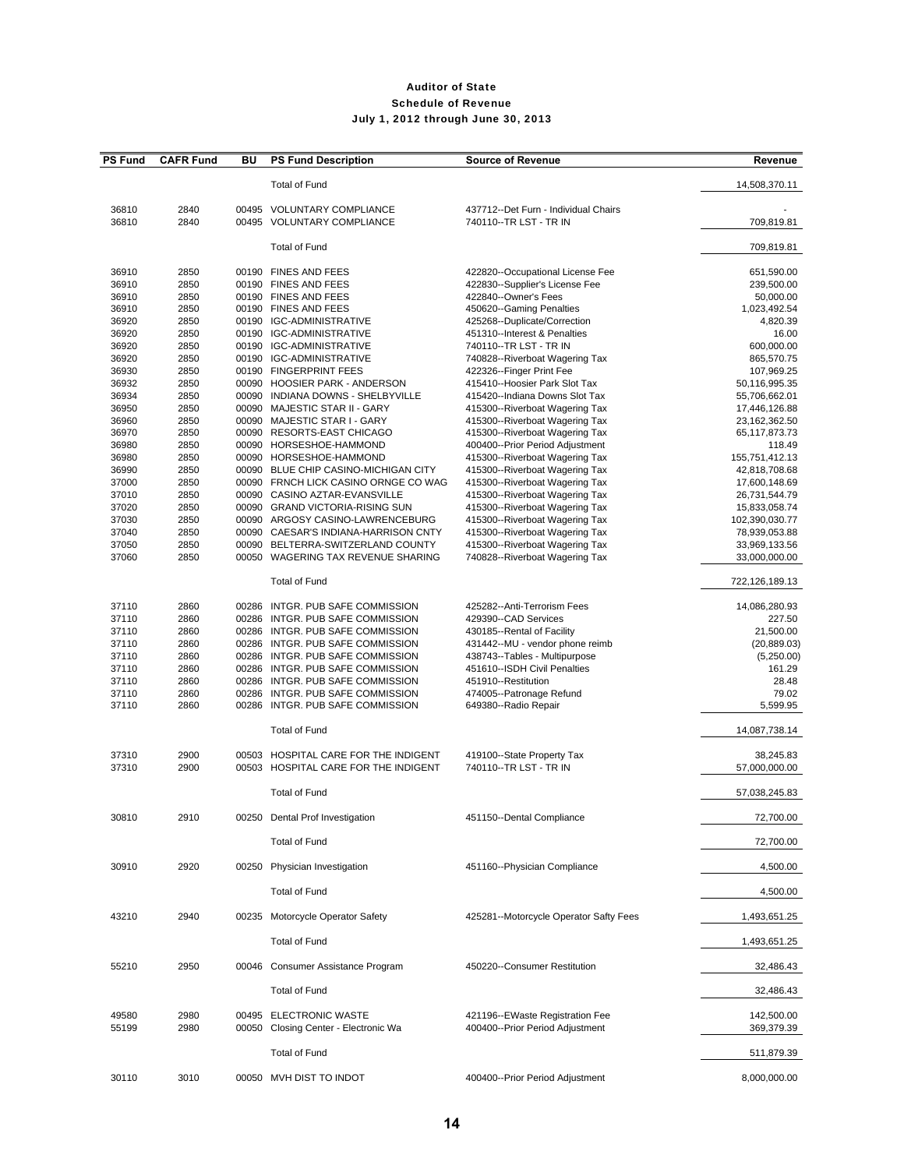| <b>PS Fund</b> | <b>CAFR Fund</b> | BU | <b>PS Fund Description</b>                                                   | <b>Source of Revenue</b>                                         | Revenue                        |
|----------------|------------------|----|------------------------------------------------------------------------------|------------------------------------------------------------------|--------------------------------|
|                |                  |    | <b>Total of Fund</b>                                                         |                                                                  | 14,508,370.11                  |
| 36810          | 2840             |    | 00495 VOLUNTARY COMPLIANCE                                                   | 437712--Det Furn - Individual Chairs                             |                                |
| 36810          | 2840             |    | 00495 VOLUNTARY COMPLIANCE                                                   | 740110--TR LST - TR IN                                           | 709,819.81                     |
|                |                  |    | <b>Total of Fund</b>                                                         |                                                                  | 709,819.81                     |
| 36910          | 2850             |    | 00190 FINES AND FEES                                                         | 422820--Occupational License Fee                                 | 651,590.00                     |
| 36910          | 2850             |    | 00190 FINES AND FEES                                                         | 422830--Supplier's License Fee                                   | 239,500.00                     |
| 36910          | 2850             |    | 00190 FINES AND FEES                                                         | 422840--Owner's Fees                                             | 50,000.00                      |
| 36910          | 2850             |    | 00190 FINES AND FEES                                                         | 450620--Gaming Penalties                                         | 1,023,492.54                   |
| 36920          | 2850             |    | 00190 IGC-ADMINISTRATIVE                                                     | 425268--Duplicate/Correction                                     | 4,820.39                       |
| 36920<br>36920 | 2850<br>2850     |    | 00190 IGC-ADMINISTRATIVE<br>00190 IGC-ADMINISTRATIVE                         | 451310--Interest & Penalties<br>740110--TR LST - TR IN           | 16.00<br>600,000.00            |
| 36920          | 2850             |    | 00190 IGC-ADMINISTRATIVE                                                     | 740828--Riverboat Wagering Tax                                   | 865,570.75                     |
| 36930          | 2850             |    | 00190 FINGERPRINT FEES                                                       | 422326--Finger Print Fee                                         | 107,969.25                     |
| 36932          | 2850             |    | 00090 HOOSIER PARK - ANDERSON                                                | 415410--Hoosier Park Slot Tax                                    | 50,116,995.35                  |
| 36934          | 2850             |    | 00090 INDIANA DOWNS - SHELBYVILLE                                            | 415420--Indiana Downs Slot Tax                                   | 55,706,662.01                  |
| 36950          | 2850             |    | 00090 MAJESTIC STAR II - GARY                                                | 415300--Riverboat Wagering Tax                                   | 17,446,126.88                  |
| 36960          | 2850             |    | 00090 MAJESTIC STAR I - GARY                                                 | 415300--Riverboat Wagering Tax                                   | 23,162,362.50                  |
| 36970          | 2850             |    | 00090 RESORTS-EAST CHICAGO                                                   | 415300--Riverboat Wagering Tax                                   | 65,117,873.73                  |
| 36980          | 2850             |    | 00090 HORSESHOE-HAMMOND                                                      | 400400--Prior Period Adjustment                                  | 118.49                         |
| 36980          | 2850             |    | 00090 HORSESHOE-HAMMOND                                                      | 415300--Riverboat Wagering Tax                                   | 155,751,412.13                 |
| 36990<br>37000 | 2850<br>2850     |    | 00090 BLUE CHIP CASINO-MICHIGAN CITY<br>00090 FRNCH LICK CASINO ORNGE CO WAG | 415300--Riverboat Wagering Tax<br>415300--Riverboat Wagering Tax | 42,818,708.68<br>17,600,148.69 |
| 37010          | 2850             |    | 00090 CASINO AZTAR-EVANSVILLE                                                | 415300--Riverboat Wagering Tax                                   | 26,731,544.79                  |
| 37020          | 2850             |    | 00090 GRAND VICTORIA-RISING SUN                                              | 415300--Riverboat Wagering Tax                                   | 15,833,058.74                  |
| 37030          | 2850             |    | 00090 ARGOSY CASINO-LAWRENCEBURG                                             | 415300--Riverboat Wagering Tax                                   | 102,390,030.77                 |
| 37040          | 2850             |    | 00090 CAESAR'S INDIANA-HARRISON CNTY                                         | 415300--Riverboat Wagering Tax                                   | 78,939,053.88                  |
| 37050          | 2850             |    | 00090 BELTERRA-SWITZERLAND COUNTY                                            | 415300--Riverboat Wagering Tax                                   | 33,969,133.56                  |
| 37060          | 2850             |    | 00050 WAGERING TAX REVENUE SHARING                                           | 740828--Riverboat Wagering Tax                                   | 33,000,000.00                  |
|                |                  |    | <b>Total of Fund</b>                                                         |                                                                  | 722,126,189.13                 |
| 37110          | 2860             |    | 00286 INTGR. PUB SAFE COMMISSION                                             | 425282--Anti-Terrorism Fees                                      | 14,086,280.93                  |
| 37110          | 2860             |    | 00286 INTGR. PUB SAFE COMMISSION                                             | 429390--CAD Services                                             | 227.50                         |
| 37110          | 2860             |    | 00286 INTGR. PUB SAFE COMMISSION                                             | 430185--Rental of Facility                                       | 21,500.00                      |
| 37110          | 2860             |    | 00286 INTGR. PUB SAFE COMMISSION                                             | 431442--MU - vendor phone reimb                                  | (20, 889.03)                   |
| 37110          | 2860             |    | 00286 INTGR. PUB SAFE COMMISSION                                             | 438743--Tables - Multipurpose                                    | (5,250.00)                     |
| 37110          | 2860             |    | 00286 INTGR. PUB SAFE COMMISSION                                             | 451610--ISDH Civil Penalties                                     | 161.29                         |
| 37110          | 2860             |    | 00286 INTGR. PUB SAFE COMMISSION                                             | 451910--Restitution                                              | 28.48                          |
| 37110<br>37110 | 2860<br>2860     |    | 00286 INTGR. PUB SAFE COMMISSION<br>00286 INTGR. PUB SAFE COMMISSION         | 474005--Patronage Refund<br>649380--Radio Repair                 | 79.02<br>5,599.95              |
|                |                  |    | <b>Total of Fund</b>                                                         |                                                                  | 14,087,738.14                  |
|                |                  |    |                                                                              |                                                                  |                                |
| 37310          | 2900             |    | 00503 HOSPITAL CARE FOR THE INDIGENT                                         | 419100--State Property Tax                                       | 38,245.83                      |
| 37310          | 2900             |    | 00503 HOSPITAL CARE FOR THE INDIGENT                                         | 740110--TR LST - TR IN                                           | 57,000,000.00                  |
|                |                  |    | <b>Total of Fund</b>                                                         |                                                                  | 57,038,245.83                  |
| 30810          | 2910             |    | 00250 Dental Prof Investigation                                              | 451150--Dental Compliance                                        | 72,700.00                      |
|                |                  |    | <b>Total of Fund</b>                                                         |                                                                  | 72,700.00                      |
| 30910          | 2920             |    | 00250 Physician Investigation                                                | 451160--Physician Compliance                                     | 4,500.00                       |
|                |                  |    | <b>Total of Fund</b>                                                         |                                                                  | 4,500.00                       |
| 43210          | 2940             |    | 00235 Motorcycle Operator Safety                                             | 425281--Motorcycle Operator Safty Fees                           | 1,493,651.25                   |
|                |                  |    | <b>Total of Fund</b>                                                         |                                                                  | 1,493,651.25                   |
| 55210          | 2950             |    | 00046 Consumer Assistance Program                                            | 450220--Consumer Restitution                                     | 32,486.43                      |
|                |                  |    | <b>Total of Fund</b>                                                         |                                                                  | 32,486.43                      |
| 49580          | 2980             |    | 00495 ELECTRONIC WASTE                                                       | 421196--EWaste Registration Fee                                  | 142,500.00                     |
| 55199          | 2980             |    | 00050 Closing Center - Electronic Wa                                         | 400400--Prior Period Adjustment                                  | 369,379.39                     |
|                |                  |    | <b>Total of Fund</b>                                                         |                                                                  | 511,879.39                     |
| 30110          | 3010             |    | 00050 MVH DIST TO INDOT                                                      | 400400--Prior Period Adjustment                                  | 8,000,000.00                   |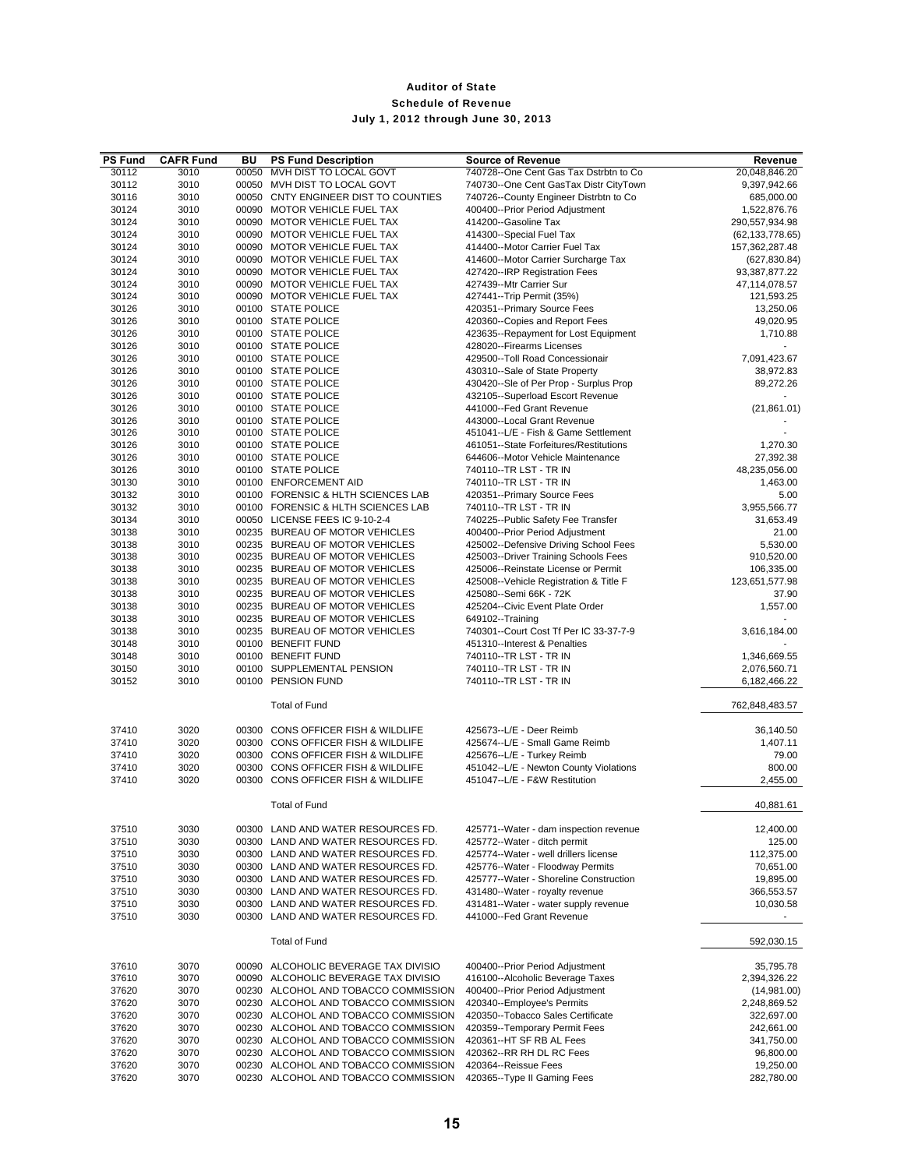| <b>PS Fund</b><br>30112 | <b>CAFR Fund</b> | BU<br>00050 | <b>PS Fund Description</b><br>MVH DIST TO LOCAL GOVT             | <b>Source of Revenue</b><br>740728--One Cent Gas Tax Dstrbtn to Co        | Revenue<br>20,048,846.20            |
|-------------------------|------------------|-------------|------------------------------------------------------------------|---------------------------------------------------------------------------|-------------------------------------|
| 30112                   | 3010<br>3010     |             | 00050 MVH DIST TO LOCAL GOVT                                     | 740730--One Cent GasTax Distr CityTown                                    | 9,397,942.66                        |
| 30116                   | 3010             |             | 00050 CNTY ENGINEER DIST TO COUNTIES                             |                                                                           | 685,000.00                          |
| 30124                   | 3010             |             | 00090 MOTOR VEHICLE FUEL TAX                                     | 740726--County Engineer Distrbtn to Co<br>400400--Prior Period Adjustment | 1,522,876.76                        |
| 30124                   | 3010             |             | 00090 MOTOR VEHICLE FUEL TAX                                     | 414200--Gasoline Tax                                                      |                                     |
| 30124                   |                  |             | 00090 MOTOR VEHICLE FUEL TAX                                     |                                                                           | 290,557,934.98<br>(62, 133, 778.65) |
| 30124                   | 3010<br>3010     |             | 00090 MOTOR VEHICLE FUEL TAX                                     | 414300--Special Fuel Tax<br>414400--Motor Carrier Fuel Tax                | 157,362,287.48                      |
| 30124                   | 3010             |             | 00090 MOTOR VEHICLE FUEL TAX                                     | 414600--Motor Carrier Surcharge Tax                                       |                                     |
| 30124                   | 3010             |             | 00090 MOTOR VEHICLE FUEL TAX                                     | 427420--IRP Registration Fees                                             | (627, 830.84)<br>93,387,877.22      |
| 30124                   | 3010             |             | 00090 MOTOR VEHICLE FUEL TAX                                     | 427439--Mtr Carrier Sur                                                   |                                     |
| 30124                   | 3010             |             | 00090 MOTOR VEHICLE FUEL TAX                                     | 427441--Trip Permit (35%)                                                 | 47,114,078.57<br>121,593.25         |
| 30126                   | 3010             |             | 00100 STATE POLICE                                               | 420351--Primary Source Fees                                               | 13,250.06                           |
| 30126                   | 3010             |             | 00100 STATE POLICE                                               | 420360--Copies and Report Fees                                            | 49,020.95                           |
| 30126                   | 3010             |             | 00100 STATE POLICE                                               | 423635--Repayment for Lost Equipment                                      | 1,710.88                            |
| 30126                   | 3010             |             | 00100 STATE POLICE                                               | 428020--Firearms Licenses                                                 | ٠                                   |
| 30126                   | 3010             |             | 00100 STATE POLICE                                               | 429500--Toll Road Concessionair                                           | 7,091,423.67                        |
| 30126                   | 3010             |             | 00100 STATE POLICE                                               | 430310--Sale of State Property                                            | 38,972.83                           |
| 30126                   | 3010             |             | 00100 STATE POLICE                                               | 430420--Sle of Per Prop - Surplus Prop                                    | 89,272.26                           |
| 30126                   | 3010             |             | 00100 STATE POLICE                                               | 432105--Superload Escort Revenue                                          | $\overline{\phantom{a}}$            |
| 30126                   | 3010             |             | 00100 STATE POLICE                                               | 441000--Fed Grant Revenue                                                 | (21, 861.01)                        |
| 30126                   | 3010             |             | 00100 STATE POLICE                                               | 443000--Local Grant Revenue                                               |                                     |
| 30126                   | 3010             |             | 00100 STATE POLICE                                               | 451041--L/E - Fish & Game Settlement                                      |                                     |
| 30126                   | 3010             |             | 00100 STATE POLICE                                               | 461051--State Forfeitures/Restitutions                                    | 1,270.30                            |
| 30126                   | 3010             |             | 00100 STATE POLICE                                               | 644606--Motor Vehicle Maintenance                                         | 27,392.38                           |
|                         |                  |             | 00100 STATE POLICE                                               |                                                                           |                                     |
| 30126                   | 3010             |             | 00100 ENFORCEMENT AID                                            | 740110--TR LST - TR IN                                                    | 48,235,056.00<br>1,463.00           |
| 30130<br>30132          | 3010             |             | 00100 FORENSIC & HLTH SCIENCES LAB                               | 740110--TR LST - TR IN<br>420351--Primary Source Fees                     |                                     |
| 30132                   | 3010<br>3010     |             | 00100 FORENSIC & HLTH SCIENCES LAB                               | 740110--TR LST - TR IN                                                    | 5.00<br>3,955,566.77                |
|                         |                  |             |                                                                  |                                                                           |                                     |
| 30134<br>30138          | 3010<br>3010     |             | 00050 LICENSE FEES IC 9-10-2-4<br>00235 BUREAU OF MOTOR VEHICLES | 740225--Public Safety Fee Transfer                                        | 31,653.49<br>21.00                  |
| 30138                   | 3010             |             | 00235 BUREAU OF MOTOR VEHICLES                                   | 400400--Prior Period Adjustment<br>425002--Defensive Driving School Fees  | 5,530.00                            |
| 30138                   | 3010             |             | 00235 BUREAU OF MOTOR VEHICLES                                   | 425003--Driver Training Schools Fees                                      | 910,520.00                          |
| 30138                   | 3010             |             | 00235 BUREAU OF MOTOR VEHICLES                                   | 425006--Reinstate License or Permit                                       | 106,335.00                          |
| 30138                   | 3010             |             | 00235 BUREAU OF MOTOR VEHICLES                                   | 425008--Vehicle Registration & Title F                                    | 123,651,577.98                      |
| 30138                   | 3010             |             | 00235 BUREAU OF MOTOR VEHICLES                                   | 425080 -- Semi 66K - 72K                                                  | 37.90                               |
| 30138                   | 3010             |             | 00235 BUREAU OF MOTOR VEHICLES                                   | 425204--Civic Event Plate Order                                           | 1,557.00                            |
| 30138                   | 3010             |             | 00235 BUREAU OF MOTOR VEHICLES                                   | 649102--Training                                                          |                                     |
| 30138                   | 3010             |             | 00235 BUREAU OF MOTOR VEHICLES                                   | 740301--Court Cost Tf Per IC 33-37-7-9                                    | 3,616,184.00                        |
| 30148                   | 3010             |             | 00100 BENEFIT FUND                                               | 451310--Interest & Penalties                                              |                                     |
| 30148                   | 3010             |             | 00100 BENEFIT FUND                                               | 740110--TR LST - TR IN                                                    | 1,346,669.55                        |
| 30150                   | 3010             |             | 00100 SUPPLEMENTAL PENSION                                       | 740110--TR LST - TR IN                                                    | 2,076,560.71                        |
| 30152                   | 3010             |             | 00100 PENSION FUND                                               | 740110--TR LST - TR IN                                                    | 6,182,466.22                        |
|                         |                  |             |                                                                  |                                                                           |                                     |
|                         |                  |             | <b>Total of Fund</b>                                             |                                                                           | 762,848,483.57                      |
|                         |                  |             |                                                                  |                                                                           |                                     |
| 37410                   | 3020             |             | 00300 CONS OFFICER FISH & WILDLIFE                               | 425673--L/E - Deer Reimb                                                  | 36,140.50                           |
| 37410                   | 3020             |             | 00300 CONS OFFICER FISH & WILDLIFE                               | 425674--L/E - Small Game Reimb                                            | 1,407.11                            |
| 37410                   | 3020             |             | 00300 CONS OFFICER FISH & WILDLIFE                               | 425676--L/E - Turkey Reimb                                                | 79.00                               |
| 37410                   | 3020             |             | 00300 CONS OFFICER FISH & WILDLIFE                               | 451042--L/E - Newton County Violations                                    | 800.00                              |
| 37410                   | 3020             |             | 00300 CONS OFFICER FISH & WILDLIFE                               | 451047--L/E - F&W Restitution                                             | 2,455.00                            |
|                         |                  |             |                                                                  |                                                                           |                                     |
|                         |                  |             | <b>Total of Fund</b>                                             |                                                                           | 40,881.61                           |
|                         |                  |             |                                                                  |                                                                           |                                     |
| 37510                   | 3030             |             | 00300 LAND AND WATER RESOURCES FD.                               | 425771--Water - dam inspection revenue                                    | 12,400.00                           |
| 37510                   | 3030             | 00300       | LAND AND WATER RESOURCES FD.                                     | 425772--Water - ditch permit                                              | 125.00                              |
| 37510                   | 3030             |             | 00300 LAND AND WATER RESOURCES FD.                               | 425774--Water - well drillers license                                     | 112,375.00                          |
| 37510                   | 3030             |             | 00300 LAND AND WATER RESOURCES FD.                               | 425776--Water - Floodway Permits                                          | 70,651.00                           |
| 37510                   | 3030             |             | 00300 LAND AND WATER RESOURCES FD.                               | 425777--Water - Shoreline Construction                                    | 19,895.00                           |
| 37510                   | 3030             |             | 00300 LAND AND WATER RESOURCES FD.                               | 431480--Water - royalty revenue                                           | 366,553.57                          |
| 37510                   | 3030             |             | 00300 LAND AND WATER RESOURCES FD.                               | 431481--Water - water supply revenue                                      | 10,030.58                           |
| 37510                   | 3030             |             | 00300 LAND AND WATER RESOURCES FD.                               | 441000--Fed Grant Revenue                                                 | $\sim$                              |
|                         |                  |             |                                                                  |                                                                           |                                     |
|                         |                  |             | <b>Total of Fund</b>                                             |                                                                           | 592,030.15                          |
| 37610                   | 3070             |             | 00090 ALCOHOLIC BEVERAGE TAX DIVISIO                             | 400400--Prior Period Adiustment                                           | 35,795.78                           |
| 37610                   | 3070             |             | 00090 ALCOHOLIC BEVERAGE TAX DIVISIO                             | 416100--Alcoholic Beverage Taxes                                          | 2,394,326.22                        |
| 37620                   | 3070             |             | 00230 ALCOHOL AND TOBACCO COMMISSION                             | 400400--Prior Period Adjustment                                           | (14,981.00)                         |
| 37620                   | 3070             |             | 00230 ALCOHOL AND TOBACCO COMMISSION                             | 420340--Employee's Permits                                                | 2,248,869.52                        |
| 37620                   | 3070             |             | 00230 ALCOHOL AND TOBACCO COMMISSION                             | 420350--Tobacco Sales Certificate                                         | 322,697.00                          |
| 37620                   | 3070             |             | 00230 ALCOHOL AND TOBACCO COMMISSION                             | 420359--Temporary Permit Fees                                             | 242,661.00                          |
| 37620                   | 3070             |             | 00230 ALCOHOL AND TOBACCO COMMISSION                             | 420361--HT SF RB AL Fees                                                  | 341,750.00                          |
| 37620                   | 3070             |             | 00230 ALCOHOL AND TOBACCO COMMISSION                             | 420362--RR RH DL RC Fees                                                  | 96,800.00                           |
| 37620                   | 3070             |             | 00230 ALCOHOL AND TOBACCO COMMISSION                             | 420364--Reissue Fees                                                      | 19,250.00                           |
| 37620                   | 3070             |             | 00230 ALCOHOL AND TOBACCO COMMISSION                             | 420365--Type II Gaming Fees                                               | 282,780.00                          |
|                         |                  |             |                                                                  |                                                                           |                                     |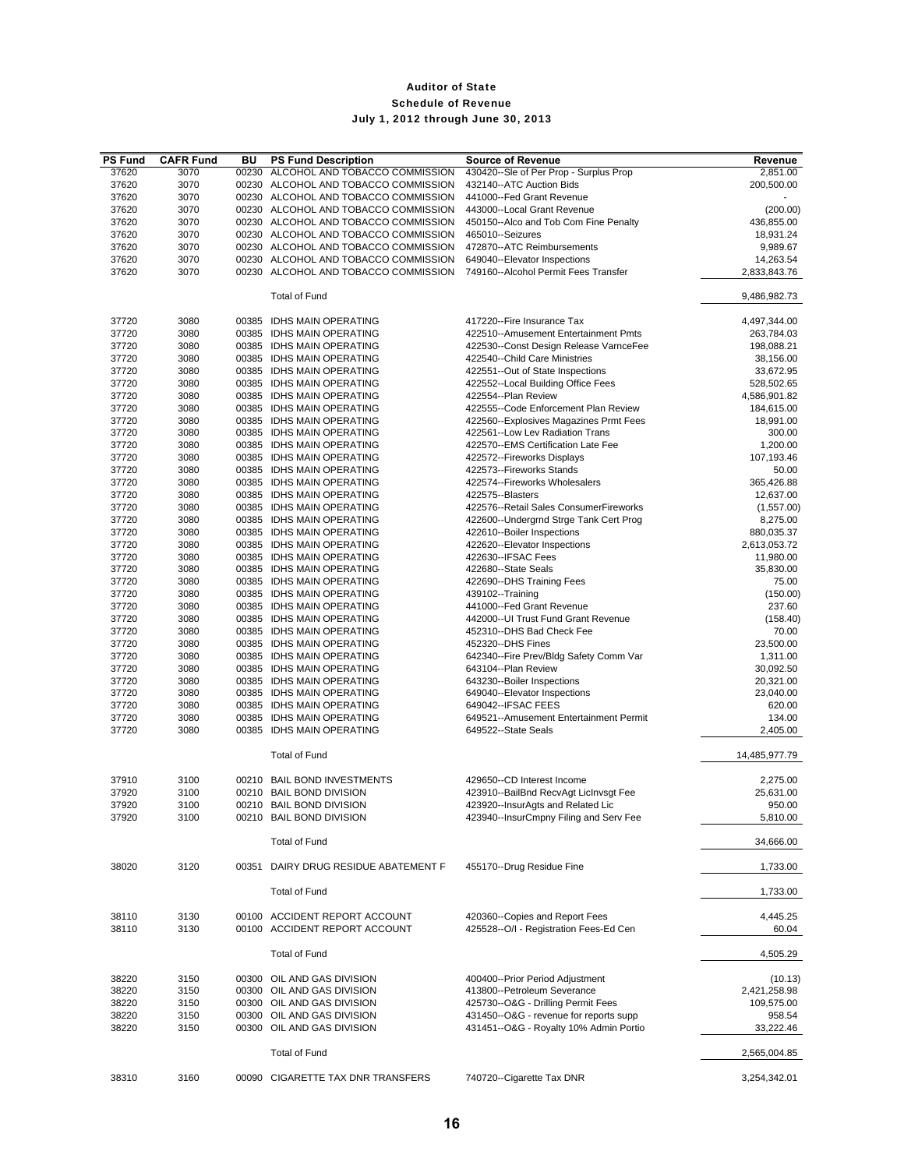| <b>PS Fund</b> | <b>CAFR Fund</b> | BU    | <b>PS Fund Description</b>                             | <b>Source of Revenue</b>                                                    | Revenue                    |
|----------------|------------------|-------|--------------------------------------------------------|-----------------------------------------------------------------------------|----------------------------|
| 37620          | 3070             | 00230 | ALCOHOL AND TOBACCO COMMISSION                         | 430420--Sle of Per Prop - Surplus Prop                                      | 2,851.00                   |
| 37620          | 3070             |       | 00230 ALCOHOL AND TOBACCO COMMISSION                   | 432140--ATC Auction Bids                                                    | 200,500.00                 |
| 37620          | 3070             |       | 00230 ALCOHOL AND TOBACCO COMMISSION                   | 441000--Fed Grant Revenue                                                   |                            |
| 37620          | 3070             |       | 00230 ALCOHOL AND TOBACCO COMMISSION                   | 443000--Local Grant Revenue                                                 | (200.00)                   |
| 37620          | 3070             |       | 00230 ALCOHOL AND TOBACCO COMMISSION                   | 450150--Alco and Tob Com Fine Penalty                                       | 436,855.00                 |
| 37620          | 3070             |       | 00230 ALCOHOL AND TOBACCO COMMISSION                   | 465010--Seizures                                                            | 18,931.24                  |
| 37620          | 3070             |       | 00230 ALCOHOL AND TOBACCO COMMISSION                   | 472870--ATC Reimbursements                                                  | 9,989.67                   |
| 37620          | 3070             |       | 00230 ALCOHOL AND TOBACCO COMMISSION                   | 649040--Elevator Inspections                                                | 14,263.54                  |
| 37620          | 3070             |       | 00230 ALCOHOL AND TOBACCO COMMISSION                   | 749160--Alcohol Permit Fees Transfer                                        | 2,833,843.76               |
|                |                  |       |                                                        |                                                                             |                            |
|                |                  |       | <b>Total of Fund</b>                                   |                                                                             | 9,486,982.73               |
|                |                  |       |                                                        |                                                                             |                            |
| 37720          | 3080             |       | 00385 IDHS MAIN OPERATING                              | 417220--Fire Insurance Tax                                                  | 4,497,344.00               |
| 37720          | 3080             | 00385 | <b>IDHS MAIN OPERATING</b>                             | 422510--Amusement Entertainment Pmts                                        | 263,784.03                 |
| 37720          | 3080             |       | 00385 IDHS MAIN OPERATING                              | 422530--Const Design Release VarnceFee                                      | 198,088.21                 |
| 37720          | 3080             |       | 00385 IDHS MAIN OPERATING                              | 422540--Child Care Ministries                                               | 38,156.00                  |
| 37720          | 3080             |       | 00385 IDHS MAIN OPERATING                              | 422551--Out of State Inspections                                            | 33,672.95                  |
| 37720<br>37720 | 3080<br>3080     |       | 00385 IDHS MAIN OPERATING<br>00385 IDHS MAIN OPERATING | 422552--Local Building Office Fees<br>422554--Plan Review                   | 528,502.65<br>4,586,901.82 |
| 37720          | 3080             |       | 00385 IDHS MAIN OPERATING                              | 422555--Code Enforcement Plan Review                                        | 184,615.00                 |
| 37720          | 3080             |       | 00385 IDHS MAIN OPERATING                              | 422560--Explosives Magazines Prmt Fees                                      | 18,991.00                  |
| 37720          | 3080             |       | 00385 IDHS MAIN OPERATING                              | 422561--Low Lev Radiation Trans                                             | 300.00                     |
| 37720          | 3080             |       | 00385 IDHS MAIN OPERATING                              | 422570--EMS Certification Late Fee                                          | 1,200.00                   |
| 37720          | 3080             |       | 00385 IDHS MAIN OPERATING                              | 422572--Fireworks Displays                                                  | 107,193.46                 |
| 37720          | 3080             |       | 00385 IDHS MAIN OPERATING                              | 422573--Fireworks Stands                                                    | 50.00                      |
| 37720          | 3080             |       | 00385 IDHS MAIN OPERATING                              | 422574--Fireworks Wholesalers                                               | 365,426.88                 |
| 37720          | 3080             |       | 00385 IDHS MAIN OPERATING                              | 422575--Blasters                                                            | 12,637.00                  |
| 37720          | 3080             |       | 00385 IDHS MAIN OPERATING                              | 422576--Retail Sales ConsumerFireworks                                      | (1,557.00)                 |
| 37720          | 3080             |       | 00385 IDHS MAIN OPERATING                              | 422600--Undergrnd Strge Tank Cert Prog                                      | 8,275.00                   |
| 37720          | 3080             |       | 00385 IDHS MAIN OPERATING                              | 422610--Boiler Inspections                                                  | 880,035.37                 |
| 37720          | 3080             |       | 00385 IDHS MAIN OPERATING                              | 422620--Elevator Inspections                                                | 2,613,053.72               |
| 37720          | 3080             |       | 00385 IDHS MAIN OPERATING                              | 422630--IFSAC Fees                                                          | 11,980.00                  |
| 37720          | 3080             |       | 00385 IDHS MAIN OPERATING                              | 422680--State Seals                                                         | 35,830.00                  |
| 37720          | 3080             |       | 00385 IDHS MAIN OPERATING                              | 422690--DHS Training Fees                                                   | 75.00                      |
| 37720          | 3080             |       | 00385 IDHS MAIN OPERATING                              | 439102--Training                                                            | (150.00)                   |
| 37720          | 3080             |       | 00385 IDHS MAIN OPERATING                              | 441000--Fed Grant Revenue                                                   | 237.60                     |
| 37720          | 3080             |       | 00385 IDHS MAIN OPERATING                              | 442000--UI Trust Fund Grant Revenue                                         | (158.40)                   |
| 37720          | 3080             |       | 00385 IDHS MAIN OPERATING                              | 452310--DHS Bad Check Fee                                                   | 70.00                      |
| 37720          | 3080             |       | 00385 IDHS MAIN OPERATING                              | 452320--DHS Fines                                                           | 23,500.00                  |
| 37720          | 3080             |       | 00385 IDHS MAIN OPERATING                              | 642340--Fire Prev/Bldg Safety Comm Var                                      | 1,311.00                   |
| 37720          | 3080             |       | 00385 IDHS MAIN OPERATING                              | 643104--Plan Review                                                         | 30,092.50                  |
| 37720          | 3080             |       | 00385 IDHS MAIN OPERATING                              | 643230--Boiler Inspections                                                  | 20,321.00                  |
| 37720          | 3080             |       | 00385 IDHS MAIN OPERATING                              | 649040--Elevator Inspections                                                | 23,040.00                  |
| 37720          | 3080             |       | 00385 IDHS MAIN OPERATING                              | 649042--IFSAC FEES                                                          | 620.00                     |
| 37720          | 3080             |       | 00385 IDHS MAIN OPERATING                              | 649521--Amusement Entertainment Permit                                      | 134.00                     |
| 37720          | 3080             |       | 00385 IDHS MAIN OPERATING                              | 649522--State Seals                                                         | 2,405.00                   |
|                |                  |       | <b>Total of Fund</b>                                   |                                                                             | 14,485,977.79              |
|                |                  |       |                                                        |                                                                             |                            |
| 37910          | 3100             |       | 00210 BAIL BOND INVESTMENTS                            | 429650--CD Interest Income                                                  | 2,275.00                   |
| 37920          | 3100             |       | 00210 BAIL BOND DIVISION<br>00210 BAIL BOND DIVISION   | 423910--BailBnd RecvAgt LicInvsgt Fee                                       | 25,631.00                  |
| 37920<br>37920 | 3100             |       | 00210 BAIL BOND DIVISION                               | 423920--InsurAgts and Related Lic<br>423940--InsurCmpny Filing and Serv Fee | 950.00<br>5,810.00         |
|                | 3100             |       |                                                        |                                                                             |                            |
|                |                  |       | <b>Total of Fund</b>                                   |                                                                             | 34,666.00                  |
| 38020          | 3120             |       | 00351 DAIRY DRUG RESIDUE ABATEMENT F                   | 455170--Drug Residue Fine                                                   | 1,733.00                   |
|                |                  |       | <b>Total of Fund</b>                                   |                                                                             | 1,733.00                   |
|                |                  |       |                                                        |                                                                             |                            |
| 38110          | 3130             |       | 00100 ACCIDENT REPORT ACCOUNT                          | 420360--Copies and Report Fees                                              | 4,445.25                   |
| 38110          | 3130             |       | 00100 ACCIDENT REPORT ACCOUNT                          | 425528--O/I - Registration Fees-Ed Cen                                      | 60.04                      |
|                |                  |       | <b>Total of Fund</b>                                   |                                                                             | 4,505.29                   |
| 38220          | 3150             |       | 00300 OIL AND GAS DIVISION                             | 400400--Prior Period Adjustment                                             | (10.13)                    |
| 38220          | 3150             |       | 00300 OIL AND GAS DIVISION                             | 413800--Petroleum Severance                                                 | 2,421,258.98               |
| 38220          | 3150             |       | 00300 OIL AND GAS DIVISION                             | 425730--O&G - Drilling Permit Fees                                          | 109,575.00                 |
| 38220          | 3150             |       | 00300 OIL AND GAS DIVISION                             | 431450--O&G - revenue for reports supp                                      | 958.54                     |
| 38220          | 3150             |       | 00300 OIL AND GAS DIVISION                             | 431451--O&G - Royalty 10% Admin Portio                                      | 33,222.46                  |
|                |                  |       | <b>Total of Fund</b>                                   |                                                                             | 2,565,004.85               |
| 38310          | 3160             |       | 00090 CIGARETTE TAX DNR TRANSFERS                      | 740720--Cigarette Tax DNR                                                   | 3,254,342.01               |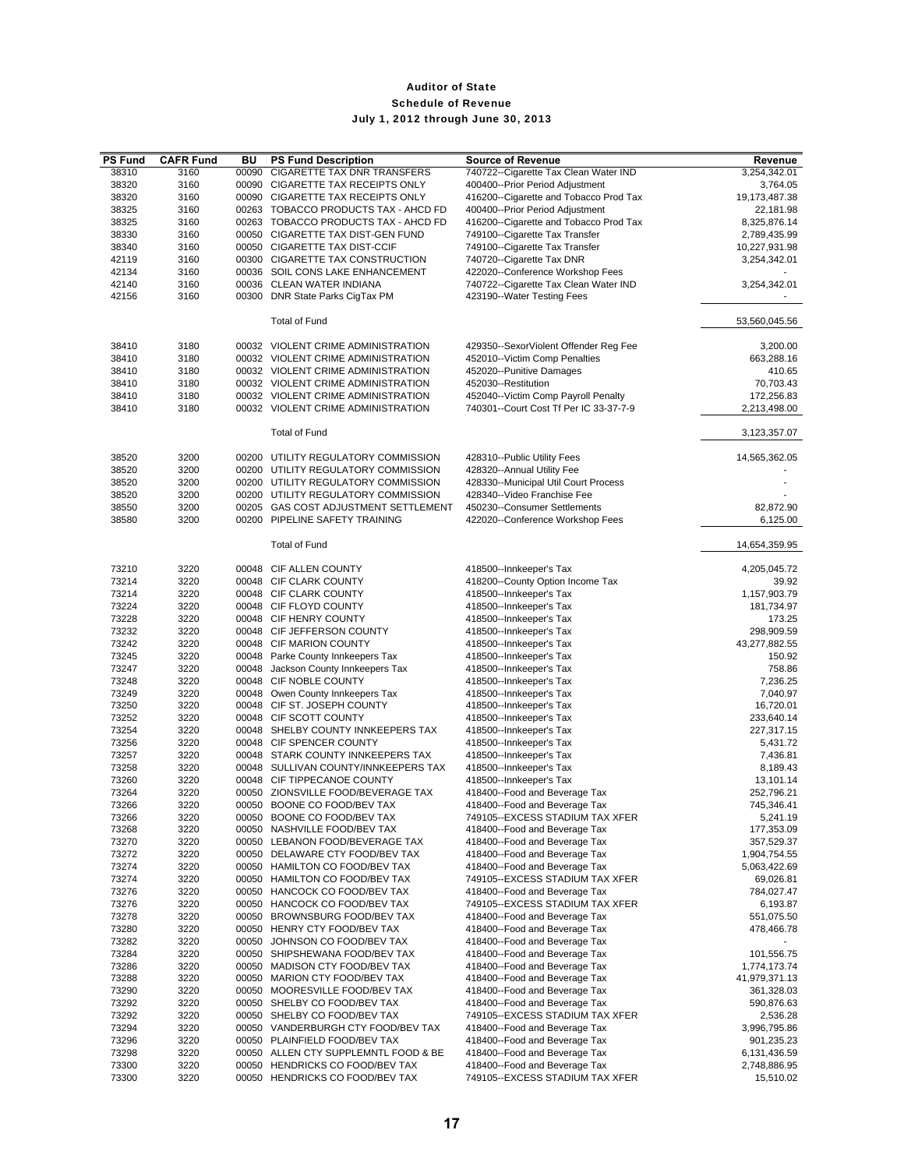| <b>PS Fund</b> | <b>CAFR Fund</b> | BU    | <b>PS Fund Description</b>                                                   | <b>Source of Revenue</b>                                                  | Revenue                   |
|----------------|------------------|-------|------------------------------------------------------------------------------|---------------------------------------------------------------------------|---------------------------|
| 38310          | 3160             | 00090 | <b>CIGARETTE TAX DNR TRANSFERS</b>                                           | 740722--Cigarette Tax Clean Water IND                                     | 3,254,342.01              |
| 38320          | 3160             |       | 00090 CIGARETTE TAX RECEIPTS ONLY                                            | 400400--Prior Period Adjustment                                           | 3,764.05                  |
| 38320          | 3160             |       | 00090 CIGARETTE TAX RECEIPTS ONLY                                            | 416200--Cigarette and Tobacco Prod Tax                                    | 19,173,487.38             |
| 38325<br>38325 | 3160<br>3160     |       | 00263 TOBACCO PRODUCTS TAX - AHCD FD<br>00263 TOBACCO PRODUCTS TAX - AHCD FD | 400400--Prior Period Adjustment<br>416200--Cigarette and Tobacco Prod Tax | 22,181.98<br>8,325,876.14 |
| 38330          | 3160             |       | 00050 CIGARETTE TAX DIST-GEN FUND                                            | 749100--Cigarette Tax Transfer                                            | 2,789,435.99              |
| 38340          | 3160             |       | 00050 CIGARETTE TAX DIST-CCIF                                                | 749100--Cigarette Tax Transfer                                            | 10,227,931.98             |
| 42119          | 3160             |       | 00300 CIGARETTE TAX CONSTRUCTION                                             | 740720--Cigarette Tax DNR                                                 | 3,254,342.01              |
| 42134          | 3160             |       | 00036 SOIL CONS LAKE ENHANCEMENT                                             | 422020--Conference Workshop Fees                                          |                           |
| 42140          | 3160             |       | 00036 CLEAN WATER INDIANA                                                    | 740722--Cigarette Tax Clean Water IND                                     | 3,254,342.01              |
| 42156          | 3160             |       | 00300 DNR State Parks CigTax PM                                              | 423190--Water Testing Fees                                                | $\overline{\phantom{a}}$  |
|                |                  |       |                                                                              |                                                                           |                           |
|                |                  |       | <b>Total of Fund</b>                                                         |                                                                           | 53,560,045.56             |
| 38410          | 3180             |       | 00032 VIOLENT CRIME ADMINISTRATION                                           | 429350--SexorViolent Offender Reg Fee                                     | 3,200.00                  |
| 38410          | 3180             |       | 00032 VIOLENT CRIME ADMINISTRATION                                           | 452010--Victim Comp Penalties                                             | 663,288.16                |
| 38410          | 3180             |       | 00032 VIOLENT CRIME ADMINISTRATION                                           | 452020--Punitive Damages                                                  | 410.65                    |
| 38410          | 3180             |       | 00032 VIOLENT CRIME ADMINISTRATION                                           | 452030--Restitution                                                       | 70,703.43                 |
| 38410          | 3180             |       | 00032 VIOLENT CRIME ADMINISTRATION                                           | 452040--Victim Comp Payroll Penalty                                       | 172,256.83                |
| 38410          | 3180             |       | 00032 VIOLENT CRIME ADMINISTRATION                                           | 740301--Court Cost Tf Per IC 33-37-7-9                                    | 2,213,498.00              |
|                |                  |       |                                                                              |                                                                           |                           |
|                |                  |       | <b>Total of Fund</b>                                                         |                                                                           | 3,123,357.07              |
| 38520          | 3200             |       | 00200 UTILITY REGULATORY COMMISSION                                          | 428310--Public Utility Fees                                               | 14,565,362.05             |
| 38520          | 3200             |       | 00200 UTILITY REGULATORY COMMISSION                                          | 428320--Annual Utility Fee                                                |                           |
| 38520          | 3200             |       | 00200 UTILITY REGULATORY COMMISSION                                          | 428330--Municipal Util Court Process                                      |                           |
| 38520          | 3200             |       | 00200 UTILITY REGULATORY COMMISSION                                          | 428340--Video Franchise Fee                                               |                           |
| 38550          | 3200             |       | 00205 GAS COST ADJUSTMENT SETTLEMENT                                         | 450230--Consumer Settlements                                              | 82,872.90                 |
| 38580          | 3200             |       | 00200 PIPELINE SAFETY TRAINING                                               | 422020--Conference Workshop Fees                                          | 6,125.00                  |
|                |                  |       | <b>Total of Fund</b>                                                         |                                                                           | 14,654,359.95             |
|                |                  |       | 00048 CIF ALLEN COUNTY                                                       |                                                                           |                           |
| 73210<br>73214 | 3220<br>3220     |       | 00048 CIF CLARK COUNTY                                                       | 418500--Innkeeper's Tax<br>418200--County Option Income Tax               | 4,205,045.72<br>39.92     |
| 73214          | 3220             |       | 00048 CIF CLARK COUNTY                                                       | 418500--Innkeeper's Tax                                                   | 1,157,903.79              |
| 73224          | 3220             |       | 00048 CIF FLOYD COUNTY                                                       | 418500--Innkeeper's Tax                                                   | 181,734.97                |
| 73228          | 3220             |       | 00048 CIF HENRY COUNTY                                                       | 418500--Innkeeper's Tax                                                   | 173.25                    |
| 73232          | 3220             |       | 00048 CIF JEFFERSON COUNTY                                                   | 418500--Innkeeper's Tax                                                   | 298,909.59                |
| 73242          | 3220             |       | 00048 CIF MARION COUNTY                                                      | 418500--Innkeeper's Tax                                                   | 43,277,882.55             |
| 73245          | 3220             |       | 00048 Parke County Innkeepers Tax                                            | 418500--Innkeeper's Tax                                                   | 150.92                    |
| 73247          | 3220             |       | 00048 Jackson County Innkeepers Tax                                          | 418500--Innkeeper's Tax                                                   | 758.86                    |
| 73248          | 3220             |       | 00048 CIF NOBLE COUNTY                                                       | 418500--Innkeeper's Tax                                                   | 7,236.25                  |
| 73249          | 3220             |       | 00048 Owen County Innkeepers Tax                                             | 418500--Innkeeper's Tax                                                   | 7,040.97                  |
| 73250          | 3220             |       | 00048 CIF ST. JOSEPH COUNTY                                                  | 418500--Innkeeper's Tax                                                   | 16,720.01                 |
| 73252          | 3220             |       | 00048 CIF SCOTT COUNTY                                                       | 418500--Innkeeper's Tax                                                   | 233,640.14                |
| 73254          | 3220             |       | 00048 SHELBY COUNTY INNKEEPERS TAX                                           | 418500--Innkeeper's Tax                                                   | 227,317.15                |
| 73256          | 3220             |       | 00048 CIF SPENCER COUNTY                                                     | 418500--Innkeeper's Tax                                                   | 5,431.72                  |
| 73257          | 3220             |       | 00048 STARK COUNTY INNKEEPERS TAX                                            | 418500--Innkeeper's Tax                                                   | 7,436.81                  |
| 73258          | 3220             |       | 00048 SULLIVAN COUNTY/INNKEEPERS TAX                                         | 418500--Innkeeper's Tax                                                   | 8,189.43                  |
| 73260<br>73264 | 3220<br>3220     |       | 00048 CIF TIPPECANOE COUNTY<br>00050 ZIONSVILLE FOOD/BEVERAGE TAX            | 418500--Innkeeper's Tax                                                   | 13,101.14<br>252,796.21   |
| 73266          | 3220             |       | 00050 BOONE CO FOOD/BEV TAX                                                  | 418400--Food and Beverage Tax<br>418400--Food and Beverage Tax            | 745,346.41                |
| 73266          | 3220             | 00050 | BOONE CO FOOD/BEV TAX                                                        | 749105--EXCESS STADIUM TAX XFER                                           | 5,241.19                  |
| 73268          | 3220             |       | 00050 NASHVILLE FOOD/BEV TAX                                                 | 418400--Food and Beverage Tax                                             | 177,353.09                |
| 73270          | 3220             | 00050 | LEBANON FOOD/BEVERAGE TAX                                                    | 418400--Food and Beverage Tax                                             | 357,529.37                |
| 73272          | 3220             |       | 00050 DELAWARE CTY FOOD/BEV TAX                                              | 418400--Food and Beverage Tax                                             | 1,904,754.55              |
| 73274          | 3220             |       | 00050 HAMILTON CO FOOD/BEV TAX                                               | 418400--Food and Beverage Tax                                             | 5,063,422.69              |
| 73274          | 3220             |       | 00050 HAMILTON CO FOOD/BEV TAX                                               | 749105--EXCESS STADIUM TAX XFER                                           | 69,026.81                 |
| 73276          | 3220             |       | 00050 HANCOCK CO FOOD/BEV TAX                                                | 418400--Food and Beverage Tax                                             | 784,027.47                |
| 73276          | 3220             |       | 00050 HANCOCK CO FOOD/BEV TAX                                                | 749105--EXCESS STADIUM TAX XFER                                           | 6,193.87                  |
| 73278          | 3220             |       | 00050 BROWNSBURG FOOD/BEV TAX                                                | 418400--Food and Beverage Tax                                             | 551,075.50                |
| 73280          | 3220             |       | 00050 HENRY CTY FOOD/BEV TAX                                                 | 418400--Food and Beverage Tax                                             | 478,466.78                |
| 73282          | 3220             |       | 00050 JOHNSON CO FOOD/BEV TAX                                                | 418400--Food and Beverage Tax                                             |                           |
| 73284          | 3220             |       | 00050 SHIPSHEWANA FOOD/BEV TAX                                               | 418400--Food and Beverage Tax                                             | 101,556.75                |
| 73286          | 3220             |       | 00050 MADISON CTY FOOD/BEV TAX                                               | 418400--Food and Beverage Tax                                             | 1,774,173.74              |
| 73288          | 3220             |       | 00050 MARION CTY FOOD/BEV TAX<br>00050 MOORESVILLE FOOD/BEV TAX              | 418400--Food and Beverage Tax<br>418400--Food and Beverage Tax            | 41,979,371.13             |
| 73290<br>73292 | 3220<br>3220     |       | 00050 SHELBY CO FOOD/BEV TAX                                                 | 418400--Food and Beverage Tax                                             | 361,328.03<br>590,876.63  |
| 73292          | 3220             |       | 00050 SHELBY CO FOOD/BEV TAX                                                 | 749105--EXCESS STADIUM TAX XFER                                           | 2,536.28                  |
| 73294          | 3220             |       | 00050 VANDERBURGH CTY FOOD/BEV TAX                                           | 418400--Food and Beverage Tax                                             | 3,996,795.86              |
| 73296          | 3220             |       | 00050 PLAINFIELD FOOD/BEV TAX                                                | 418400--Food and Beverage Tax                                             | 901,235.23                |
| 73298          | 3220             |       | 00050 ALLEN CTY SUPPLEMNTL FOOD & BE                                         | 418400--Food and Beverage Tax                                             | 6,131,436.59              |
| 73300          | 3220             |       | 00050 HENDRICKS CO FOOD/BEV TAX                                              | 418400--Food and Beverage Tax                                             | 2,748,886.95              |
| 73300          | 3220             |       | 00050 HENDRICKS CO FOOD/BEV TAX                                              | 749105--EXCESS STADIUM TAX XFER                                           | 15,510.02                 |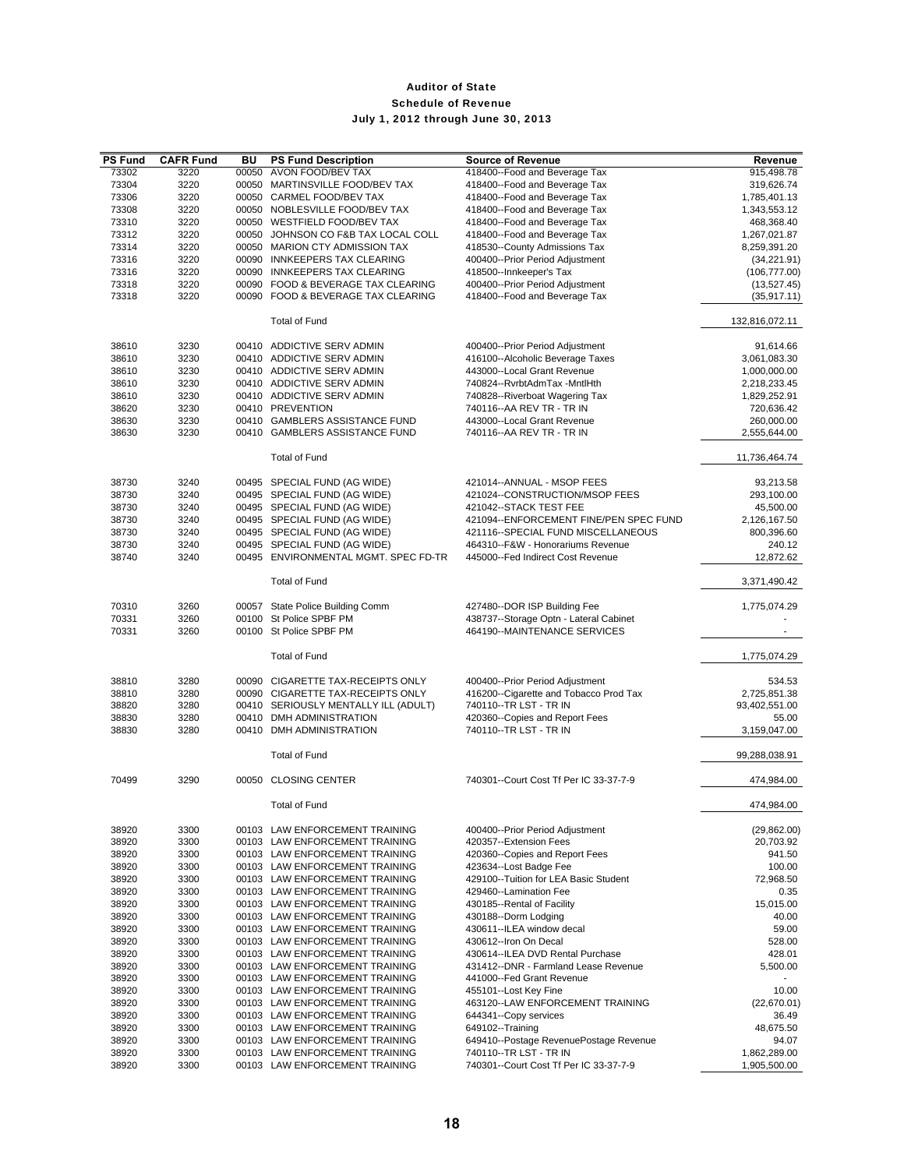| <b>PS Fund</b> | <b>CAFR Fund</b> | BU | <b>PS Fund Description</b>                                       | <b>Source of Revenue</b>                                       | Revenue                    |
|----------------|------------------|----|------------------------------------------------------------------|----------------------------------------------------------------|----------------------------|
| 73302          | 3220             |    | 00050 AVON FOOD/BEV TAX                                          | 418400--Food and Beverage Tax                                  | 915,498.78                 |
| 73304          | 3220             |    | 00050 MARTINSVILLE FOOD/BEV TAX                                  | 418400--Food and Beverage Tax                                  | 319,626.74                 |
| 73306          | 3220             |    | 00050 CARMEL FOOD/BEV TAX                                        | 418400--Food and Beverage Tax                                  | 1,785,401.13               |
| 73308<br>73310 | 3220<br>3220     |    | 00050 NOBLESVILLE FOOD/BEV TAX<br>00050 WESTFIELD FOOD/BEV TAX   | 418400--Food and Beverage Tax<br>418400--Food and Beverage Tax | 1,343,553.12               |
| 73312          | 3220             |    | 00050 JOHNSON CO F&B TAX LOCAL COLL                              | 418400--Food and Beverage Tax                                  | 468,368.40<br>1,267,021.87 |
| 73314          | 3220             |    | 00050 MARION CTY ADMISSION TAX                                   | 418530--County Admissions Tax                                  | 8,259,391.20               |
| 73316          | 3220             |    | 00090 INNKEEPERS TAX CLEARING                                    | 400400--Prior Period Adjustment                                | (34, 221.91)               |
| 73316          | 3220             |    | 00090 INNKEEPERS TAX CLEARING                                    | 418500--Innkeeper's Tax                                        | (106, 777.00)              |
| 73318          | 3220             |    | 00090 FOOD & BEVERAGE TAX CLEARING                               | 400400--Prior Period Adjustment                                | (13,527.45)                |
| 73318          | 3220             |    | 00090 FOOD & BEVERAGE TAX CLEARING                               | 418400--Food and Beverage Tax                                  | (35, 917.11)               |
|                |                  |    | <b>Total of Fund</b>                                             |                                                                | 132,816,072.11             |
| 38610          | 3230             |    | 00410 ADDICTIVE SERV ADMIN                                       | 400400--Prior Period Adjustment                                | 91,614.66                  |
| 38610          | 3230             |    | 00410 ADDICTIVE SERV ADMIN                                       | 416100--Alcoholic Beverage Taxes                               | 3,061,083.30               |
| 38610          | 3230             |    | 00410 ADDICTIVE SERV ADMIN                                       | 443000--Local Grant Revenue                                    | 1,000,000.00               |
| 38610          | 3230             |    | 00410 ADDICTIVE SERV ADMIN                                       | 740824--RvrbtAdmTax -MntlHth                                   | 2,218,233.45               |
| 38610<br>38620 | 3230<br>3230     |    | 00410 ADDICTIVE SERV ADMIN<br>00410 PREVENTION                   | 740828--Riverboat Wagering Tax<br>740116--AA REV TR - TR IN    | 1,829,252.91<br>720,636.42 |
| 38630          | 3230             |    | 00410 GAMBLERS ASSISTANCE FUND                                   | 443000--Local Grant Revenue                                    | 260,000.00                 |
| 38630          | 3230             |    | 00410 GAMBLERS ASSISTANCE FUND                                   | 740116 -- AA REV TR - TR IN                                    | 2,555,644.00               |
|                |                  |    | <b>Total of Fund</b>                                             |                                                                | 11,736,464.74              |
| 38730          | 3240             |    | 00495 SPECIAL FUND (AG WIDE)                                     | 421014--ANNUAL - MSOP FEES                                     | 93,213.58                  |
| 38730          | 3240             |    | 00495 SPECIAL FUND (AG WIDE)                                     | 421024--CONSTRUCTION/MSOP FEES                                 | 293,100.00                 |
| 38730          | 3240             |    | 00495 SPECIAL FUND (AG WIDE)                                     | 421042--STACK TEST FEE                                         | 45,500.00                  |
| 38730          | 3240             |    | 00495 SPECIAL FUND (AG WIDE)                                     | 421094--ENFORCEMENT FINE/PEN SPEC FUND                         | 2,126,167.50               |
| 38730          | 3240             |    | 00495 SPECIAL FUND (AG WIDE)                                     | 421116--SPECIAL FUND MISCELLANEOUS                             | 800,396.60                 |
| 38730          | 3240             |    | 00495 SPECIAL FUND (AG WIDE)                                     | 464310--F&W - Honorariums Revenue                              | 240.12                     |
| 38740          | 3240             |    | 00495 ENVIRONMENTAL MGMT. SPEC FD-TR                             | 445000--Fed Indirect Cost Revenue                              | 12,872.62                  |
|                |                  |    | <b>Total of Fund</b>                                             |                                                                | 3,371,490.42               |
| 70310          | 3260             |    | 00057 State Police Building Comm                                 | 427480--DOR ISP Building Fee                                   | 1,775,074.29               |
| 70331          | 3260             |    | 00100 St Police SPBF PM                                          | 438737--Storage Optn - Lateral Cabinet                         |                            |
| 70331          | 3260             |    | 00100 St Police SPBF PM                                          | 464190--MAINTENANCE SERVICES                                   |                            |
|                |                  |    | <b>Total of Fund</b>                                             |                                                                | 1,775,074.29               |
| 38810          | 3280             |    | 00090 CIGARETTE TAX-RECEIPTS ONLY                                | 400400--Prior Period Adjustment                                | 534.53                     |
| 38810          | 3280             |    | 00090 CIGARETTE TAX-RECEIPTS ONLY                                | 416200--Cigarette and Tobacco Prod Tax                         | 2,725,851.38               |
| 38820          | 3280             |    | 00410 SERIOUSLY MENTALLY ILL (ADULT)                             | 740110--TR LST - TR IN                                         | 93,402,551.00              |
| 38830          | 3280             |    | 00410 DMH ADMINISTRATION                                         | 420360--Copies and Report Fees                                 | 55.00                      |
| 38830          | 3280             |    | 00410 DMH ADMINISTRATION                                         | 740110--TR LST - TR IN                                         | 3,159,047.00               |
|                |                  |    | <b>Total of Fund</b>                                             |                                                                | 99,288,038.91              |
| 70499          | 3290             |    | 00050 CLOSING CENTER                                             | 740301--Court Cost Tf Per IC 33-37-7-9                         | 474,984.00                 |
|                |                  |    | <b>Total of Fund</b>                                             |                                                                | 474,984.00                 |
| 38920          | 3300             |    | 00103 LAW ENFORCEMENT TRAINING                                   | 400400--Prior Period Adjustment                                | (29, 862.00)               |
| 38920          | 3300             |    | 00103 LAW ENFORCEMENT TRAINING                                   | 420357--Extension Fees                                         | 20,703.92                  |
| 38920          | 3300             |    | 00103 LAW ENFORCEMENT TRAINING                                   | 420360--Copies and Report Fees                                 | 941.50                     |
| 38920          | 3300             |    | 00103 LAW ENFORCEMENT TRAINING                                   | 423634--Lost Badge Fee                                         | 100.00                     |
| 38920          | 3300             |    | 00103 LAW ENFORCEMENT TRAINING                                   | 429100--Tuition for LEA Basic Student                          | 72,968.50                  |
| 38920          | 3300             |    | 00103 LAW ENFORCEMENT TRAINING                                   | 429460--Lamination Fee                                         | 0.35                       |
| 38920<br>38920 | 3300<br>3300     |    | 00103 LAW ENFORCEMENT TRAINING<br>00103 LAW ENFORCEMENT TRAINING | 430185--Rental of Facility<br>430188--Dorm Lodging             | 15,015.00<br>40.00         |
| 38920          | 3300             |    | 00103 LAW ENFORCEMENT TRAINING                                   | 430611--ILEA window decal                                      | 59.00                      |
| 38920          | 3300             |    | 00103 LAW ENFORCEMENT TRAINING                                   | 430612--Iron On Decal                                          | 528.00                     |
| 38920          | 3300             |    | 00103 LAW ENFORCEMENT TRAINING                                   | 430614--ILEA DVD Rental Purchase                               | 428.01                     |
| 38920          | 3300             |    | 00103 LAW ENFORCEMENT TRAINING                                   | 431412--DNR - Farmland Lease Revenue                           | 5,500.00                   |
| 38920          | 3300             |    | 00103 LAW ENFORCEMENT TRAINING                                   | 441000--Fed Grant Revenue                                      |                            |
| 38920          | 3300             |    | 00103 LAW ENFORCEMENT TRAINING                                   | 455101--Lost Key Fine                                          | 10.00                      |
| 38920          | 3300             |    | 00103 LAW ENFORCEMENT TRAINING                                   | 463120--LAW ENFORCEMENT TRAINING                               | (22,670.01)                |
| 38920<br>38920 | 3300<br>3300     |    | 00103 LAW ENFORCEMENT TRAINING<br>00103 LAW ENFORCEMENT TRAINING | 644341--Copy services<br>649102--Training                      | 36.49<br>48,675.50         |
| 38920          | 3300             |    | 00103 LAW ENFORCEMENT TRAINING                                   | 649410--Postage RevenuePostage Revenue                         | 94.07                      |
| 38920          | 3300             |    | 00103 LAW ENFORCEMENT TRAINING                                   | 740110--TR LST - TR IN                                         | 1,862,289.00               |
| 38920          | 3300             |    | 00103 LAW ENFORCEMENT TRAINING                                   | 740301--Court Cost Tf Per IC 33-37-7-9                         | 1,905,500.00               |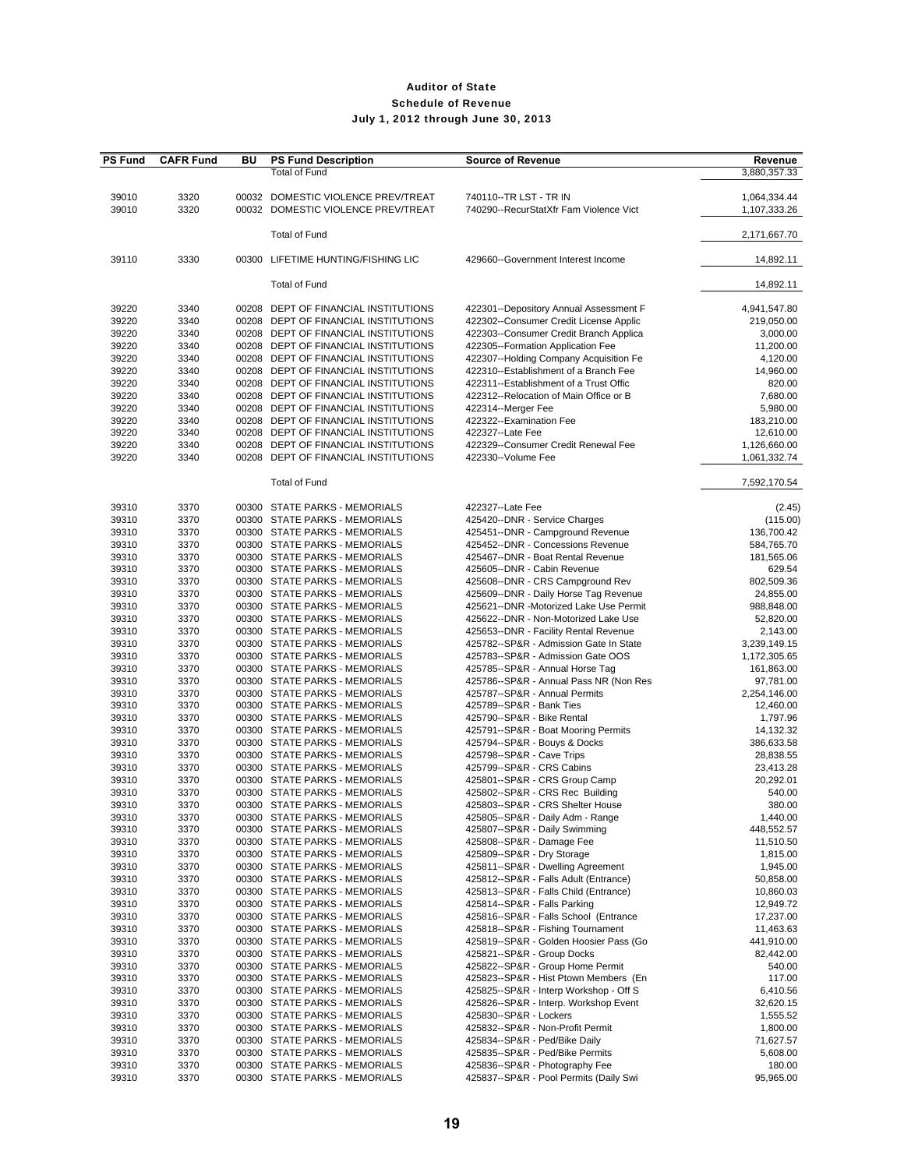| <b>PS Fund</b> | <b>CAFR Fund</b> | BU    | <b>PS Fund Description</b>           | <b>Source of Revenue</b>               | Revenue      |
|----------------|------------------|-------|--------------------------------------|----------------------------------------|--------------|
|                |                  |       | <b>Total of Fund</b>                 |                                        | 3,880,357.33 |
|                |                  |       |                                      |                                        |              |
| 39010          | 3320             |       | 00032 DOMESTIC VIOLENCE PREV/TREAT   | 740110--TR LST - TR IN                 | 1,064,334.44 |
| 39010          | 3320             |       | 00032 DOMESTIC VIOLENCE PREV/TREAT   | 740290--RecurStatXfr Fam Violence Vict | 1,107,333.26 |
|                |                  |       |                                      |                                        |              |
|                |                  |       | <b>Total of Fund</b>                 |                                        | 2,171,667.70 |
|                |                  |       |                                      |                                        |              |
| 39110          | 3330             | 00300 | LIFETIME HUNTING/FISHING LIC         | 429660--Government Interest Income     | 14,892.11    |
|                |                  |       |                                      |                                        |              |
|                |                  |       | <b>Total of Fund</b>                 |                                        | 14,892.11    |
|                |                  |       |                                      |                                        |              |
| 39220          | 3340             |       | 00208 DEPT OF FINANCIAL INSTITUTIONS | 422301--Depository Annual Assessment F | 4,941,547.80 |
| 39220          | 3340             |       | 00208 DEPT OF FINANCIAL INSTITUTIONS | 422302--Consumer Credit License Applic | 219,050.00   |
| 39220          | 3340             |       | 00208 DEPT OF FINANCIAL INSTITUTIONS | 422303--Consumer Credit Branch Applica | 3,000.00     |
| 39220          | 3340             |       | 00208 DEPT OF FINANCIAL INSTITUTIONS | 422305--Formation Application Fee      | 11,200.00    |
| 39220          | 3340             |       | 00208 DEPT OF FINANCIAL INSTITUTIONS | 422307--Holding Company Acquisition Fe | 4,120.00     |
| 39220          | 3340             |       | 00208 DEPT OF FINANCIAL INSTITUTIONS | 422310--Establishment of a Branch Fee  | 14,960.00    |
| 39220          | 3340             |       | 00208 DEPT OF FINANCIAL INSTITUTIONS | 422311--Establishment of a Trust Offic | 820.00       |
| 39220          | 3340             |       | 00208 DEPT OF FINANCIAL INSTITUTIONS | 422312--Relocation of Main Office or B | 7,680.00     |
|                |                  |       |                                      |                                        |              |
| 39220          | 3340             |       | 00208 DEPT OF FINANCIAL INSTITUTIONS | 422314--Merger Fee                     | 5,980.00     |
| 39220          | 3340             |       | 00208 DEPT OF FINANCIAL INSTITUTIONS | 422322 -- Examination Fee              | 183,210.00   |
| 39220          | 3340             |       | 00208 DEPT OF FINANCIAL INSTITUTIONS | 422327--Late Fee                       | 12,610.00    |
| 39220          | 3340             |       | 00208 DEPT OF FINANCIAL INSTITUTIONS | 422329--Consumer Credit Renewal Fee    | 1,126,660.00 |
| 39220          | 3340             |       | 00208 DEPT OF FINANCIAL INSTITUTIONS | 422330--Volume Fee                     | 1,061,332.74 |
|                |                  |       |                                      |                                        |              |
|                |                  |       | <b>Total of Fund</b>                 |                                        | 7,592,170.54 |
|                |                  |       |                                      |                                        |              |
| 39310          | 3370             |       | 00300 STATE PARKS - MEMORIALS        | 422327--Late Fee                       | (2.45)       |
| 39310          | 3370             |       | 00300 STATE PARKS - MEMORIALS        | 425420--DNR - Service Charges          | (115.00)     |
| 39310          | 3370             |       | 00300 STATE PARKS - MEMORIALS        | 425451--DNR - Campground Revenue       | 136,700.42   |
| 39310          | 3370             |       | 00300 STATE PARKS - MEMORIALS        | 425452--DNR - Concessions Revenue      | 584,765.70   |
| 39310          | 3370             |       | 00300 STATE PARKS - MEMORIALS        | 425467--DNR - Boat Rental Revenue      | 181,565.06   |
| 39310          | 3370             |       | 00300 STATE PARKS - MEMORIALS        | 425605--DNR - Cabin Revenue            | 629.54       |
| 39310          | 3370             |       | 00300 STATE PARKS - MEMORIALS        | 425608--DNR - CRS Campground Rev       | 802,509.36   |
| 39310          | 3370             |       | 00300 STATE PARKS - MEMORIALS        | 425609--DNR - Daily Horse Tag Revenue  | 24,855.00    |
| 39310          | 3370             |       | 00300 STATE PARKS - MEMORIALS        | 425621--DNR -Motorized Lake Use Permit | 988,848.00   |
| 39310          | 3370             |       | 00300 STATE PARKS - MEMORIALS        | 425622--DNR - Non-Motorized Lake Use   | 52,820.00    |
| 39310          | 3370             |       | 00300 STATE PARKS - MEMORIALS        | 425653--DNR - Facility Rental Revenue  | 2,143.00     |
| 39310          | 3370             |       | 00300 STATE PARKS - MEMORIALS        | 425782--SP&R - Admission Gate In State | 3,239,149.15 |
| 39310          | 3370             |       | 00300 STATE PARKS - MEMORIALS        | 425783--SP&R - Admission Gate OOS      | 1,172,305.65 |
| 39310          | 3370             |       | 00300 STATE PARKS - MEMORIALS        | 425785--SP&R - Annual Horse Tag        | 161,863.00   |
|                |                  |       |                                      |                                        |              |
| 39310          | 3370             |       | 00300 STATE PARKS - MEMORIALS        | 425786--SP&R - Annual Pass NR (Non Res | 97,781.00    |
| 39310          | 3370             |       | 00300 STATE PARKS - MEMORIALS        | 425787--SP&R - Annual Permits          | 2,254,146.00 |
| 39310          | 3370             |       | 00300 STATE PARKS - MEMORIALS        | 425789--SP&R - Bank Ties               | 12,460.00    |
| 39310          | 3370             |       | 00300 STATE PARKS - MEMORIALS        | 425790--SP&R - Bike Rental             | 1,797.96     |
| 39310          | 3370             |       | 00300 STATE PARKS - MEMORIALS        | 425791--SP&R - Boat Mooring Permits    | 14,132.32    |
| 39310          | 3370             |       | 00300 STATE PARKS - MEMORIALS        | 425794--SP&R - Bouys & Docks           | 386,633.58   |
| 39310          | 3370             |       | 00300 STATE PARKS - MEMORIALS        | 425798--SP&R - Cave Trips              | 28,838.55    |
| 39310          | 3370             |       | 00300 STATE PARKS - MEMORIALS        | 425799--SP&R - CRS Cabins              | 23,413.28    |
| 39310          | 3370             |       | 00300 STATE PARKS - MEMORIALS        | 425801--SP&R - CRS Group Camp          | 20,292.01    |
| 39310          | 3370             |       | 00300 STATE PARKS - MEMORIALS        | 425802--SP&R - CRS Rec Building        | 540.00       |
| 39310          | 3370             |       | 00300 STATE PARKS - MEMORIALS        | 425803--SP&R - CRS Shelter House       | 380.00       |
| 39310          | 3370             |       | 00300 STATE PARKS - MEMORIALS        | 425805--SP&R - Daily Adm - Range       | 1,440.00     |
| 39310          | 3370             |       | 00300 STATE PARKS - MEMORIALS        | 425807--SP&R - Daily Swimming          | 448,552.57   |
| 39310          | 3370             |       | 00300 STATE PARKS - MEMORIALS        | 425808--SP&R - Damage Fee              | 11,510.50    |
| 39310          | 3370             |       | 00300 STATE PARKS - MEMORIALS        | 425809--SP&R - Dry Storage             | 1,815.00     |
| 39310          | 3370             |       | 00300 STATE PARKS - MEMORIALS        | 425811--SP&R - Dwelling Agreement      | 1,945.00     |
| 39310          | 3370             |       | 00300 STATE PARKS - MEMORIALS        | 425812--SP&R - Falls Adult (Entrance)  | 50,858.00    |
| 39310          | 3370             |       | 00300 STATE PARKS - MEMORIALS        | 425813--SP&R - Falls Child (Entrance)  | 10,860.03    |
| 39310          | 3370             |       | 00300 STATE PARKS - MEMORIALS        | 425814--SP&R - Falls Parking           | 12,949.72    |
| 39310          | 3370             |       | 00300 STATE PARKS - MEMORIALS        | 425816--SP&R - Falls School (Entrance  | 17,237.00    |
| 39310          | 3370             |       | 00300 STATE PARKS - MEMORIALS        | 425818--SP&R - Fishing Tournament      | 11,463.63    |
| 39310          | 3370             |       | 00300 STATE PARKS - MEMORIALS        | 425819--SP&R - Golden Hoosier Pass (Go | 441,910.00   |
| 39310          | 3370             |       | 00300 STATE PARKS - MEMORIALS        | 425821--SP&R - Group Docks             | 82,442.00    |
|                |                  |       | 00300 STATE PARKS - MEMORIALS        |                                        |              |
| 39310          | 3370             |       |                                      | 425822--SP&R - Group Home Permit       | 540.00       |
| 39310          | 3370             |       | 00300 STATE PARKS - MEMORIALS        | 425823--SP&R - Hist Ptown Members (En  | 117.00       |
| 39310          | 3370             |       | 00300 STATE PARKS - MEMORIALS        | 425825--SP&R - Interp Workshop - Off S | 6,410.56     |
| 39310          | 3370             |       | 00300 STATE PARKS - MEMORIALS        | 425826--SP&R - Interp. Workshop Event  | 32,620.15    |
| 39310          | 3370             |       | 00300 STATE PARKS - MEMORIALS        | 425830--SP&R - Lockers                 | 1,555.52     |
| 39310          | 3370             |       | 00300 STATE PARKS - MEMORIALS        | 425832--SP&R - Non-Profit Permit       | 1,800.00     |
| 39310          | 3370             |       | 00300 STATE PARKS - MEMORIALS        | 425834--SP&R - Ped/Bike Daily          | 71,627.57    |
| 39310          | 3370             |       | 00300 STATE PARKS - MEMORIALS        | 425835--SP&R - Ped/Bike Permits        | 5,608.00     |
| 39310          | 3370             |       | 00300 STATE PARKS - MEMORIALS        | 425836--SP&R - Photography Fee         | 180.00       |
| 39310          | 3370             |       | 00300 STATE PARKS - MEMORIALS        | 425837--SP&R - Pool Permits (Daily Swi | 95,965.00    |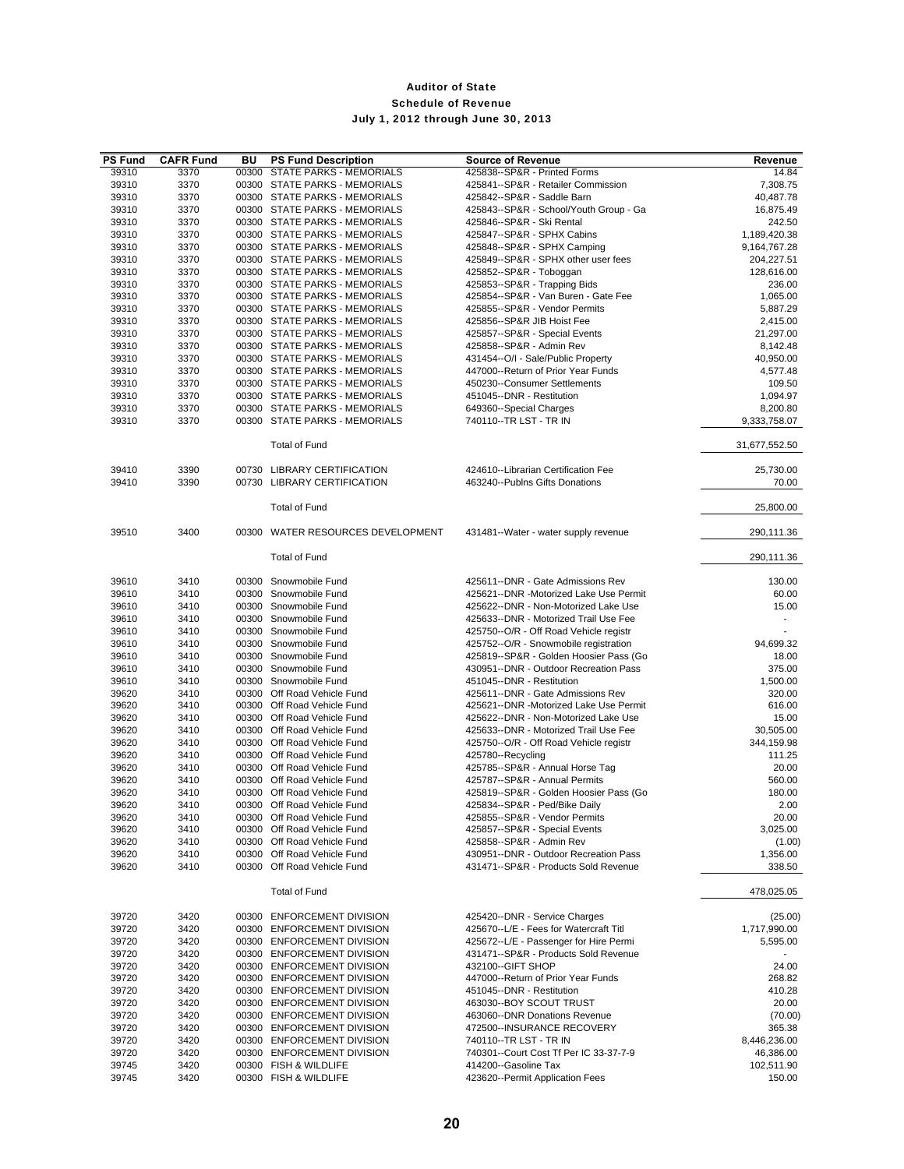| <b>PS Fund</b> | <b>CAFR Fund</b> | BU | <b>PS Fund Description</b>                                     | <b>Source of Revenue</b>                                                        | Revenue                |
|----------------|------------------|----|----------------------------------------------------------------|---------------------------------------------------------------------------------|------------------------|
| 39310          | 3370             |    | 00300 STATE PARKS - MEMORIALS                                  | 425838--SP&R - Printed Forms                                                    | 14.84                  |
| 39310          | 3370             |    | 00300 STATE PARKS - MEMORIALS                                  | 425841--SP&R - Retailer Commission                                              | 7,308.75               |
| 39310          | 3370             |    | 00300 STATE PARKS - MEMORIALS                                  | 425842--SP&R - Saddle Barn                                                      | 40,487.78              |
| 39310          | 3370             |    | 00300 STATE PARKS - MEMORIALS                                  | 425843--SP&R - School/Youth Group - Ga                                          | 16,875.49              |
| 39310<br>39310 | 3370<br>3370     |    | 00300 STATE PARKS - MEMORIALS<br>00300 STATE PARKS - MEMORIALS | 425846--SP&R - Ski Rental<br>425847--SP&R - SPHX Cabins                         | 242.50<br>1,189,420.38 |
| 39310          | 3370             |    | 00300 STATE PARKS - MEMORIALS                                  | 425848--SP&R - SPHX Camping                                                     | 9,164,767.28           |
| 39310          | 3370             |    | 00300 STATE PARKS - MEMORIALS                                  | 425849--SP&R - SPHX other user fees                                             | 204,227.51             |
| 39310          | 3370             |    | 00300 STATE PARKS - MEMORIALS                                  | 425852--SP&R - Toboggan                                                         | 128,616.00             |
| 39310          | 3370             |    | 00300 STATE PARKS - MEMORIALS                                  | 425853--SP&R - Trapping Bids                                                    | 236.00                 |
| 39310          | 3370             |    | 00300 STATE PARKS - MEMORIALS                                  | 425854--SP&R - Van Buren - Gate Fee                                             | 1,065.00               |
| 39310          | 3370             |    | 00300 STATE PARKS - MEMORIALS                                  | 425855--SP&R - Vendor Permits                                                   | 5,887.29               |
| 39310          | 3370             |    | 00300 STATE PARKS - MEMORIALS                                  | 425856--SP&R JIB Hoist Fee                                                      | 2,415.00               |
| 39310          | 3370             |    | 00300 STATE PARKS - MEMORIALS                                  | 425857--SP&R - Special Events                                                   | 21,297.00              |
| 39310<br>39310 | 3370             |    | 00300 STATE PARKS - MEMORIALS                                  | 425858--SP&R - Admin Rev                                                        | 8,142.48               |
| 39310          | 3370<br>3370     |    | 00300 STATE PARKS - MEMORIALS<br>00300 STATE PARKS - MEMORIALS | 431454--O/I - Sale/Public Property<br>447000--Return of Prior Year Funds        | 40,950.00<br>4,577.48  |
| 39310          | 3370             |    | 00300 STATE PARKS - MEMORIALS                                  | 450230--Consumer Settlements                                                    | 109.50                 |
| 39310          | 3370             |    | 00300 STATE PARKS - MEMORIALS                                  | 451045--DNR - Restitution                                                       | 1,094.97               |
| 39310          | 3370             |    | 00300 STATE PARKS - MEMORIALS                                  | 649360--Special Charges                                                         | 8,200.80               |
| 39310          | 3370             |    | 00300 STATE PARKS - MEMORIALS                                  | 740110--TR LST - TR IN                                                          | 9,333,758.07           |
|                |                  |    | <b>Total of Fund</b>                                           |                                                                                 | 31,677,552.50          |
| 39410          | 3390             |    | 00730 LIBRARY CERTIFICATION                                    | 424610--Librarian Certification Fee                                             | 25,730.00              |
| 39410          | 3390             |    | 00730 LIBRARY CERTIFICATION                                    | 463240--Publns Gifts Donations                                                  | 70.00                  |
|                |                  |    | <b>Total of Fund</b>                                           |                                                                                 | 25.800.00              |
| 39510          | 3400             |    | 00300 WATER RESOURCES DEVELOPMENT                              | 431481--Water - water supply revenue                                            | 290,111.36             |
|                |                  |    | <b>Total of Fund</b>                                           |                                                                                 | 290,111.36             |
| 39610          | 3410             |    | 00300 Snowmobile Fund                                          | 425611--DNR - Gate Admissions Rev                                               | 130.00                 |
| 39610          | 3410             |    | 00300 Snowmobile Fund                                          | 425621--DNR -Motorized Lake Use Permit                                          | 60.00                  |
| 39610          | 3410             |    | 00300 Snowmobile Fund                                          | 425622--DNR - Non-Motorized Lake Use                                            | 15.00                  |
| 39610          | 3410             |    | 00300 Snowmobile Fund                                          | 425633--DNR - Motorized Trail Use Fee                                           | $\sim$                 |
| 39610          | 3410             |    | 00300 Snowmobile Fund                                          | 425750--O/R - Off Road Vehicle registr                                          |                        |
| 39610          | 3410             |    | 00300 Snowmobile Fund                                          | 425752--O/R - Snowmobile registration                                           | 94,699.32              |
| 39610<br>39610 | 3410<br>3410     |    | 00300 Snowmobile Fund<br>00300 Snowmobile Fund                 | 425819--SP&R - Golden Hoosier Pass (Go<br>430951--DNR - Outdoor Recreation Pass | 18.00<br>375.00        |
| 39610          | 3410             |    | 00300 Snowmobile Fund                                          | 451045--DNR - Restitution                                                       | 1,500.00               |
| 39620          | 3410             |    | 00300 Off Road Vehicle Fund                                    | 425611--DNR - Gate Admissions Rev                                               | 320.00                 |
| 39620          | 3410             |    | 00300 Off Road Vehicle Fund                                    | 425621--DNR -Motorized Lake Use Permit                                          | 616.00                 |
| 39620          | 3410             |    | 00300 Off Road Vehicle Fund                                    | 425622--DNR - Non-Motorized Lake Use                                            | 15.00                  |
| 39620          | 3410             |    | 00300 Off Road Vehicle Fund                                    | 425633--DNR - Motorized Trail Use Fee                                           | 30.505.00              |
| 39620          | 3410             |    | 00300 Off Road Vehicle Fund                                    | 425750--O/R - Off Road Vehicle registr                                          | 344,159.98             |
| 39620          | 3410             |    | 00300 Off Road Vehicle Fund                                    | 425780--Recycling                                                               | 111.25                 |
| 39620<br>39620 | 3410<br>3410     |    | 00300 Off Road Vehicle Fund<br>00300 Off Road Vehicle Fund     | 425785--SP&R - Annual Horse Tag<br>425787--SP&R - Annual Permits                | 20.00<br>560.00        |
| 39620          | 3410             |    | 00300 Off Road Vehicle Fund                                    | 425819--SP&R - Golden Hoosier Pass (Go                                          | 180.00                 |
| 39620          | 3410             |    | 00300 Off Road Vehicle Fund                                    | 425834--SP&R - Ped/Bike Daily                                                   | 2.00                   |
| 39620          | 3410             |    | 00300 Off Road Vehicle Fund                                    | 425855--SP&R - Vendor Permits                                                   | 20.00                  |
| 39620          | 3410             |    | 00300 Off Road Vehicle Fund                                    | 425857--SP&R - Special Events                                                   | 3,025.00               |
| 39620          | 3410             |    | 00300 Off Road Vehicle Fund                                    | 425858--SP&R - Admin Rev                                                        | (1.00)                 |
| 39620<br>39620 | 3410<br>3410     |    | 00300 Off Road Vehicle Fund<br>00300 Off Road Vehicle Fund     | 430951--DNR - Outdoor Recreation Pass<br>431471--SP&R - Products Sold Revenue   | 1,356.00<br>338.50     |
|                |                  |    | <b>Total of Fund</b>                                           |                                                                                 | 478,025.05             |
| 39720          | 3420             |    | 00300 ENFORCEMENT DIVISION                                     | 425420--DNR - Service Charges                                                   | (25.00)                |
| 39720          | 3420             |    | 00300 ENFORCEMENT DIVISION                                     | 425670--L/E - Fees for Watercraft Titl                                          | 1,717,990.00           |
| 39720          | 3420             |    | 00300 ENFORCEMENT DIVISION                                     | 425672--L/E - Passenger for Hire Permi                                          | 5,595.00               |
| 39720          | 3420             |    | 00300 ENFORCEMENT DIVISION                                     | 431471--SP&R - Products Sold Revenue                                            |                        |
| 39720          | 3420             |    | 00300 ENFORCEMENT DIVISION                                     | 432100--GIFT SHOP                                                               | 24.00                  |
| 39720          | 3420             |    | 00300 ENFORCEMENT DIVISION                                     | 447000--Return of Prior Year Funds                                              | 268.82                 |
| 39720          | 3420             |    | 00300 ENFORCEMENT DIVISION                                     | 451045--DNR - Restitution                                                       | 410.28                 |
| 39720          | 3420             |    | 00300 ENFORCEMENT DIVISION                                     | 463030--BOY SCOUT TRUST                                                         | 20.00                  |
| 39720          | 3420             |    | 00300 ENFORCEMENT DIVISION                                     | 463060--DNR Donations Revenue                                                   | (70.00)                |
| 39720<br>39720 | 3420<br>3420     |    | 00300 ENFORCEMENT DIVISION<br>00300 ENFORCEMENT DIVISION       | 472500--INSURANCE RECOVERY<br>740110--TR LST - TR IN                            | 365.38<br>8,446,236.00 |
| 39720          | 3420             |    | 00300 ENFORCEMENT DIVISION                                     | 740301--Court Cost Tf Per IC 33-37-7-9                                          | 46,386.00              |
| 39745          | 3420             |    | 00300 FISH & WILDLIFE                                          | 414200--Gasoline Tax                                                            | 102,511.90             |
| 39745          | 3420             |    | 00300 FISH & WILDLIFE                                          | 423620--Permit Application Fees                                                 | 150.00                 |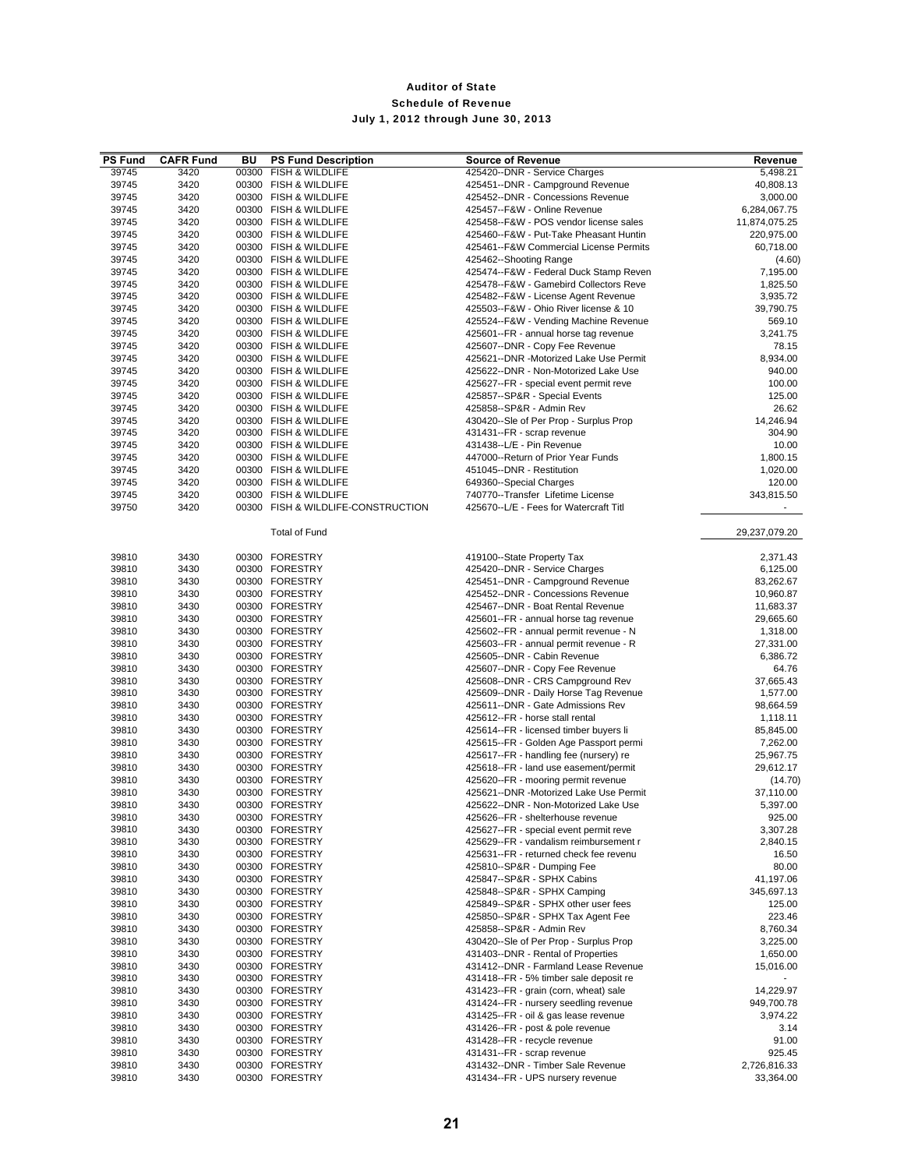| <b>PS Fund</b> | <b>CAFR Fund</b> | BU    | <b>PS Fund Description</b>         | <b>Source of Revenue</b>               | Revenue       |
|----------------|------------------|-------|------------------------------------|----------------------------------------|---------------|
| 39745          | 3420             | 00300 | FISH & WILDLIFE                    | 425420--DNR - Service Charges          | 5,498.21      |
| 39745          | 3420             |       | 00300 FISH & WILDLIFE              | 425451--DNR - Campground Revenue       | 40,808.13     |
| 39745          | 3420             |       | 00300 FISH & WILDLIFE              | 425452--DNR - Concessions Revenue      | 3,000.00      |
| 39745          | 3420             |       | 00300 FISH & WILDLIFE              | 425457--F&W - Online Revenue           | 6,284,067.75  |
| 39745          | 3420             |       | 00300 FISH & WILDLIFE              | 425458--F&W - POS vendor license sales | 11,874,075.25 |
| 39745          | 3420             |       | 00300 FISH & WILDLIFE              | 425460--F&W - Put-Take Pheasant Huntin | 220,975.00    |
| 39745          | 3420             |       | 00300 FISH & WILDLIFE              | 425461--F&W Commercial License Permits | 60,718.00     |
| 39745          | 3420             |       | 00300 FISH & WILDLIFE              | 425462--Shooting Range                 | (4.60)        |
| 39745          | 3420             |       | 00300 FISH & WILDLIFE              | 425474--F&W - Federal Duck Stamp Reven | 7,195.00      |
| 39745          | 3420             |       | 00300 FISH & WILDLIFE              | 425478--F&W - Gamebird Collectors Reve | 1,825.50      |
| 39745          | 3420             |       | 00300 FISH & WILDLIFE              | 425482--F&W - License Agent Revenue    | 3,935.72      |
| 39745          | 3420             |       | 00300 FISH & WILDLIFE              | 425503--F&W - Ohio River license & 10  | 39,790.75     |
| 39745          | 3420             |       | 00300 FISH & WILDLIFE              | 425524--F&W - Vending Machine Revenue  | 569.10        |
| 39745          | 3420             |       | 00300 FISH & WILDLIFE              | 425601--FR - annual horse tag revenue  | 3,241.75      |
| 39745          | 3420             |       | 00300 FISH & WILDLIFE              | 425607--DNR - Copy Fee Revenue         | 78.15         |
| 39745          | 3420             |       | 00300 FISH & WILDLIFE              | 425621--DNR -Motorized Lake Use Permit | 8.934.00      |
| 39745          | 3420             |       | 00300 FISH & WILDLIFE              | 425622--DNR - Non-Motorized Lake Use   | 940.00        |
| 39745          | 3420             |       | 00300 FISH & WILDLIFE              | 425627--FR - special event permit reve | 100.00        |
| 39745          | 3420             |       | 00300 FISH & WILDLIFE              | 425857--SP&R - Special Events          | 125.00        |
| 39745          | 3420             |       | 00300 FISH & WILDLIFE              | 425858--SP&R - Admin Rev               | 26.62         |
| 39745          | 3420             |       | 00300 FISH & WILDLIFE              | 430420--Sle of Per Prop - Surplus Prop | 14,246.94     |
| 39745          | 3420             |       | 00300 FISH & WILDLIFE              | 431431--FR - scrap revenue             | 304.90        |
| 39745          | 3420             |       | 00300 FISH & WILDLIFE              | 431438 -- L/E - Pin Revenue            | 10.00         |
| 39745          | 3420             |       | 00300 FISH & WILDLIFE              | 447000--Return of Prior Year Funds     | 1,800.15      |
| 39745          | 3420             |       | 00300 FISH & WILDLIFE              | 451045--DNR - Restitution              | 1,020.00      |
| 39745          | 3420             |       | 00300 FISH & WILDLIFE              | 649360--Special Charges                | 120.00        |
| 39745          | 3420             |       | 00300 FISH & WILDLIFE              | 740770--Transfer Lifetime License      | 343,815.50    |
| 39750          | 3420             |       | 00300 FISH & WILDLIFE-CONSTRUCTION | 425670--L/E - Fees for Watercraft Titl |               |
|                |                  |       |                                    |                                        |               |
|                |                  |       | <b>Total of Fund</b>               |                                        | 29,237,079.20 |
|                |                  |       |                                    |                                        |               |
| 39810          | 3430             |       | 00300 FORESTRY                     | 419100--State Property Tax             | 2,371.43      |
| 39810          | 3430             |       | 00300 FORESTRY                     | 425420--DNR - Service Charges          | 6,125.00      |
| 39810          | 3430             |       | 00300 FORESTRY                     | 425451--DNR - Campground Revenue       | 83,262.67     |
| 39810          | 3430             |       | 00300 FORESTRY                     | 425452--DNR - Concessions Revenue      | 10,960.87     |
| 39810          | 3430             |       | 00300 FORESTRY                     | 425467--DNR - Boat Rental Revenue      | 11,683.37     |
| 39810          | 3430             |       | 00300 FORESTRY                     | 425601--FR - annual horse tag revenue  | 29,665.60     |
| 39810          | 3430             |       | 00300 FORESTRY                     | 425602--FR - annual permit revenue - N | 1,318.00      |
| 39810          | 3430             |       | 00300 FORESTRY                     | 425603--FR - annual permit revenue - R | 27,331.00     |
| 39810          | 3430             |       | 00300 FORESTRY                     | 425605--DNR - Cabin Revenue            | 6,386.72      |
| 39810          | 3430             |       | 00300 FORESTRY                     | 425607--DNR - Copy Fee Revenue         | 64.76         |
| 39810          | 3430             |       | 00300 FORESTRY                     | 425608--DNR - CRS Campground Rev       | 37,665.43     |
| 39810          | 3430             |       | 00300 FORESTRY                     | 425609--DNR - Daily Horse Tag Revenue  | 1,577.00      |
| 39810          | 3430             |       | 00300 FORESTRY                     | 425611--DNR - Gate Admissions Rev      | 98,664.59     |
| 39810          | 3430             |       | 00300 FORESTRY                     | 425612--FR - horse stall rental        | 1,118.11      |
| 39810          | 3430             |       | 00300 FORESTRY                     | 425614--FR - licensed timber buyers li | 85,845.00     |
| 39810          | 3430             |       | 00300 FORESTRY                     | 425615--FR - Golden Age Passport permi | 7,262.00      |
| 39810          | 3430             |       | 00300 FORESTRY                     | 425617--FR - handling fee (nursery) re | 25,967.75     |
| 39810          | 3430             |       | 00300 FORESTRY                     | 425618--FR - land use easement/permit  | 29,612.17     |
| 39810          | 3430             |       | 00300 FORESTRY                     | 425620--FR - mooring permit revenue    | (14.70)       |
| 39810          | 3430             |       | 00300 FORESTRY                     | 425621--DNR -Motorized Lake Use Permit | 37,110.00     |
| 39810          | 3430             |       | 00300 FORESTRY                     | 425622--DNR - Non-Motorized Lake Use   | 5,397.00      |
| 39810          | 3430             |       | 00300 FORESTRY                     | 425626--FR - shelterhouse revenue      | 925.00        |
| 39810          | 3430             |       | 00300 FORESTRY                     | 425627--FR - special event permit reve | 3,307.28      |
| 39810          | 3430             |       | 00300 FORESTRY                     | 425629--FR - vandalism reimbursement r | 2,840.15      |
| 39810          | 3430             |       | 00300 FORESTRY                     | 425631--FR - returned check fee revenu | 16.50         |
| 39810          | 3430             |       | 00300 FORESTRY                     | 425810--SP&R - Dumping Fee             | 80.00         |
| 39810          | 3430             |       | 00300 FORESTRY                     | 425847--SP&R - SPHX Cabins             | 41,197.06     |
| 39810          | 3430             |       | 00300 FORESTRY                     | 425848--SP&R - SPHX Camping            | 345,697.13    |
| 39810          | 3430             |       | 00300 FORESTRY                     | 425849--SP&R - SPHX other user fees    | 125.00        |
| 39810          | 3430             |       | 00300 FORESTRY                     | 425850--SP&R - SPHX Tax Agent Fee      | 223.46        |
| 39810          | 3430             |       | 00300 FORESTRY                     | 425858--SP&R - Admin Rev               | 8,760.34      |
| 39810          | 3430             |       | 00300 FORESTRY                     | 430420--Sle of Per Prop - Surplus Prop | 3,225.00      |
| 39810          | 3430             |       | 00300 FORESTRY                     | 431403--DNR - Rental of Properties     | 1,650.00      |
| 39810          | 3430             |       | 00300 FORESTRY                     | 431412--DNR - Farmland Lease Revenue   | 15,016.00     |
| 39810          | 3430             |       | 00300 FORESTRY                     | 431418--FR - 5% timber sale deposit re |               |
| 39810          | 3430             |       | 00300 FORESTRY                     | 431423--FR - grain (corn, wheat) sale  | 14,229.97     |
| 39810          | 3430             |       | 00300 FORESTRY                     | 431424--FR - nursery seedling revenue  | 949,700.78    |
| 39810          | 3430             |       | 00300 FORESTRY                     | 431425--FR - oil & gas lease revenue   | 3,974.22      |
| 39810          | 3430             |       | 00300 FORESTRY                     | 431426--FR - post & pole revenue       | 3.14          |
| 39810          | 3430             |       | 00300 FORESTRY                     | 431428--FR - recycle revenue           | 91.00         |
| 39810          | 3430             |       | 00300 FORESTRY                     | 431431--FR - scrap revenue             | 925.45        |
| 39810          | 3430             |       | 00300 FORESTRY                     | 431432--DNR - Timber Sale Revenue      | 2,726,816.33  |
| 39810          | 3430             |       | 00300 FORESTRY                     | 431434--FR - UPS nursery revenue       | 33,364.00     |
|                |                  |       |                                    |                                        |               |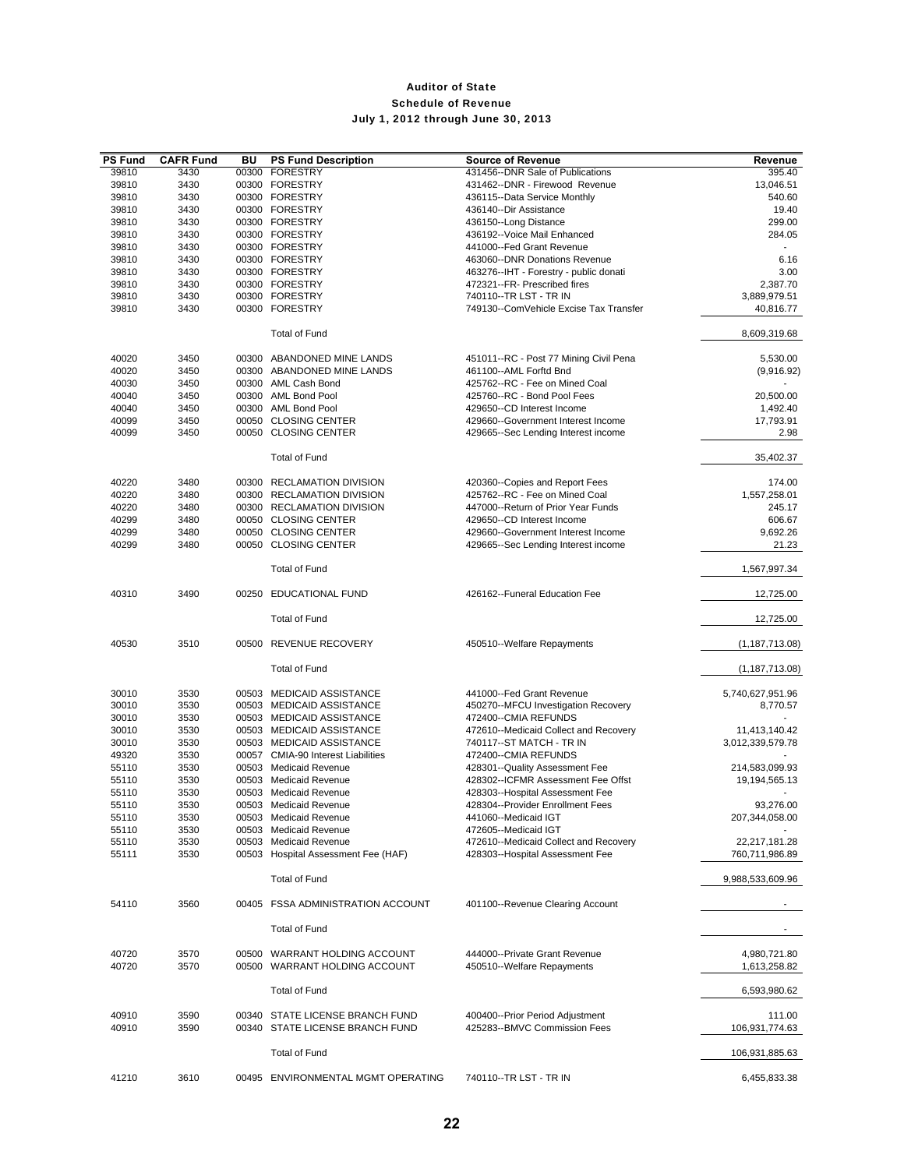| <b>PS Fund</b> | <b>CAFR Fund</b> | BU | <b>PS Fund Description</b>          | <b>Source of Revenue</b>               | Revenue          |
|----------------|------------------|----|-------------------------------------|----------------------------------------|------------------|
| 39810          | 3430             |    | 00300 FORESTRY                      | 431456--DNR Sale of Publications       | 395.40           |
| 39810          | 3430             |    | 00300 FORESTRY                      | 431462--DNR - Firewood Revenue         | 13,046.51        |
|                |                  |    |                                     |                                        |                  |
| 39810          | 3430             |    | 00300 FORESTRY                      | 436115--Data Service Monthly           | 540.60           |
| 39810          | 3430             |    | 00300 FORESTRY                      | 436140--Dir Assistance                 | 19.40            |
| 39810          | 3430             |    | 00300 FORESTRY                      | 436150--Long Distance                  | 299.00           |
| 39810          | 3430             |    | 00300 FORESTRY                      | 436192--Voice Mail Enhanced            | 284.05           |
| 39810          | 3430             |    | 00300 FORESTRY                      | 441000--Fed Grant Revenue              |                  |
| 39810          | 3430             |    | 00300 FORESTRY                      | 463060--DNR Donations Revenue          | 6.16             |
| 39810          | 3430             |    | 00300 FORESTRY                      | 463276--IHT - Forestry - public donati | 3.00             |
| 39810          | 3430             |    | 00300 FORESTRY                      | 472321--FR- Prescribed fires           | 2,387.70         |
| 39810          | 3430             |    | 00300 FORESTRY                      | 740110--TR LST - TR IN                 | 3,889,979.51     |
|                |                  |    |                                     |                                        |                  |
| 39810          | 3430             |    | 00300 FORESTRY                      | 749130--ComVehicle Excise Tax Transfer | 40,816.77        |
|                |                  |    |                                     |                                        |                  |
|                |                  |    | <b>Total of Fund</b>                |                                        | 8,609,319.68     |
|                |                  |    |                                     |                                        |                  |
| 40020          | 3450             |    | 00300 ABANDONED MINE LANDS          | 451011--RC - Post 77 Mining Civil Pena | 5,530.00         |
| 40020          | 3450             |    | 00300 ABANDONED MINE LANDS          | 461100--AML Forftd Bnd                 | (9,916.92)       |
| 40030          | 3450             |    | 00300 AML Cash Bond                 | 425762--RC - Fee on Mined Coal         |                  |
| 40040          | 3450             |    | 00300 AML Bond Pool                 | 425760--RC - Bond Pool Fees            | 20,500.00        |
| 40040          | 3450             |    | 00300 AML Bond Pool                 | 429650--CD Interest Income             | 1,492.40         |
| 40099          |                  |    | 00050 CLOSING CENTER                | 429660--Government Interest Income     |                  |
|                | 3450             |    |                                     |                                        | 17,793.91        |
| 40099          | 3450             |    | 00050 CLOSING CENTER                | 429665--Sec Lending Interest income    | 2.98             |
|                |                  |    |                                     |                                        |                  |
|                |                  |    | <b>Total of Fund</b>                |                                        | 35,402.37        |
|                |                  |    |                                     |                                        |                  |
| 40220          | 3480             |    | 00300 RECLAMATION DIVISION          | 420360--Copies and Report Fees         | 174.00           |
| 40220          | 3480             |    | 00300 RECLAMATION DIVISION          | 425762--RC - Fee on Mined Coal         | 1,557,258.01     |
| 40220          | 3480             |    | 00300 RECLAMATION DIVISION          | 447000--Return of Prior Year Funds     | 245.17           |
| 40299          | 3480             |    | 00050 CLOSING CENTER                | 429650--CD Interest Income             | 606.67           |
|                |                  |    |                                     |                                        |                  |
| 40299          | 3480             |    | 00050 CLOSING CENTER                | 429660--Government Interest Income     | 9,692.26         |
| 40299          | 3480             |    | 00050 CLOSING CENTER                | 429665--Sec Lending Interest income    | 21.23            |
|                |                  |    |                                     |                                        |                  |
|                |                  |    | <b>Total of Fund</b>                |                                        | 1,567,997.34     |
|                |                  |    |                                     |                                        |                  |
| 40310          | 3490             |    | 00250 EDUCATIONAL FUND              | 426162--Funeral Education Fee          | 12,725.00        |
|                |                  |    |                                     |                                        |                  |
|                |                  |    | <b>Total of Fund</b>                |                                        | 12,725.00        |
|                |                  |    |                                     |                                        |                  |
| 40530          | 3510             |    | 00500 REVENUE RECOVERY              | 450510--Welfare Repayments             | (1, 187, 713.08) |
|                |                  |    |                                     |                                        |                  |
|                |                  |    | <b>Total of Fund</b>                |                                        |                  |
|                |                  |    |                                     |                                        | (1, 187, 713.08) |
|                |                  |    |                                     |                                        |                  |
| 30010          | 3530             |    | 00503 MEDICAID ASSISTANCE           | 441000--Fed Grant Revenue              | 5,740,627,951.96 |
| 30010          | 3530             |    | 00503 MEDICAID ASSISTANCE           | 450270--MFCU Investigation Recovery    | 8,770.57         |
| 30010          | 3530             |    | 00503 MEDICAID ASSISTANCE           | 472400--CMIA REFUNDS                   |                  |
| 30010          | 3530             |    | 00503 MEDICAID ASSISTANCE           | 472610--Medicaid Collect and Recovery  | 11,413,140.42    |
| 30010          | 3530             |    | 00503 MEDICAID ASSISTANCE           | 740117 -- ST MATCH - TR IN             | 3,012,339,579.78 |
| 49320          | 3530             |    | 00057 CMIA-90 Interest Liabilities  | 472400--CMIA REFUNDS                   |                  |
| 55110          | 3530             |    | 00503 Medicaid Revenue              | 428301--Quality Assessment Fee         | 214,583,099.93   |
| 55110          | 3530             |    | 00503 Medicaid Revenue              | 428302--ICFMR Assessment Fee Offst     | 19,194,565.13    |
|                |                  |    |                                     |                                        |                  |
| 55110          | 3530             |    | 00503 Medicaid Revenue              | 428303--Hospital Assessment Fee        |                  |
| 55110          | 3530             |    | 00503 Medicaid Revenue              | 428304--Provider Enrollment Fees       | 93.276.00        |
| 55110          | 3530             |    | 00503 Medicaid Revenue              | 441060--Medicaid IGT                   | 207,344,058.00   |
| 55110          | 3530             |    | 00503 Medicaid Revenue              | 472605--Medicaid IGT                   |                  |
| 55110          | 3530             |    | 00503 Medicaid Revenue              | 472610--Medicaid Collect and Recovery  | 22,217,181.28    |
| 55111          | 3530             |    | 00503 Hospital Assessment Fee (HAF) | 428303--Hospital Assessment Fee        | 760,711,986.89   |
|                |                  |    |                                     |                                        |                  |
|                |                  |    | <b>Total of Fund</b>                |                                        | 9,988,533,609.96 |
|                |                  |    |                                     |                                        |                  |
| 54110          | 3560             |    | 00405 FSSA ADMINISTRATION ACCOUNT   | 401100--Revenue Clearing Account       |                  |
|                |                  |    |                                     |                                        |                  |
|                |                  |    |                                     |                                        |                  |
|                |                  |    | <b>Total of Fund</b>                |                                        |                  |
|                |                  |    |                                     |                                        |                  |
| 40720          | 3570             |    | 00500 WARRANT HOLDING ACCOUNT       | 444000--Private Grant Revenue          | 4,980,721.80     |
| 40720          | 3570             |    | 00500 WARRANT HOLDING ACCOUNT       | 450510--Welfare Repayments             | 1,613,258.82     |
|                |                  |    |                                     |                                        |                  |
|                |                  |    | <b>Total of Fund</b>                |                                        | 6,593,980.62     |
|                |                  |    |                                     |                                        |                  |
| 40910          | 3590             |    | 00340 STATE LICENSE BRANCH FUND     | 400400--Prior Period Adjustment        | 111.00           |
|                |                  |    |                                     |                                        |                  |
| 40910          | 3590             |    | 00340 STATE LICENSE BRANCH FUND     | 425283--BMVC Commission Fees           | 106,931,774.63   |
|                |                  |    |                                     |                                        |                  |
|                |                  |    | <b>Total of Fund</b>                |                                        | 106,931,885.63   |
|                |                  |    |                                     |                                        |                  |
| 41210          | 3610             |    | 00495 ENVIRONMENTAL MGMT OPERATING  | 740110--TR LST - TR IN                 | 6,455,833.38     |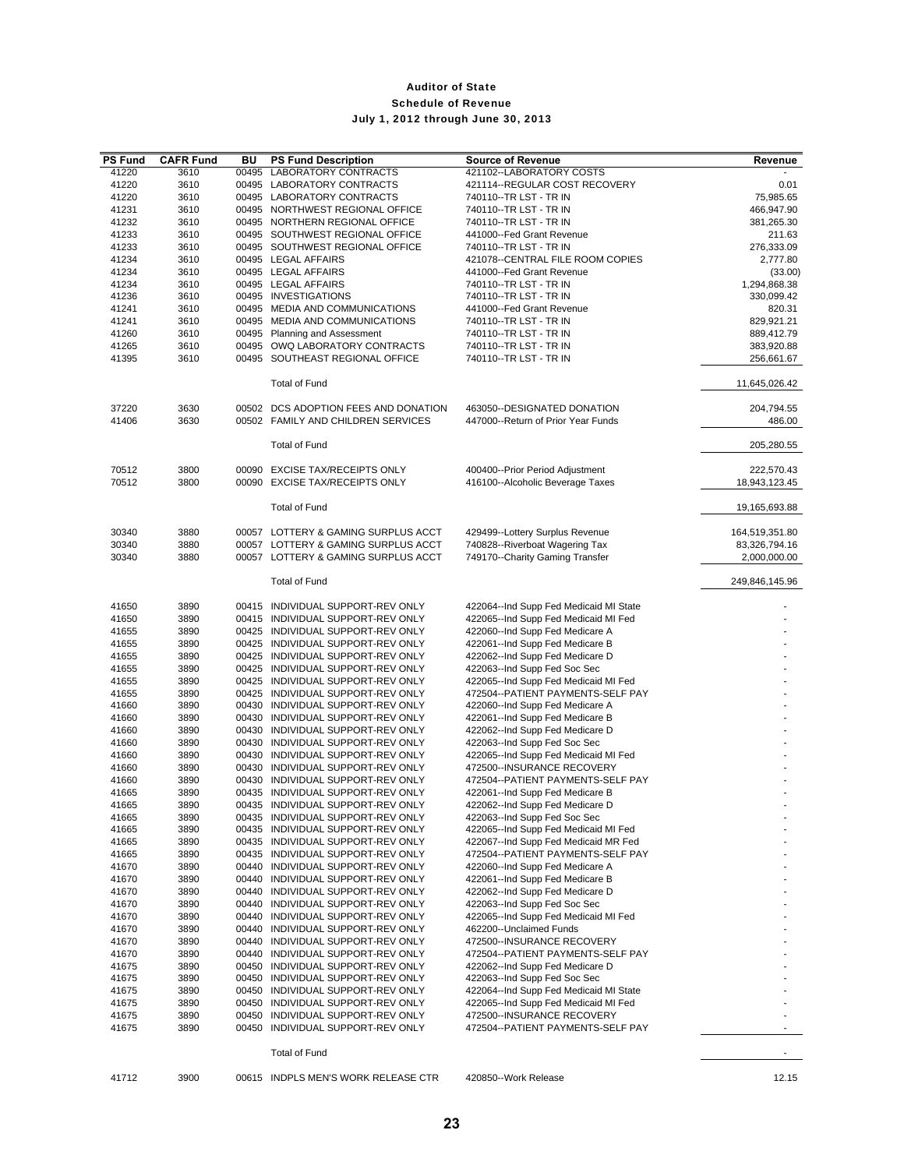| <b>PS Fund</b> | <b>CAFR Fund</b> | ΒU | <b>PS Fund Description</b>                                             | <b>Source of Revenue</b>                                                  | Revenue                     |
|----------------|------------------|----|------------------------------------------------------------------------|---------------------------------------------------------------------------|-----------------------------|
| 41220          | 3610             |    | 00495 LABORATORY CONTRACTS                                             | 421102--LABORATORY COSTS                                                  |                             |
| 41220          | 3610             |    | 00495 LABORATORY CONTRACTS                                             | 421114--REGULAR COST RECOVERY                                             | 0.01                        |
| 41220          | 3610             |    | 00495 LABORATORY CONTRACTS                                             | 740110--TR LST - TR IN                                                    | 75,985.65                   |
| 41231          | 3610             |    | 00495 NORTHWEST REGIONAL OFFICE                                        | 740110 -- TR LST - TR IN                                                  | 466,947.90                  |
| 41232<br>41233 | 3610<br>3610     |    | 00495 NORTHERN REGIONAL OFFICE<br>00495 SOUTHWEST REGIONAL OFFICE      | 740110--TR LST - TR IN<br>441000--Fed Grant Revenue                       | 381,265.30<br>211.63        |
| 41233          | 3610             |    | 00495 SOUTHWEST REGIONAL OFFICE                                        | 740110--TR LST - TR IN                                                    | 276,333.09                  |
| 41234          | 3610             |    | 00495 LEGAL AFFAIRS                                                    | 421078--CENTRAL FILE ROOM COPIES                                          | 2,777.80                    |
| 41234          | 3610             |    | 00495 LEGAL AFFAIRS                                                    | 441000--Fed Grant Revenue                                                 | (33.00)                     |
| 41234          | 3610             |    | 00495 LEGAL AFFAIRS                                                    | 740110--TR LST - TR IN                                                    | 1,294,868.38                |
| 41236          | 3610             |    | 00495 INVESTIGATIONS                                                   | 740110--TR LST - TR IN                                                    | 330,099.42                  |
| 41241          | 3610             |    | 00495 MEDIA AND COMMUNICATIONS                                         | 441000--Fed Grant Revenue                                                 | 820.31                      |
| 41241          | 3610             |    | 00495 MEDIA AND COMMUNICATIONS                                         | 740110--TR LST - TR IN                                                    | 829,921.21                  |
| 41260          | 3610             |    | 00495 Planning and Assessment                                          | 740110--TR LST - TR IN                                                    | 889,412.79                  |
| 41265          | 3610             |    | 00495 OWQ LABORATORY CONTRACTS                                         | 740110--TR LST - TR IN                                                    | 383,920.88                  |
| 41395          | 3610             |    | 00495 SOUTHEAST REGIONAL OFFICE                                        | 740110--TR LST - TR IN                                                    | 256,661.67                  |
|                |                  |    | <b>Total of Fund</b>                                                   |                                                                           | 11,645,026.42               |
| 37220          | 3630             |    | 00502 DCS ADOPTION FEES AND DONATION                                   | 463050--DESIGNATED DONATION                                               | 204,794.55                  |
| 41406          | 3630             |    | 00502 FAMILY AND CHILDREN SERVICES                                     | 447000--Return of Prior Year Funds                                        | 486.00                      |
|                |                  |    | <b>Total of Fund</b>                                                   |                                                                           | 205,280.55                  |
|                |                  |    |                                                                        |                                                                           |                             |
| 70512<br>70512 | 3800<br>3800     |    | 00090 EXCISE TAX/RECEIPTS ONLY<br>00090 EXCISE TAX/RECEIPTS ONLY       | 400400--Prior Period Adjustment<br>416100--Alcoholic Beverage Taxes       | 222,570.43<br>18,943,123.45 |
|                |                  |    |                                                                        |                                                                           |                             |
|                |                  |    | <b>Total of Fund</b>                                                   |                                                                           | 19,165,693.88               |
| 30340          | 3880             |    | 00057 LOTTERY & GAMING SURPLUS ACCT                                    | 429499--Lottery Surplus Revenue                                           | 164,519,351.80              |
| 30340          | 3880             |    | 00057 LOTTERY & GAMING SURPLUS ACCT                                    | 740828--Riverboat Wagering Tax                                            | 83,326,794.16               |
| 30340          | 3880             |    | 00057 LOTTERY & GAMING SURPLUS ACCT                                    | 749170--Charity Gaming Transfer                                           | 2,000,000.00                |
|                |                  |    | <b>Total of Fund</b>                                                   |                                                                           | 249,846,145.96              |
| 41650          | 3890             |    | 00415 INDIVIDUAL SUPPORT-REV ONLY                                      | 422064--Ind Supp Fed Medicaid MI State                                    |                             |
| 41650          | 3890             |    | 00415 INDIVIDUAL SUPPORT-REV ONLY                                      | 422065--Ind Supp Fed Medicaid MI Fed                                      |                             |
| 41655          | 3890             |    | 00425 INDIVIDUAL SUPPORT-REV ONLY                                      | 422060--Ind Supp Fed Medicare A                                           |                             |
| 41655          | 3890             |    | 00425 INDIVIDUAL SUPPORT-REV ONLY                                      | 422061--Ind Supp Fed Medicare B                                           |                             |
| 41655          | 3890             |    | 00425 INDIVIDUAL SUPPORT-REV ONLY                                      | 422062--Ind Supp Fed Medicare D                                           |                             |
| 41655          | 3890             |    | 00425 INDIVIDUAL SUPPORT-REV ONLY                                      | 422063--Ind Supp Fed Soc Sec                                              |                             |
| 41655          | 3890             |    | 00425 INDIVIDUAL SUPPORT-REV ONLY                                      | 422065--Ind Supp Fed Medicaid MI Fed                                      |                             |
| 41655          | 3890             |    | 00425 INDIVIDUAL SUPPORT-REV ONLY                                      | 472504--PATIENT PAYMENTS-SELF PAY                                         |                             |
| 41660          | 3890             |    | 00430 INDIVIDUAL SUPPORT-REV ONLY                                      | 422060--Ind Supp Fed Medicare A                                           |                             |
| 41660<br>41660 | 3890<br>3890     |    | 00430 INDIVIDUAL SUPPORT-REV ONLY<br>00430 INDIVIDUAL SUPPORT-REV ONLY | 422061--Ind Supp Fed Medicare B<br>422062--Ind Supp Fed Medicare D        |                             |
| 41660          | 3890             |    | 00430 INDIVIDUAL SUPPORT-REV ONLY                                      | 422063--Ind Supp Fed Soc Sec                                              |                             |
| 41660          | 3890             |    | 00430 INDIVIDUAL SUPPORT-REV ONLY                                      | 422065--Ind Supp Fed Medicaid MI Fed                                      |                             |
| 41660          | 3890             |    | 00430 INDIVIDUAL SUPPORT-REV ONLY                                      | 472500--INSURANCE RECOVERY                                                |                             |
| 41660          | 3890             |    | 00430 INDIVIDUAL SUPPORT-REV ONLY                                      | 472504--PATIENT PAYMENTS-SELF PAY                                         |                             |
| 41665          | 3890             |    | 00435 INDIVIDUAL SUPPORT-REV ONLY                                      | 422061--Ind Supp Fed Medicare B                                           |                             |
| 41665          | 3890             |    | 00435 INDIVIDUAL SUPPORT-REV ONLY                                      | 422062--Ind Supp Fed Medicare D                                           |                             |
| 41665          | 3890             |    | 00435 INDIVIDUAL SUPPORT-REV ONLY                                      | 422063--Ind Supp Fed Soc Sec                                              |                             |
| 41665          | 3890             |    | 00435 INDIVIDUAL SUPPORT-REV ONLY                                      | 422065--Ind Supp Fed Medicaid MI Fed                                      |                             |
| 41665<br>41665 | 3890<br>3890     |    | 00435 INDIVIDUAL SUPPORT-REV ONLY<br>00435 INDIVIDUAL SUPPORT-REV ONLY | 422067--Ind Supp Fed Medicaid MR Fed<br>472504--PATIENT PAYMENTS-SELF PAY |                             |
| 41670          | 3890             |    | 00440 INDIVIDUAL SUPPORT-REV ONLY                                      | 422060--Ind Supp Fed Medicare A                                           |                             |
| 41670          | 3890             |    | 00440 INDIVIDUAL SUPPORT-REV ONLY                                      | 422061--Ind Supp Fed Medicare B                                           |                             |
| 41670          | 3890             |    | 00440 INDIVIDUAL SUPPORT-REV ONLY                                      | 422062--Ind Supp Fed Medicare D                                           |                             |
| 41670          | 3890             |    | 00440 INDIVIDUAL SUPPORT-REV ONLY                                      | 422063--Ind Supp Fed Soc Sec                                              |                             |
| 41670          | 3890             |    | 00440 INDIVIDUAL SUPPORT-REV ONLY                                      | 422065--Ind Supp Fed Medicaid MI Fed                                      |                             |
| 41670          | 3890             |    | 00440 INDIVIDUAL SUPPORT-REV ONLY                                      | 462200--Unclaimed Funds                                                   |                             |
| 41670          | 3890             |    | 00440 INDIVIDUAL SUPPORT-REV ONLY                                      | 472500--INSURANCE RECOVERY                                                |                             |
| 41670          | 3890             |    | 00440 INDIVIDUAL SUPPORT-REV ONLY                                      | 472504--PATIENT PAYMENTS-SELF PAY                                         |                             |
| 41675<br>41675 | 3890<br>3890     |    | 00450 INDIVIDUAL SUPPORT-REV ONLY<br>00450 INDIVIDUAL SUPPORT-REV ONLY | 422062--Ind Supp Fed Medicare D<br>422063--Ind Supp Fed Soc Sec           |                             |
| 41675          | 3890             |    | 00450 INDIVIDUAL SUPPORT-REV ONLY                                      | 422064--Ind Supp Fed Medicaid MI State                                    |                             |
| 41675          | 3890             |    | 00450 INDIVIDUAL SUPPORT-REV ONLY                                      | 422065--Ind Supp Fed Medicaid MI Fed                                      |                             |
| 41675          | 3890             |    | 00450 INDIVIDUAL SUPPORT-REV ONLY                                      | 472500--INSURANCE RECOVERY                                                |                             |
| 41675          | 3890             |    | 00450 INDIVIDUAL SUPPORT-REV ONLY                                      | 472504--PATIENT PAYMENTS-SELF PAY                                         | ÷.                          |
|                |                  |    | <b>Total of Fund</b>                                                   |                                                                           |                             |
| 41712          | 3900             |    | 00615 INDPLS MEN'S WORK RELEASE CTR                                    | 420850--Work Release                                                      | 12.15                       |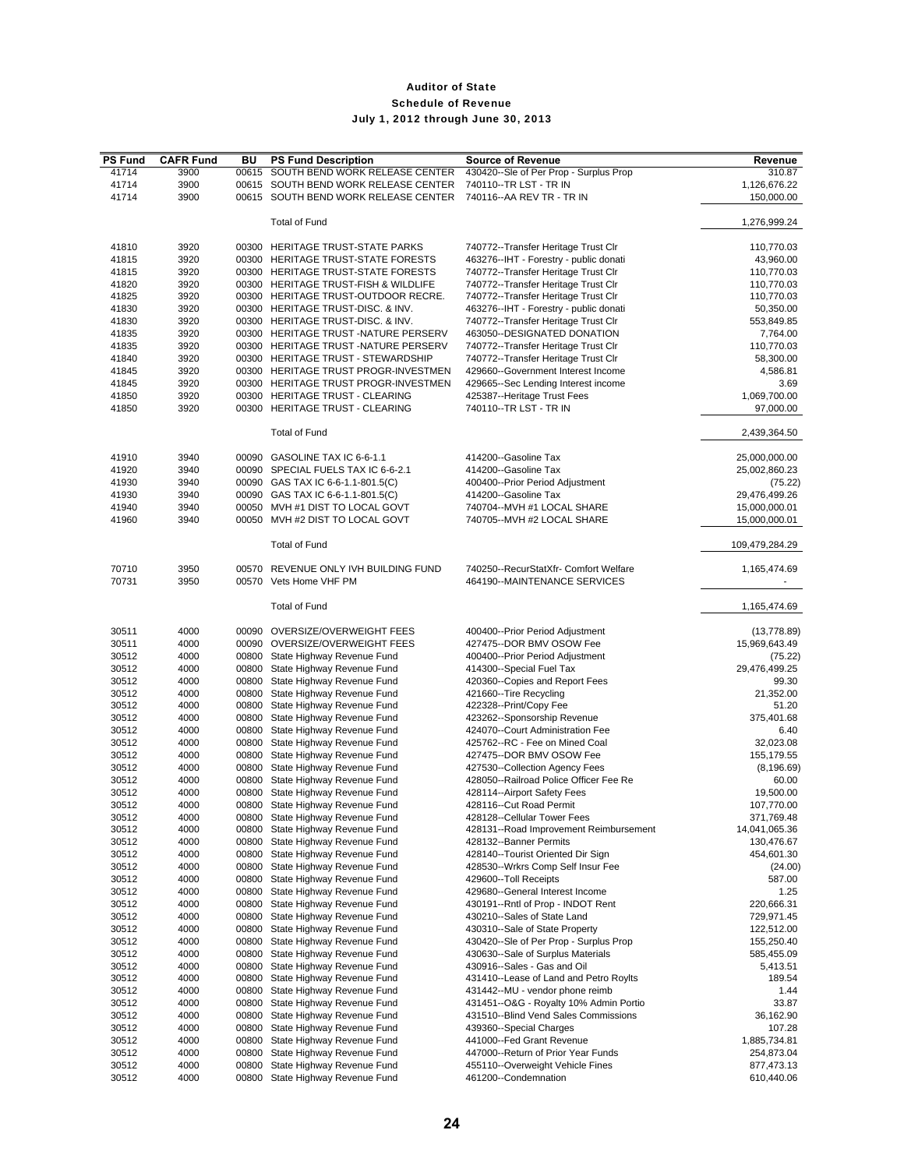| <b>PS Fund</b> | <b>CAFR Fund</b> | BU    | <b>PS Fund Description</b>           | <b>Source of Revenue</b>                                              | Revenue                  |
|----------------|------------------|-------|--------------------------------------|-----------------------------------------------------------------------|--------------------------|
| 41714          | 3900             | 00615 | SOUTH BEND WORK RELEASE CENTER       | 430420--Sle of Per Prop - Surplus Prop                                | 310.87                   |
| 41714          | 3900             |       | 00615 SOUTH BEND WORK RELEASE CENTER | 740110--TR LST - TR IN                                                | 1,126,676.22             |
| 41714          | 3900             |       | 00615 SOUTH BEND WORK RELEASE CENTER | 740116 -- AA REV TR - TR IN                                           | 150,000.00               |
|                |                  |       |                                      |                                                                       |                          |
|                |                  |       | <b>Total of Fund</b>                 |                                                                       | 1,276,999.24             |
| 41810          | 3920             |       | 00300 HERITAGE TRUST-STATE PARKS     | 740772--Transfer Heritage Trust Clr                                   | 110,770.03               |
| 41815          | 3920             |       | 00300 HERITAGE TRUST-STATE FORESTS   | 463276--IHT - Forestry - public donati                                | 43,960.00                |
| 41815          | 3920             |       | 00300 HERITAGE TRUST-STATE FORESTS   | 740772--Transfer Heritage Trust Clr                                   | 110,770.03               |
| 41820          | 3920             |       | 00300 HERITAGE TRUST-FISH & WILDLIFE | 740772--Transfer Heritage Trust Clr                                   | 110,770.03               |
| 41825          | 3920             |       | 00300 HERITAGE TRUST-OUTDOOR RECRE.  | 740772--Transfer Heritage Trust Clr                                   | 110,770.03               |
| 41830          | 3920             |       | 00300 HERITAGE TRUST-DISC. & INV.    | 463276--IHT - Forestry - public donati                                | 50,350.00                |
| 41830          | 3920             |       | 00300 HERITAGE TRUST-DISC. & INV.    | 740772--Transfer Heritage Trust Clr                                   | 553,849.85               |
| 41835          | 3920             |       | 00300 HERITAGE TRUST -NATURE PERSERV | 463050--DESIGNATED DONATION                                           | 7,764.00                 |
| 41835          | 3920             |       | 00300 HERITAGE TRUST-NATURE PERSERV  | 740772--Transfer Heritage Trust Clr                                   | 110,770.03               |
| 41840          | 3920             |       | 00300 HERITAGE TRUST - STEWARDSHIP   | 740772--Transfer Heritage Trust Clr                                   | 58,300.00                |
| 41845          | 3920             |       | 00300 HERITAGE TRUST PROGR-INVESTMEN | 429660--Government Interest Income                                    | 4,586.81                 |
| 41845          | 3920             |       | 00300 HERITAGE TRUST PROGR-INVESTMEN | 429665--Sec Lending Interest income                                   | 3.69                     |
| 41850          | 3920             |       | 00300 HERITAGE TRUST - CLEARING      | 425387--Heritage Trust Fees                                           | 1,069,700.00             |
|                | 3920             |       | 00300 HERITAGE TRUST - CLEARING      | 740110--TR LST - TR IN                                                |                          |
| 41850          |                  |       |                                      |                                                                       | 97,000.00                |
|                |                  |       | <b>Total of Fund</b>                 |                                                                       | 2,439,364.50             |
| 41910          | 3940             |       | 00090 GASOLINE TAX IC 6-6-1.1        | 414200--Gasoline Tax                                                  | 25,000,000.00            |
| 41920          | 3940             |       | 00090 SPECIAL FUELS TAX IC 6-6-2.1   | 414200--Gasoline Tax                                                  | 25,002,860.23            |
| 41930          | 3940             |       | 00090 GAS TAX IC 6-6-1.1-801.5(C)    | 400400--Prior Period Adjustment                                       | (75.22)                  |
| 41930          | 3940             |       | 00090 GAS TAX IC 6-6-1.1-801.5(C)    | 414200--Gasoline Tax                                                  | 29,476,499.26            |
| 41940          | 3940             |       | 00050 MVH #1 DIST TO LOCAL GOVT      | 740704--MVH #1 LOCAL SHARE                                            | 15,000,000.01            |
| 41960          | 3940             |       | 00050 MVH #2 DIST TO LOCAL GOVT      | 740705--MVH #2 LOCAL SHARE                                            | 15,000,000.01            |
|                |                  |       |                                      |                                                                       |                          |
|                |                  |       | <b>Total of Fund</b>                 |                                                                       | 109,479,284.29           |
| 70710          | 3950<br>3950     | 00570 | 00570 REVENUE ONLY IVH BUILDING FUND | 740250--RecurStatXfr- Comfort Welfare<br>464190--MAINTENANCE SERVICES | 1,165,474.69             |
| 70731          |                  |       | Vets Home VHF PM                     |                                                                       | $\overline{\phantom{a}}$ |
|                |                  |       | <b>Total of Fund</b>                 |                                                                       | 1,165,474.69             |
| 30511          | 4000             |       | 00090 OVERSIZE/OVERWEIGHT FEES       | 400400--Prior Period Adjustment                                       | (13, 778.89)             |
| 30511          | 4000             |       | 00090 OVERSIZE/OVERWEIGHT FEES       | 427475--DOR BMV OSOW Fee                                              | 15,969,643.49            |
| 30512          | 4000             |       | 00800 State Highway Revenue Fund     | 400400--Prior Period Adjustment                                       | (75.22)                  |
| 30512          | 4000             |       | 00800 State Highway Revenue Fund     | 414300--Special Fuel Tax                                              | 29,476,499.25            |
| 30512          | 4000             |       | 00800 State Highway Revenue Fund     | 420360--Copies and Report Fees                                        | 99.30                    |
| 30512          | 4000             |       | 00800 State Highway Revenue Fund     | 421660--Tire Recycling                                                | 21,352.00                |
| 30512          | 4000             |       | 00800 State Highway Revenue Fund     | 422328--Print/Copy Fee                                                | 51.20                    |
| 30512          | 4000             |       | 00800 State Highway Revenue Fund     | 423262--Sponsorship Revenue                                           | 375,401.68               |
| 30512          | 4000             |       | 00800 State Highway Revenue Fund     | 424070--Court Administration Fee                                      | 6.40                     |
| 30512          | 4000             |       | 00800 State Highway Revenue Fund     | 425762--RC - Fee on Mined Coal                                        | 32,023.08                |
| 30512          | 4000             |       | 00800 State Highway Revenue Fund     | 427475--DOR BMV OSOW Fee                                              | 155,179.55               |
| 30512          | 4000             |       | 00800 State Highway Revenue Fund     | 427530--Collection Agency Fees                                        | (8, 196.69)              |
| 30512          | 4000             |       | 00800 State Highway Revenue Fund     | 428050--Railroad Police Officer Fee Re                                | 60.00                    |
| 30512          | 4000             | 00800 | State Highway Revenue Fund           | 428114--Airport Safety Fees                                           | 19,500.00                |
| 30512          | 4000             |       | 00800 State Highway Revenue Fund     | 428116--Cut Road Permit                                               | 107,770.00               |
| 30512          | 4000             | 00800 | State Highway Revenue Fund           | 428128--Cellular Tower Fees                                           | 371,769.48               |
| 30512          | 4000             | 00800 | State Highway Revenue Fund           | 428131--Road Improvement Reimbursement                                | 14,041,065.36            |
| 30512          | 4000             | 00800 | State Highway Revenue Fund           | 428132--Banner Permits                                                | 130,476.67               |
| 30512          | 4000             | 00800 | State Highway Revenue Fund           | 428140--Tourist Oriented Dir Sign                                     | 454,601.30               |
| 30512          | 4000             | 00800 | State Highway Revenue Fund           | 428530--Wrkrs Comp Self Insur Fee                                     | (24.00)                  |
| 30512          | 4000             | 00800 | State Highway Revenue Fund           | 429600--Toll Receipts                                                 | 587.00                   |
| 30512          | 4000             | 00800 | State Highway Revenue Fund           | 429680--General Interest Income                                       | 1.25                     |
| 30512          | 4000             | 00800 | State Highway Revenue Fund           | 430191--Rntl of Prop - INDOT Rent                                     | 220,666.31               |
| 30512          | 4000             | 00800 | State Highway Revenue Fund           | 430210--Sales of State Land                                           | 729,971.45               |
| 30512          | 4000             | 00800 | State Highway Revenue Fund           | 430310--Sale of State Property                                        | 122,512.00               |
| 30512          | 4000             | 00800 | State Highway Revenue Fund           | 430420--Sle of Per Prop - Surplus Prop                                | 155,250.40               |
| 30512          | 4000             | 00800 | State Highway Revenue Fund           | 430630--Sale of Surplus Materials                                     | 585,455.09               |
| 30512          | 4000             | 00800 | State Highway Revenue Fund           | 430916--Sales - Gas and Oil                                           | 5,413.51                 |
| 30512          | 4000             | 00800 | State Highway Revenue Fund           | 431410--Lease of Land and Petro Roylts                                | 189.54                   |
| 30512          | 4000             | 00800 | State Highway Revenue Fund           | 431442--MU - vendor phone reimb                                       | 1.44                     |
| 30512          | 4000             | 00800 | State Highway Revenue Fund           | 431451--O&G - Royalty 10% Admin Portio                                | 33.87                    |
| 30512          | 4000             |       | 00800 State Highway Revenue Fund     | 431510--Blind Vend Sales Commissions                                  | 36,162.90                |
| 30512          | 4000             |       | 00800 State Highway Revenue Fund     | 439360--Special Charges                                               | 107.28                   |
| 30512          | 4000             | 00800 | State Highway Revenue Fund           | 441000--Fed Grant Revenue                                             | 1,885,734.81             |
| 30512          | 4000             |       | 00800 State Highway Revenue Fund     | 447000--Return of Prior Year Funds                                    | 254,873.04               |
| 30512          | 4000             | 00800 | State Highway Revenue Fund           | 455110--Overweight Vehicle Fines                                      | 877,473.13               |
| 30512          | 4000             |       | 00800 State Highway Revenue Fund     | 461200--Condemnation                                                  | 610,440.06               |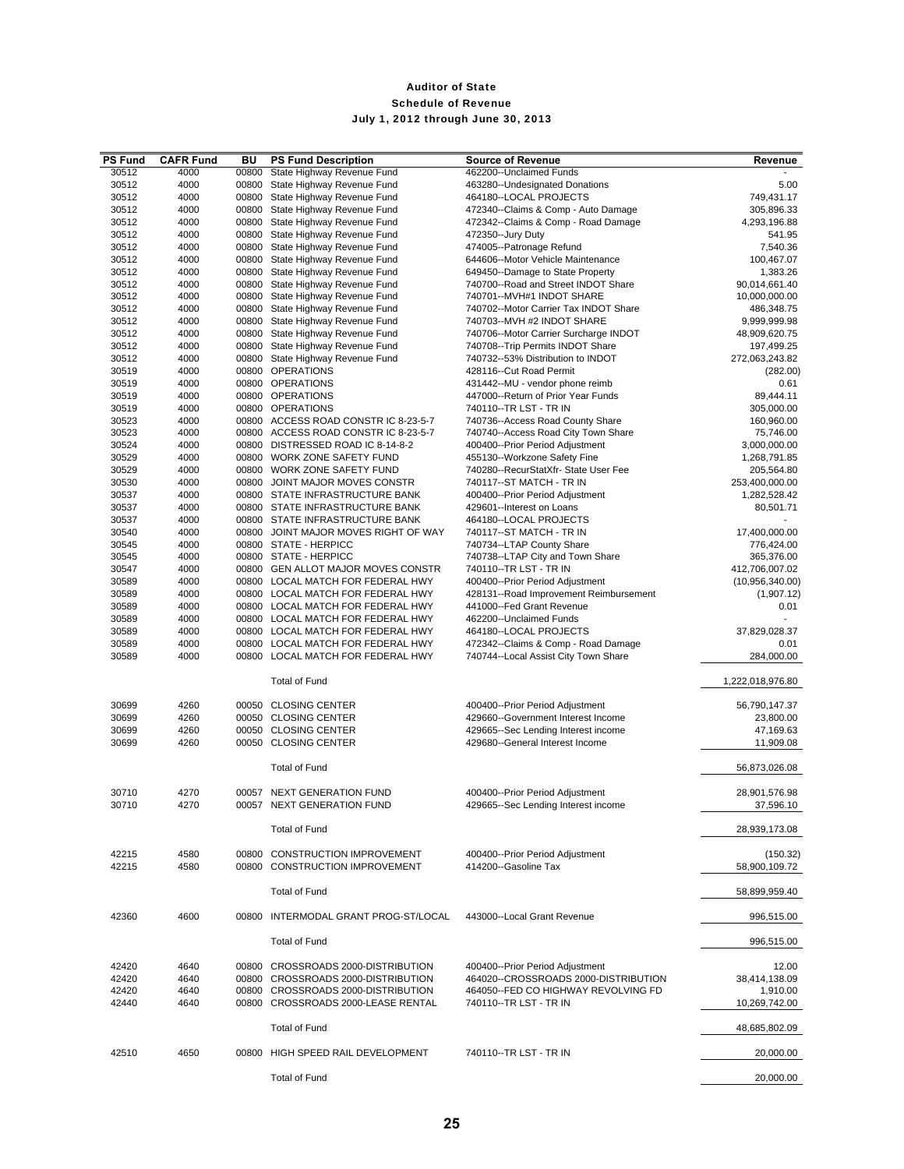| <b>PS Fund</b> | <b>CAFR Fund</b> | BU    | <b>PS Fund Description</b>                   | <b>Source of Revenue</b>                                              | Revenue           |
|----------------|------------------|-------|----------------------------------------------|-----------------------------------------------------------------------|-------------------|
| 30512          | 4000             | 00800 | State Highway Revenue Fund                   | 462200--Unclaimed Funds                                               |                   |
| 30512          | 4000             | 00800 | State Highway Revenue Fund                   | 463280--Undesignated Donations                                        | 5.00              |
| 30512          | 4000             |       | 00800 State Highway Revenue Fund             | 464180--LOCAL PROJECTS                                                | 749,431.17        |
| 30512          | 4000             |       | 00800 State Highway Revenue Fund             | 472340--Claims & Comp - Auto Damage                                   | 305,896.33        |
| 30512          | 4000             |       | 00800 State Highway Revenue Fund             | 472342--Claims & Comp - Road Damage                                   | 4,293,196.88      |
| 30512          | 4000             |       | 00800 State Highway Revenue Fund             | 472350--Jury Duty                                                     | 541.95            |
| 30512          | 4000             |       | 00800 State Highway Revenue Fund             | 474005--Patronage Refund                                              | 7,540.36          |
| 30512          | 4000             |       | 00800 State Highway Revenue Fund             | 644606--Motor Vehicle Maintenance                                     | 100,467.07        |
| 30512          | 4000             |       | 00800 State Highway Revenue Fund             | 649450--Damage to State Property                                      | 1,383.26          |
| 30512          | 4000             |       | 00800 State Highway Revenue Fund             | 740700--Road and Street INDOT Share                                   | 90,014,661.40     |
| 30512          | 4000             |       | 00800 State Highway Revenue Fund             | 740701--MVH#1 INDOT SHARE                                             | 10,000,000.00     |
| 30512          | 4000             |       | 00800 State Highway Revenue Fund             | 740702--Motor Carrier Tax INDOT Share                                 | 486,348.75        |
| 30512          | 4000             |       | 00800 State Highway Revenue Fund             | 740703--MVH #2 INDOT SHARE                                            | 9,999,999.98      |
| 30512          | 4000             |       | 00800 State Highway Revenue Fund             | 740706--Motor Carrier Surcharge INDOT                                 | 48,909,620.75     |
| 30512          | 4000             |       | 00800 State Highway Revenue Fund             | 740708--Trip Permits INDOT Share                                      | 197,499.25        |
| 30512          | 4000             |       | 00800 State Highway Revenue Fund             | 740732--53% Distribution to INDOT                                     | 272,063,243.82    |
| 30519          | 4000             |       | 00800 OPERATIONS                             | 428116--Cut Road Permit                                               | (282.00)          |
| 30519          | 4000             |       | 00800 OPERATIONS                             | 431442--MU - vendor phone reimb                                       | 0.61              |
| 30519          | 4000             |       | 00800 OPERATIONS                             | 447000--Return of Prior Year Funds                                    | 89,444.11         |
| 30519          | 4000             |       | 00800 OPERATIONS                             | 740110--TR LST - TR IN                                                | 305,000.00        |
| 30523          | 4000             |       | 00800 ACCESS ROAD CONSTR IC 8-23-5-7         | 740736--Access Road County Share                                      | 160,960.00        |
| 30523          | 4000             |       | 00800 ACCESS ROAD CONSTR IC 8-23-5-7         | 740740--Access Road City Town Share                                   | 75,746.00         |
| 30524          | 4000             |       | 00800 DISTRESSED ROAD IC 8-14-8-2            | 400400--Prior Period Adjustment                                       | 3,000,000.00      |
| 30529          | 4000             |       | 00800 WORK ZONE SAFETY FUND                  | 455130--Workzone Safety Fine                                          | 1,268,791.85      |
| 30529          | 4000             |       | 00800 WORK ZONE SAFETY FUND                  | 740280--RecurStatXfr-State User Fee                                   | 205,564.80        |
| 30530          | 4000             |       | 00800 JOINT MAJOR MOVES CONSTR               | 740117 -- ST MATCH - TR IN                                            | 253,400,000.00    |
| 30537          | 4000             |       | 00800 STATE INFRASTRUCTURE BANK              | 400400--Prior Period Adjustment                                       | 1,282,528.42      |
| 30537          | 4000             |       | 00800 STATE INFRASTRUCTURE BANK              | 429601--Interest on Loans                                             | 80,501.71         |
| 30537          | 4000             |       | 00800 STATE INFRASTRUCTURE BANK              | 464180--LOCAL PROJECTS                                                |                   |
| 30540          | 4000             |       | 00800 JOINT MAJOR MOVES RIGHT OF WAY         | 740117 -- ST MATCH - TR IN                                            | 17,400,000.00     |
| 30545          | 4000             |       | 00800 STATE - HERPICC                        | 740734--LTAP County Share                                             | 776,424.00        |
| 30545          | 4000             |       | 00800 STATE - HERPICC                        | 740738--LTAP City and Town Share                                      | 365,376.00        |
| 30547          | 4000             |       | 00800 GEN ALLOT MAJOR MOVES CONSTR           | 740110--TR LST - TR IN                                                | 412,706,007.02    |
| 30589          | 4000             |       | 00800 LOCAL MATCH FOR FEDERAL HWY            | 400400--Prior Period Adjustment                                       | (10, 956, 340.00) |
| 30589          | 4000             |       | 00800 LOCAL MATCH FOR FEDERAL HWY            | 428131--Road Improvement Reimbursement                                | (1,907.12)        |
| 30589          | 4000             |       | 00800 LOCAL MATCH FOR FEDERAL HWY            | 441000--Fed Grant Revenue                                             | 0.01              |
| 30589          | 4000             |       | 00800 LOCAL MATCH FOR FEDERAL HWY            | 462200--Unclaimed Funds                                               |                   |
| 30589          | 4000             |       | 00800 LOCAL MATCH FOR FEDERAL HWY            | 464180--LOCAL PROJECTS                                                | 37,829,028.37     |
| 30589          | 4000             |       | 00800 LOCAL MATCH FOR FEDERAL HWY            | 472342--Claims & Comp - Road Damage                                   | 0.01              |
| 30589          | 4000             |       | 00800 LOCAL MATCH FOR FEDERAL HWY            | 740744--Local Assist City Town Share                                  | 284,000.00        |
|                |                  |       |                                              |                                                                       |                   |
|                |                  |       | <b>Total of Fund</b>                         |                                                                       | 1,222,018,976.80  |
|                |                  |       |                                              |                                                                       |                   |
| 30699          | 4260             |       | 00050 CLOSING CENTER                         |                                                                       |                   |
|                |                  |       |                                              | 400400--Prior Period Adjustment<br>429660--Government Interest Income | 56,790,147.37     |
| 30699          | 4260             |       | 00050 CLOSING CENTER                         | 429665--Sec Lending Interest income                                   | 23,800.00         |
| 30699<br>30699 | 4260<br>4260     |       | 00050 CLOSING CENTER<br>00050 CLOSING CENTER | 429680--General Interest Income                                       | 47,169.63         |
|                |                  |       |                                              |                                                                       | 11,909.08         |
|                |                  |       | <b>Total of Fund</b>                         |                                                                       | 56,873,026.08     |
|                |                  |       |                                              |                                                                       |                   |
|                |                  |       | 00057 NEXT GENERATION FUND                   |                                                                       |                   |
| 30710<br>30710 | 4270<br>4270     |       | 00057 NEXT GENERATION FUND                   | 400400--Prior Period Adjustment                                       | 28,901,576.98     |
|                |                  |       |                                              | 429665--Sec Lending Interest income                                   | 37,596.10         |
|                |                  |       |                                              |                                                                       |                   |
|                |                  |       | <b>Total of Fund</b>                         |                                                                       | 28,939,173.08     |
|                |                  |       |                                              |                                                                       |                   |
| 42215          | 4580             |       | 00800 CONSTRUCTION IMPROVEMENT               | 400400--Prior Period Adjustment                                       | (150.32)          |
| 42215          | 4580             |       | 00800 CONSTRUCTION IMPROVEMENT               | 414200--Gasoline Tax                                                  | 58,900,109.72     |
|                |                  |       |                                              |                                                                       |                   |
|                |                  |       | <b>Total of Fund</b>                         |                                                                       | 58,899,959.40     |
|                |                  |       |                                              |                                                                       |                   |
| 42360          | 4600             |       | 00800 INTERMODAL GRANT PROG-ST/LOCAL         | 443000--Local Grant Revenue                                           | 996,515.00        |
|                |                  |       |                                              |                                                                       |                   |
|                |                  |       | <b>Total of Fund</b>                         |                                                                       | 996,515.00        |
|                |                  |       |                                              |                                                                       |                   |
| 42420          | 4640             |       | 00800 CROSSROADS 2000-DISTRIBUTION           | 400400--Prior Period Adjustment                                       | 12.00             |
| 42420          | 4640             |       | 00800 CROSSROADS 2000-DISTRIBUTION           | 464020--CROSSROADS 2000-DISTRIBUTION                                  | 38,414,138.09     |
| 42420          | 4640             |       | 00800 CROSSROADS 2000-DISTRIBUTION           | 464050--FED CO HIGHWAY REVOLVING FD                                   | 1,910.00          |
| 42440          | 4640             |       | 00800 CROSSROADS 2000-LEASE RENTAL           | 740110--TR LST - TR IN                                                | 10,269,742.00     |
|                |                  |       |                                              |                                                                       |                   |
|                |                  |       | <b>Total of Fund</b>                         |                                                                       | 48,685,802.09     |
|                |                  |       |                                              |                                                                       |                   |
| 42510          | 4650             |       | 00800 HIGH SPEED RAIL DEVELOPMENT            | 740110--TR LST - TR IN                                                | 20,000.00         |
|                |                  |       |                                              |                                                                       |                   |
|                |                  |       | <b>Total of Fund</b>                         |                                                                       | 20,000.00         |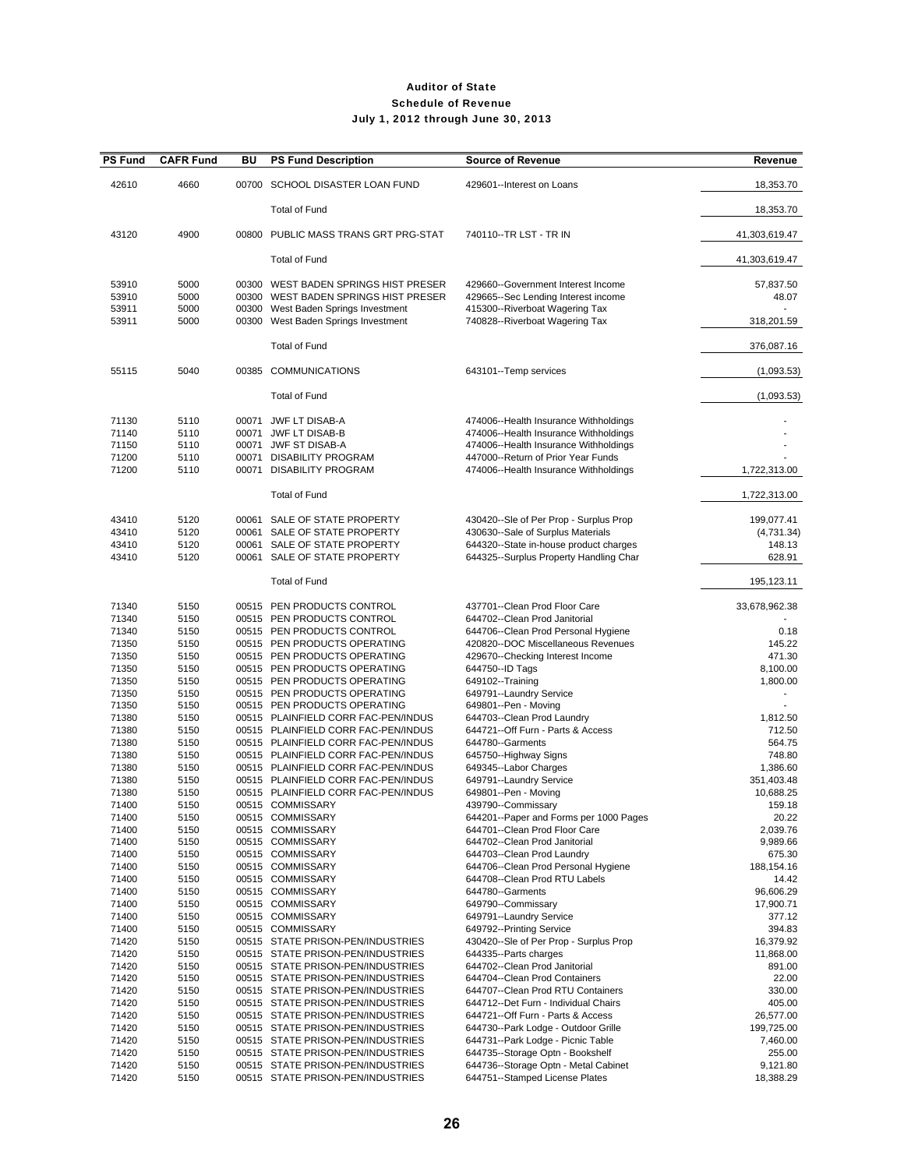| <b>PS Fund</b>                            | <b>CAFR Fund</b>                     | ΒU | <b>PS Fund Description</b>                                                                                                   | <b>Source of Revenue</b>                                                                                                                                                                               | Revenue                                      |
|-------------------------------------------|--------------------------------------|----|------------------------------------------------------------------------------------------------------------------------------|--------------------------------------------------------------------------------------------------------------------------------------------------------------------------------------------------------|----------------------------------------------|
| 42610                                     | 4660                                 |    | 00700 SCHOOL DISASTER LOAN FUND                                                                                              | 429601--Interest on Loans                                                                                                                                                                              | 18,353.70                                    |
|                                           |                                      |    | <b>Total of Fund</b>                                                                                                         |                                                                                                                                                                                                        | 18,353.70                                    |
| 43120                                     | 4900                                 |    | 00800 PUBLIC MASS TRANS GRT PRG-STAT                                                                                         | 740110--TR LST - TR IN                                                                                                                                                                                 | 41,303,619.47                                |
|                                           |                                      |    | <b>Total of Fund</b>                                                                                                         |                                                                                                                                                                                                        | 41,303,619.47                                |
| 53910<br>53910                            | 5000<br>5000                         |    | 00300 WEST BADEN SPRINGS HIST PRESER<br>00300 WEST BADEN SPRINGS HIST PRESER                                                 | 429660--Government Interest Income<br>429665--Sec Lending Interest income                                                                                                                              | 57,837.50<br>48.07                           |
| 53911<br>53911                            | 5000<br>5000                         |    | 00300 West Baden Springs Investment<br>00300 West Baden Springs Investment                                                   | 415300--Riverboat Wagering Tax<br>740828--Riverboat Wagering Tax                                                                                                                                       | 318,201.59                                   |
|                                           |                                      |    | <b>Total of Fund</b>                                                                                                         |                                                                                                                                                                                                        | 376,087.16                                   |
| 55115                                     | 5040                                 |    | 00385 COMMUNICATIONS                                                                                                         | 643101--Temp services                                                                                                                                                                                  | (1,093.53)                                   |
|                                           |                                      |    | <b>Total of Fund</b>                                                                                                         |                                                                                                                                                                                                        | (1,093.53)                                   |
| 71130<br>71140<br>71150<br>71200<br>71200 | 5110<br>5110<br>5110<br>5110<br>5110 |    | 00071 JWF LT DISAB-A<br>00071 JWF LT DISAB-B<br>00071 JWF ST DISAB-A<br>00071 DISABILITY PROGRAM<br>00071 DISABILITY PROGRAM | 474006--Health Insurance Withholdings<br>474006--Health Insurance Withholdings<br>474006--Health Insurance Withholdings<br>447000--Return of Prior Year Funds<br>474006--Health Insurance Withholdings | 1,722,313.00                                 |
|                                           |                                      |    | <b>Total of Fund</b>                                                                                                         |                                                                                                                                                                                                        | 1,722,313.00                                 |
| 43410<br>43410<br>43410<br>43410          | 5120<br>5120<br>5120<br>5120         |    | 00061 SALE OF STATE PROPERTY<br>00061 SALE OF STATE PROPERTY<br>00061 SALE OF STATE PROPERTY<br>00061 SALE OF STATE PROPERTY | 430420--Sle of Per Prop - Surplus Prop<br>430630--Sale of Surplus Materials<br>644320--State in-house product charges<br>644325--Surplus Property Handling Char                                        | 199,077.41<br>(4,731.34)<br>148.13<br>628.91 |
|                                           |                                      |    | <b>Total of Fund</b>                                                                                                         |                                                                                                                                                                                                        | 195,123.11                                   |
| 71340<br>71340                            | 5150<br>5150                         |    | 00515 PEN PRODUCTS CONTROL<br>00515 PEN PRODUCTS CONTROL                                                                     | 437701--Clean Prod Floor Care<br>644702--Clean Prod Janitorial                                                                                                                                         | 33,678,962.38                                |
| 71340<br>71350                            | 5150<br>5150                         |    | 00515 PEN PRODUCTS CONTROL<br>00515 PEN PRODUCTS OPERATING                                                                   | 644706--Clean Prod Personal Hygiene<br>420820--DOC Miscellaneous Revenues                                                                                                                              | 0.18<br>145.22                               |
| 71350                                     | 5150                                 |    | 00515 PEN PRODUCTS OPERATING                                                                                                 | 429670--Checking Interest Income                                                                                                                                                                       | 471.30                                       |
| 71350                                     | 5150                                 |    | 00515 PEN PRODUCTS OPERATING                                                                                                 | 644750--ID Tags                                                                                                                                                                                        | 8,100.00                                     |
| 71350                                     | 5150                                 |    | 00515 PEN PRODUCTS OPERATING                                                                                                 | 649102--Training                                                                                                                                                                                       | 1,800.00                                     |
| 71350                                     | 5150                                 |    | 00515 PEN PRODUCTS OPERATING                                                                                                 | 649791--Laundry Service                                                                                                                                                                                |                                              |
| 71350                                     | 5150                                 |    | 00515 PEN PRODUCTS OPERATING                                                                                                 | 649801--Pen - Moving                                                                                                                                                                                   |                                              |
| 71380                                     | 5150                                 |    | 00515 PLAINFIELD CORR FAC-PEN/INDUS                                                                                          | 644703--Clean Prod Laundry                                                                                                                                                                             | 1,812.50                                     |
| 71380<br>71380                            | 5150<br>5150                         |    | 00515 PLAINFIELD CORR FAC-PEN/INDUS<br>00515 PLAINFIELD CORR FAC-PEN/INDUS                                                   | 644721--Off Furn - Parts & Access<br>644780--Garments                                                                                                                                                  | 712.50<br>564.75                             |
| 71380                                     | 5150                                 |    | 00515 PLAINFIELD CORR FAC-PEN/INDUS                                                                                          | 645750--Highway Signs                                                                                                                                                                                  | 748.80                                       |
| 71380                                     | 5150                                 |    | 00515 PLAINFIELD CORR FAC-PEN/INDUS                                                                                          | 649345--Labor Charges                                                                                                                                                                                  | 1,386.60                                     |
| 71380                                     | 5150                                 |    | 00515 PLAINFIELD CORR FAC-PEN/INDUS                                                                                          | 649791--Laundry Service                                                                                                                                                                                | 351,403.48                                   |
| 71380                                     | 5150                                 |    | 00515 PLAINFIELD CORR FAC-PEN/INDUS                                                                                          | 649801--Pen - Moving                                                                                                                                                                                   | 10,688.25                                    |
| 71400                                     | 5150                                 |    | 00515 COMMISSARY                                                                                                             | 439790--Commissary                                                                                                                                                                                     | 159.18                                       |
| 71400                                     | 5150                                 |    | 00515 COMMISSARY                                                                                                             | 644201--Paper and Forms per 1000 Pages                                                                                                                                                                 | 20.22                                        |
| 71400                                     | 5150                                 |    | 00515 COMMISSARY                                                                                                             | 644701--Clean Prod Floor Care                                                                                                                                                                          | 2,039.76                                     |
| 71400<br>71400                            | 5150<br>5150                         |    | 00515 COMMISSARY<br>00515 COMMISSARY                                                                                         | 644702--Clean Prod Janitorial<br>644703--Clean Prod Laundry                                                                                                                                            | 9,989.66<br>675.30                           |
| 71400                                     | 5150                                 |    | 00515 COMMISSARY                                                                                                             | 644706--Clean Prod Personal Hygiene                                                                                                                                                                    | 188,154.16                                   |
| 71400                                     | 5150                                 |    | 00515 COMMISSARY                                                                                                             | 644708--Clean Prod RTU Labels                                                                                                                                                                          | 14.42                                        |
| 71400                                     | 5150                                 |    | 00515 COMMISSARY                                                                                                             | 644780--Garments                                                                                                                                                                                       | 96,606.29                                    |
| 71400                                     | 5150                                 |    | 00515 COMMISSARY                                                                                                             | 649790--Commissary                                                                                                                                                                                     | 17,900.71                                    |
| 71400                                     | 5150                                 |    | 00515 COMMISSARY                                                                                                             | 649791--Laundry Service                                                                                                                                                                                | 377.12                                       |
| 71400                                     | 5150                                 |    | 00515 COMMISSARY                                                                                                             | 649792--Printing Service                                                                                                                                                                               | 394.83                                       |
| 71420<br>71420                            | 5150<br>5150                         |    | 00515 STATE PRISON-PEN/INDUSTRIES<br>00515 STATE PRISON-PEN/INDUSTRIES                                                       | 430420--Sle of Per Prop - Surplus Prop<br>644335--Parts charges                                                                                                                                        | 16,379.92<br>11,868.00                       |
| 71420                                     | 5150                                 |    | 00515 STATE PRISON-PEN/INDUSTRIES                                                                                            | 644702--Clean Prod Janitorial                                                                                                                                                                          | 891.00                                       |
| 71420                                     | 5150                                 |    | 00515 STATE PRISON-PEN/INDUSTRIES                                                                                            | 644704--Clean Prod Containers                                                                                                                                                                          | 22.00                                        |
| 71420                                     | 5150                                 |    | 00515 STATE PRISON-PEN/INDUSTRIES                                                                                            | 644707--Clean Prod RTU Containers                                                                                                                                                                      | 330.00                                       |
| 71420                                     | 5150                                 |    | 00515 STATE PRISON-PEN/INDUSTRIES                                                                                            | 644712--Det Furn - Individual Chairs                                                                                                                                                                   | 405.00                                       |
| 71420                                     | 5150                                 |    | 00515 STATE PRISON-PEN/INDUSTRIES                                                                                            | 644721--Off Furn - Parts & Access                                                                                                                                                                      | 26,577.00                                    |
| 71420                                     | 5150                                 |    | 00515 STATE PRISON-PEN/INDUSTRIES                                                                                            | 644730--Park Lodge - Outdoor Grille                                                                                                                                                                    | 199,725.00                                   |
| 71420                                     | 5150                                 |    | 00515 STATE PRISON-PEN/INDUSTRIES                                                                                            | 644731--Park Lodge - Picnic Table                                                                                                                                                                      | 7,460.00                                     |
| 71420<br>71420                            | 5150<br>5150                         |    | 00515 STATE PRISON-PEN/INDUSTRIES<br>00515 STATE PRISON-PEN/INDUSTRIES                                                       | 644735--Storage Optn - Bookshelf<br>644736--Storage Optn - Metal Cabinet                                                                                                                               | 255.00<br>9,121.80                           |
| 71420                                     | 5150                                 |    | 00515 STATE PRISON-PEN/INDUSTRIES                                                                                            | 644751--Stamped License Plates                                                                                                                                                                         | 18,388.29                                    |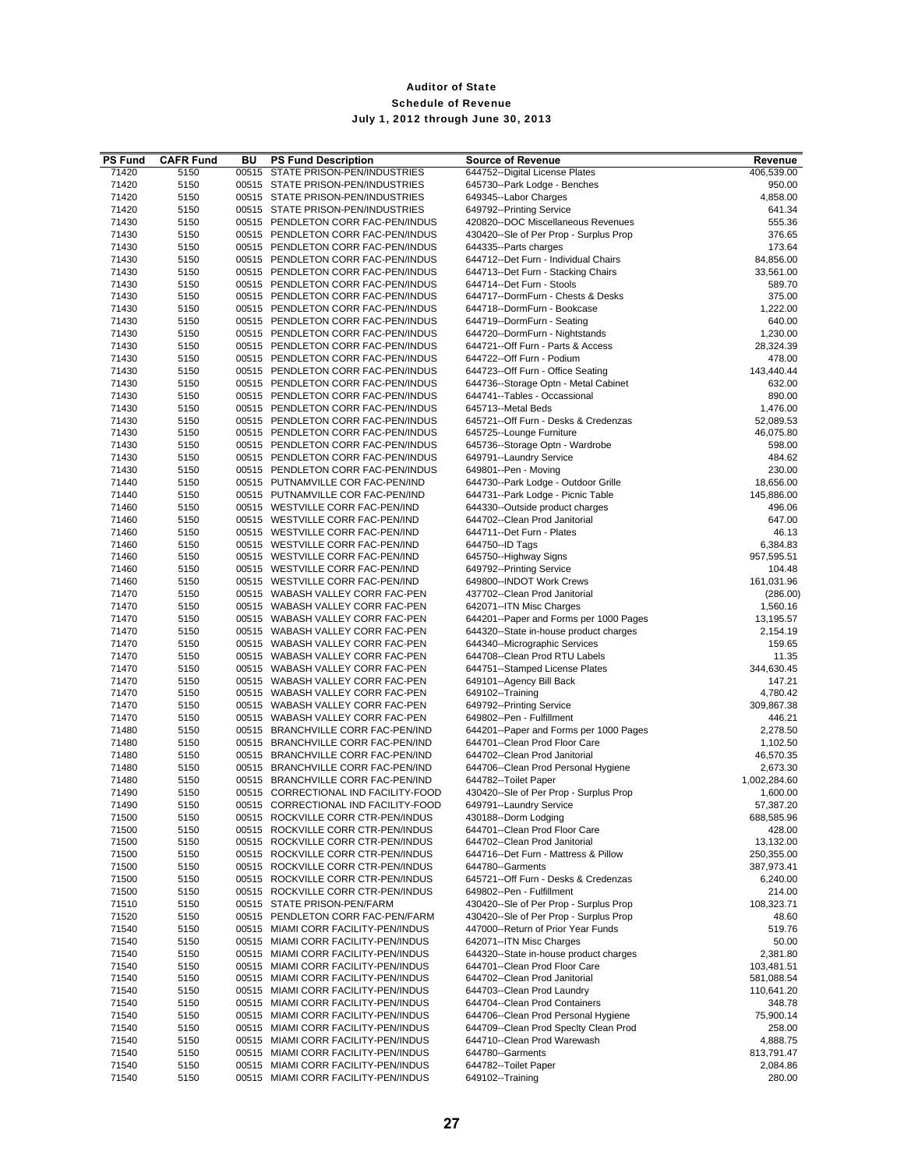| <b>PS Fund</b> | <b>CAFR Fund</b> | BU | <b>PS Fund Description</b>                                                 | <b>Source of Revenue</b>                                                     | Revenue                 |
|----------------|------------------|----|----------------------------------------------------------------------------|------------------------------------------------------------------------------|-------------------------|
| 71420          | 5150             |    | 00515 STATE PRISON-PEN/INDUSTRIES                                          | 644752--Digital License Plates                                               | 406,539.00              |
| 71420          | 5150             |    | 00515 STATE PRISON-PEN/INDUSTRIES                                          | 645730--Park Lodge - Benches                                                 | 950.00                  |
| 71420          | 5150             |    | 00515 STATE PRISON-PEN/INDUSTRIES                                          | 649345--Labor Charges                                                        | 4,858.00                |
| 71420          | 5150             |    | 00515 STATE PRISON-PEN/INDUSTRIES                                          | 649792--Printing Service                                                     | 641.34                  |
| 71430<br>71430 | 5150<br>5150     |    | 00515 PENDLETON CORR FAC-PEN/INDUS<br>00515 PENDLETON CORR FAC-PEN/INDUS   | 420820--DOC Miscellaneous Revenues<br>430420--Sle of Per Prop - Surplus Prop | 555.36<br>376.65        |
| 71430          | 5150             |    | 00515 PENDLETON CORR FAC-PEN/INDUS                                         | 644335--Parts charges                                                        | 173.64                  |
| 71430          | 5150             |    | 00515 PENDLETON CORR FAC-PEN/INDUS                                         | 644712--Det Furn - Individual Chairs                                         | 84,856.00               |
| 71430          | 5150             |    | 00515 PENDLETON CORR FAC-PEN/INDUS                                         | 644713--Det Furn - Stacking Chairs                                           | 33,561.00               |
| 71430          | 5150             |    | 00515 PENDLETON CORR FAC-PEN/INDUS                                         | 644714--Det Furn - Stools                                                    | 589.70                  |
| 71430          | 5150             |    | 00515 PENDLETON CORR FAC-PEN/INDUS                                         | 644717--DormFurn - Chests & Desks                                            | 375.00                  |
| 71430          | 5150             |    | 00515 PENDLETON CORR FAC-PEN/INDUS                                         | 644718--DormFurn - Bookcase                                                  | 1,222.00                |
| 71430          | 5150             |    | 00515 PENDLETON CORR FAC-PEN/INDUS                                         | 644719--DormFurn - Seating                                                   | 640.00                  |
| 71430          | 5150             |    | 00515 PENDLETON CORR FAC-PEN/INDUS                                         | 644720--DormFurn - Nightstands                                               | 1,230.00                |
| 71430          | 5150             |    | 00515 PENDLETON CORR FAC-PEN/INDUS                                         | 644721--Off Furn - Parts & Access                                            | 28,324.39               |
| 71430          | 5150             |    | 00515 PENDLETON CORR FAC-PEN/INDUS                                         | 644722--Off Furn - Podium                                                    | 478.00                  |
| 71430<br>71430 | 5150<br>5150     |    | 00515 PENDLETON CORR FAC-PEN/INDUS<br>00515 PENDLETON CORR FAC-PEN/INDUS   | 644723--Off Furn - Office Seating<br>644736--Storage Optn - Metal Cabinet    | 143,440.44<br>632.00    |
| 71430          | 5150             |    | 00515 PENDLETON CORR FAC-PEN/INDUS                                         | 644741--Tables - Occassional                                                 | 890.00                  |
| 71430          | 5150             |    | 00515 PENDLETON CORR FAC-PEN/INDUS                                         | 645713--Metal Beds                                                           | 1,476.00                |
| 71430          | 5150             |    | 00515 PENDLETON CORR FAC-PEN/INDUS                                         | 645721--Off Furn - Desks & Credenzas                                         | 52,089.53               |
| 71430          | 5150             |    | 00515 PENDLETON CORR FAC-PEN/INDUS                                         | 645725--Lounge Furniture                                                     | 46,075.80               |
| 71430          | 5150             |    | 00515 PENDLETON CORR FAC-PEN/INDUS                                         | 645736--Storage Optn - Wardrobe                                              | 598.00                  |
| 71430          | 5150             |    | 00515 PENDLETON CORR FAC-PEN/INDUS                                         | 649791--Laundry Service                                                      | 484.62                  |
| 71430          | 5150             |    | 00515 PENDLETON CORR FAC-PEN/INDUS                                         | 649801--Pen - Moving                                                         | 230.00                  |
| 71440          | 5150             |    | 00515 PUTNAMVILLE COR FAC-PEN/IND                                          | 644730--Park Lodge - Outdoor Grille                                          | 18,656.00               |
| 71440          | 5150             |    | 00515 PUTNAMVILLE COR FAC-PEN/IND                                          | 644731--Park Lodge - Picnic Table                                            | 145,886.00              |
| 71460          | 5150             |    | 00515 WESTVILLE CORR FAC-PEN/IND                                           | 644330--Outside product charges                                              | 496.06                  |
| 71460          | 5150             |    | 00515 WESTVILLE CORR FAC-PEN/IND                                           | 644702--Clean Prod Janitorial<br>644711--Det Furn - Plates                   | 647.00                  |
| 71460<br>71460 | 5150<br>5150     |    | 00515 WESTVILLE CORR FAC-PEN/IND<br>00515 WESTVILLE CORR FAC-PEN/IND       | 644750--ID Tags                                                              | 46.13<br>6,384.83       |
| 71460          | 5150             |    | 00515 WESTVILLE CORR FAC-PEN/IND                                           | 645750--Highway Signs                                                        | 957,595.51              |
| 71460          | 5150             |    | 00515 WESTVILLE CORR FAC-PEN/IND                                           | 649792--Printing Service                                                     | 104.48                  |
| 71460          | 5150             |    | 00515 WESTVILLE CORR FAC-PEN/IND                                           | 649800--INDOT Work Crews                                                     | 161,031.96              |
| 71470          | 5150             |    | 00515 WABASH VALLEY CORR FAC-PEN                                           | 437702--Clean Prod Janitorial                                                | (286.00)                |
| 71470          | 5150             |    | 00515 WABASH VALLEY CORR FAC-PEN                                           | 642071--ITN Misc Charges                                                     | 1,560.16                |
| 71470          | 5150             |    | 00515 WABASH VALLEY CORR FAC-PEN                                           | 644201--Paper and Forms per 1000 Pages                                       | 13,195.57               |
| 71470          | 5150             |    | 00515 WABASH VALLEY CORR FAC-PEN                                           | 644320--State in-house product charges                                       | 2,154.19                |
| 71470          | 5150             |    | 00515 WABASH VALLEY CORR FAC-PEN                                           | 644340--Micrographic Services                                                | 159.65                  |
| 71470          | 5150             |    | 00515 WABASH VALLEY CORR FAC-PEN                                           | 644708--Clean Prod RTU Labels                                                | 11.35                   |
| 71470<br>71470 | 5150<br>5150     |    | 00515 WABASH VALLEY CORR FAC-PEN<br>00515 WABASH VALLEY CORR FAC-PEN       | 644751--Stamped License Plates<br>649101--Agency Bill Back                   | 344,630.45<br>147.21    |
| 71470          | 5150             |    | 00515 WABASH VALLEY CORR FAC-PEN                                           | 649102--Training                                                             | 4,780.42                |
| 71470          | 5150             |    | 00515 WABASH VALLEY CORR FAC-PEN                                           | 649792--Printing Service                                                     | 309,867.38              |
| 71470          | 5150             |    | 00515 WABASH VALLEY CORR FAC-PEN                                           | 649802--Pen - Fulfillment                                                    | 446.21                  |
| 71480          | 5150             |    | 00515 BRANCHVILLE CORR FAC-PEN/IND                                         | 644201--Paper and Forms per 1000 Pages                                       | 2,278.50                |
| 71480          | 5150             |    | 00515 BRANCHVILLE CORR FAC-PEN/IND                                         | 644701--Clean Prod Floor Care                                                | 1,102.50                |
| 71480          | 5150             |    | 00515 BRANCHVILLE CORR FAC-PEN/IND                                         | 644702--Clean Prod Janitorial                                                | 46,570.35               |
| 71480          | 5150             |    | 00515 BRANCHVILLE CORR FAC-PEN/IND                                         | 644706--Clean Prod Personal Hygiene                                          | 2,673.30                |
| 71480          | 5150             |    | 00515 BRANCHVILLE CORR FAC-PEN/IND                                         | 644782--Toilet Paper                                                         | 1,002,284.60            |
| 71490          | 5150             |    | 00515 CORRECTIONAL IND FACILITY-FOOD                                       | 430420--Sle of Per Prop - Surplus Prop<br>649791--Laundry Service            | 1,600.00                |
| 71490<br>71500 | 5150<br>5150     |    | 00515 CORRECTIONAL IND FACILITY-FOOD<br>00515 ROCKVILLE CORR CTR-PEN/INDUS | 430188--Dorm Lodging                                                         | 57,387.20<br>688,585.96 |
| 71500          | 5150             |    | 00515 ROCKVILLE CORR CTR-PEN/INDUS                                         | 644701--Clean Prod Floor Care                                                | 428.00                  |
| 71500          | 5150             |    | 00515 ROCKVILLE CORR CTR-PEN/INDUS                                         | 644702--Clean Prod Janitorial                                                | 13,132.00               |
| 71500          | 5150             |    | 00515 ROCKVILLE CORR CTR-PEN/INDUS                                         | 644716--Det Furn - Mattress & Pillow                                         | 250,355.00              |
| 71500          | 5150             |    | 00515 ROCKVILLE CORR CTR-PEN/INDUS                                         | 644780--Garments                                                             | 387,973.41              |
| 71500          | 5150             |    | 00515 ROCKVILLE CORR CTR-PEN/INDUS                                         | 645721--Off Furn - Desks & Credenzas                                         | 6,240.00                |
| 71500          | 5150             |    | 00515 ROCKVILLE CORR CTR-PEN/INDUS                                         | 649802--Pen - Fulfillment                                                    | 214.00                  |
| 71510          | 5150             |    | 00515 STATE PRISON-PEN/FARM                                                | 430420--Sle of Per Prop - Surplus Prop                                       | 108,323.71              |
| 71520          | 5150             |    | 00515 PENDLETON CORR FAC-PEN/FARM                                          | 430420--Sle of Per Prop - Surplus Prop                                       | 48.60                   |
| 71540          | 5150             |    | 00515 MIAMI CORR FACILITY-PEN/INDUS                                        | 447000--Return of Prior Year Funds                                           | 519.76                  |
| 71540<br>71540 | 5150<br>5150     |    | 00515 MIAMI CORR FACILITY-PEN/INDUS<br>00515 MIAMI CORR FACILITY-PEN/INDUS | 642071--ITN Misc Charges<br>644320--State in-house product charges           | 50.00<br>2,381.80       |
| 71540          | 5150             |    | 00515 MIAMI CORR FACILITY-PEN/INDUS                                        | 644701--Clean Prod Floor Care                                                | 103,481.51              |
| 71540          | 5150             |    | 00515 MIAMI CORR FACILITY-PEN/INDUS                                        | 644702--Clean Prod Janitorial                                                | 581,088.54              |
| 71540          | 5150             |    | 00515 MIAMI CORR FACILITY-PEN/INDUS                                        | 644703--Clean Prod Laundry                                                   | 110,641.20              |
| 71540          | 5150             |    | 00515 MIAMI CORR FACILITY-PEN/INDUS                                        | 644704--Clean Prod Containers                                                | 348.78                  |
| 71540          | 5150             |    | 00515 MIAMI CORR FACILITY-PEN/INDUS                                        | 644706--Clean Prod Personal Hygiene                                          | 75,900.14               |
| 71540          | 5150             |    | 00515 MIAMI CORR FACILITY-PEN/INDUS                                        | 644709--Clean Prod Specity Clean Prod                                        | 258.00                  |
| 71540          | 5150             |    | 00515 MIAMI CORR FACILITY-PEN/INDUS                                        | 644710--Clean Prod Warewash                                                  | 4,888.75                |
| 71540          | 5150             |    | 00515 MIAMI CORR FACILITY-PEN/INDUS                                        | 644780--Garments                                                             | 813,791.47              |
| 71540<br>71540 | 5150<br>5150     |    | 00515 MIAMI CORR FACILITY-PEN/INDUS<br>00515 MIAMI CORR FACILITY-PEN/INDUS | 644782--Toilet Paper<br>649102--Training                                     | 2,084.86<br>280.00      |
|                |                  |    |                                                                            |                                                                              |                         |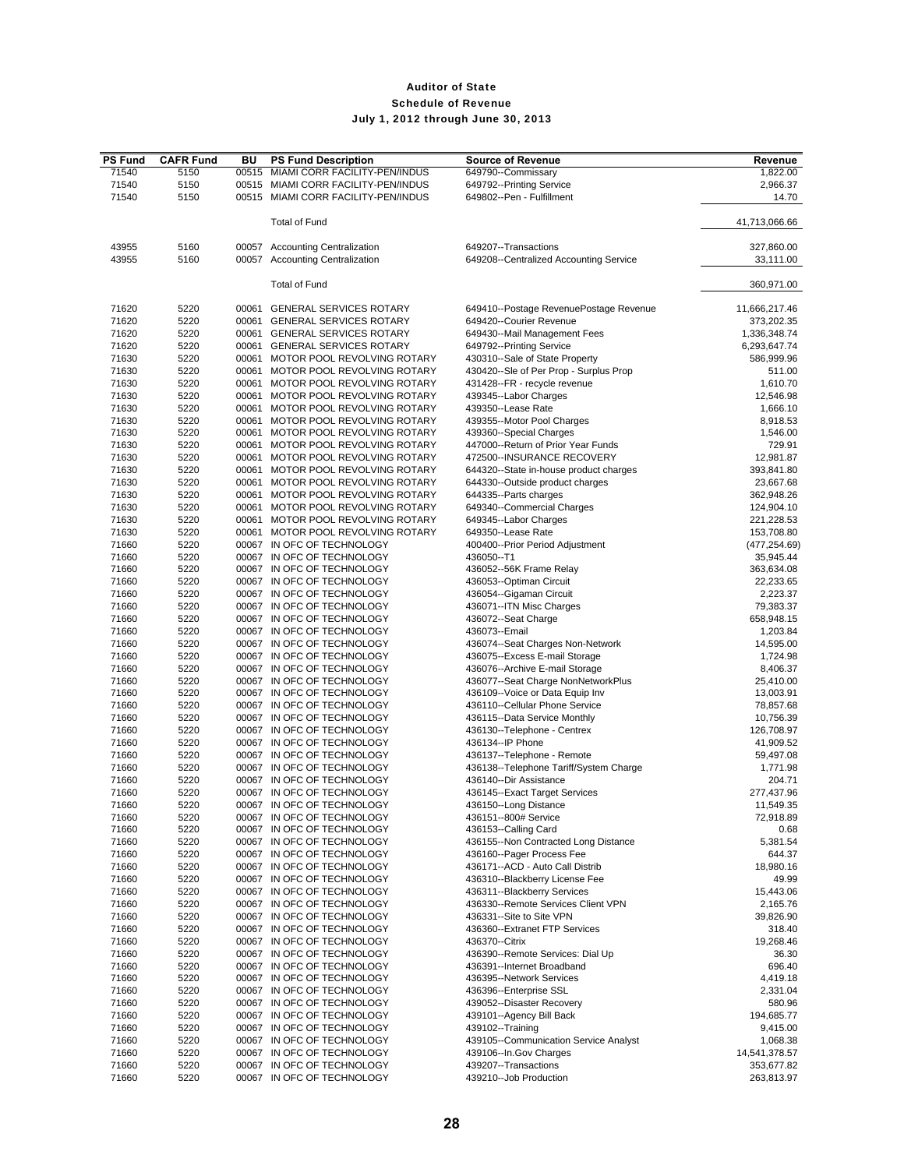| <b>PS Fund</b> | <b>CAFR Fund</b> | BU    | <b>PS Fund Description</b>          | <b>Source of Revenue</b>               | Revenue       |
|----------------|------------------|-------|-------------------------------------|----------------------------------------|---------------|
| 71540          | 5150             | 00515 | MIAMI CORR FACILITY-PEN/INDUS       | 649790--Commissary                     | 1,822.00      |
| 71540          | 5150             |       | 00515 MIAMI CORR FACILITY-PEN/INDUS | 649792--Printing Service               | 2,966.37      |
| 71540          | 5150             |       | 00515 MIAMI CORR FACILITY-PEN/INDUS | 649802--Pen - Fulfillment              | 14.70         |
|                |                  |       |                                     |                                        |               |
|                |                  |       | <b>Total of Fund</b>                |                                        | 41,713,066.66 |
|                |                  |       |                                     |                                        |               |
| 43955          | 5160             |       | 00057 Accounting Centralization     | 649207--Transactions                   | 327,860.00    |
| 43955          | 5160             |       | 00057 Accounting Centralization     | 649208--Centralized Accounting Service | 33,111.00     |
|                |                  |       | <b>Total of Fund</b>                |                                        | 360,971.00    |
|                |                  |       |                                     |                                        |               |
| 71620          | 5220             |       | 00061 GENERAL SERVICES ROTARY       | 649410--Postage RevenuePostage Revenue | 11,666,217.46 |
| 71620          | 5220             |       | 00061 GENERAL SERVICES ROTARY       | 649420--Courier Revenue                | 373,202.35    |
| 71620          | 5220             |       | 00061 GENERAL SERVICES ROTARY       | 649430--Mail Management Fees           | 1,336,348.74  |
| 71620          | 5220             |       | 00061 GENERAL SERVICES ROTARY       | 649792--Printing Service               | 6,293,647.74  |
| 71630          | 5220             | 00061 | MOTOR POOL REVOLVING ROTARY         | 430310--Sale of State Property         | 586,999.96    |
| 71630          | 5220             |       | 00061 MOTOR POOL REVOLVING ROTARY   | 430420--Sle of Per Prop - Surplus Prop | 511.00        |
| 71630          | 5220             |       | 00061 MOTOR POOL REVOLVING ROTARY   | 431428--FR - recycle revenue           | 1,610.70      |
| 71630          | 5220             | 00061 | MOTOR POOL REVOLVING ROTARY         | 439345--Labor Charges                  | 12,546.98     |
| 71630          | 5220             |       | 00061 MOTOR POOL REVOLVING ROTARY   | 439350--Lease Rate                     | 1,666.10      |
| 71630          | 5220             | 00061 | MOTOR POOL REVOLVING ROTARY         | 439355--Motor Pool Charges             | 8,918.53      |
| 71630          | 5220             |       | 00061 MOTOR POOL REVOLVING ROTARY   | 439360--Special Charges                | 1,546.00      |
| 71630          | 5220             |       | 00061 MOTOR POOL REVOLVING ROTARY   | 447000--Return of Prior Year Funds     | 729.91        |
| 71630          | 5220             |       | 00061 MOTOR POOL REVOLVING ROTARY   | 472500--INSURANCE RECOVERY             | 12,981.87     |
| 71630          | 5220             |       | 00061 MOTOR POOL REVOLVING ROTARY   | 644320--State in-house product charges | 393,841.80    |
| 71630          | 5220             |       | 00061 MOTOR POOL REVOLVING ROTARY   | 644330--Outside product charges        | 23,667.68     |
| 71630          | 5220             |       | 00061 MOTOR POOL REVOLVING ROTARY   | 644335--Parts charges                  | 362,948.26    |
| 71630          | 5220             |       | 00061 MOTOR POOL REVOLVING ROTARY   | 649340--Commercial Charges             | 124,904.10    |
| 71630          | 5220             |       | 00061 MOTOR POOL REVOLVING ROTARY   | 649345--Labor Charges                  | 221,228.53    |
| 71630          | 5220             |       | 00061 MOTOR POOL REVOLVING ROTARY   | 649350--Lease Rate                     | 153,708.80    |
| 71660          | 5220             |       | 00067 IN OFC OF TECHNOLOGY          | 400400--Prior Period Adjustment        | (477, 254.69) |
| 71660          | 5220             |       | 00067 IN OFC OF TECHNOLOGY          | 436050--T1                             | 35,945.44     |
| 71660          | 5220             |       | 00067 IN OFC OF TECHNOLOGY          | 436052--56K Frame Relay                | 363,634.08    |
| 71660          | 5220             |       | 00067 IN OFC OF TECHNOLOGY          | 436053--Optiman Circuit                | 22,233.65     |
| 71660          | 5220             |       | 00067 IN OFC OF TECHNOLOGY          | 436054--Gigaman Circuit                | 2,223.37      |
| 71660          | 5220             |       | 00067 IN OFC OF TECHNOLOGY          | 436071--ITN Misc Charges               | 79,383.37     |
| 71660          | 5220             |       | 00067 IN OFC OF TECHNOLOGY          | 436072--Seat Charge                    | 658,948.15    |
| 71660          | 5220             |       | 00067 IN OFC OF TECHNOLOGY          | 436073 -- Email                        | 1,203.84      |
| 71660          | 5220             |       | 00067 IN OFC OF TECHNOLOGY          | 436074--Seat Charges Non-Network       | 14,595.00     |
| 71660          | 5220             |       | 00067 IN OFC OF TECHNOLOGY          | 436075--Excess E-mail Storage          | 1,724.98      |
| 71660          | 5220             |       | 00067 IN OFC OF TECHNOLOGY          | 436076--Archive E-mail Storage         | 8,406.37      |
| 71660          | 5220             |       | 00067 IN OFC OF TECHNOLOGY          | 436077--Seat Charge NonNetworkPlus     | 25,410.00     |
| 71660          | 5220             |       | 00067 IN OFC OF TECHNOLOGY          | 436109--Voice or Data Equip Inv        | 13,003.91     |
| 71660          | 5220             |       | 00067 IN OFC OF TECHNOLOGY          | 436110--Cellular Phone Service         | 78,857.68     |
| 71660          | 5220             |       | 00067 IN OFC OF TECHNOLOGY          | 436115--Data Service Monthly           | 10,756.39     |
| 71660          | 5220             |       | 00067 IN OFC OF TECHNOLOGY          | 436130--Telephone - Centrex            | 126,708.97    |
| 71660          | 5220             |       | 00067 IN OFC OF TECHNOLOGY          | 436134--IP Phone                       | 41,909.52     |
| 71660          | 5220             |       | 00067 IN OFC OF TECHNOLOGY          | 436137--Telephone - Remote             | 59,497.08     |
| 71660          | 5220             |       | 00067 IN OFC OF TECHNOLOGY          | 436138--Telephone Tariff/System Charge | 1,771.98      |
| 71660          | 5220             |       | 00067 IN OFC OF TECHNOLOGY          | 436140--Dir Assistance                 | 204.71        |
| 71660          | 5220             |       | 00067 IN OFC OF TECHNOLOGY          | 436145--Exact Target Services          | 277,437.96    |
| 71660          | 5220             |       | 00067 IN OFC OF TECHNOLOGY          | 436150--Long Distance                  | 11,549.35     |
| 71660          | 5220             |       | 00067 IN OFC OF TECHNOLOGY          | 436151--800# Service                   | 72,918.89     |
| 71660          | 5220             |       | 00067 IN OFC OF TECHNOLOGY          | 436153--Calling Card                   | 0.68          |
| 71660          | 5220             |       | 00067 IN OFC OF TECHNOLOGY          | 436155--Non Contracted Long Distance   | 5,381.54      |
| 71660          | 5220             |       | 00067 IN OFC OF TECHNOLOGY          | 436160--Pager Process Fee              | 644.37        |
| 71660          | 5220             |       | 00067 IN OFC OF TECHNOLOGY          | 436171--ACD - Auto Call Distrib        | 18,980.16     |
| 71660          | 5220             |       | 00067 IN OFC OF TECHNOLOGY          | 436310--Blackberry License Fee         | 49.99         |
| 71660          | 5220             |       | 00067 IN OFC OF TECHNOLOGY          | 436311--Blackberry Services            | 15,443.06     |
| 71660          | 5220             |       | 00067 IN OFC OF TECHNOLOGY          | 436330--Remote Services Client VPN     | 2,165.76      |
| 71660          | 5220             |       | 00067 IN OFC OF TECHNOLOGY          | 436331--Site to Site VPN               | 39,826.90     |
| 71660          | 5220             |       | 00067 IN OFC OF TECHNOLOGY          | 436360--Extranet FTP Services          | 318.40        |
| 71660          | 5220             |       | 00067 IN OFC OF TECHNOLOGY          | 436370--Citrix                         | 19,268.46     |
| 71660          | 5220             |       | 00067 IN OFC OF TECHNOLOGY          | 436390--Remote Services: Dial Up       | 36.30         |
| 71660          | 5220             |       | 00067 IN OFC OF TECHNOLOGY          | 436391--Internet Broadband             | 696.40        |
| 71660          | 5220             |       | 00067 IN OFC OF TECHNOLOGY          | 436395--Network Services               | 4,419.18      |
| 71660          | 5220             |       | 00067 IN OFC OF TECHNOLOGY          | 436396--Enterprise SSL                 | 2,331.04      |
| 71660          | 5220             |       | 00067 IN OFC OF TECHNOLOGY          | 439052--Disaster Recovery              | 580.96        |
| 71660          | 5220             |       | 00067 IN OFC OF TECHNOLOGY          | 439101--Agency Bill Back               | 194,685.77    |
| 71660          | 5220             |       | 00067 IN OFC OF TECHNOLOGY          | 439102--Training                       | 9,415.00      |
| 71660          | 5220             |       | 00067 IN OFC OF TECHNOLOGY          | 439105--Communication Service Analyst  | 1,068.38      |
| 71660          | 5220             |       | 00067 IN OFC OF TECHNOLOGY          | 439106--In.Gov Charges                 | 14,541,378.57 |
| 71660          | 5220             |       | 00067 IN OFC OF TECHNOLOGY          | 439207--Transactions                   | 353,677.82    |
| 71660          | 5220             |       | 00067 IN OFC OF TECHNOLOGY          | 439210--Job Production                 | 263,813.97    |
|                |                  |       |                                     |                                        |               |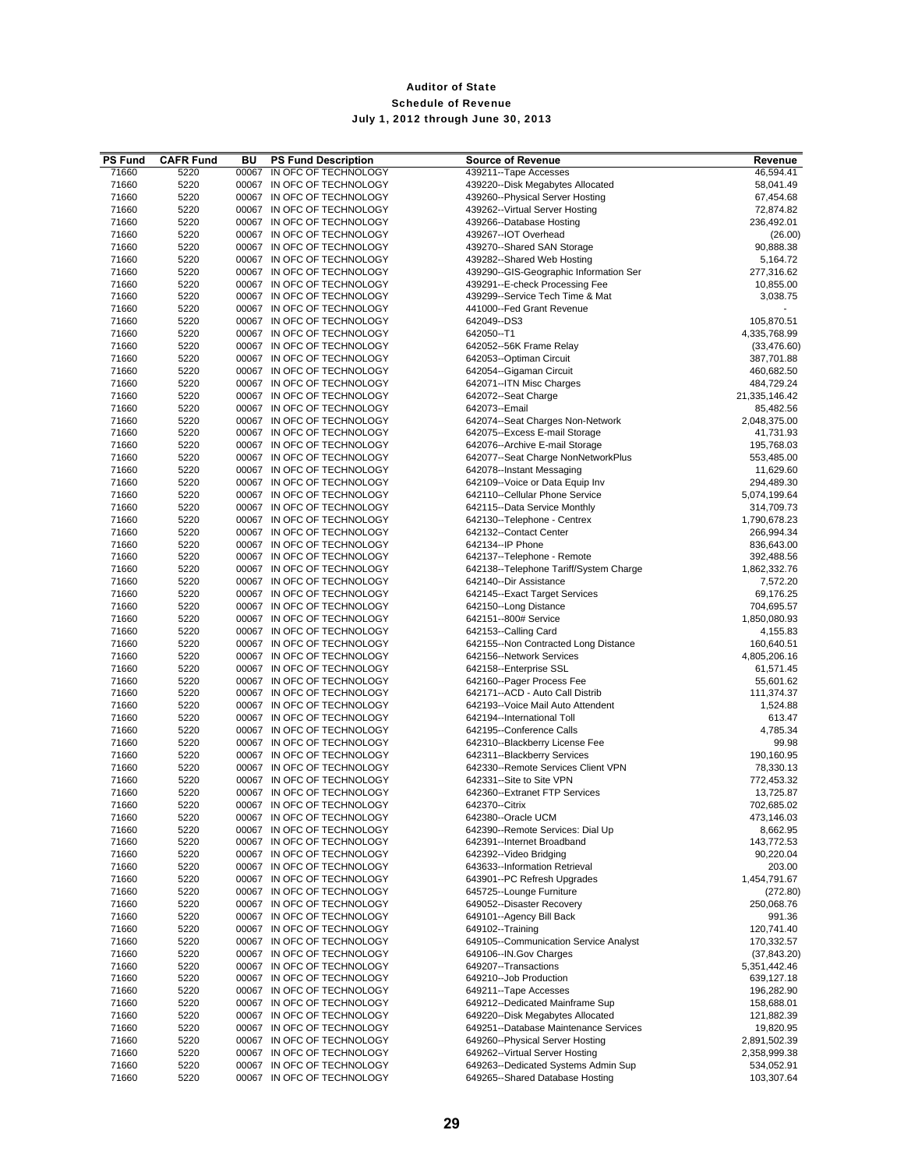| <b>PS Fund</b> | <b>CAFR Fund</b> | BU    | <b>PS Fund Description</b>                               | <b>Source of Revenue</b>                                                  | Revenue                    |
|----------------|------------------|-------|----------------------------------------------------------|---------------------------------------------------------------------------|----------------------------|
| 71660          | 5220             | 00067 | IN OFC OF TECHNOLOGY                                     | 439211--Tape Accesses                                                     | 46,594.41                  |
| 71660<br>71660 | 5220<br>5220     |       | 00067 IN OFC OF TECHNOLOGY<br>00067 IN OFC OF TECHNOLOGY | 439220--Disk Megabytes Allocated<br>439260--Physical Server Hosting       | 58,041.49                  |
| 71660          | 5220             |       | 00067 IN OFC OF TECHNOLOGY                               | 439262--Virtual Server Hosting                                            | 67,454.68<br>72,874.82     |
| 71660          | 5220             |       | 00067 IN OFC OF TECHNOLOGY                               | 439266--Database Hosting                                                  | 236,492.01                 |
| 71660          | 5220             |       | 00067 IN OFC OF TECHNOLOGY                               | 439267--IOT Overhead                                                      | (26.00)                    |
| 71660          | 5220             |       | 00067 IN OFC OF TECHNOLOGY                               | 439270--Shared SAN Storage                                                | 90,888.38                  |
| 71660          | 5220             |       | 00067 IN OFC OF TECHNOLOGY                               | 439282--Shared Web Hosting                                                | 5,164.72                   |
| 71660          | 5220             |       | 00067 IN OFC OF TECHNOLOGY                               | 439290--GIS-Geographic Information Ser                                    | 277,316.62                 |
| 71660          | 5220             |       | 00067 IN OFC OF TECHNOLOGY                               | 439291--E-check Processing Fee                                            | 10,855.00                  |
| 71660<br>71660 | 5220<br>5220     |       | 00067 IN OFC OF TECHNOLOGY<br>00067 IN OFC OF TECHNOLOGY | 439299--Service Tech Time & Mat<br>441000--Fed Grant Revenue              | 3,038.75                   |
| 71660          | 5220             |       | 00067 IN OFC OF TECHNOLOGY                               | 642049--DS3                                                               | 105,870.51                 |
| 71660          | 5220             |       | 00067 IN OFC OF TECHNOLOGY                               | 642050--T1                                                                | 4,335,768.99               |
| 71660          | 5220             |       | 00067 IN OFC OF TECHNOLOGY                               | 642052--56K Frame Relay                                                   | (33, 476.60)               |
| 71660          | 5220             |       | 00067 IN OFC OF TECHNOLOGY                               | 642053--Optiman Circuit                                                   | 387,701.88                 |
| 71660          | 5220             |       | 00067 IN OFC OF TECHNOLOGY                               | 642054--Gigaman Circuit                                                   | 460,682.50                 |
| 71660          | 5220             |       | 00067 IN OFC OF TECHNOLOGY                               | 642071--ITN Misc Charges                                                  | 484,729.24                 |
| 71660<br>71660 | 5220<br>5220     |       | 00067 IN OFC OF TECHNOLOGY<br>00067 IN OFC OF TECHNOLOGY | 642072--Seat Charge<br>642073 -- Email                                    | 21,335,146.42<br>85,482.56 |
| 71660          | 5220             |       | 00067 IN OFC OF TECHNOLOGY                               | 642074--Seat Charges Non-Network                                          | 2,048,375.00               |
| 71660          | 5220             |       | 00067 IN OFC OF TECHNOLOGY                               | 642075--Excess E-mail Storage                                             | 41,731.93                  |
| 71660          | 5220             |       | 00067 IN OFC OF TECHNOLOGY                               | 642076--Archive E-mail Storage                                            | 195,768.03                 |
| 71660          | 5220             |       | 00067 IN OFC OF TECHNOLOGY                               | 642077--Seat Charge NonNetworkPlus                                        | 553,485.00                 |
| 71660          | 5220             |       | 00067 IN OFC OF TECHNOLOGY                               | 642078--Instant Messaging                                                 | 11,629.60                  |
| 71660          | 5220             |       | 00067 IN OFC OF TECHNOLOGY                               | 642109--Voice or Data Equip Inv                                           | 294,489.30                 |
| 71660          | 5220             |       | 00067 IN OFC OF TECHNOLOGY                               | 642110--Cellular Phone Service                                            | 5,074,199.64               |
| 71660<br>71660 | 5220<br>5220     |       | 00067 IN OFC OF TECHNOLOGY<br>00067 IN OFC OF TECHNOLOGY | 642115--Data Service Monthly<br>642130--Telephone - Centrex               | 314,709.73<br>1,790,678.23 |
| 71660          | 5220             |       | 00067 IN OFC OF TECHNOLOGY                               | 642132--Contact Center                                                    | 266,994.34                 |
| 71660          | 5220             |       | 00067 IN OFC OF TECHNOLOGY                               | 642134--IP Phone                                                          | 836,643.00                 |
| 71660          | 5220             |       | 00067 IN OFC OF TECHNOLOGY                               | 642137--Telephone - Remote                                                | 392,488.56                 |
| 71660          | 5220             |       | 00067 IN OFC OF TECHNOLOGY                               | 642138--Telephone Tariff/System Charge                                    | 1,862,332.76               |
| 71660          | 5220             |       | 00067 IN OFC OF TECHNOLOGY                               | 642140--Dir Assistance                                                    | 7,572.20                   |
| 71660          | 5220             |       | 00067 IN OFC OF TECHNOLOGY                               | 642145--Exact Target Services                                             | 69,176.25                  |
| 71660          | 5220             |       | 00067 IN OFC OF TECHNOLOGY                               | 642150--Long Distance                                                     | 704,695.57                 |
| 71660<br>71660 | 5220<br>5220     |       | 00067 IN OFC OF TECHNOLOGY<br>00067 IN OFC OF TECHNOLOGY | 642151--800# Service<br>642153--Calling Card                              | 1,850,080.93<br>4,155.83   |
| 71660          | 5220             |       | 00067 IN OFC OF TECHNOLOGY                               | 642155--Non Contracted Long Distance                                      | 160,640.51                 |
| 71660          | 5220             |       | 00067 IN OFC OF TECHNOLOGY                               | 642156--Network Services                                                  | 4,805,206.16               |
| 71660          | 5220             |       | 00067 IN OFC OF TECHNOLOGY                               | 642158--Enterprise SSL                                                    | 61,571.45                  |
| 71660          | 5220             |       | 00067 IN OFC OF TECHNOLOGY                               | 642160--Pager Process Fee                                                 | 55,601.62                  |
| 71660          | 5220             |       | 00067 IN OFC OF TECHNOLOGY                               | 642171--ACD - Auto Call Distrib                                           | 111,374.37                 |
| 71660          | 5220             |       | 00067 IN OFC OF TECHNOLOGY                               | 642193--Voice Mail Auto Attendent                                         | 1,524.88                   |
| 71660<br>71660 | 5220<br>5220     |       | 00067 IN OFC OF TECHNOLOGY<br>00067 IN OFC OF TECHNOLOGY | 642194--International Toll<br>642195--Conference Calls                    | 613.47<br>4,785.34         |
| 71660          | 5220             |       | 00067 IN OFC OF TECHNOLOGY                               | 642310--Blackberry License Fee                                            | 99.98                      |
| 71660          | 5220             |       | 00067 IN OFC OF TECHNOLOGY                               | 642311--Blackberry Services                                               | 190,160.95                 |
| 71660          | 5220             |       | 00067 IN OFC OF TECHNOLOGY                               | 642330--Remote Services Client VPN                                        | 78,330.13                  |
| 71660          | 5220             |       | 00067 IN OFC OF TECHNOLOGY                               | 642331--Site to Site VPN                                                  | 772,453.32                 |
| 71660          | 5220             |       | 00067 IN OFC OF TECHNOLOGY                               | 642360--Extranet FTP Services                                             | 13,725.87                  |
| 71660          | 5220             |       | 00067 IN OFC OF TECHNOLOGY                               | 642370--Citrix                                                            | 702,685.02                 |
| 71660<br>71660 | 5220<br>5220     | 00067 | IN OFC OF TECHNOLOGY<br>00067 IN OFC OF TECHNOLOGY       | 642380--Oracle UCM<br>642390--Remote Services: Dial Up                    | 473,146.03<br>8,662.95     |
| 71660          | 5220             | 00067 | IN OFC OF TECHNOLOGY                                     | 642391--Internet Broadband                                                | 143,772.53                 |
| 71660          | 5220             |       | 00067 IN OFC OF TECHNOLOGY                               | 642392--Video Bridging                                                    | 90,220.04                  |
| 71660          | 5220             |       | 00067 IN OFC OF TECHNOLOGY                               | 643633--Information Retrieval                                             | 203.00                     |
| 71660          | 5220             |       | 00067 IN OFC OF TECHNOLOGY                               | 643901--PC Refresh Upgrades                                               | 1,454,791.67               |
| 71660          | 5220             |       | 00067 IN OFC OF TECHNOLOGY                               | 645725--Lounge Furniture                                                  | (272.80)                   |
| 71660          | 5220             |       | 00067 IN OFC OF TECHNOLOGY                               | 649052--Disaster Recovery                                                 | 250,068.76                 |
| 71660<br>71660 | 5220<br>5220     |       | 00067 IN OFC OF TECHNOLOGY<br>00067 IN OFC OF TECHNOLOGY | 649101--Agency Bill Back<br>649102--Training                              | 991.36<br>120,741.40       |
| 71660          | 5220             |       | 00067 IN OFC OF TECHNOLOGY                               | 649105--Communication Service Analyst                                     | 170,332.57                 |
| 71660          | 5220             |       | 00067 IN OFC OF TECHNOLOGY                               | 649106--IN.Gov Charges                                                    | (37, 843.20)               |
| 71660          | 5220             |       | 00067 IN OFC OF TECHNOLOGY                               | 649207--Transactions                                                      | 5,351,442.46               |
| 71660          | 5220             |       | 00067 IN OFC OF TECHNOLOGY                               | 649210--Job Production                                                    | 639,127.18                 |
| 71660          | 5220             |       | 00067 IN OFC OF TECHNOLOGY                               | 649211--Tape Accesses                                                     | 196,282.90                 |
| 71660          | 5220             |       | 00067 IN OFC OF TECHNOLOGY                               | 649212--Dedicated Mainframe Sup                                           | 158,688.01                 |
| 71660          | 5220             |       | 00067 IN OFC OF TECHNOLOGY                               | 649220--Disk Megabytes Allocated<br>649251--Database Maintenance Services | 121,882.39                 |
| 71660<br>71660 | 5220<br>5220     |       | 00067 IN OFC OF TECHNOLOGY<br>00067 IN OFC OF TECHNOLOGY | 649260--Physical Server Hosting                                           | 19,820.95<br>2,891,502.39  |
| 71660          | 5220             |       | 00067 IN OFC OF TECHNOLOGY                               | 649262--Virtual Server Hosting                                            | 2,358,999.38               |
| 71660          | 5220             | 00067 | IN OFC OF TECHNOLOGY                                     | 649263--Dedicated Systems Admin Sup                                       | 534,052.91                 |
| 71660          | 5220             |       | 00067 IN OFC OF TECHNOLOGY                               | 649265--Shared Database Hosting                                           | 103,307.64                 |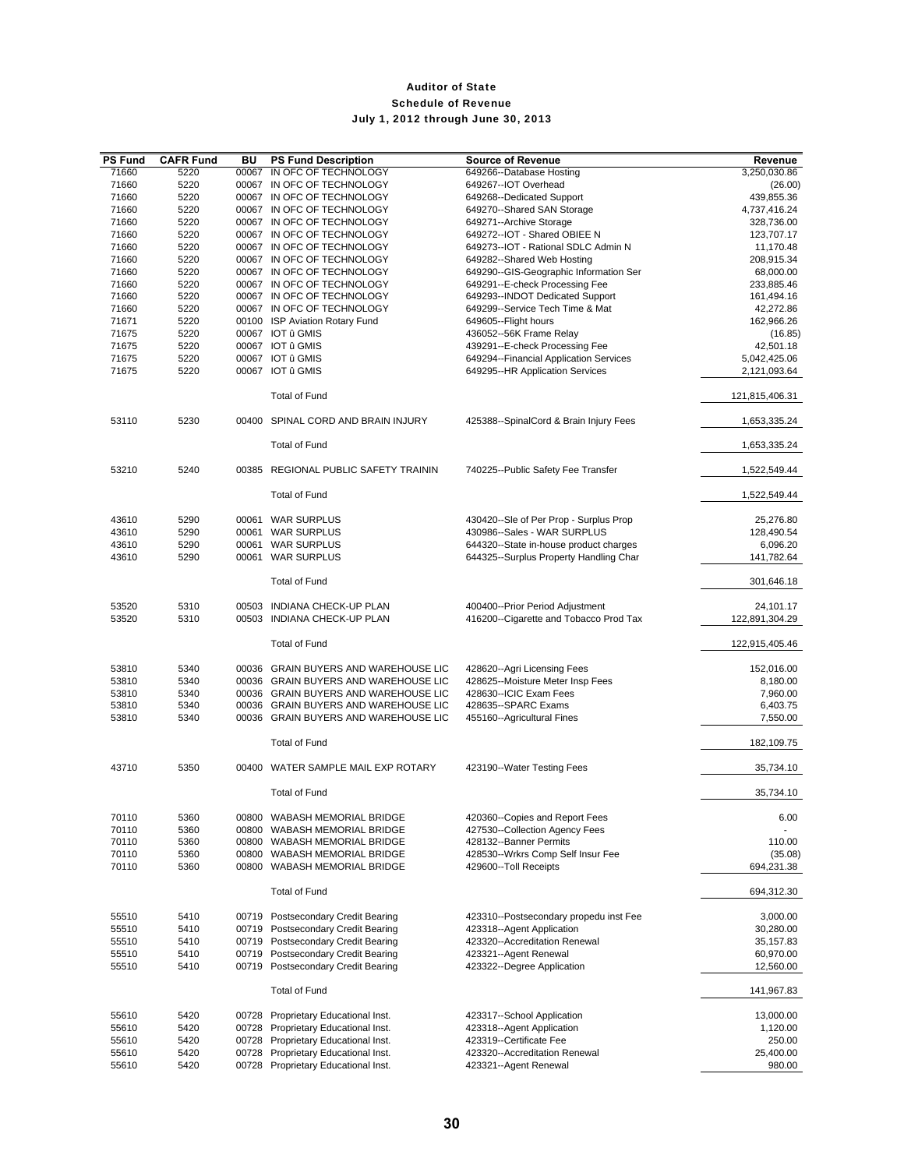| <b>PS Fund</b> | <b>CAFR Fund</b> | BU    | <b>PS Fund Description</b>                                                   | <b>Source of Revenue</b>                                                  | Revenue                     |
|----------------|------------------|-------|------------------------------------------------------------------------------|---------------------------------------------------------------------------|-----------------------------|
| 71660          | 5220             | 00067 | IN OFC OF TECHNOLOGY                                                         | 649266--Database Hosting                                                  | 3,250,030.86                |
| 71660          | 5220             |       | 00067 IN OFC OF TECHNOLOGY                                                   | 649267--IOT Overhead                                                      | (26.00)                     |
| 71660          | 5220             |       | 00067 IN OFC OF TECHNOLOGY                                                   | 649268--Dedicated Support                                                 | 439,855.36                  |
| 71660          | 5220             |       | 00067 IN OFC OF TECHNOLOGY                                                   | 649270--Shared SAN Storage                                                | 4,737,416.24                |
| 71660          | 5220             |       | 00067 IN OFC OF TECHNOLOGY                                                   | 649271--Archive Storage                                                   | 328,736.00<br>123,707.17    |
| 71660<br>71660 | 5220<br>5220     |       | 00067 IN OFC OF TECHNOLOGY<br>00067 IN OFC OF TECHNOLOGY                     | 649272--IOT - Shared OBIEE N<br>649273--IOT - Rational SDLC Admin N       | 11,170.48                   |
| 71660          | 5220             |       | 00067 IN OFC OF TECHNOLOGY                                                   | 649282--Shared Web Hosting                                                | 208,915.34                  |
| 71660          | 5220             |       | 00067 IN OFC OF TECHNOLOGY                                                   | 649290--GIS-Geographic Information Ser                                    | 68,000.00                   |
| 71660          | 5220             |       | 00067 IN OFC OF TECHNOLOGY                                                   | 649291--E-check Processing Fee                                            | 233,885.46                  |
| 71660          | 5220             |       | 00067 IN OFC OF TECHNOLOGY                                                   | 649293--INDOT Dedicated Support                                           | 161,494.16                  |
| 71660          | 5220             |       | 00067 IN OFC OF TECHNOLOGY                                                   | 649299--Service Tech Time & Mat                                           | 42,272.86                   |
| 71671          | 5220             |       | 00100 ISP Aviation Rotary Fund                                               | 649605--Flight hours                                                      | 162,966.26                  |
| 71675          | 5220             |       | 00067 IOT û GMIS                                                             | 436052--56K Frame Relay                                                   | (16.85)                     |
| 71675          | 5220             |       | 00067 IOT û GMIS                                                             | 439291--E-check Processing Fee                                            | 42,501.18                   |
| 71675          | 5220             |       | 00067 IOT û GMIS                                                             | 649294--Financial Application Services                                    | 5,042,425.06                |
| 71675          | 5220             |       | 00067 IOT û GMIS                                                             | 649295--HR Application Services                                           | 2,121,093.64                |
|                |                  |       | <b>Total of Fund</b>                                                         |                                                                           | 121,815,406.31              |
| 53110          | 5230             |       | 00400 SPINAL CORD AND BRAIN INJURY                                           | 425388--SpinalCord & Brain Injury Fees                                    | 1,653,335.24                |
|                |                  |       | <b>Total of Fund</b>                                                         |                                                                           | 1,653,335.24                |
| 53210          | 5240             |       | 00385 REGIONAL PUBLIC SAFETY TRAININ                                         | 740225--Public Safety Fee Transfer                                        | 1,522,549.44                |
|                |                  |       | <b>Total of Fund</b>                                                         |                                                                           | 1,522,549.44                |
|                |                  |       |                                                                              |                                                                           |                             |
| 43610<br>43610 | 5290<br>5290     |       | 00061 WAR SURPLUS<br>00061 WAR SURPLUS                                       | 430420--Sle of Per Prop - Surplus Prop<br>430986--Sales - WAR SURPLUS     | 25,276.80<br>128,490.54     |
| 43610          | 5290             |       | 00061 WAR SURPLUS                                                            | 644320--State in-house product charges                                    | 6,096.20                    |
| 43610          | 5290             |       | 00061 WAR SURPLUS                                                            | 644325--Surplus Property Handling Char                                    | 141,782.64                  |
|                |                  |       | <b>Total of Fund</b>                                                         |                                                                           | 301,646.18                  |
|                |                  |       |                                                                              |                                                                           |                             |
| 53520<br>53520 | 5310<br>5310     |       | 00503 INDIANA CHECK-UP PLAN<br>00503 INDIANA CHECK-UP PLAN                   | 400400--Prior Period Adjustment<br>416200--Cigarette and Tobacco Prod Tax | 24,101.17<br>122,891,304.29 |
|                |                  |       | <b>Total of Fund</b>                                                         |                                                                           | 122,915,405.46              |
|                |                  |       |                                                                              |                                                                           |                             |
| 53810<br>53810 | 5340<br>5340     |       | 00036 GRAIN BUYERS AND WAREHOUSE LIC<br>00036 GRAIN BUYERS AND WAREHOUSE LIC | 428620--Agri Licensing Fees<br>428625--Moisture Meter Insp Fees           | 152,016.00<br>8,180.00      |
| 53810          | 5340             |       | 00036 GRAIN BUYERS AND WAREHOUSE LIC                                         | 428630--ICIC Exam Fees                                                    | 7,960.00                    |
| 53810          | 5340             |       | 00036 GRAIN BUYERS AND WAREHOUSE LIC                                         | 428635--SPARC Exams                                                       | 6,403.75                    |
| 53810          | 5340             |       | 00036 GRAIN BUYERS AND WAREHOUSE LIC                                         | 455160--Agricultural Fines                                                | 7,550.00                    |
|                |                  |       | <b>Total of Fund</b>                                                         |                                                                           | 182,109.75                  |
|                |                  |       |                                                                              |                                                                           |                             |
| 43710          | 5350             |       | 00400 WATER SAMPLE MAIL EXP ROTARY                                           | 423190--Water Testing Fees                                                | 35,734.10                   |
|                |                  |       | <b>Total of Fund</b>                                                         |                                                                           | 35,734.10                   |
| 70110<br>70110 | 5360<br>5360     |       | 00800 WABASH MEMORIAL BRIDGE<br>00800 WABASH MEMORIAL BRIDGE                 | 420360--Copies and Report Fees<br>427530--Collection Agency Fees          | 6.00                        |
| 70110          | 5360             |       | 00800 WABASH MEMORIAL BRIDGE                                                 | 428132--Banner Permits                                                    | 110.00                      |
| 70110          | 5360             |       | 00800 WABASH MEMORIAL BRIDGE                                                 | 428530--Wrkrs Comp Self Insur Fee                                         | (35.08)                     |
| 70110          | 5360             |       | 00800 WABASH MEMORIAL BRIDGE                                                 | 429600--Toll Receipts                                                     | 694,231.38                  |
|                |                  |       | <b>Total of Fund</b>                                                         |                                                                           | 694,312.30                  |
| 55510          | 5410             |       | 00719 Postsecondary Credit Bearing                                           | 423310--Postsecondary propedu inst Fee                                    | 3,000.00                    |
| 55510          | 5410             |       | 00719 Postsecondary Credit Bearing                                           | 423318--Agent Application                                                 | 30,280.00                   |
| 55510          | 5410             |       | 00719 Postsecondary Credit Bearing                                           | 423320--Accreditation Renewal                                             | 35,157.83                   |
| 55510          | 5410             |       | 00719 Postsecondary Credit Bearing                                           | 423321--Agent Renewal                                                     | 60,970.00                   |
| 55510          | 5410             |       | 00719 Postsecondary Credit Bearing                                           | 423322--Degree Application                                                | 12,560.00                   |
|                |                  |       | <b>Total of Fund</b>                                                         |                                                                           | 141,967.83                  |
| 55610          | 5420             |       | 00728 Proprietary Educational Inst.                                          | 423317--School Application                                                | 13,000.00                   |
| 55610          | 5420             |       | 00728 Proprietary Educational Inst.                                          | 423318--Agent Application                                                 | 1,120.00                    |
| 55610          | 5420             |       | 00728 Proprietary Educational Inst.                                          | 423319--Certificate Fee                                                   | 250.00                      |
| 55610          | 5420             | 00728 | Proprietary Educational Inst.                                                | 423320--Accreditation Renewal                                             | 25,400.00                   |
| 55610          | 5420             |       | 00728 Proprietary Educational Inst.                                          | 423321--Agent Renewal                                                     | 980.00                      |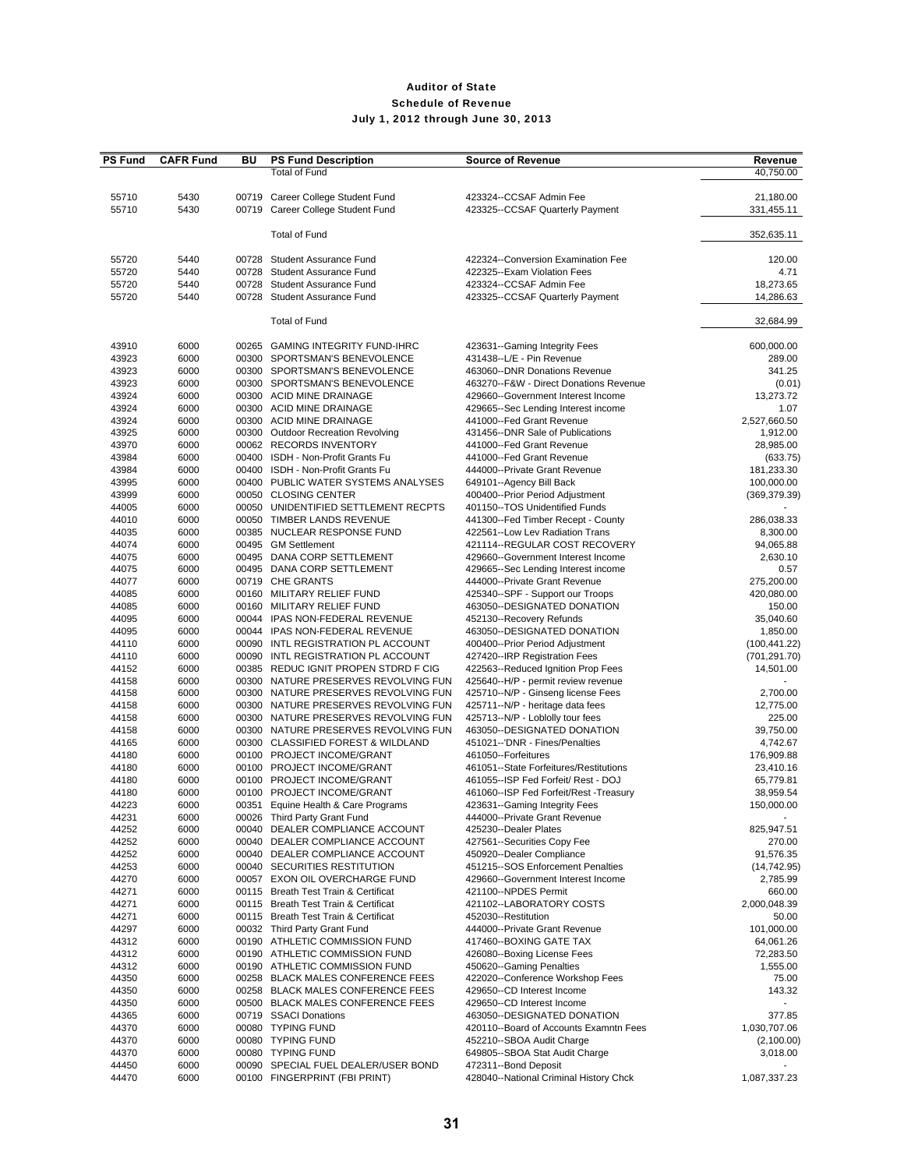| <b>PS Fund</b> | <b>CAFR Fund</b> | BU    | <b>PS Fund Description</b>                                | <b>Source of Revenue</b>                                                      | Revenue                |
|----------------|------------------|-------|-----------------------------------------------------------|-------------------------------------------------------------------------------|------------------------|
|                |                  |       | <b>Total of Fund</b>                                      |                                                                               | 40,750.00              |
|                |                  |       |                                                           |                                                                               |                        |
| 55710          | 5430             |       | 00719 Career College Student Fund                         | 423324--CCSAF Admin Fee                                                       | 21,180.00              |
| 55710          | 5430             |       | 00719 Career College Student Fund                         | 423325--CCSAF Quarterly Payment                                               | 331,455.11             |
|                |                  |       |                                                           |                                                                               |                        |
|                |                  |       | Total of Fund                                             |                                                                               | 352,635.11             |
|                |                  |       |                                                           | 422324--Conversion Examination Fee                                            |                        |
| 55720<br>55720 | 5440<br>5440     | 00728 | 00728 Student Assurance Fund<br>Student Assurance Fund    | 422325--Exam Violation Fees                                                   | 120.00<br>4.71         |
| 55720          | 5440             | 00728 | <b>Student Assurance Fund</b>                             | 423324--CCSAF Admin Fee                                                       | 18,273.65              |
| 55720          | 5440             |       | 00728 Student Assurance Fund                              | 423325--CCSAF Quarterly Payment                                               | 14,286.63              |
|                |                  |       |                                                           |                                                                               |                        |
|                |                  |       | <b>Total of Fund</b>                                      |                                                                               | 32,684.99              |
|                |                  |       |                                                           |                                                                               |                        |
| 43910          | 6000             |       | 00265 GAMING INTEGRITY FUND-IHRC                          | 423631--Gaming Integrity Fees                                                 | 600,000.00             |
| 43923          | 6000             |       | 00300 SPORTSMAN'S BENEVOLENCE                             | 431438--L/E - Pin Revenue                                                     | 289.00                 |
| 43923          | 6000             |       | 00300 SPORTSMAN'S BENEVOLENCE                             | 463060--DNR Donations Revenue                                                 | 341.25                 |
| 43923          | 6000             |       | 00300 SPORTSMAN'S BENEVOLENCE                             | 463270--F&W - Direct Donations Revenue                                        | (0.01)                 |
| 43924          | 6000             |       | 00300 ACID MINE DRAINAGE                                  | 429660--Government Interest Income                                            | 13,273.72              |
| 43924          | 6000             |       | 00300 ACID MINE DRAINAGE                                  | 429665--Sec Lending Interest income                                           | 1.07                   |
| 43924          | 6000             |       | 00300 ACID MINE DRAINAGE                                  | 441000--Fed Grant Revenue                                                     | 2,527,660.50           |
| 43925          | 6000             |       | 00300 Outdoor Recreation Revolving                        | 431456--DNR Sale of Publications                                              | 1,912.00               |
| 43970          | 6000             |       | 00062 RECORDS INVENTORY                                   | 441000--Fed Grant Revenue                                                     | 28,985.00              |
| 43984          | 6000             |       | 00400 ISDH - Non-Profit Grants Fu                         | 441000--Fed Grant Revenue                                                     | (633.75)               |
| 43984          | 6000             |       | 00400 ISDH - Non-Profit Grants Fu                         | 444000--Private Grant Revenue                                                 | 181,233.30             |
| 43995          | 6000             |       | 00400 PUBLIC WATER SYSTEMS ANALYSES                       | 649101--Agency Bill Back                                                      | 100,000.00             |
| 43999          | 6000             |       | 00050 CLOSING CENTER                                      | 400400--Prior Period Adjustment                                               | (369, 379.39)          |
| 44005          | 6000             |       | 00050 UNIDENTIFIED SETTLEMENT RECPTS                      | 401150--TOS Unidentified Funds<br>441300--Fed Timber Recept - County          |                        |
| 44010<br>44035 | 6000             |       | 00050 TIMBER LANDS REVENUE<br>00385 NUCLEAR RESPONSE FUND | 422561--Low Lev Radiation Trans                                               | 286,038.33<br>8,300.00 |
| 44074          | 6000<br>6000     |       | 00495 GM Settlement                                       | 421114--REGULAR COST RECOVERY                                                 | 94,065.88              |
| 44075          | 6000             |       | 00495 DANA CORP SETTLEMENT                                | 429660--Government Interest Income                                            | 2,630.10               |
| 44075          | 6000             |       | 00495 DANA CORP SETTLEMENT                                | 429665--Sec Lending Interest income                                           | 0.57                   |
| 44077          | 6000             |       | 00719 CHE GRANTS                                          | 444000--Private Grant Revenue                                                 | 275,200.00             |
| 44085          | 6000             |       | 00160 MILITARY RELIEF FUND                                | 425340--SPF - Support our Troops                                              | 420,080.00             |
| 44085          | 6000             |       | 00160 MILITARY RELIEF FUND                                | 463050--DESIGNATED DONATION                                                   | 150.00                 |
| 44095          | 6000             |       | 00044 IPAS NON-FEDERAL REVENUE                            | 452130--Recovery Refunds                                                      | 35,040.60              |
| 44095          | 6000             |       | 00044 IPAS NON-FEDERAL REVENUE                            | 463050--DESIGNATED DONATION                                                   | 1,850.00               |
| 44110          | 6000             |       | 00090 INTL REGISTRATION PL ACCOUNT                        | 400400--Prior Period Adjustment                                               | (100, 441.22)          |
| 44110          | 6000             |       | 00090 INTL REGISTRATION PL ACCOUNT                        | 427420--IRP Registration Fees                                                 | (701, 291.70)          |
| 44152          | 6000             |       | 00385 REDUC IGNIT PROPEN STDRD F CIG                      | 422563--Reduced Ignition Prop Fees                                            | 14,501.00              |
| 44158          | 6000             |       | 00300 NATURE PRESERVES REVOLVING FUN                      | 425640--H/P - permit review revenue                                           |                        |
| 44158          | 6000             |       | 00300 NATURE PRESERVES REVOLVING FUN                      | 425710--N/P - Ginseng license Fees                                            | 2,700.00               |
| 44158          | 6000             |       | 00300 NATURE PRESERVES REVOLVING FUN                      | 425711--N/P - heritage data fees                                              | 12,775.00              |
| 44158          | 6000             |       | 00300 NATURE PRESERVES REVOLVING FUN                      | 425713--N/P - Loblolly tour fees                                              | 225.00                 |
| 44158          | 6000             |       | 00300 NATURE PRESERVES REVOLVING FUN                      | 463050--DESIGNATED DONATION                                                   | 39,750.00              |
| 44165          | 6000             |       | 00300 CLASSIFIED FOREST & WILDLAND                        | 451021--'DNR - Fines/Penalties                                                | 4,742.67               |
| 44180          | 6000             |       | 00100 PROJECT INCOME/GRANT                                | 461050--Forfeitures                                                           | 176,909.88             |
| 44180          | 6000             |       | 00100 PROJECT INCOME/GRANT                                | 461051--State Forfeitures/Restitutions                                        | 23,410.16              |
| 44180<br>44180 | 6000<br>6000     |       | 00100 PROJECT INCOME/GRANT<br>00100 PROJECT INCOME/GRANT  | 461055--ISP Fed Forfeit/ Rest - DOJ<br>461060--ISP Fed Forfeit/Rest -Treasury | 65,779.81<br>38,959.54 |
| 44223          | 6000             |       | 00351 Equine Health & Care Programs                       | 423631--Gaming Integrity Fees                                                 | 150,000.00             |
| 44231          | 6000             |       | 00026 Third Party Grant Fund                              | 444000--Private Grant Revenue                                                 |                        |
| 44252          | 6000             |       | 00040 DEALER COMPLIANCE ACCOUNT                           | 425230--Dealer Plates                                                         | 825,947.51             |
| 44252          | 6000             |       | 00040 DEALER COMPLIANCE ACCOUNT                           | 427561--Securities Copy Fee                                                   | 270.00                 |
| 44252          | 6000             |       | 00040 DEALER COMPLIANCE ACCOUNT                           | 450920--Dealer Compliance                                                     | 91,576.35              |
| 44253          | 6000             |       | 00040 SECURITIES RESTITUTION                              | 451215--SOS Enforcement Penalties                                             | (14, 742.95)           |
| 44270          | 6000             |       | 00057 EXON OIL OVERCHARGE FUND                            | 429660--Government Interest Income                                            | 2.785.99               |
| 44271          | 6000             |       | 00115 Breath Test Train & Certificat                      | 421100--NPDES Permit                                                          | 660.00                 |
| 44271          | 6000             |       | 00115 Breath Test Train & Certificat                      | 421102--LABORATORY COSTS                                                      | 2,000,048.39           |
| 44271          | 6000             |       | 00115 Breath Test Train & Certificat                      | 452030--Restitution                                                           | 50.00                  |
| 44297          | 6000             |       | 00032 Third Party Grant Fund                              | 444000--Private Grant Revenue                                                 | 101,000.00             |
| 44312          | 6000             |       | 00190 ATHLETIC COMMISSION FUND                            | 417460--BOXING GATE TAX                                                       | 64,061.26              |
| 44312          | 6000             |       | 00190 ATHLETIC COMMISSION FUND                            | 426080--Boxing License Fees                                                   | 72,283.50              |
| 44312          | 6000             |       | 00190 ATHLETIC COMMISSION FUND                            | 450620--Gaming Penalties                                                      | 1,555.00               |
| 44350          | 6000             |       | 00258 BLACK MALES CONFERENCE FEES                         | 422020--Conference Workshop Fees                                              | 75.00                  |
| 44350          | 6000             |       | 00258 BLACK MALES CONFERENCE FEES                         | 429650--CD Interest Income                                                    | 143.32                 |
| 44350          | 6000             |       | 00500 BLACK MALES CONFERENCE FEES                         | 429650--CD Interest Income                                                    |                        |
| 44365          | 6000             |       | 00719 SSACI Donations                                     | 463050--DESIGNATED DONATION                                                   | 377.85                 |
| 44370          | 6000             |       | 00080 TYPING FUND                                         | 420110--Board of Accounts Examntn Fees                                        | 1,030,707.06           |
| 44370          | 6000             |       | 00080 TYPING FUND                                         | 452210--SBOA Audit Charge                                                     | (2,100.00)             |
| 44370          | 6000             |       | 00080 TYPING FUND                                         | 649805--SBOA Stat Audit Charge                                                | 3,018.00               |
| 44450<br>44470 | 6000<br>6000     |       | 00090 SPECIAL FUEL DEALER/USER BOND                       | 472311--Bond Deposit<br>428040--National Criminal History Chck                |                        |
|                |                  |       | 00100 FINGERPRINT (FBI PRINT)                             |                                                                               | 1,087,337.23           |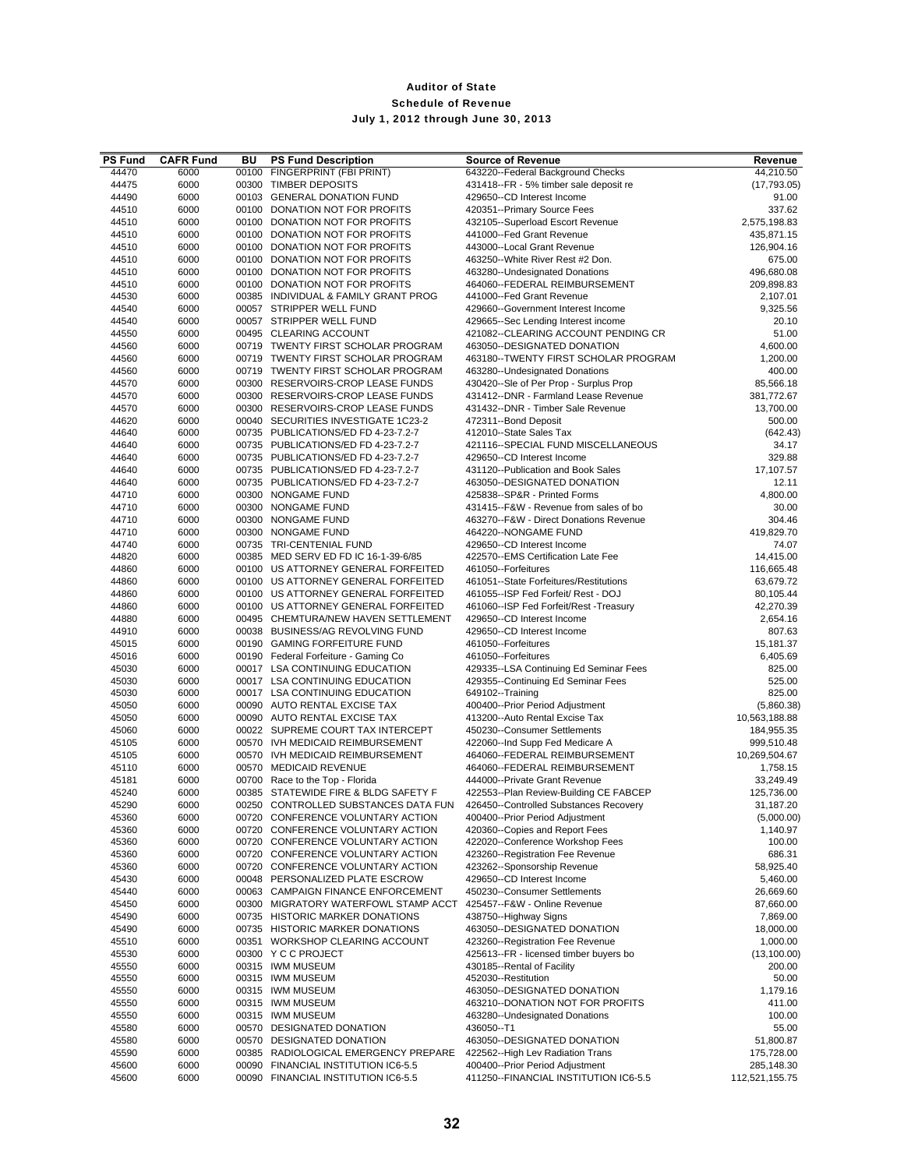| <b>PS Fund</b> | <b>CAFR Fund</b> | BU | <b>PS Fund Description</b>                                                 | <b>Source of Revenue</b>                                             | Revenue                  |
|----------------|------------------|----|----------------------------------------------------------------------------|----------------------------------------------------------------------|--------------------------|
| 44470          | 6000             |    | 00100 FINGERPRINT (FBI PRINT)                                              | 643220--Federal Background Checks                                    | 44,210.50                |
| 44475          | 6000             |    | 00300 TIMBER DEPOSITS                                                      | 431418--FR - 5% timber sale deposit re                               | (17, 793.05)             |
| 44490          | 6000             |    | 00103 GENERAL DONATION FUND                                                | 429650--CD Interest Income                                           | 91.00                    |
| 44510<br>44510 | 6000             |    | 00100 DONATION NOT FOR PROFITS<br>00100 DONATION NOT FOR PROFITS           | 420351--Primary Source Fees                                          | 337.62<br>2,575,198.83   |
| 44510          | 6000<br>6000     |    | 00100 DONATION NOT FOR PROFITS                                             | 432105--Superload Escort Revenue<br>441000--Fed Grant Revenue        | 435,871.15               |
| 44510          | 6000             |    | 00100 DONATION NOT FOR PROFITS                                             | 443000--Local Grant Revenue                                          | 126,904.16               |
| 44510          | 6000             |    | 00100 DONATION NOT FOR PROFITS                                             | 463250--White River Rest #2 Don.                                     | 675.00                   |
| 44510          | 6000             |    | 00100 DONATION NOT FOR PROFITS                                             | 463280--Undesignated Donations                                       | 496,680.08               |
| 44510          | 6000             |    | 00100 DONATION NOT FOR PROFITS                                             | 464060--FEDERAL REIMBURSEMENT                                        | 209,898.83               |
| 44530          | 6000             |    | 00385 INDIVIDUAL & FAMILY GRANT PROG                                       | 441000--Fed Grant Revenue                                            | 2,107.01                 |
| 44540          | 6000             |    | 00057 STRIPPER WELL FUND                                                   | 429660--Government Interest Income                                   | 9,325.56                 |
| 44540          | 6000             |    | 00057 STRIPPER WELL FUND                                                   | 429665--Sec Lending Interest income                                  | 20.10                    |
| 44550          | 6000             |    | 00495 CLEARING ACCOUNT<br>00719 TWENTY FIRST SCHOLAR PROGRAM               | 421082--CLEARING ACCOUNT PENDING CR                                  | 51.00                    |
| 44560<br>44560 | 6000<br>6000     |    | 00719 TWENTY FIRST SCHOLAR PROGRAM                                         | 463050--DESIGNATED DONATION<br>463180--TWENTY FIRST SCHOLAR PROGRAM  | 4,600.00<br>1,200.00     |
| 44560          | 6000             |    | 00719 TWENTY FIRST SCHOLAR PROGRAM                                         | 463280--Undesignated Donations                                       | 400.00                   |
| 44570          | 6000             |    | 00300 RESERVOIRS-CROP LEASE FUNDS                                          | 430420--Sle of Per Prop - Surplus Prop                               | 85,566.18                |
| 44570          | 6000             |    | 00300 RESERVOIRS-CROP LEASE FUNDS                                          | 431412--DNR - Farmland Lease Revenue                                 | 381,772.67               |
| 44570          | 6000             |    | 00300 RESERVOIRS-CROP LEASE FUNDS                                          | 431432--DNR - Timber Sale Revenue                                    | 13,700.00                |
| 44620          | 6000             |    | 00040 SECURITIES INVESTIGATE 1C23-2                                        | 472311--Bond Deposit                                                 | 500.00                   |
| 44640          | 6000             |    | 00735 PUBLICATIONS/ED FD 4-23-7.2-7                                        | 412010--State Sales Tax                                              | (642.43)                 |
| 44640          | 6000             |    | 00735 PUBLICATIONS/ED FD 4-23-7.2-7                                        | 421116--SPECIAL FUND MISCELLANEOUS                                   | 34.17                    |
| 44640          | 6000             |    | 00735 PUBLICATIONS/ED FD 4-23-7.2-7                                        | 429650--CD Interest Income                                           | 329.88                   |
| 44640<br>44640 | 6000             |    | 00735 PUBLICATIONS/ED FD 4-23-7.2-7<br>00735 PUBLICATIONS/ED FD 4-23-7.2-7 | 431120--Publication and Book Sales<br>463050--DESIGNATED DONATION    | 17,107.57<br>12.11       |
| 44710          | 6000<br>6000     |    | 00300 NONGAME FUND                                                         | 425838--SP&R - Printed Forms                                         | 4,800.00                 |
| 44710          | 6000             |    | 00300 NONGAME FUND                                                         | 431415--F&W - Revenue from sales of bo                               | 30.00                    |
| 44710          | 6000             |    | 00300 NONGAME FUND                                                         | 463270--F&W - Direct Donations Revenue                               | 304.46                   |
| 44710          | 6000             |    | 00300 NONGAME FUND                                                         | 464220--NONGAME FUND                                                 | 419,829.70               |
| 44740          | 6000             |    | 00735 TRI-CENTENIAL FUND                                                   | 429650--CD Interest Income                                           | 74.07                    |
| 44820          | 6000             |    | 00385 MED SERV ED FD IC 16-1-39-6/85                                       | 422570--EMS Certification Late Fee                                   | 14,415.00                |
| 44860          | 6000             |    | 00100 US ATTORNEY GENERAL FORFEITED                                        | 461050--Forfeitures                                                  | 116,665.48               |
| 44860          | 6000             |    | 00100 US ATTORNEY GENERAL FORFEITED                                        | 461051--State Forfeitures/Restitutions                               | 63,679.72                |
| 44860          | 6000             |    | 00100 US ATTORNEY GENERAL FORFEITED                                        | 461055--ISP Fed Forfeit/ Rest - DOJ                                  | 80,105.44                |
| 44860<br>44880 | 6000<br>6000     |    | 00100 US ATTORNEY GENERAL FORFEITED<br>00495 CHEMTURA/NEW HAVEN SETTLEMENT | 461060--ISP Fed Forfeit/Rest -Treasury<br>429650--CD Interest Income | 42,270.39<br>2,654.16    |
| 44910          | 6000             |    | 00038 BUSINESS/AG REVOLVING FUND                                           | 429650--CD Interest Income                                           | 807.63                   |
| 45015          | 6000             |    | 00190 GAMING FORFEITURE FUND                                               | 461050--Forfeitures                                                  | 15,181.37                |
| 45016          | 6000             |    | 00190 Federal Forfeiture - Gaming Co                                       | 461050--Forfeitures                                                  | 6,405.69                 |
| 45030          | 6000             |    | 00017 LSA CONTINUING EDUCATION                                             | 429335--LSA Continuing Ed Seminar Fees                               | 825.00                   |
| 45030          | 6000             |    | 00017 LSA CONTINUING EDUCATION                                             | 429355--Continuing Ed Seminar Fees                                   | 525.00                   |
| 45030          | 6000             |    | 00017 LSA CONTINUING EDUCATION                                             | 649102--Training                                                     | 825.00                   |
| 45050          | 6000             |    | 00090 AUTO RENTAL EXCISE TAX                                               | 400400--Prior Period Adjustment                                      | (5,860.38)               |
| 45050          | 6000             |    | 00090 AUTO RENTAL EXCISE TAX                                               | 413200--Auto Rental Excise Tax                                       | 10,563,188.88            |
| 45060<br>45105 | 6000<br>6000     |    | 00022 SUPREME COURT TAX INTERCEPT<br>00570 IVH MEDICAID REIMBURSEMENT      | 450230--Consumer Settlements<br>422060--Ind Supp Fed Medicare A      | 184,955.35<br>999,510.48 |
| 45105          | 6000             |    | 00570 IVH MEDICAID REIMBURSEMENT                                           | 464060--FEDERAL REIMBURSEMENT                                        | 10,269,504.67            |
| 45110          | 6000             |    | 00570 MEDICAID REVENUE                                                     | 464060--FEDERAL REIMBURSEMENT                                        | 1,758.15                 |
| 45181          | 6000             |    | 00700 Race to the Top - Florida                                            | 444000--Private Grant Revenue                                        | 33,249.49                |
| 45240          | 6000             |    | 00385 STATEWIDE FIRE & BLDG SAFETY F                                       | 422553--Plan Review-Building CE FABCEP                               | 125,736.00               |
| 45290          | 6000             |    | 00250 CONTROLLED SUBSTANCES DATA FUN                                       | 426450--Controlled Substances Recovery                               | 31,187.20                |
| 45360          | 6000             |    | 00720 CONFERENCE VOLUNTARY ACTION                                          | 400400--Prior Period Adjustment                                      | (5,000.00)               |
| 45360          | 6000             |    | 00720 CONFERENCE VOLUNTARY ACTION                                          | 420360--Copies and Report Fees                                       | 1,140.97                 |
| 45360          | 6000             |    | 00720 CONFERENCE VOLUNTARY ACTION                                          | 422020--Conference Workshop Fees                                     | 100.00                   |
| 45360          | 6000             |    | 00720 CONFERENCE VOLUNTARY ACTION                                          | 423260--Registration Fee Revenue                                     | 686.31                   |
| 45360<br>45430 | 6000<br>6000     |    | 00720 CONFERENCE VOLUNTARY ACTION<br>00048 PERSONALIZED PLATE ESCROW       | 423262--Sponsorship Revenue<br>429650--CD Interest Income            | 58,925.40<br>5,460.00    |
| 45440          | 6000             |    | 00063 CAMPAIGN FINANCE ENFORCEMENT                                         | 450230--Consumer Settlements                                         | 26,669.60                |
| 45450          | 6000             |    | 00300 MIGRATORY WATERFOWL STAMP ACCT                                       | 425457--F&W - Online Revenue                                         | 87,660.00                |
| 45490          | 6000             |    | 00735 HISTORIC MARKER DONATIONS                                            | 438750--Highway Signs                                                | 7,869.00                 |
| 45490          | 6000             |    | 00735 HISTORIC MARKER DONATIONS                                            | 463050--DESIGNATED DONATION                                          | 18,000.00                |
| 45510          | 6000             |    | 00351 WORKSHOP CLEARING ACCOUNT                                            | 423260--Registration Fee Revenue                                     | 1,000.00                 |
| 45530          | 6000             |    | 00300 Y C C PROJECT                                                        | 425613--FR - licensed timber buyers bo                               | (13, 100.00)             |
| 45550          | 6000             |    | 00315 IWM MUSEUM                                                           | 430185--Rental of Facility                                           | 200.00                   |
| 45550          | 6000             |    | 00315 IWM MUSEUM                                                           | 452030--Restitution                                                  | 50.00                    |
| 45550          | 6000             |    | 00315 IWM MUSEUM                                                           | 463050--DESIGNATED DONATION                                          | 1,179.16                 |
| 45550          | 6000             |    | 00315 IWM MUSEUM                                                           | 463210--DONATION NOT FOR PROFITS                                     | 411.00                   |
| 45550<br>45580 | 6000<br>6000     |    | 00315 IWM MUSEUM<br>00570 DESIGNATED DONATION                              | 463280--Undesignated Donations<br>436050--T1                         | 100.00<br>55.00          |
| 45580          | 6000             |    | 00570 DESIGNATED DONATION                                                  | 463050--DESIGNATED DONATION                                          | 51,800.87                |
| 45590          | 6000             |    | 00385 RADIOLOGICAL EMERGENCY PREPARE                                       | 422562--High Lev Radiation Trans                                     | 175,728.00               |
| 45600          | 6000             |    | 00090 FINANCIAL INSTITUTION IC6-5.5                                        | 400400--Prior Period Adjustment                                      | 285,148.30               |
| 45600          | 6000             |    | 00090 FINANCIAL INSTITUTION IC6-5.5                                        | 411250--FINANCIAL INSTITUTION IC6-5.5                                | 112,521,155.75           |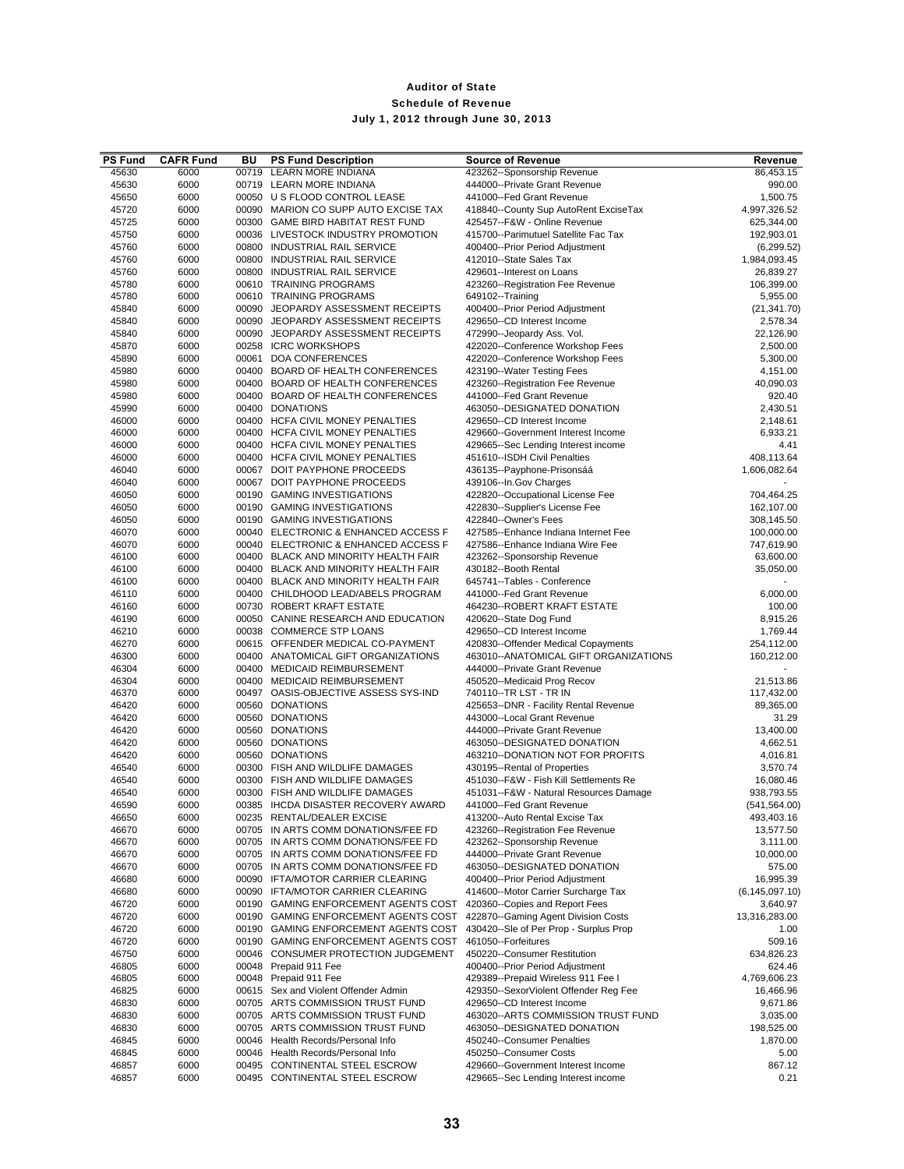| <b>PS Fund</b> | <b>CAFR Fund</b> | BU    | <b>PS Fund Description</b>                                                   | <b>Source of Revenue</b>                                                 | Revenue                   |
|----------------|------------------|-------|------------------------------------------------------------------------------|--------------------------------------------------------------------------|---------------------------|
| 45630          | 6000             |       | 00719 LEARN MORE INDIANA                                                     | 423262--Sponsorship Revenue                                              | 86,453.15                 |
| 45630          | 6000             |       | 00719 LEARN MORE INDIANA                                                     | 444000--Private Grant Revenue                                            | 990.00                    |
| 45650          | 6000             |       | 00050 U S FLOOD CONTROL LEASE                                                | 441000--Fed Grant Revenue                                                | 1,500.75                  |
| 45720          | 6000             |       | 00090 MARION CO SUPP AUTO EXCISE TAX                                         | 418840--County Sup AutoRent ExciseTax                                    | 4,997,326.52              |
| 45725          | 6000             |       | 00300 GAME BIRD HABITAT REST FUND<br>00036 LIVESTOCK INDUSTRY PROMOTION      | 425457--F&W - Online Revenue                                             | 625,344.00                |
| 45750<br>45760 | 6000<br>6000     |       | 00800 INDUSTRIAL RAIL SERVICE                                                | 415700--Parimutuel Satellite Fac Tax<br>400400--Prior Period Adjustment  | 192,903.01<br>(6, 299.52) |
| 45760          | 6000             |       | 00800 INDUSTRIAL RAIL SERVICE                                                | 412010--State Sales Tax                                                  | 1,984,093.45              |
| 45760          | 6000             |       | 00800 INDUSTRIAL RAIL SERVICE                                                | 429601--Interest on Loans                                                | 26,839.27                 |
| 45780          | 6000             |       | 00610 TRAINING PROGRAMS                                                      | 423260--Registration Fee Revenue                                         | 106,399.00                |
| 45780          | 6000             |       | 00610 TRAINING PROGRAMS                                                      | 649102--Training                                                         | 5,955.00                  |
| 45840          | 6000             |       | 00090 JEOPARDY ASSESSMENT RECEIPTS                                           | 400400--Prior Period Adjustment                                          | (21, 341.70)              |
| 45840          | 6000             |       | 00090 JEOPARDY ASSESSMENT RECEIPTS                                           | 429650--CD Interest Income                                               | 2,578.34                  |
| 45840          | 6000             |       | 00090 JEOPARDY ASSESSMENT RECEIPTS                                           | 472990--Jeopardy Ass. Vol.                                               | 22,126.90                 |
| 45870          | 6000             |       | 00258 ICRC WORKSHOPS                                                         | 422020--Conference Workshop Fees                                         | 2,500.00                  |
| 45890          | 6000             |       | 00061 DOA CONFERENCES                                                        | 422020--Conference Workshop Fees                                         | 5,300.00                  |
| 45980          | 6000             |       | 00400 BOARD OF HEALTH CONFERENCES                                            | 423190--Water Testing Fees                                               | 4,151.00                  |
| 45980<br>45980 | 6000<br>6000     |       | 00400 BOARD OF HEALTH CONFERENCES<br>00400 BOARD OF HEALTH CONFERENCES       | 423260--Registration Fee Revenue<br>441000--Fed Grant Revenue            | 40,090.03<br>920.40       |
| 45990          | 6000             |       | 00400 DONATIONS                                                              | 463050--DESIGNATED DONATION                                              | 2,430.51                  |
| 46000          | 6000             |       | 00400 HCFA CIVIL MONEY PENALTIES                                             | 429650--CD Interest Income                                               | 2,148.61                  |
| 46000          | 6000             |       | 00400 HCFA CIVIL MONEY PENALTIES                                             | 429660--Government Interest Income                                       | 6,933.21                  |
| 46000          | 6000             |       | 00400 HCFA CIVIL MONEY PENALTIES                                             | 429665--Sec Lending Interest income                                      | 4.41                      |
| 46000          | 6000             |       | 00400 HCFA CIVIL MONEY PENALTIES                                             | 451610--ISDH Civil Penalties                                             | 408,113.64                |
| 46040          | 6000             |       | 00067 DOIT PAYPHONE PROCEEDS                                                 | 436135--Payphone-Prisonsáá                                               | 1,606,082.64              |
| 46040          | 6000             |       | 00067 DOIT PAYPHONE PROCEEDS                                                 | 439106--In.Gov Charges                                                   |                           |
| 46050          | 6000             |       | 00190 GAMING INVESTIGATIONS                                                  | 422820--Occupational License Fee                                         | 704,464.25                |
| 46050          | 6000             |       | 00190 GAMING INVESTIGATIONS                                                  | 422830--Supplier's License Fee                                           | 162,107.00                |
| 46050          | 6000             |       | 00190 GAMING INVESTIGATIONS                                                  | 422840--Owner's Fees                                                     | 308,145.50                |
| 46070          | 6000             |       | 00040 ELECTRONIC & ENHANCED ACCESS F                                         | 427585--Enhance Indiana Internet Fee<br>427586--Enhance Indiana Wire Fee | 100,000.00                |
| 46070<br>46100 | 6000<br>6000     |       | 00040 ELECTRONIC & ENHANCED ACCESS F<br>00400 BLACK AND MINORITY HEALTH FAIR | 423262--Sponsorship Revenue                                              | 747,619.90<br>63,600.00   |
| 46100          | 6000             |       | 00400 BLACK AND MINORITY HEALTH FAIR                                         | 430182--Booth Rental                                                     | 35,050.00                 |
| 46100          | 6000             |       | 00400 BLACK AND MINORITY HEALTH FAIR                                         | 645741--Tables - Conference                                              |                           |
| 46110          | 6000             |       | 00400 CHILDHOOD LEAD/ABELS PROGRAM                                           | 441000--Fed Grant Revenue                                                | 6,000.00                  |
| 46160          | 6000             |       | 00730 ROBERT KRAFT ESTATE                                                    | 464230--ROBERT KRAFT ESTATE                                              | 100.00                    |
| 46190          | 6000             |       | 00050 CANINE RESEARCH AND EDUCATION                                          | 420620--State Dog Fund                                                   | 8,915.26                  |
| 46210          | 6000             |       | 00038 COMMERCE STP LOANS                                                     | 429650--CD Interest Income                                               | 1,769.44                  |
| 46270          | 6000             |       | 00615 OFFENDER MEDICAL CO-PAYMENT                                            | 420830--Offender Medical Copayments                                      | 254,112.00                |
| 46300          | 6000             |       | 00400 ANATOMICAL GIFT ORGANIZATIONS                                          | 463010--ANATOMICAL GIFT ORGANIZATIONS                                    | 160,212.00                |
| 46304          | 6000             |       | 00400 MEDICAID REIMBURSEMENT                                                 | 444000--Private Grant Revenue                                            |                           |
| 46304<br>46370 | 6000<br>6000     |       | 00400 MEDICAID REIMBURSEMENT<br>00497 OASIS-OBJECTIVE ASSESS SYS-IND         | 450520--Medicaid Prog Recov<br>740110--TR LST - TR IN                    | 21,513.86<br>117,432.00   |
| 46420          | 6000             |       | 00560 DONATIONS                                                              | 425653--DNR - Facility Rental Revenue                                    | 89,365.00                 |
| 46420          | 6000             |       | 00560 DONATIONS                                                              | 443000--Local Grant Revenue                                              | 31.29                     |
| 46420          | 6000             |       | 00560 DONATIONS                                                              | 444000--Private Grant Revenue                                            | 13,400.00                 |
| 46420          | 6000             |       | 00560 DONATIONS                                                              | 463050--DESIGNATED DONATION                                              | 4,662.51                  |
| 46420          | 6000             |       | 00560 DONATIONS                                                              | 463210--DONATION NOT FOR PROFITS                                         | 4,016.81                  |
| 46540          | 6000             |       | 00300 FISH AND WILDLIFE DAMAGES                                              | 430195--Rental of Properties                                             | 3,570.74                  |
| 46540          | 6000             |       | 00300 FISH AND WILDLIFE DAMAGES                                              | 451030--F&W - Fish Kill Settlements Re                                   | 16,080.46                 |
| 46540          | 6000             |       | 00300 FISH AND WILDLIFE DAMAGES                                              | 451031--F&W - Natural Resources Damage                                   | 938,793.55                |
| 46590          | 6000             |       | 00385 IHCDA DISASTER RECOVERY AWARD                                          | 441000--Fed Grant Revenue                                                | (541, 564.00)             |
| 46650<br>46670 | 6000<br>6000     | 00235 | RENTAL/DEALER EXCISE<br>00705 IN ARTS COMM DONATIONS/FEE FD                  | 413200--Auto Rental Excise Tax<br>423260--Registration Fee Revenue       | 493,403.16<br>13,577.50   |
| 46670          | 6000             | 00705 | IN ARTS COMM DONATIONS/FEE FD                                                | 423262--Sponsorship Revenue                                              | 3,111.00                  |
| 46670          | 6000             |       | 00705 IN ARTS COMM DONATIONS/FEE FD                                          | 444000--Private Grant Revenue                                            | 10,000.00                 |
| 46670          | 6000             | 00705 | IN ARTS COMM DONATIONS/FEE FD                                                | 463050--DESIGNATED DONATION                                              | 575.00                    |
| 46680          | 6000             |       | 00090 IFTA/MOTOR CARRIER CLEARING                                            | 400400--Prior Period Adjustment                                          | 16,995.39                 |
| 46680          | 6000             |       | 00090 IFTA/MOTOR CARRIER CLEARING                                            | 414600--Motor Carrier Surcharge Tax                                      | (6, 145, 097.10)          |
| 46720          | 6000             |       | 00190 GAMING ENFORCEMENT AGENTS COST                                         | 420360--Copies and Report Fees                                           | 3,640.97                  |
| 46720          | 6000             |       | 00190 GAMING ENFORCEMENT AGENTS COST                                         | 422870--Gaming Agent Division Costs                                      | 13,316,283.00             |
| 46720          | 6000             |       | 00190 GAMING ENFORCEMENT AGENTS COST                                         | 430420--Sle of Per Prop - Surplus Prop                                   | 1.00                      |
| 46720          | 6000             |       | 00190 GAMING ENFORCEMENT AGENTS COST                                         | 461050--Forfeitures                                                      | 509.16                    |
| 46750          | 6000             |       | 00046 CONSUMER PROTECTION JUDGEMENT                                          | 450220--Consumer Restitution                                             | 634,826.23<br>624.46      |
| 46805<br>46805 | 6000<br>6000     | 00048 | Prepaid 911 Fee<br>00048 Prepaid 911 Fee                                     | 400400--Prior Period Adjustment<br>429389--Prepaid Wireless 911 Fee I    | 4,769,606.23              |
| 46825          | 6000             |       | 00615 Sex and Violent Offender Admin                                         | 429350--SexorViolent Offender Reg Fee                                    | 16,466.96                 |
| 46830          | 6000             |       | 00705 ARTS COMMISSION TRUST FUND                                             | 429650--CD Interest Income                                               | 9,671.86                  |
| 46830          | 6000             |       | 00705 ARTS COMMISSION TRUST FUND                                             | 463020--ARTS COMMISSION TRUST FUND                                       | 3,035.00                  |
| 46830          | 6000             |       | 00705 ARTS COMMISSION TRUST FUND                                             | 463050--DESIGNATED DONATION                                              | 198,525.00                |
| 46845          | 6000             |       | 00046 Health Records/Personal Info                                           | 450240--Consumer Penalties                                               | 1,870.00                  |
| 46845          | 6000             |       | 00046 Health Records/Personal Info                                           | 450250--Consumer Costs                                                   | 5.00                      |
| 46857          | 6000             |       | 00495 CONTINENTAL STEEL ESCROW                                               | 429660--Government Interest Income                                       | 867.12                    |
| 46857          | 6000             |       | 00495 CONTINENTAL STEEL ESCROW                                               | 429665--Sec Lending Interest income                                      | 0.21                      |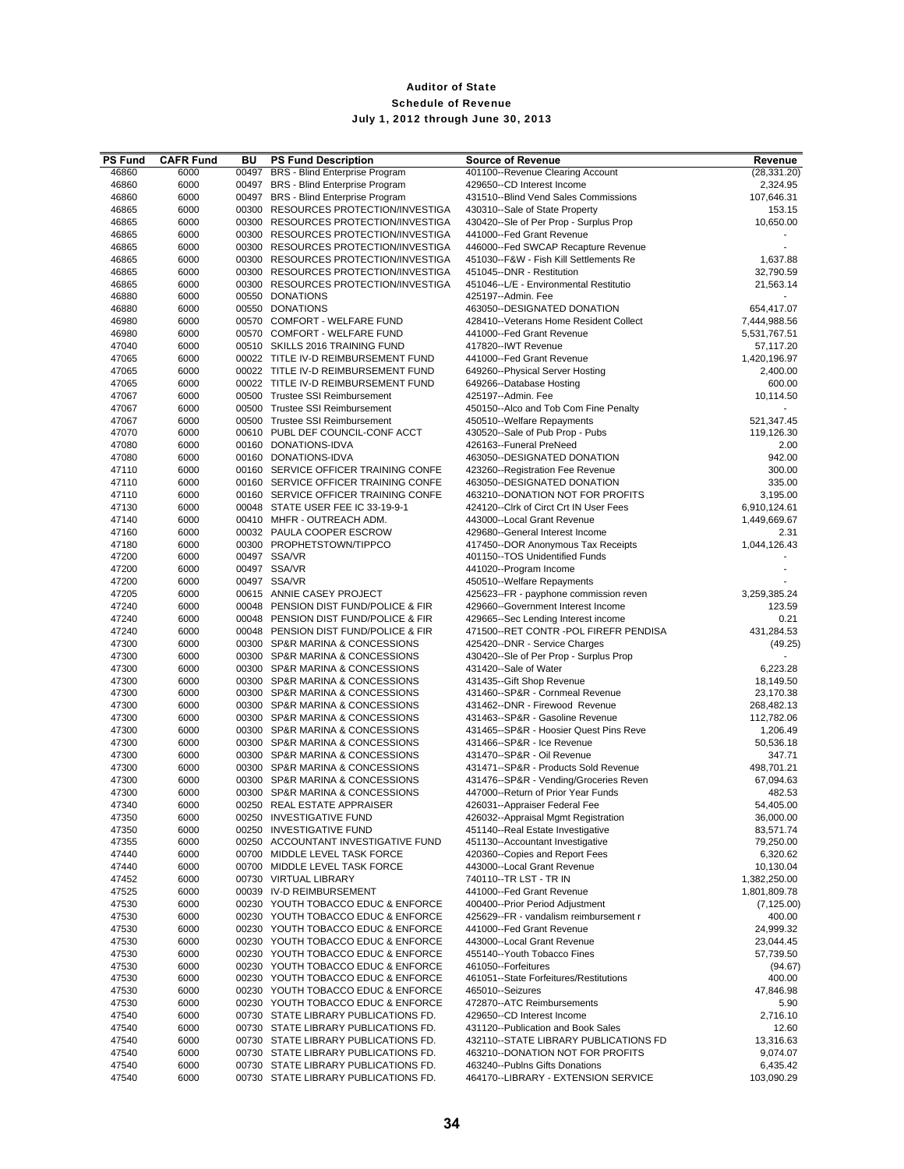| <b>PS Fund</b> | <b>CAFR Fund</b> | BU | <b>PS Fund Description</b>                                                   | <b>Source of Revenue</b>                                            | Revenue                  |
|----------------|------------------|----|------------------------------------------------------------------------------|---------------------------------------------------------------------|--------------------------|
| 46860          | 6000             |    | 00497 BRS - Blind Enterprise Program                                         | 401100--Revenue Clearing Account                                    | (28, 331.20)             |
| 46860          | 6000             |    | 00497 BRS - Blind Enterprise Program                                         | 429650--CD Interest Income                                          | 2,324.95                 |
| 46860          | 6000             |    | 00497 BRS - Blind Enterprise Program                                         | 431510--Blind Vend Sales Commissions                                | 107,646.31               |
| 46865          | 6000             |    | 00300 RESOURCES PROTECTION/INVESTIGA                                         | 430310--Sale of State Property                                      | 153.15                   |
| 46865          | 6000             |    | 00300 RESOURCES PROTECTION/INVESTIGA                                         | 430420--Sle of Per Prop - Surplus Prop                              | 10,650.00                |
| 46865          | 6000             |    | 00300 RESOURCES PROTECTION/INVESTIGA                                         | 441000--Fed Grant Revenue                                           |                          |
| 46865          | 6000             |    | 00300 RESOURCES PROTECTION/INVESTIGA                                         | 446000--Fed SWCAP Recapture Revenue                                 | $\blacksquare$           |
| 46865<br>46865 | 6000<br>6000     |    | 00300 RESOURCES PROTECTION/INVESTIGA<br>00300 RESOURCES PROTECTION/INVESTIGA | 451030--F&W - Fish Kill Settlements Re<br>451045--DNR - Restitution | 1,637.88<br>32,790.59    |
| 46865          | 6000             |    | 00300 RESOURCES PROTECTION/INVESTIGA                                         | 451046--L/E - Environmental Restitutio                              | 21,563.14                |
| 46880          | 6000             |    | 00550 DONATIONS                                                              | 425197--Admin. Fee                                                  |                          |
| 46880          | 6000             |    | 00550 DONATIONS                                                              | 463050--DESIGNATED DONATION                                         | 654,417.07               |
| 46980          | 6000             |    | 00570 COMFORT - WELFARE FUND                                                 | 428410--Veterans Home Resident Collect                              | 7,444,988.56             |
| 46980          | 6000             |    | 00570 COMFORT - WELFARE FUND                                                 | 441000--Fed Grant Revenue                                           | 5,531,767.51             |
| 47040          | 6000             |    | 00510 SKILLS 2016 TRAINING FUND                                              | 417820--IWT Revenue                                                 | 57,117.20                |
| 47065          | 6000             |    | 00022 TITLE IV-D REIMBURSEMENT FUND                                          | 441000--Fed Grant Revenue                                           | 1,420,196.97             |
| 47065          | 6000             |    | 00022 TITLE IV-D REIMBURSEMENT FUND                                          | 649260--Physical Server Hosting                                     | 2,400.00                 |
| 47065          | 6000             |    | 00022 TITLE IV-D REIMBURSEMENT FUND                                          | 649266--Database Hosting                                            | 600.00                   |
| 47067          | 6000             |    | 00500 Trustee SSI Reimbursement                                              | 425197--Admin. Fee                                                  | 10,114.50                |
| 47067          | 6000             |    | 00500 Trustee SSI Reimbursement                                              | 450150--Alco and Tob Com Fine Penalty                               |                          |
| 47067          | 6000             |    | 00500 Trustee SSI Reimbursement                                              | 450510--Welfare Repayments                                          | 521,347.45               |
| 47070          | 6000             |    | 00610 PUBL DEF COUNCIL-CONF ACCT                                             | 430520--Sale of Pub Prop - Pubs                                     | 119,126.30               |
| 47080          | 6000             |    | 00160 DONATIONS-IDVA                                                         | 426163--Funeral PreNeed                                             | 2.00                     |
| 47080          | 6000             |    | 00160 DONATIONS-IDVA                                                         | 463050--DESIGNATED DONATION                                         | 942.00                   |
| 47110          | 6000             |    | 00160 SERVICE OFFICER TRAINING CONFE<br>00160 SERVICE OFFICER TRAINING CONFE | 423260--Registration Fee Revenue<br>463050--DESIGNATED DONATION     | 300.00                   |
| 47110<br>47110 | 6000<br>6000     |    | 00160 SERVICE OFFICER TRAINING CONFE                                         | 463210--DONATION NOT FOR PROFITS                                    | 335.00<br>3,195.00       |
| 47130          | 6000             |    | 00048 STATE USER FEE IC 33-19-9-1                                            | 424120--Clrk of Circt Crt IN User Fees                              | 6,910,124.61             |
| 47140          | 6000             |    | 00410 MHFR - OUTREACH ADM.                                                   | 443000--Local Grant Revenue                                         | 1,449,669.67             |
| 47160          | 6000             |    | 00032 PAULA COOPER ESCROW                                                    | 429680--General Interest Income                                     | 2.31                     |
| 47180          | 6000             |    | 00300 PROPHETSTOWN/TIPPCO                                                    | 417450--DOR Anonymous Tax Receipts                                  | 1,044,126.43             |
| 47200          | 6000             |    | 00497 SSA/VR                                                                 | 401150--TOS Unidentified Funds                                      |                          |
| 47200          | 6000             |    | 00497 SSA/VR                                                                 | 441020--Program Income                                              |                          |
| 47200          | 6000             |    | 00497 SSA/VR                                                                 | 450510--Welfare Repayments                                          |                          |
| 47205          | 6000             |    | 00615 ANNIE CASEY PROJECT                                                    | 425623--FR - payphone commission reven                              | 3,259,385.24             |
| 47240          | 6000             |    | 00048 PENSION DIST FUND/POLICE & FIR                                         | 429660--Government Interest Income                                  | 123.59                   |
| 47240          | 6000             |    | 00048 PENSION DIST FUND/POLICE & FIR                                         | 429665--Sec Lending Interest income                                 | 0.21                     |
| 47240          | 6000             |    | 00048 PENSION DIST FUND/POLICE & FIR                                         | 471500--RET CONTR -POL FIREFR PENDISA                               | 431,284.53               |
| 47300          | 6000             |    | 00300 SP&R MARINA & CONCESSIONS                                              | 425420--DNR - Service Charges                                       | (49.25)                  |
| 47300          | 6000             |    | 00300 SP&R MARINA & CONCESSIONS                                              | 430420--Sle of Per Prop - Surplus Prop                              |                          |
| 47300          | 6000             |    | 00300 SP&R MARINA & CONCESSIONS                                              | 431420--Sale of Water                                               | 6,223.28                 |
| 47300          | 6000             |    | 00300 SP&R MARINA & CONCESSIONS                                              | 431435--Gift Shop Revenue                                           | 18,149.50                |
| 47300          | 6000             |    | 00300 SP&R MARINA & CONCESSIONS                                              | 431460--SP&R - Cornmeal Revenue                                     | 23,170.38                |
| 47300<br>47300 | 6000<br>6000     |    | 00300 SP&R MARINA & CONCESSIONS<br>00300 SP&R MARINA & CONCESSIONS           | 431462--DNR - Firewood Revenue<br>431463--SP&R - Gasoline Revenue   | 268,482.13<br>112,782.06 |
| 47300          | 6000             |    | 00300 SP&R MARINA & CONCESSIONS                                              | 431465--SP&R - Hoosier Quest Pins Reve                              | 1,206.49                 |
| 47300          | 6000             |    | 00300 SP&R MARINA & CONCESSIONS                                              | 431466--SP&R - Ice Revenue                                          | 50,536.18                |
| 47300          | 6000             |    | 00300 SP&R MARINA & CONCESSIONS                                              | 431470--SP&R - Oil Revenue                                          | 347.71                   |
| 47300          | 6000             |    | 00300 SP&R MARINA & CONCESSIONS                                              | 431471--SP&R - Products Sold Revenue                                | 498,701.21               |
| 47300          | 6000             |    | 00300 SP&R MARINA & CONCESSIONS                                              | 431476--SP&R - Vending/Groceries Reven                              | 67,094.63                |
| 47300          | 6000             |    | 00300 SP&R MARINA & CONCESSIONS                                              | 447000--Return of Prior Year Funds                                  | 482.53                   |
| 47340          | 6000             |    | 00250 REAL ESTATE APPRAISER                                                  | 426031--Appraiser Federal Fee                                       | 54,405.00                |
| 47350          | 6000             |    | 00250 INVESTIGATIVE FUND                                                     | 426032--Appraisal Mgmt Registration                                 | 36,000.00                |
| 47350          | 6000             |    | 00250 INVESTIGATIVE FUND                                                     | 451140--Real Estate Investigative                                   | 83,571.74                |
| 47355          | 6000             |    | 00250 ACCOUNTANT INVESTIGATIVE FUND                                          | 451130--Accountant Investigative                                    | 79,250.00                |
| 47440          | 6000             |    | 00700 MIDDLE LEVEL TASK FORCE                                                | 420360--Copies and Report Fees                                      | 6,320.62                 |
| 47440          | 6000             |    | 00700 MIDDLE LEVEL TASK FORCE                                                | 443000--Local Grant Revenue                                         | 10,130.04                |
| 47452          | 6000             |    | 00730 VIRTUAL LIBRARY                                                        | 740110--TR LST - TR IN                                              | 1,382,250.00             |
| 47525          | 6000             |    | 00039 IV-D REIMBURSEMENT                                                     | 441000--Fed Grant Revenue                                           | 1,801,809.78             |
| 47530          | 6000             |    | 00230 YOUTH TOBACCO EDUC & ENFORCE                                           | 400400--Prior Period Adjustment                                     | (7, 125.00)              |
| 47530<br>47530 | 6000<br>6000     |    | 00230 YOUTH TOBACCO EDUC & ENFORCE<br>00230 YOUTH TOBACCO EDUC & ENFORCE     | 425629--FR - vandalism reimbursement r<br>441000--Fed Grant Revenue | 400.00<br>24,999.32      |
| 47530          | 6000             |    | 00230 YOUTH TOBACCO EDUC & ENFORCE                                           | 443000--Local Grant Revenue                                         | 23,044.45                |
| 47530          | 6000             |    | 00230 YOUTH TOBACCO EDUC & ENFORCE                                           | 455140--Youth Tobacco Fines                                         | 57,739.50                |
| 47530          | 6000             |    | 00230 YOUTH TOBACCO EDUC & ENFORCE                                           | 461050--Forfeitures                                                 | (94.67)                  |
| 47530          | 6000             |    | 00230 YOUTH TOBACCO EDUC & ENFORCE                                           | 461051--State Forfeitures/Restitutions                              | 400.00                   |
| 47530          | 6000             |    | 00230 YOUTH TOBACCO EDUC & ENFORCE                                           | 465010--Seizures                                                    | 47,846.98                |
| 47530          | 6000             |    | 00230 YOUTH TOBACCO EDUC & ENFORCE                                           | 472870--ATC Reimbursements                                          | 5.90                     |
| 47540          | 6000             |    | 00730 STATE LIBRARY PUBLICATIONS FD.                                         | 429650--CD Interest Income                                          | 2,716.10                 |
| 47540          | 6000             |    | 00730 STATE LIBRARY PUBLICATIONS FD.                                         | 431120--Publication and Book Sales                                  | 12.60                    |
| 47540          | 6000             |    | 00730 STATE LIBRARY PUBLICATIONS FD.                                         | 432110--STATE LIBRARY PUBLICATIONS FD                               | 13,316.63                |
| 47540          | 6000             |    | 00730 STATE LIBRARY PUBLICATIONS FD.                                         | 463210--DONATION NOT FOR PROFITS                                    | 9,074.07                 |
| 47540          | 6000             |    | 00730 STATE LIBRARY PUBLICATIONS FD.                                         | 463240--Publns Gifts Donations                                      | 6,435.42                 |
| 47540          | 6000             |    | 00730 STATE LIBRARY PUBLICATIONS FD.                                         | 464170--LIBRARY - EXTENSION SERVICE                                 | 103,090.29               |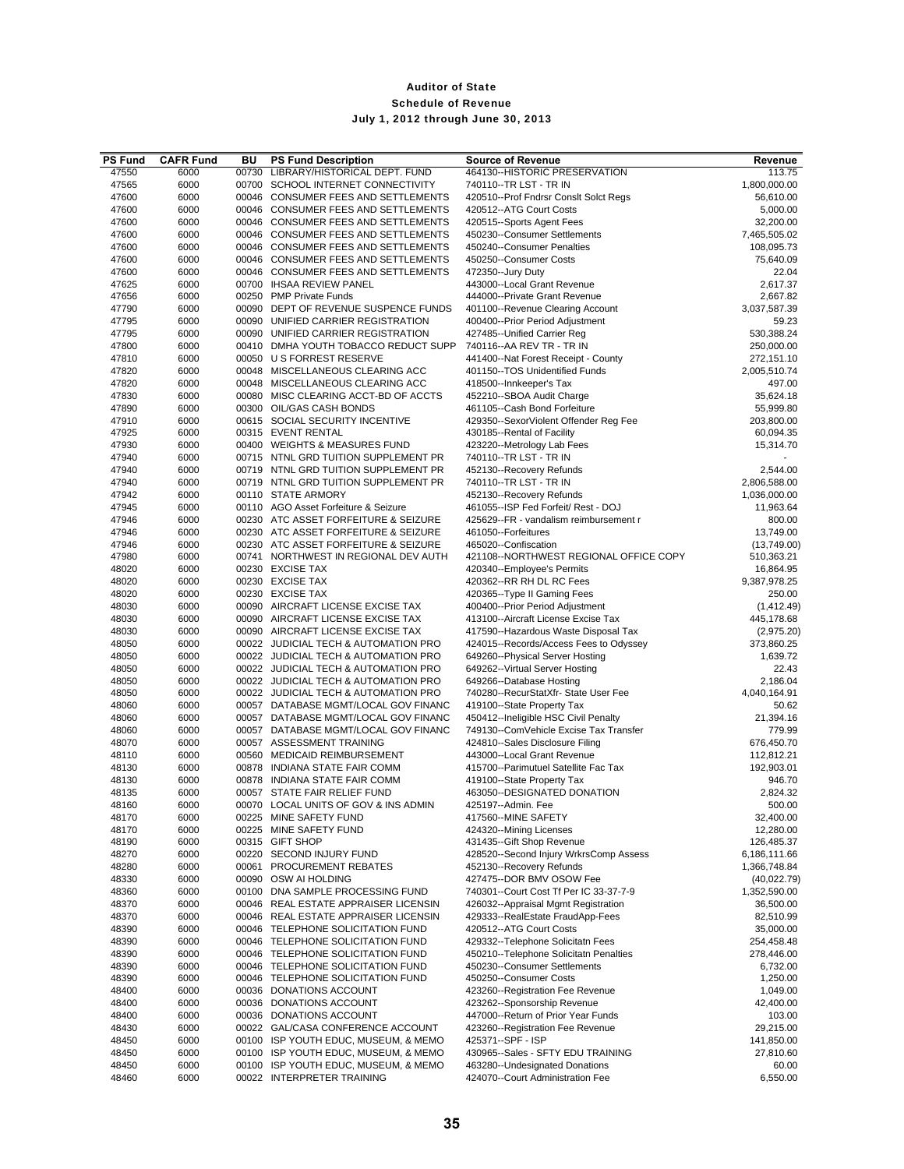| <b>PS Fund</b> | <b>CAFR Fund</b> | BU    | <b>PS Fund Description</b>                                                   | <b>Source of Revenue</b>                                                  | Revenue                      |
|----------------|------------------|-------|------------------------------------------------------------------------------|---------------------------------------------------------------------------|------------------------------|
| 47550          | 6000             | 00730 | LIBRARY/HISTORICAL DEPT. FUND                                                | 464130--HISTORIC PRESERVATION                                             | 113.75                       |
| 47565          | 6000             |       | 00700 SCHOOL INTERNET CONNECTIVITY                                           | 740110--TR LST - TR IN                                                    | 1,800,000.00                 |
| 47600          | 6000             |       | 00046 CONSUMER FEES AND SETTLEMENTS                                          | 420510--Prof Fndrsr Consit Solct Regs                                     | 56,610.00                    |
| 47600<br>47600 | 6000<br>6000     |       | 00046 CONSUMER FEES AND SETTLEMENTS<br>00046 CONSUMER FEES AND SETTLEMENTS   | 420512--ATG Court Costs<br>420515--Sports Agent Fees                      | 5,000.00<br>32,200.00        |
| 47600          | 6000             |       | 00046 CONSUMER FEES AND SETTLEMENTS                                          | 450230--Consumer Settlements                                              | 7,465,505.02                 |
| 47600          | 6000             |       | 00046 CONSUMER FEES AND SETTLEMENTS                                          | 450240--Consumer Penalties                                                | 108,095.73                   |
| 47600          | 6000             |       | 00046 CONSUMER FEES AND SETTLEMENTS                                          | 450250--Consumer Costs                                                    | 75,640.09                    |
| 47600          | 6000             |       | 00046 CONSUMER FEES AND SETTLEMENTS                                          | 472350--Jury Duty                                                         | 22.04                        |
| 47625          | 6000             |       | 00700 IHSAA REVIEW PANEL                                                     | 443000--Local Grant Revenue                                               | 2,617.37                     |
| 47656          | 6000             |       | 00250 PMP Private Funds                                                      | 444000--Private Grant Revenue                                             | 2,667.82                     |
| 47790          | 6000             |       | 00090 DEPT OF REVENUE SUSPENCE FUNDS                                         | 401100--Revenue Clearing Account                                          | 3,037,587.39                 |
| 47795          | 6000             |       | 00090 UNIFIED CARRIER REGISTRATION                                           | 400400--Prior Period Adjustment                                           | 59.23                        |
| 47795          | 6000             |       | 00090 UNIFIED CARRIER REGISTRATION                                           | 427485--Unified Carrier Reg                                               | 530,388.24<br>250,000.00     |
| 47800<br>47810 | 6000<br>6000     |       | 00410 DMHA YOUTH TOBACCO REDUCT SUPP<br>00050 U S FORREST RESERVE            | 740116 -- AA REV TR - TR IN<br>441400--Nat Forest Receipt - County        | 272,151.10                   |
| 47820          | 6000             |       | 00048 MISCELLANEOUS CLEARING ACC                                             | 401150--TOS Unidentified Funds                                            | 2,005,510.74                 |
| 47820          | 6000             |       | 00048 MISCELLANEOUS CLEARING ACC                                             | 418500--Innkeeper's Tax                                                   | 497.00                       |
| 47830          | 6000             |       | 00080 MISC CLEARING ACCT-BD OF ACCTS                                         | 452210--SBOA Audit Charge                                                 | 35,624.18                    |
| 47890          | 6000             |       | 00300 OIL/GAS CASH BONDS                                                     | 461105--Cash Bond Forfeiture                                              | 55,999.80                    |
| 47910          | 6000             |       | 00615 SOCIAL SECURITY INCENTIVE                                              | 429350--SexorViolent Offender Reg Fee                                     | 203,800.00                   |
| 47925          | 6000             |       | 00315 EVENT RENTAL                                                           | 430185--Rental of Facility                                                | 60,094.35                    |
| 47930          | 6000             |       | 00400 WEIGHTS & MEASURES FUND                                                | 423220--Metrology Lab Fees                                                | 15,314.70                    |
| 47940          | 6000             |       | 00715 NTNL GRD TUITION SUPPLEMENT PR                                         | 740110 -- TR LST - TR IN                                                  |                              |
| 47940          | 6000             |       | 00719 NTNL GRD TUITION SUPPLEMENT PR                                         | 452130--Recovery Refunds                                                  | 2,544.00                     |
| 47940<br>47942 | 6000<br>6000     |       | 00719 NTNL GRD TUITION SUPPLEMENT PR<br>00110 STATE ARMORY                   | 740110--TR LST - TR IN<br>452130--Recovery Refunds                        | 2,806,588.00<br>1,036,000.00 |
| 47945          | 6000             |       | 00110 AGO Asset Forfeiture & Seizure                                         | 461055--ISP Fed Forfeit/ Rest - DOJ                                       | 11,963.64                    |
| 47946          | 6000             |       | 00230 ATC ASSET FORFEITURE & SEIZURE                                         | 425629--FR - vandalism reimbursement r                                    | 800.00                       |
| 47946          | 6000             |       | 00230 ATC ASSET FORFEITURE & SEIZURE                                         | 461050--Forfeitures                                                       | 13,749.00                    |
| 47946          | 6000             |       | 00230 ATC ASSET FORFEITURE & SEIZURE                                         | 465020--Confiscation                                                      | (13,749.00)                  |
| 47980          | 6000             |       | 00741 NORTHWEST IN REGIONAL DEV AUTH                                         | 421108--NORTHWEST REGIONAL OFFICE COPY                                    | 510,363.21                   |
| 48020          | 6000             |       | 00230 EXCISE TAX                                                             | 420340--Employee's Permits                                                | 16,864.95                    |
| 48020          | 6000             |       | 00230 EXCISE TAX                                                             | 420362--RR RH DL RC Fees                                                  | 9,387,978.25                 |
| 48020          | 6000             |       | 00230 EXCISE TAX                                                             | 420365--Type II Gaming Fees                                               | 250.00                       |
| 48030          | 6000             |       | 00090 AIRCRAFT LICENSE EXCISE TAX                                            | 400400--Prior Period Adjustment                                           | (1, 412.49)                  |
| 48030          | 6000             |       | 00090 AIRCRAFT LICENSE EXCISE TAX                                            | 413100--Aircraft License Excise Tax                                       | 445,178.68                   |
| 48030          | 6000             |       | 00090 AIRCRAFT LICENSE EXCISE TAX                                            | 417590--Hazardous Waste Disposal Tax                                      | (2,975.20)                   |
| 48050<br>48050 | 6000<br>6000     |       | 00022 JUDICIAL TECH & AUTOMATION PRO<br>00022 JUDICIAL TECH & AUTOMATION PRO | 424015--Records/Access Fees to Odyssey<br>649260--Physical Server Hosting | 373,860.25<br>1,639.72       |
| 48050          | 6000             |       | 00022 JUDICIAL TECH & AUTOMATION PRO                                         | 649262--Virtual Server Hosting                                            | 22.43                        |
| 48050          | 6000             |       | 00022 JUDICIAL TECH & AUTOMATION PRO                                         | 649266--Database Hosting                                                  | 2,186.04                     |
| 48050          | 6000             |       | 00022 JUDICIAL TECH & AUTOMATION PRO                                         | 740280--RecurStatXfr- State User Fee                                      | 4,040,164.91                 |
| 48060          | 6000             |       | 00057 DATABASE MGMT/LOCAL GOV FINANC                                         | 419100--State Property Tax                                                | 50.62                        |
| 48060          | 6000             |       | 00057 DATABASE MGMT/LOCAL GOV FINANC                                         | 450412--Ineligible HSC Civil Penalty                                      | 21,394.16                    |
| 48060          | 6000             |       | 00057 DATABASE MGMT/LOCAL GOV FINANC                                         | 749130--ComVehicle Excise Tax Transfer                                    | 779.99                       |
| 48070          | 6000             |       | 00057 ASSESSMENT TRAINING                                                    | 424810--Sales Disclosure Filing                                           | 676,450.70                   |
| 48110          | 6000             |       | 00560 MEDICAID REIMBURSEMENT                                                 | 443000--Local Grant Revenue                                               | 112,812.21                   |
| 48130          | 6000             |       | 00878 INDIANA STATE FAIR COMM                                                | 415700--Parimutuel Satellite Fac Tax                                      | 192,903.01                   |
| 48130          | 6000             |       | 00878 INDIANA STATE FAIR COMM                                                | 419100--State Property Tax                                                | 946.70                       |
| 48135<br>48160 | 6000<br>6000     |       | 00057 STATE FAIR RELIEF FUND                                                 | 463050--DESIGNATED DONATION<br>425197--Admin. Fee                         | 2,824.32<br>500.00           |
| 48170          |                  |       | 00070 LOCAL UNITS OF GOV & INS ADMIN                                         |                                                                           |                              |
| 48170          | 6000<br>6000     |       | 00225 MINE SAFETY FUND<br>00225 MINE SAFETY FUND                             | 417560--MINE SAFETY<br>424320--Mining Licenses                            | 32,400.00<br>12,280.00       |
| 48190          | 6000             |       | 00315 GIFT SHOP                                                              | 431435--Gift Shop Revenue                                                 | 126,485.37                   |
| 48270          | 6000             |       | 00220 SECOND INJURY FUND                                                     | 428520--Second Injury WrkrsComp Assess                                    | 6,186,111.66                 |
| 48280          | 6000             |       | 00061 PROCUREMENT REBATES                                                    | 452130--Recovery Refunds                                                  | 1,366,748.84                 |
| 48330          | 6000             |       | 00090 OSW AI HOLDING                                                         | 427475--DOR BMV OSOW Fee                                                  | (40,022.79)                  |
| 48360          | 6000             |       | 00100 DNA SAMPLE PROCESSING FUND                                             | 740301--Court Cost Tf Per IC 33-37-7-9                                    | 1,352,590.00                 |
| 48370          | 6000             |       | 00046 REAL ESTATE APPRAISER LICENSIN                                         | 426032--Appraisal Mgmt Registration                                       | 36,500.00                    |
| 48370          | 6000             |       | 00046 REAL ESTATE APPRAISER LICENSIN                                         | 429333--RealEstate FraudApp-Fees                                          | 82,510.99                    |
| 48390          | 6000             |       | 00046 TELEPHONE SOLICITATION FUND                                            | 420512--ATG Court Costs                                                   | 35,000.00                    |
| 48390          | 6000             |       | 00046 TELEPHONE SOLICITATION FUND                                            | 429332--Telephone Solicitatn Fees                                         | 254,458.48<br>278,446.00     |
| 48390<br>48390 | 6000<br>6000     |       | 00046 TELEPHONE SOLICITATION FUND<br>00046 TELEPHONE SOLICITATION FUND       | 450210--Telephone Solicitatn Penalties<br>450230--Consumer Settlements    | 6,732.00                     |
| 48390          | 6000             |       | 00046 TELEPHONE SOLICITATION FUND                                            | 450250--Consumer Costs                                                    | 1,250.00                     |
| 48400          | 6000             |       | 00036 DONATIONS ACCOUNT                                                      | 423260--Registration Fee Revenue                                          | 1,049.00                     |
| 48400          | 6000             |       | 00036 DONATIONS ACCOUNT                                                      | 423262--Sponsorship Revenue                                               | 42,400.00                    |
| 48400          | 6000             |       | 00036 DONATIONS ACCOUNT                                                      | 447000--Return of Prior Year Funds                                        | 103.00                       |
| 48430          | 6000             |       | 00022 GAL/CASA CONFERENCE ACCOUNT                                            | 423260--Registration Fee Revenue                                          | 29,215.00                    |
| 48450          | 6000             |       | 00100 ISP YOUTH EDUC, MUSEUM, & MEMO                                         | 425371 -- SPF - ISP                                                       | 141,850.00                   |
| 48450          | 6000             |       | 00100 ISP YOUTH EDUC, MUSEUM, & MEMO                                         | 430965--Sales - SFTY EDU TRAINING                                         | 27,810.60                    |
| 48450          | 6000             |       | 00100 ISP YOUTH EDUC, MUSEUM, & MEMO                                         | 463280--Undesignated Donations                                            | 60.00                        |
| 48460          | 6000             |       | 00022 INTERPRETER TRAINING                                                   | 424070--Court Administration Fee                                          | 6,550.00                     |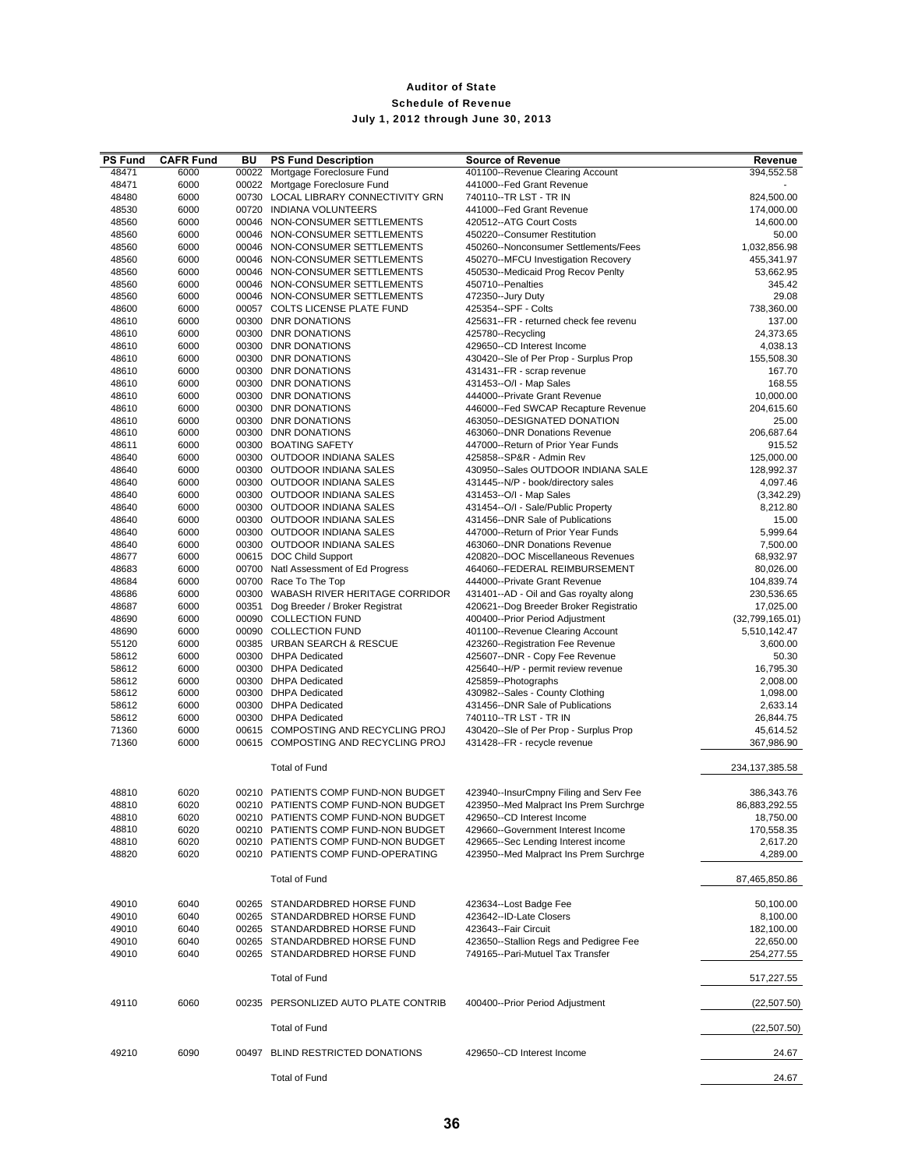| <b>PS Fund</b> | <b>CAFR Fund</b> | BU | <b>PS Fund Description</b>           | <b>Source of Revenue</b>               | Revenue              |
|----------------|------------------|----|--------------------------------------|----------------------------------------|----------------------|
| 48471          | 6000             |    | 00022 Mortgage Foreclosure Fund      | 401100--Revenue Clearing Account       | 394,552.58           |
| 48471          | 6000             |    | 00022 Mortgage Foreclosure Fund      | 441000--Fed Grant Revenue              |                      |
| 48480          | 6000             |    | 00730 LOCAL LIBRARY CONNECTIVITY GRN | 740110--TR LST - TR IN                 | 824,500.00           |
| 48530          | 6000             |    | 00720 INDIANA VOLUNTEERS             | 441000--Fed Grant Revenue              | 174,000.00           |
| 48560          | 6000             |    | 00046 NON-CONSUMER SETTLEMENTS       | 420512--ATG Court Costs                | 14,600.00            |
| 48560          | 6000             |    | 00046 NON-CONSUMER SETTLEMENTS       | 450220--Consumer Restitution           | 50.00                |
| 48560          | 6000             |    | 00046 NON-CONSUMER SETTLEMENTS       | 450260--Nonconsumer Settlements/Fees   | 1,032,856.98         |
| 48560          | 6000             |    | 00046 NON-CONSUMER SETTLEMENTS       | 450270--MFCU Investigation Recovery    | 455,341.97           |
| 48560          | 6000             |    | 00046 NON-CONSUMER SETTLEMENTS       | 450530--Medicaid Prog Recov Penlty     | 53,662.95            |
| 48560          | 6000             |    | 00046 NON-CONSUMER SETTLEMENTS       | 450710--Penalties                      | 345.42               |
| 48560          | 6000             |    | 00046 NON-CONSUMER SETTLEMENTS       | 472350--Jury Duty                      | 29.08                |
| 48600          | 6000             |    | 00057 COLTS LICENSE PLATE FUND       | 425354--SPF - Colts                    | 738,360.00           |
| 48610          | 6000             |    | 00300 DNR DONATIONS                  | 425631--FR - returned check fee revenu | 137.00               |
| 48610          | 6000             |    | 00300 DNR DONATIONS                  | 425780--Recycling                      | 24,373.65            |
| 48610          | 6000             |    | 00300 DNR DONATIONS                  | 429650--CD Interest Income             | 4,038.13             |
| 48610          | 6000             |    | 00300 DNR DONATIONS                  | 430420--Sle of Per Prop - Surplus Prop | 155,508.30           |
| 48610          | 6000             |    | 00300 DNR DONATIONS                  | 431431--FR - scrap revenue             | 167.70               |
| 48610          | 6000             |    | 00300 DNR DONATIONS                  | 431453--O/I - Map Sales                | 168.55               |
| 48610          | 6000             |    | 00300 DNR DONATIONS                  | 444000--Private Grant Revenue          | 10,000.00            |
| 48610          | 6000             |    | 00300 DNR DONATIONS                  | 446000--Fed SWCAP Recapture Revenue    | 204,615.60           |
| 48610          | 6000             |    | 00300 DNR DONATIONS                  | 463050--DESIGNATED DONATION            | 25.00                |
|                |                  |    | 00300 DNR DONATIONS                  | 463060--DNR Donations Revenue          |                      |
| 48610          | 6000             |    |                                      | 447000--Return of Prior Year Funds     | 206,687.64<br>915.52 |
| 48611          | 6000             |    | 00300 BOATING SAFETY                 |                                        |                      |
| 48640          | 6000             |    | 00300 OUTDOOR INDIANA SALES          | 425858--SP&R - Admin Rev               | 125,000.00           |
| 48640          | 6000             |    | 00300 OUTDOOR INDIANA SALES          | 430950--Sales OUTDOOR INDIANA SALE     | 128,992.37           |
| 48640          | 6000             |    | 00300 OUTDOOR INDIANA SALES          | 431445--N/P - book/directory sales     | 4,097.46             |
| 48640          | 6000             |    | 00300 OUTDOOR INDIANA SALES          | 431453--O/I - Map Sales                | (3,342.29)           |
| 48640          | 6000             |    | 00300 OUTDOOR INDIANA SALES          | 431454--O/I - Sale/Public Property     | 8,212.80             |
| 48640          | 6000             |    | 00300 OUTDOOR INDIANA SALES          | 431456--DNR Sale of Publications       | 15.00                |
| 48640          | 6000             |    | 00300 OUTDOOR INDIANA SALES          | 447000--Return of Prior Year Funds     | 5,999.64             |
| 48640          | 6000             |    | 00300 OUTDOOR INDIANA SALES          | 463060--DNR Donations Revenue          | 7,500.00             |
| 48677          | 6000             |    | 00615 DOC Child Support              | 420820--DOC Miscellaneous Revenues     | 68,932.97            |
| 48683          | 6000             |    | 00700 Natl Assessment of Ed Progress | 464060--FEDERAL REIMBURSEMENT          | 80,026.00            |
| 48684          | 6000             |    | 00700 Race To The Top                | 444000--Private Grant Revenue          | 104,839.74           |
| 48686          | 6000             |    | 00300 WABASH RIVER HERITAGE CORRIDOR | 431401--AD - Oil and Gas royalty along | 230,536.65           |
| 48687          | 6000             |    | 00351 Dog Breeder / Broker Registrat | 420621--Dog Breeder Broker Registratio | 17,025.00            |
| 48690          | 6000             |    | 00090 COLLECTION FUND                | 400400--Prior Period Adjustment        | (32,799,165.01)      |
| 48690          | 6000             |    | 00090 COLLECTION FUND                | 401100--Revenue Clearing Account       | 5,510,142.47         |
| 55120          | 6000             |    | 00385 URBAN SEARCH & RESCUE          | 423260--Registration Fee Revenue       | 3,600.00             |
| 58612          | 6000             |    | 00300 DHPA Dedicated                 | 425607--DNR - Copy Fee Revenue         | 50.30                |
| 58612          | 6000             |    | 00300 DHPA Dedicated                 | 425640--H/P - permit review revenue    | 16,795.30            |
| 58612          | 6000             |    | 00300 DHPA Dedicated                 | 425859--Photographs                    | 2,008.00             |
| 58612          | 6000             |    | 00300 DHPA Dedicated                 | 430982--Sales - County Clothing        | 1,098.00             |
| 58612          | 6000             |    | 00300 DHPA Dedicated                 | 431456--DNR Sale of Publications       | 2,633.14             |
| 58612          | 6000             |    | 00300 DHPA Dedicated                 | 740110--TR LST - TR IN                 | 26,844.75            |
| 71360          | 6000             |    | 00615 COMPOSTING AND RECYCLING PROJ  | 430420--Sle of Per Prop - Surplus Prop | 45,614.52            |
| 71360          | 6000             |    | 00615 COMPOSTING AND RECYCLING PROJ  | 431428--FR - recycle revenue           | 367,986.90           |
|                |                  |    |                                      |                                        |                      |
|                |                  |    | <b>Total of Fund</b>                 |                                        | 234, 137, 385. 58    |
|                |                  |    |                                      |                                        |                      |
| 48810          | 6020             |    | 00210 PATIENTS COMP FUND-NON BUDGET  | 423940--InsurCmpny Filing and Serv Fee | 386,343.76           |
| 48810          | 6020             |    | 00210 PATIENTS COMP FUND-NON BUDGET  | 423950--Med Malpract Ins Prem Surchrge | 86,883,292.55        |
| 48810          | 6020             |    | 00210 PATIENTS COMP FUND-NON BUDGET  | 429650--CD Interest Income             | 18,750.00            |
| 48810          | 6020             |    | 00210 PATIENTS COMP FUND-NON BUDGET  | 429660--Government Interest Income     | 170,558.35           |
| 48810          | 6020             |    | 00210 PATIENTS COMP FUND-NON BUDGET  | 429665--Sec Lending Interest income    | 2,617.20             |
| 48820          | 6020             |    | 00210 PATIENTS COMP FUND-OPERATING   | 423950--Med Malpract Ins Prem Surchrge | 4,289.00             |
|                |                  |    |                                      |                                        |                      |
|                |                  |    | <b>Total of Fund</b>                 |                                        | 87,465,850.86        |
|                |                  |    |                                      |                                        |                      |
| 49010          | 6040             |    | 00265 STANDARDBRED HORSE FUND        | 423634--Lost Badge Fee                 | 50,100.00            |
| 49010          | 6040             |    | 00265 STANDARDBRED HORSE FUND        | 423642--ID-Late Closers                | 8,100.00             |
| 49010          | 6040             |    | 00265 STANDARDBRED HORSE FUND        | 423643--Fair Circuit                   | 182,100.00           |
| 49010          | 6040             |    | 00265 STANDARDBRED HORSE FUND        | 423650--Stallion Regs and Pedigree Fee | 22,650.00            |
| 49010          | 6040             |    | 00265 STANDARDBRED HORSE FUND        | 749165--Pari-Mutuel Tax Transfer       | 254,277.55           |
|                |                  |    | <b>Total of Fund</b>                 |                                        | 517,227.55           |
| 49110          | 6060             |    | 00235 PERSONLIZED AUTO PLATE CONTRIB | 400400--Prior Period Adjustment        | (22, 507.50)         |
|                |                  |    | <b>Total of Fund</b>                 |                                        | (22, 507.50)         |
| 49210          | 6090             |    | 00497 BLIND RESTRICTED DONATIONS     | 429650--CD Interest Income             | 24.67                |
|                |                  |    | <b>Total of Fund</b>                 |                                        | 24.67                |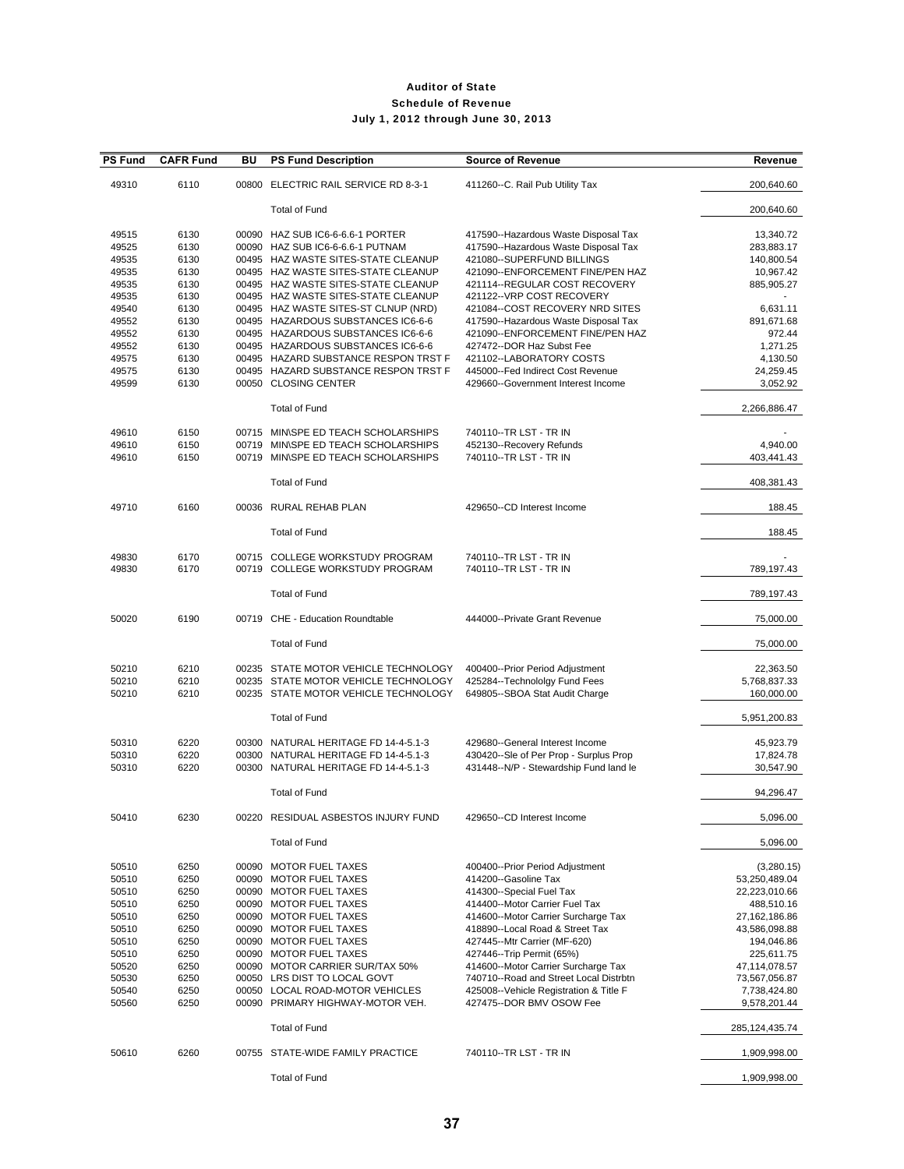| <b>PS Fund</b> | <b>CAFR Fund</b> | BU | <b>PS Fund Description</b>                                                   | <b>Source of Revenue</b>                                                  | Revenue                |
|----------------|------------------|----|------------------------------------------------------------------------------|---------------------------------------------------------------------------|------------------------|
| 49310          | 6110             |    | 00800 ELECTRIC RAIL SERVICE RD 8-3-1                                         | 411260--C. Rail Pub Utility Tax                                           | 200,640.60             |
|                |                  |    | <b>Total of Fund</b>                                                         |                                                                           | 200,640.60             |
| 49515          | 6130             |    | 00090 HAZ SUB IC6-6-6.6-1 PORTER                                             | 417590--Hazardous Waste Disposal Tax                                      | 13,340.72              |
| 49525          | 6130             |    | 00090 HAZ SUB IC6-6-6.6-1 PUTNAM                                             | 417590--Hazardous Waste Disposal Tax                                      | 283,883.17             |
| 49535          | 6130             |    | 00495 HAZ WASTE SITES-STATE CLEANUP                                          | 421080--SUPERFUND BILLINGS                                                | 140,800.54             |
| 49535          | 6130             |    | 00495 HAZ WASTE SITES-STATE CLEANUP                                          | 421090--ENFORCEMENT FINE/PEN HAZ                                          | 10,967.42              |
| 49535          | 6130             |    | 00495 HAZ WASTE SITES-STATE CLEANUP                                          | 421114--REGULAR COST RECOVERY                                             | 885,905.27             |
| 49535          | 6130             |    | 00495 HAZ WASTE SITES-STATE CLEANUP                                          | 421122--VRP COST RECOVERY                                                 |                        |
| 49540          | 6130             |    | 00495 HAZ WASTE SITES-ST CLNUP (NRD)<br>00495 HAZARDOUS SUBSTANCES IC6-6-6   | 421084--COST RECOVERY NRD SITES                                           | 6,631.11               |
| 49552<br>49552 | 6130<br>6130     |    | 00495 HAZARDOUS SUBSTANCES IC6-6-6                                           | 417590--Hazardous Waste Disposal Tax<br>421090--ENFORCEMENT FINE/PEN HAZ  | 891,671.68<br>972.44   |
| 49552          | 6130             |    | 00495 HAZARDOUS SUBSTANCES IC6-6-6                                           | 427472--DOR Haz Subst Fee                                                 | 1,271.25               |
| 49575          | 6130             |    | 00495 HAZARD SUBSTANCE RESPON TRST F                                         | 421102--LABORATORY COSTS                                                  | 4,130.50               |
| 49575          | 6130             |    | 00495 HAZARD SUBSTANCE RESPON TRST F                                         | 445000--Fed Indirect Cost Revenue                                         | 24,259.45              |
| 49599          | 6130             |    | 00050 CLOSING CENTER                                                         | 429660--Government Interest Income                                        | 3,052.92               |
|                |                  |    | <b>Total of Fund</b>                                                         |                                                                           | 2,266,886.47           |
| 49610          | 6150             |    | 00715 MIN\SPE ED TEACH SCHOLARSHIPS                                          | 740110--TR LST - TR IN                                                    |                        |
| 49610          | 6150             |    | 00719 MIN\SPE ED TEACH SCHOLARSHIPS                                          | 452130--Recovery Refunds                                                  | 4,940.00               |
| 49610          | 6150             |    | 00719 MINSPE ED TEACH SCHOLARSHIPS                                           | 740110--TR LST - TR IN                                                    | 403,441.43             |
|                |                  |    | <b>Total of Fund</b>                                                         |                                                                           | 408,381.43             |
| 49710          | 6160             |    | 00036 RURAL REHAB PLAN                                                       | 429650--CD Interest Income                                                | 188.45                 |
|                |                  |    | <b>Total of Fund</b>                                                         |                                                                           | 188.45                 |
|                |                  |    |                                                                              |                                                                           |                        |
| 49830<br>49830 | 6170<br>6170     |    | 00715 COLLEGE WORKSTUDY PROGRAM<br>00719 COLLEGE WORKSTUDY PROGRAM           | 740110--TR LST - TR IN<br>740110--TR LST - TR IN                          | 789,197.43             |
|                |                  |    | <b>Total of Fund</b>                                                         |                                                                           | 789,197.43             |
| 50020          | 6190             |    | 00719 CHE - Education Roundtable                                             | 444000--Private Grant Revenue                                             | 75,000.00              |
|                |                  |    | <b>Total of Fund</b>                                                         |                                                                           | 75,000.00              |
|                |                  |    |                                                                              |                                                                           |                        |
| 50210          | 6210             |    | 00235 STATE MOTOR VEHICLE TECHNOLOGY                                         | 400400--Prior Period Adjustment                                           | 22,363.50              |
| 50210          | 6210             |    | 00235 STATE MOTOR VEHICLE TECHNOLOGY<br>00235 STATE MOTOR VEHICLE TECHNOLOGY | 425284--Technololgy Fund Fees                                             | 5,768,837.33           |
| 50210          | 6210             |    |                                                                              | 649805--SBOA Stat Audit Charge                                            | 160,000.00             |
|                |                  |    | <b>Total of Fund</b>                                                         |                                                                           | 5,951,200.83           |
|                |                  |    |                                                                              |                                                                           |                        |
| 50310<br>50310 | 6220<br>6220     |    | 00300 NATURAL HERITAGE FD 14-4-5.1-3<br>00300 NATURAL HERITAGE FD 14-4-5.1-3 | 429680--General Interest Income<br>430420--Sle of Per Prop - Surplus Prop | 45,923.79<br>17,824.78 |
| 50310          | 6220             |    | 00300 NATURAL HERITAGE FD 14-4-5.1-3                                         | 431448--N/P - Stewardship Fund land le                                    | 30,547.90              |
|                |                  |    |                                                                              |                                                                           |                        |
|                |                  |    | <b>Total of Fund</b>                                                         |                                                                           | 94,296.47              |
| 50410          | 6230             |    | 00220 RESIDUAL ASBESTOS INJURY FUND                                          | 429650--CD Interest Income                                                | 5,096.00               |
|                |                  |    | <b>Total of Fund</b>                                                         |                                                                           | 5,096.00               |
| 50510          | 6250             |    | 00090 MOTOR FUEL TAXES                                                       | 400400--Prior Period Adjustment                                           | (3,280.15)             |
| 50510          | 6250             |    | 00090 MOTOR FUEL TAXES                                                       | 414200--Gasoline Tax                                                      | 53,250,489.04          |
| 50510          | 6250             |    | 00090 MOTOR FUEL TAXES                                                       | 414300--Special Fuel Tax                                                  | 22,223,010.66          |
| 50510          | 6250             |    | 00090 MOTOR FUEL TAXES                                                       | 414400--Motor Carrier Fuel Tax                                            | 488,510.16             |
| 50510          | 6250             |    | 00090 MOTOR FUEL TAXES                                                       | 414600--Motor Carrier Surcharge Tax                                       | 27,162,186.86          |
| 50510          | 6250             |    | 00090 MOTOR FUEL TAXES                                                       | 418890--Local Road & Street Tax                                           | 43,586,098.88          |
| 50510          | 6250             |    | 00090 MOTOR FUEL TAXES                                                       | 427445--Mtr Carrier (MF-620)                                              | 194,046.86             |
| 50510          | 6250             |    | 00090 MOTOR FUEL TAXES                                                       | 427446--Trip Permit (65%)                                                 | 225,611.75             |
| 50520          | 6250             |    | 00090 MOTOR CARRIER SUR/TAX 50%                                              | 414600--Motor Carrier Surcharge Tax                                       | 47,114,078.57          |
| 50530          | 6250             |    | 00050 LRS DIST TO LOCAL GOVT                                                 | 740710--Road and Street Local Distrbtn                                    | 73,567,056.87          |
| 50540          | 6250             |    | 00050 LOCAL ROAD-MOTOR VEHICLES                                              | 425008--Vehicle Registration & Title F                                    | 7,738,424.80           |
| 50560          | 6250             |    | 00090 PRIMARY HIGHWAY-MOTOR VEH.                                             | 427475--DOR BMV OSOW Fee                                                  | 9,578,201.44           |
|                |                  |    | <b>Total of Fund</b>                                                         |                                                                           | 285,124,435.74         |
| 50610          | 6260             |    | 00755 STATE-WIDE FAMILY PRACTICE                                             | 740110--TR LST - TR IN                                                    | 1,909,998.00           |
|                |                  |    | <b>Total of Fund</b>                                                         |                                                                           | 1,909,998.00           |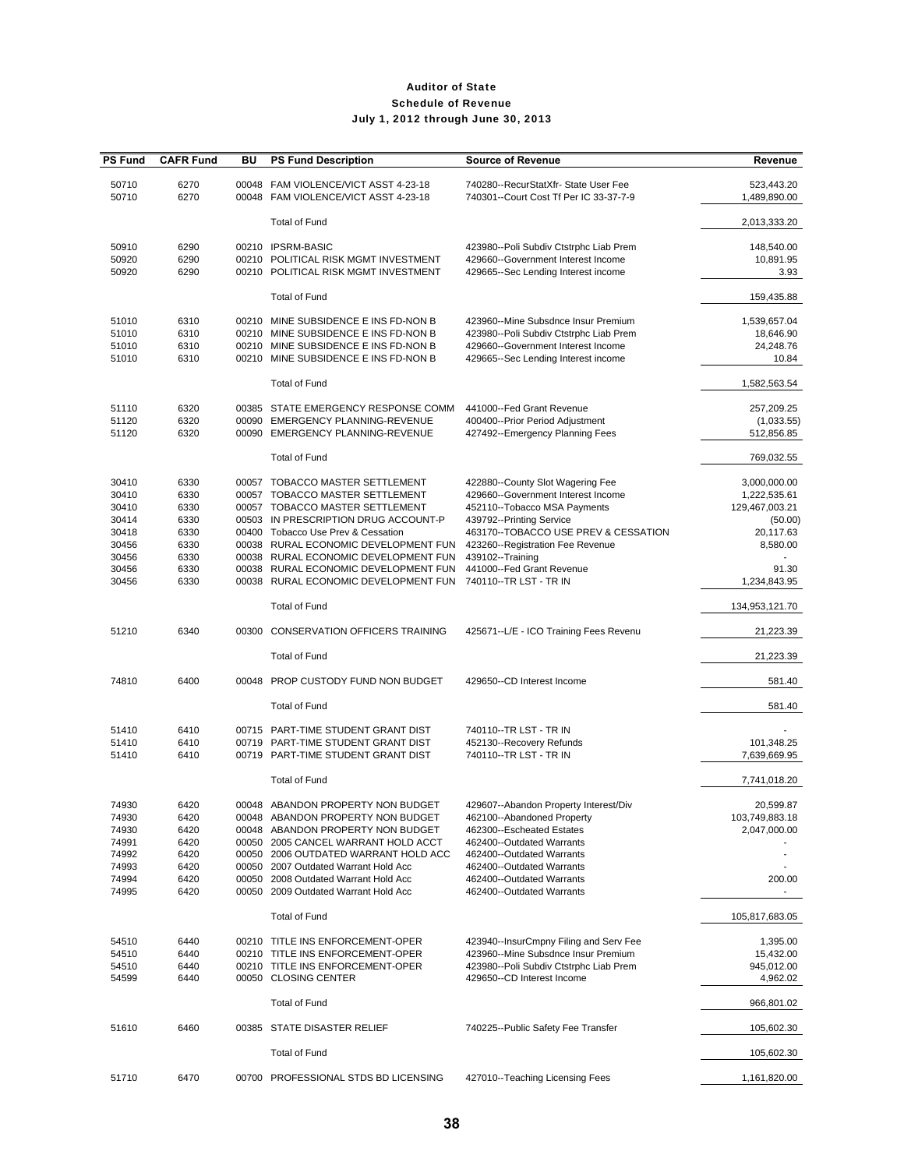| <b>PS Fund</b>                                                       | <b>CAFR Fund</b>                                             | BU | <b>PS Fund Description</b>                                                                                                                                                                                                                                                                                         | <b>Source of Revenue</b>                                                                                                                                                                                                                          | Revenue                                                                            |
|----------------------------------------------------------------------|--------------------------------------------------------------|----|--------------------------------------------------------------------------------------------------------------------------------------------------------------------------------------------------------------------------------------------------------------------------------------------------------------------|---------------------------------------------------------------------------------------------------------------------------------------------------------------------------------------------------------------------------------------------------|------------------------------------------------------------------------------------|
| 50710<br>50710                                                       | 6270<br>6270                                                 |    | 00048 FAM VIOLENCE/VICT ASST 4-23-18<br>00048 FAM VIOLENCE/VICT ASST 4-23-18                                                                                                                                                                                                                                       | 740280--RecurStatXfr- State User Fee<br>740301--Court Cost Tf Per IC 33-37-7-9                                                                                                                                                                    | 523,443.20<br>1,489,890.00                                                         |
|                                                                      |                                                              |    | <b>Total of Fund</b>                                                                                                                                                                                                                                                                                               |                                                                                                                                                                                                                                                   | 2,013,333.20                                                                       |
| 50910<br>50920<br>50920                                              | 6290<br>6290<br>6290                                         |    | 00210 IPSRM-BASIC<br>00210 POLITICAL RISK MGMT INVESTMENT<br>00210 POLITICAL RISK MGMT INVESTMENT                                                                                                                                                                                                                  | 423980--Poli Subdiv Ctstrphc Liab Prem<br>429660--Government Interest Income<br>429665--Sec Lending Interest income                                                                                                                               | 148,540.00<br>10,891.95<br>3.93                                                    |
|                                                                      |                                                              |    | <b>Total of Fund</b>                                                                                                                                                                                                                                                                                               |                                                                                                                                                                                                                                                   | 159,435.88                                                                         |
| 51010<br>51010<br>51010<br>51010                                     | 6310<br>6310<br>6310<br>6310                                 |    | 00210 MINE SUBSIDENCE E INS FD-NON B<br>00210 MINE SUBSIDENCE E INS FD-NON B<br>00210 MINE SUBSIDENCE E INS FD-NON B<br>00210 MINE SUBSIDENCE E INS FD-NON B                                                                                                                                                       | 423960--Mine Subsdnce Insur Premium<br>423980--Poli Subdiv Ctstrphc Liab Prem<br>429660--Government Interest Income<br>429665--Sec Lending Interest income                                                                                        | 1,539,657.04<br>18,646.90<br>24,248.76<br>10.84                                    |
|                                                                      |                                                              |    | <b>Total of Fund</b>                                                                                                                                                                                                                                                                                               |                                                                                                                                                                                                                                                   | 1,582,563.54                                                                       |
| 51110<br>51120<br>51120                                              | 6320<br>6320<br>6320                                         |    | 00385 STATE EMERGENCY RESPONSE COMM<br>00090 EMERGENCY PLANNING-REVENUE<br>00090 EMERGENCY PLANNING-REVENUE                                                                                                                                                                                                        | 441000--Fed Grant Revenue<br>400400--Prior Period Adjustment<br>427492--Emergency Planning Fees                                                                                                                                                   | 257,209.25<br>(1,033.55)<br>512,856.85                                             |
|                                                                      |                                                              |    | <b>Total of Fund</b>                                                                                                                                                                                                                                                                                               |                                                                                                                                                                                                                                                   | 769,032.55                                                                         |
| 30410<br>30410<br>30410<br>30414<br>30418<br>30456<br>30456          | 6330<br>6330<br>6330<br>6330<br>6330<br>6330<br>6330         |    | 00057 TOBACCO MASTER SETTLEMENT<br>00057 TOBACCO MASTER SETTLEMENT<br>00057 TOBACCO MASTER SETTLEMENT<br>00503 IN PRESCRIPTION DRUG ACCOUNT-P<br>00400 Tobacco Use Prev & Cessation<br>00038 RURAL ECONOMIC DEVELOPMENT FUN<br>00038 RURAL ECONOMIC DEVELOPMENT FUN                                                | 422880--County Slot Wagering Fee<br>429660--Government Interest Income<br>452110--Tobacco MSA Payments<br>439792--Printing Service<br>463170--TOBACCO USE PREV & CESSATION<br>423260--Registration Fee Revenue<br>439102--Training                | 3,000,000.00<br>1,222,535.61<br>129,467,003.21<br>(50.00)<br>20,117.63<br>8,580.00 |
| 30456<br>30456                                                       | 6330<br>6330                                                 |    | 00038 RURAL ECONOMIC DEVELOPMENT FUN<br>00038 RURAL ECONOMIC DEVELOPMENT FUN                                                                                                                                                                                                                                       | 441000--Fed Grant Revenue<br>740110--TR LST - TR IN                                                                                                                                                                                               | 91.30<br>1,234,843.95                                                              |
|                                                                      |                                                              |    | <b>Total of Fund</b>                                                                                                                                                                                                                                                                                               |                                                                                                                                                                                                                                                   | 134,953,121.70                                                                     |
| 51210                                                                | 6340                                                         |    | 00300 CONSERVATION OFFICERS TRAINING                                                                                                                                                                                                                                                                               | 425671--L/E - ICO Training Fees Revenu                                                                                                                                                                                                            | 21,223.39                                                                          |
|                                                                      |                                                              |    | <b>Total of Fund</b>                                                                                                                                                                                                                                                                                               |                                                                                                                                                                                                                                                   | 21,223.39                                                                          |
| 74810                                                                | 6400                                                         |    | 00048 PROP CUSTODY FUND NON BUDGET                                                                                                                                                                                                                                                                                 | 429650--CD Interest Income                                                                                                                                                                                                                        | 581.40                                                                             |
|                                                                      |                                                              |    | <b>Total of Fund</b>                                                                                                                                                                                                                                                                                               |                                                                                                                                                                                                                                                   | 581.40                                                                             |
| 51410<br>51410<br>51410                                              | 6410<br>6410<br>6410                                         |    | 00715 PART-TIME STUDENT GRANT DIST<br>00719 PART-TIME STUDENT GRANT DIST<br>00719 PART-TIME STUDENT GRANT DIST                                                                                                                                                                                                     | 740110--TR LST - TR IN<br>452130--Recovery Refunds<br>740110--TR LST - TR IN                                                                                                                                                                      | 101,348.25<br>7,639,669.95                                                         |
|                                                                      |                                                              |    | <b>Total of Fund</b>                                                                                                                                                                                                                                                                                               |                                                                                                                                                                                                                                                   | 7,741,018.20                                                                       |
| 74930<br>74930<br>74930<br>74991<br>74992<br>74993<br>74994<br>74995 | 6420<br>6420<br>6420<br>6420<br>6420<br>6420<br>6420<br>6420 |    | 00048 ABANDON PROPERTY NON BUDGET<br>00048 ABANDON PROPERTY NON BUDGET<br>00048 ABANDON PROPERTY NON BUDGET<br>00050 2005 CANCEL WARRANT HOLD ACCT<br>00050 2006 OUTDATED WARRANT HOLD ACC<br>00050 2007 Outdated Warrant Hold Acc<br>00050 2008 Outdated Warrant Hold Acc<br>00050 2009 Outdated Warrant Hold Acc | 429607--Abandon Property Interest/Div<br>462100--Abandoned Property<br>462300--Escheated Estates<br>462400--Outdated Warrants<br>462400--Outdated Warrants<br>462400--Outdated Warrants<br>462400--Outdated Warrants<br>462400--Outdated Warrants | 20,599.87<br>103,749,883.18<br>2,047,000.00<br>200.00<br>۰.                        |
|                                                                      |                                                              |    | <b>Total of Fund</b>                                                                                                                                                                                                                                                                                               |                                                                                                                                                                                                                                                   | 105,817,683.05                                                                     |
| 54510<br>54510<br>54510<br>54599                                     | 6440<br>6440<br>6440<br>6440                                 |    | 00210 TITLE INS ENFORCEMENT-OPER<br>00210 TITLE INS ENFORCEMENT-OPER<br>00210 TITLE INS ENFORCEMENT-OPER<br>00050 CLOSING CENTER                                                                                                                                                                                   | 423940--InsurCmpny Filing and Serv Fee<br>423960--Mine Subsdnce Insur Premium<br>423980--Poli Subdiv Ctstrphc Liab Prem<br>429650--CD Interest Income                                                                                             | 1,395.00<br>15,432.00<br>945,012.00<br>4,962.02                                    |
|                                                                      |                                                              |    | <b>Total of Fund</b>                                                                                                                                                                                                                                                                                               |                                                                                                                                                                                                                                                   | 966,801.02                                                                         |
| 51610                                                                | 6460                                                         |    | 00385 STATE DISASTER RELIEF                                                                                                                                                                                                                                                                                        | 740225--Public Safety Fee Transfer                                                                                                                                                                                                                | 105,602.30                                                                         |
|                                                                      |                                                              |    | <b>Total of Fund</b>                                                                                                                                                                                                                                                                                               |                                                                                                                                                                                                                                                   | 105,602.30                                                                         |
| 51710                                                                | 6470                                                         |    | 00700 PROFESSIONAL STDS BD LICENSING                                                                                                                                                                                                                                                                               | 427010--Teaching Licensing Fees                                                                                                                                                                                                                   | 1,161,820.00                                                                       |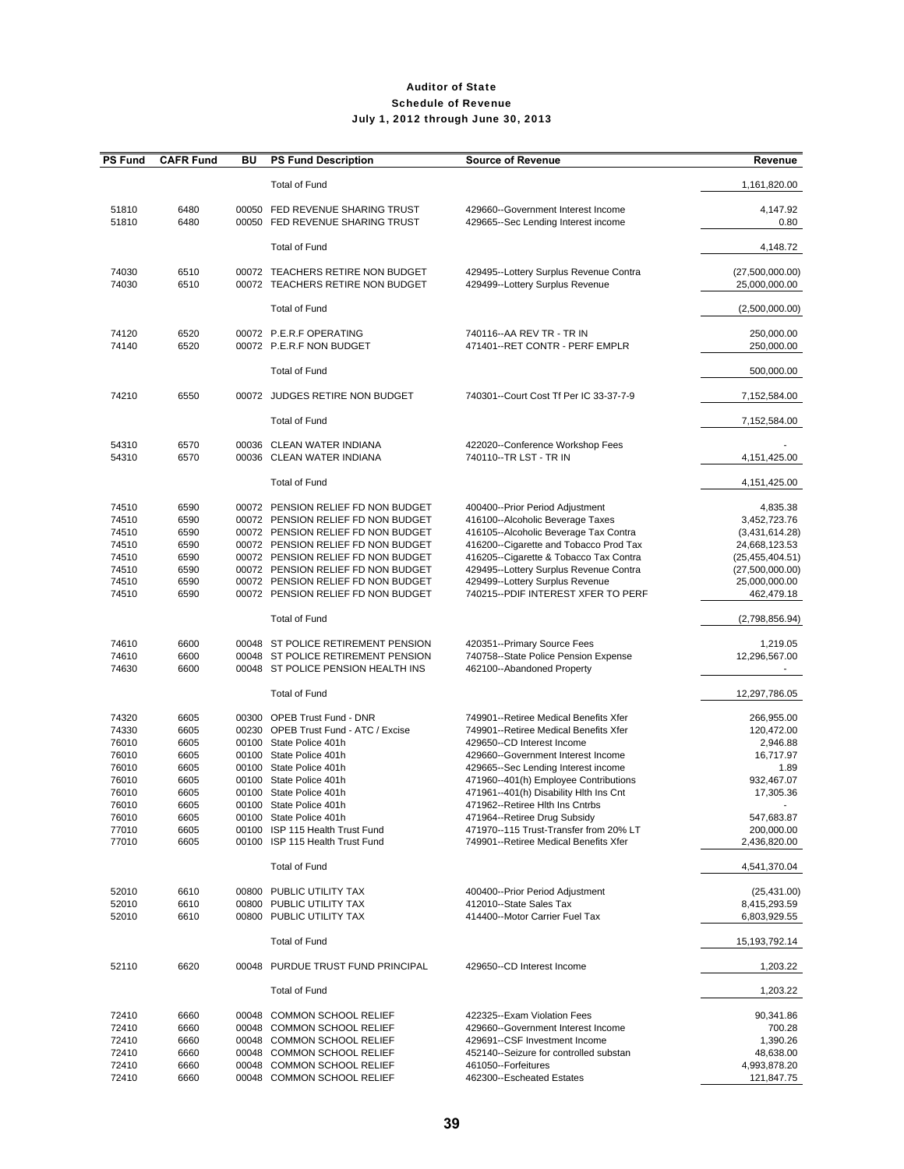| <b>PS Fund</b>                                                                                  | <b>CAFR Fund</b>                                                                     | ΒU | <b>PS Fund Description</b>                                                                                                                                                                                                                                                                                                             | <b>Source of Revenue</b>                                                                                                                                                                                                                                                                                                                                                                                                           | Revenue                                                                                                                                            |
|-------------------------------------------------------------------------------------------------|--------------------------------------------------------------------------------------|----|----------------------------------------------------------------------------------------------------------------------------------------------------------------------------------------------------------------------------------------------------------------------------------------------------------------------------------------|------------------------------------------------------------------------------------------------------------------------------------------------------------------------------------------------------------------------------------------------------------------------------------------------------------------------------------------------------------------------------------------------------------------------------------|----------------------------------------------------------------------------------------------------------------------------------------------------|
|                                                                                                 |                                                                                      |    | <b>Total of Fund</b>                                                                                                                                                                                                                                                                                                                   |                                                                                                                                                                                                                                                                                                                                                                                                                                    | 1,161,820.00                                                                                                                                       |
| 51810<br>51810                                                                                  | 6480<br>6480                                                                         |    | 00050 FED REVENUE SHARING TRUST<br>00050 FED REVENUE SHARING TRUST                                                                                                                                                                                                                                                                     | 429660--Government Interest Income<br>429665--Sec Lending Interest income                                                                                                                                                                                                                                                                                                                                                          | 4,147.92<br>0.80                                                                                                                                   |
|                                                                                                 |                                                                                      |    | <b>Total of Fund</b>                                                                                                                                                                                                                                                                                                                   |                                                                                                                                                                                                                                                                                                                                                                                                                                    | 4,148.72                                                                                                                                           |
| 74030<br>74030                                                                                  | 6510<br>6510                                                                         |    | 00072 TEACHERS RETIRE NON BUDGET<br>00072 TEACHERS RETIRE NON BUDGET                                                                                                                                                                                                                                                                   | 429495--Lottery Surplus Revenue Contra<br>429499--Lottery Surplus Revenue                                                                                                                                                                                                                                                                                                                                                          | (27,500,000.00)<br>25,000,000.00                                                                                                                   |
|                                                                                                 |                                                                                      |    | <b>Total of Fund</b>                                                                                                                                                                                                                                                                                                                   |                                                                                                                                                                                                                                                                                                                                                                                                                                    | (2,500,000.00)                                                                                                                                     |
| 74120<br>74140                                                                                  | 6520<br>6520                                                                         |    | 00072 P.E.R.F OPERATING<br>00072 P.E.R.F NON BUDGET                                                                                                                                                                                                                                                                                    | 740116 -- AA REV TR - TR IN<br>471401--RET CONTR - PERF EMPLR                                                                                                                                                                                                                                                                                                                                                                      | 250,000.00<br>250,000.00                                                                                                                           |
|                                                                                                 |                                                                                      |    | <b>Total of Fund</b>                                                                                                                                                                                                                                                                                                                   |                                                                                                                                                                                                                                                                                                                                                                                                                                    | 500,000.00                                                                                                                                         |
| 74210                                                                                           | 6550                                                                                 |    | 00072 JUDGES RETIRE NON BUDGET                                                                                                                                                                                                                                                                                                         | 740301--Court Cost Tf Per IC 33-37-7-9                                                                                                                                                                                                                                                                                                                                                                                             | 7,152,584.00                                                                                                                                       |
|                                                                                                 |                                                                                      |    | <b>Total of Fund</b>                                                                                                                                                                                                                                                                                                                   |                                                                                                                                                                                                                                                                                                                                                                                                                                    | 7,152,584.00                                                                                                                                       |
| 54310<br>54310                                                                                  | 6570<br>6570                                                                         |    | 00036 CLEAN WATER INDIANA<br>00036 CLEAN WATER INDIANA                                                                                                                                                                                                                                                                                 | 422020--Conference Workshop Fees<br>740110--TR LST - TR IN                                                                                                                                                                                                                                                                                                                                                                         | 4,151,425.00                                                                                                                                       |
|                                                                                                 |                                                                                      |    | <b>Total of Fund</b>                                                                                                                                                                                                                                                                                                                   |                                                                                                                                                                                                                                                                                                                                                                                                                                    | 4,151,425.00                                                                                                                                       |
| 74510<br>74510<br>74510<br>74510<br>74510<br>74510<br>74510<br>74510                            | 6590<br>6590<br>6590<br>6590<br>6590<br>6590<br>6590<br>6590                         |    | 00072 PENSION RELIEF FD NON BUDGET<br>00072 PENSION RELIEF FD NON BUDGET<br>00072 PENSION RELIEF FD NON BUDGET<br>00072 PENSION RELIEF FD NON BUDGET<br>00072 PENSION RELIEF FD NON BUDGET<br>00072 PENSION RELIEF FD NON BUDGET<br>00072 PENSION RELIEF FD NON BUDGET<br>00072 PENSION RELIEF FD NON BUDGET                           | 400400--Prior Period Adjustment<br>416100--Alcoholic Beverage Taxes<br>416105--Alcoholic Beverage Tax Contra<br>416200--Cigarette and Tobacco Prod Tax<br>416205--Cigarette & Tobacco Tax Contra<br>429495--Lottery Surplus Revenue Contra<br>429499--Lottery Surplus Revenue<br>740215--PDIF INTEREST XFER TO PERF                                                                                                                | 4,835.38<br>3,452,723.76<br>(3,431,614.28)<br>24,668,123.53<br>(25, 455, 404.51)<br>(27,500,000.00)<br>25,000,000.00<br>462,479.18                 |
|                                                                                                 |                                                                                      |    | <b>Total of Fund</b>                                                                                                                                                                                                                                                                                                                   |                                                                                                                                                                                                                                                                                                                                                                                                                                    | (2,798,856.94)                                                                                                                                     |
| 74610<br>74610<br>74630                                                                         | 6600<br>6600<br>6600                                                                 |    | 00048 ST POLICE RETIREMENT PENSION<br>00048 ST POLICE RETIREMENT PENSION<br>00048 ST POLICE PENSION HEALTH INS                                                                                                                                                                                                                         | 420351--Primary Source Fees<br>740758--State Police Pension Expense<br>462100--Abandoned Property                                                                                                                                                                                                                                                                                                                                  | 1,219.05<br>12,296,567.00                                                                                                                          |
|                                                                                                 |                                                                                      |    | <b>Total of Fund</b>                                                                                                                                                                                                                                                                                                                   |                                                                                                                                                                                                                                                                                                                                                                                                                                    | 12,297,786.05                                                                                                                                      |
| 74320<br>74330<br>76010<br>76010<br>76010<br>76010<br>76010<br>76010<br>76010<br>77010<br>77010 | 6605<br>6605<br>6605<br>6605<br>6605<br>6605<br>6605<br>6605<br>6605<br>6605<br>6605 |    | 00300 OPEB Trust Fund - DNR<br>00230 OPEB Trust Fund - ATC / Excise<br>00100 State Police 401h<br>00100 State Police 401h<br>00100 State Police 401h<br>00100 State Police 401h<br>00100 State Police 401h<br>00100 State Police 401h<br>00100 State Police 401h<br>00100 ISP 115 Health Trust Fund<br>00100 ISP 115 Health Trust Fund | 749901--Retiree Medical Benefits Xfer<br>749901--Retiree Medical Benefits Xfer<br>429650--CD Interest Income<br>429660--Government Interest Income<br>429665--Sec Lending Interest income<br>471960--401(h) Employee Contributions<br>471961--401(h) Disability Hlth Ins Cnt<br>471962--Retiree Hlth Ins Cntrbs<br>471964--Retiree Drug Subsidy<br>471970--115 Trust-Transfer from 20% LT<br>749901--Retiree Medical Benefits Xfer | 266,955.00<br>120,472.00<br>2,946.88<br>16,717.97<br>1.89<br>932,467.07<br>17,305.36<br>$\blacksquare$<br>547,683.87<br>200,000.00<br>2,436,820.00 |
|                                                                                                 |                                                                                      |    | <b>Total of Fund</b>                                                                                                                                                                                                                                                                                                                   |                                                                                                                                                                                                                                                                                                                                                                                                                                    | 4,541,370.04                                                                                                                                       |
| 52010<br>52010<br>52010                                                                         | 6610<br>6610<br>6610                                                                 |    | 00800 PUBLIC UTILITY TAX<br>00800 PUBLIC UTILITY TAX<br>00800 PUBLIC UTILITY TAX                                                                                                                                                                                                                                                       | 400400--Prior Period Adjustment<br>412010--State Sales Tax<br>414400--Motor Carrier Fuel Tax                                                                                                                                                                                                                                                                                                                                       | (25, 431.00)<br>8,415,293.59<br>6,803,929.55                                                                                                       |
|                                                                                                 |                                                                                      |    | <b>Total of Fund</b>                                                                                                                                                                                                                                                                                                                   |                                                                                                                                                                                                                                                                                                                                                                                                                                    | 15, 193, 792. 14                                                                                                                                   |
| 52110                                                                                           | 6620                                                                                 |    | 00048 PURDUE TRUST FUND PRINCIPAL                                                                                                                                                                                                                                                                                                      | 429650--CD Interest Income                                                                                                                                                                                                                                                                                                                                                                                                         | 1,203.22                                                                                                                                           |
|                                                                                                 |                                                                                      |    | <b>Total of Fund</b>                                                                                                                                                                                                                                                                                                                   |                                                                                                                                                                                                                                                                                                                                                                                                                                    | 1,203.22                                                                                                                                           |
| 72410<br>72410<br>72410<br>72410<br>72410<br>72410                                              | 6660<br>6660<br>6660<br>6660<br>6660<br>6660                                         |    | 00048 COMMON SCHOOL RELIEF<br>00048 COMMON SCHOOL RELIEF<br>00048 COMMON SCHOOL RELIEF<br>00048 COMMON SCHOOL RELIEF<br>00048 COMMON SCHOOL RELIEF<br>00048 COMMON SCHOOL RELIEF                                                                                                                                                       | 422325--Exam Violation Fees<br>429660--Government Interest Income<br>429691--CSF Investment Income<br>452140--Seizure for controlled substan<br>461050--Forfeitures<br>462300--Escheated Estates                                                                                                                                                                                                                                   | 90,341.86<br>700.28<br>1,390.26<br>48,638.00<br>4,993,878.20<br>121,847.75                                                                         |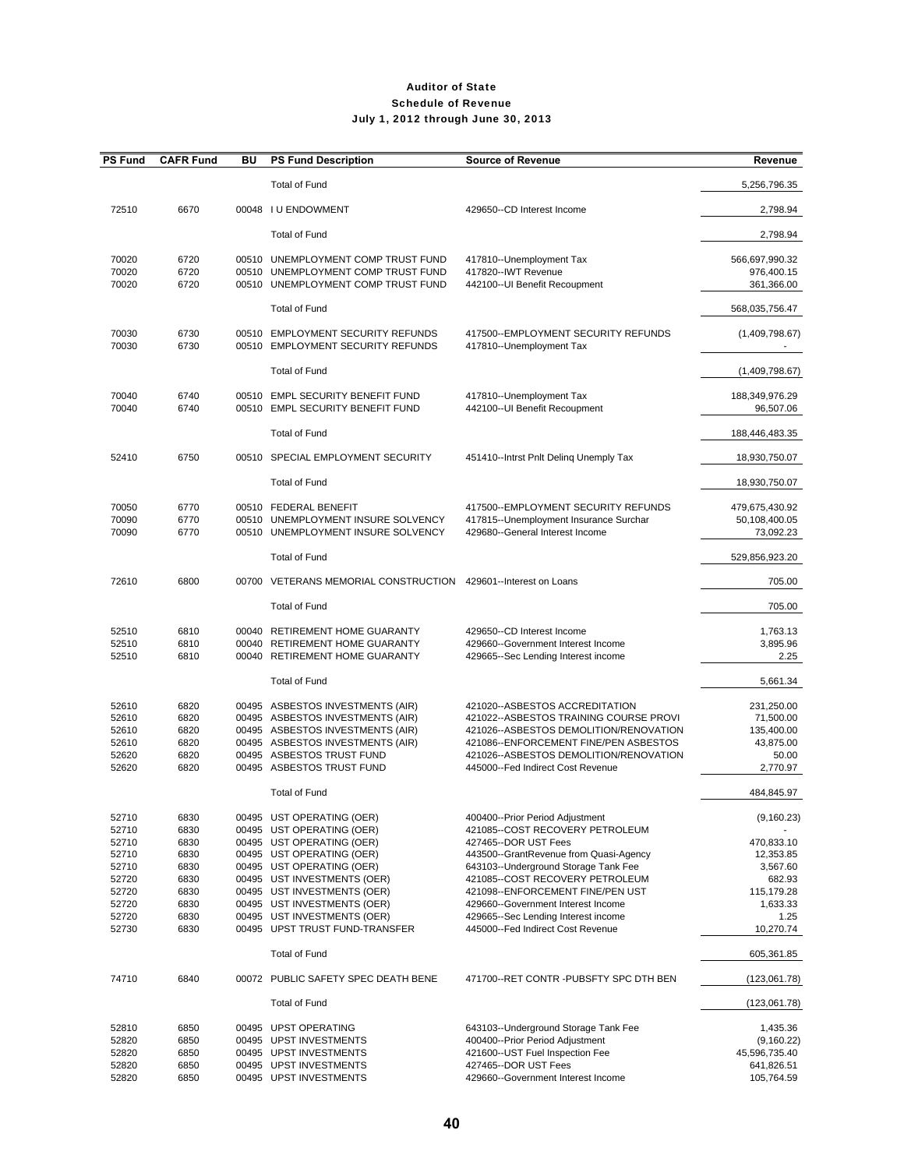| <b>PS Fund</b> | <b>CAFR Fund</b> | ΒU | <b>PS Fund Description</b>                                       | <b>Source of Revenue</b>                                                  | Revenue                     |
|----------------|------------------|----|------------------------------------------------------------------|---------------------------------------------------------------------------|-----------------------------|
|                |                  |    | <b>Total of Fund</b>                                             |                                                                           | 5,256,796.35                |
| 72510          | 6670             |    | 00048 I U ENDOWMENT                                              | 429650--CD Interest Income                                                | 2,798.94                    |
|                |                  |    | <b>Total of Fund</b>                                             |                                                                           | 2,798.94                    |
| 70020          | 6720             |    | 00510 UNEMPLOYMENT COMP TRUST FUND                               | 417810--Unemployment Tax                                                  | 566,697,990.32              |
| 70020          | 6720             |    | 00510 UNEMPLOYMENT COMP TRUST FUND                               | 417820--IWT Revenue                                                       | 976,400.15                  |
| 70020          | 6720             |    | 00510 UNEMPLOYMENT COMP TRUST FUND                               | 442100--UI Benefit Recoupment                                             | 361,366.00                  |
|                |                  |    | <b>Total of Fund</b>                                             |                                                                           | 568,035,756.47              |
| 70030          | 6730             |    | 00510 EMPLOYMENT SECURITY REFUNDS                                | 417500--EMPLOYMENT SECURITY REFUNDS                                       | (1,409,798.67)              |
| 70030          | 6730             |    | 00510 EMPLOYMENT SECURITY REFUNDS                                | 417810--Unemployment Tax                                                  |                             |
|                |                  |    | <b>Total of Fund</b>                                             |                                                                           | (1,409,798.67)              |
|                |                  |    |                                                                  |                                                                           |                             |
| 70040          | 6740             |    | 00510 EMPL SECURITY BENEFIT FUND                                 | 417810--Unemployment Tax                                                  | 188,349,976.29              |
| 70040          | 6740             |    | 00510 EMPL SECURITY BENEFIT FUND                                 | 442100--UI Benefit Recoupment                                             | 96,507.06                   |
|                |                  |    | <b>Total of Fund</b>                                             |                                                                           | 188,446,483.35              |
| 52410          | 6750             |    | 00510 SPECIAL EMPLOYMENT SECURITY                                | 451410--Intrst Pnlt Deling Unemply Tax                                    | 18,930,750.07               |
|                |                  |    | <b>Total of Fund</b>                                             |                                                                           | 18,930,750.07               |
| 70050          | 6770             |    | 00510 FEDERAL BENEFIT                                            | 417500--EMPLOYMENT SECURITY REFUNDS                                       | 479,675,430.92              |
| 70090          | 6770             |    | 00510 UNEMPLOYMENT INSURE SOLVENCY                               | 417815--Unemployment Insurance Surchar                                    | 50,108,400.05               |
| 70090          | 6770             |    | 00510 UNEMPLOYMENT INSURE SOLVENCY                               | 429680--General Interest Income                                           | 73,092.23                   |
|                |                  |    | <b>Total of Fund</b>                                             |                                                                           | 529,856,923.20              |
| 72610          | 6800             |    | 00700 VETERANS MEMORIAL CONSTRUCTION                             | 429601--Interest on Loans                                                 | 705.00                      |
|                |                  |    | <b>Total of Fund</b>                                             |                                                                           | 705.00                      |
|                |                  |    |                                                                  |                                                                           |                             |
| 52510          | 6810             |    | 00040 RETIREMENT HOME GUARANTY                                   | 429650--CD Interest Income                                                | 1,763.13                    |
| 52510<br>52510 | 6810<br>6810     |    | 00040 RETIREMENT HOME GUARANTY<br>00040 RETIREMENT HOME GUARANTY | 429660--Government Interest Income<br>429665--Sec Lending Interest income | 3,895.96<br>2.25            |
|                |                  |    |                                                                  |                                                                           |                             |
|                |                  |    | <b>Total of Fund</b>                                             |                                                                           | 5,661.34                    |
| 52610          | 6820             |    | 00495 ASBESTOS INVESTMENTS (AIR)                                 | 421020--ASBESTOS ACCREDITATION                                            | 231,250.00                  |
| 52610          | 6820             |    | 00495 ASBESTOS INVESTMENTS (AIR)                                 | 421022--ASBESTOS TRAINING COURSE PROVI                                    | 71,500.00                   |
| 52610          | 6820             |    | 00495 ASBESTOS INVESTMENTS (AIR)                                 | 421026--ASBESTOS DEMOLITION/RENOVATION                                    | 135,400.00                  |
| 52610          | 6820             |    | 00495 ASBESTOS INVESTMENTS (AIR)                                 | 421086--ENFORCEMENT FINE/PEN ASBESTOS                                     | 43,875.00                   |
| 52620          | 6820             |    | 00495 ASBESTOS TRUST FUND                                        | 421026--ASBESTOS DEMOLITION/RENOVATION                                    | 50.00                       |
| 52620          | 6820             |    | 00495 ASBESTOS TRUST FUND                                        | 445000--Fed Indirect Cost Revenue                                         | 2,770.97                    |
|                |                  |    | <b>Total of Fund</b>                                             |                                                                           | 484,845.97                  |
| 52710          | 6830             |    | 00495 UST OPERATING (OER)                                        | 400400--Prior Period Adjustment                                           | (9, 160.23)                 |
| 52710<br>52710 | 6830<br>6830     |    | 00495 UST OPERATING (OER)<br>00495 UST OPERATING (OER)           | 421085--COST RECOVERY PETROLEUM<br>427465--DOR UST Fees                   | 470,833.10                  |
| 52710          | 6830             |    | 00495 UST OPERATING (OER)                                        | 443500--GrantRevenue from Quasi-Agency                                    | 12,353.85                   |
| 52710          | 6830             |    | 00495 UST OPERATING (OER)                                        | 643103--Underground Storage Tank Fee                                      | 3,567.60                    |
| 52720          | 6830             |    | 00495 UST INVESTMENTS (OER)                                      | 421085--COST RECOVERY PETROLEUM                                           | 682.93                      |
| 52720          | 6830             |    | 00495 UST INVESTMENTS (OER)                                      | 421098--ENFORCEMENT FINE/PEN UST                                          | 115,179.28                  |
| 52720          | 6830             |    | 00495 UST INVESTMENTS (OER)                                      | 429660--Government Interest Income                                        | 1,633.33                    |
| 52720          | 6830             |    | 00495 UST INVESTMENTS (OER)<br>00495 UPST TRUST FUND-TRANSFER    | 429665--Sec Lending Interest income<br>445000--Fed Indirect Cost Revenue  | 1.25                        |
| 52730          | 6830             |    |                                                                  |                                                                           | 10,270.74                   |
|                |                  |    | <b>Total of Fund</b>                                             |                                                                           | 605,361.85                  |
| 74710          | 6840             |    | 00072 PUBLIC SAFETY SPEC DEATH BENE                              | 471700--RET CONTR -PUBSFTY SPC DTH BEN                                    | (123,061.78)                |
|                |                  |    | <b>Total of Fund</b>                                             |                                                                           | (123,061.78)                |
| 52810          | 6850             |    | 00495 UPST OPERATING                                             | 643103--Underground Storage Tank Fee                                      | 1,435.36                    |
| 52820          | 6850             |    | 00495 UPST INVESTMENTS                                           | 400400--Prior Period Adjustment                                           | (9, 160.22)                 |
| 52820<br>52820 | 6850<br>6850     |    | 00495 UPST INVESTMENTS<br>00495 UPST INVESTMENTS                 | 421600--UST Fuel Inspection Fee<br>427465--DOR UST Fees                   | 45,596,735.40<br>641,826.51 |
| 52820          | 6850             |    | 00495 UPST INVESTMENTS                                           | 429660--Government Interest Income                                        | 105,764.59                  |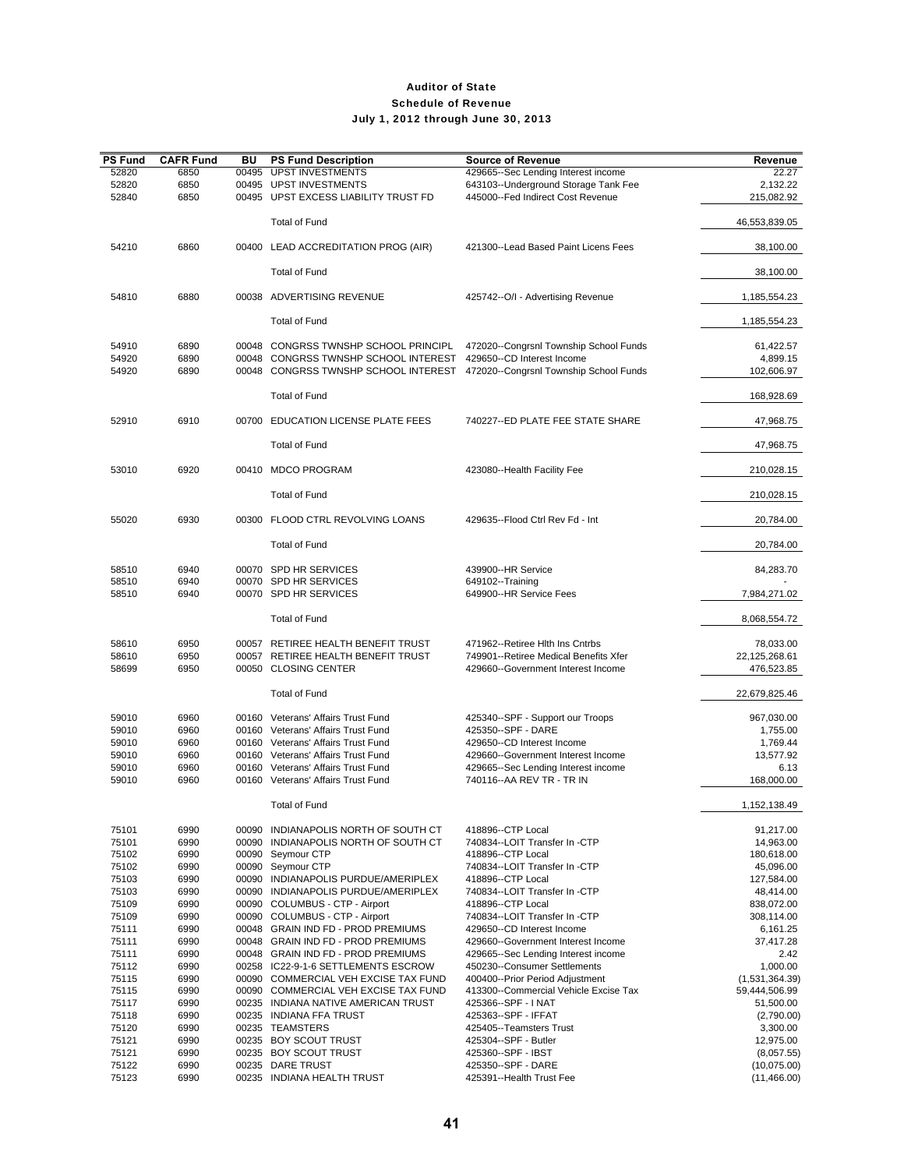| <b>PS Fund</b> | <b>CAFR Fund</b> | BU | <b>PS Fund Description</b>                                                   | <b>Source of Revenue</b>                                    | Revenue                    |
|----------------|------------------|----|------------------------------------------------------------------------------|-------------------------------------------------------------|----------------------------|
| 52820          | 6850             |    | 00495 UPST INVESTMENTS                                                       | 429665--Sec Lending Interest income                         | 22.27                      |
| 52820          | 6850             |    | 00495 UPST INVESTMENTS                                                       | 643103--Underground Storage Tank Fee                        | 2,132.22                   |
| 52840          | 6850             |    | 00495 UPST EXCESS LIABILITY TRUST FD                                         | 445000--Fed Indirect Cost Revenue                           | 215,082.92                 |
|                |                  |    | <b>Total of Fund</b>                                                         |                                                             | 46,553,839.05              |
| 54210          | 6860             |    | 00400 LEAD ACCREDITATION PROG (AIR)                                          | 421300--Lead Based Paint Licens Fees                        | 38,100.00                  |
|                |                  |    | <b>Total of Fund</b>                                                         |                                                             | 38,100.00                  |
| 54810          | 6880             |    | 00038 ADVERTISING REVENUE                                                    | 425742--O/I - Advertising Revenue                           | 1,185,554.23               |
|                |                  |    | <b>Total of Fund</b>                                                         |                                                             | 1,185,554.23               |
| 54910          | 6890             |    | 00048 CONGRSS TWNSHP SCHOOL PRINCIPL                                         | 472020--Congrsnl Township School Funds                      | 61,422.57                  |
| 54920          | 6890             |    | 00048 CONGRSS TWNSHP SCHOOL INTEREST 429650--CD Interest Income              |                                                             | 4,899.15                   |
| 54920          | 6890             |    | 00048 CONGRSS TWNSHP SCHOOL INTEREST 472020--Congrsnl Township School Funds  |                                                             | 102,606.97                 |
|                |                  |    | <b>Total of Fund</b>                                                         |                                                             | 168,928.69                 |
| 52910          | 6910             |    | 00700 EDUCATION LICENSE PLATE FEES                                           | 740227--ED PLATE FEE STATE SHARE                            | 47,968.75                  |
|                |                  |    | <b>Total of Fund</b>                                                         |                                                             | 47,968.75                  |
| 53010          | 6920             |    | 00410 MDCO PROGRAM                                                           | 423080--Health Facility Fee                                 | 210,028.15                 |
|                |                  |    | <b>Total of Fund</b>                                                         |                                                             | 210,028.15                 |
| 55020          | 6930             |    | 00300 FLOOD CTRL REVOLVING LOANS                                             | 429635--Flood Ctrl Rev Fd - Int                             | 20,784.00                  |
|                |                  |    | Total of Fund                                                                |                                                             | 20,784.00                  |
| 58510          | 6940             |    | 00070 SPD HR SERVICES                                                        | 439900--HR Service                                          | 84,283.70                  |
| 58510<br>58510 | 6940<br>6940     |    | 00070 SPD HR SERVICES<br>00070 SPD HR SERVICES                               | 649102--Training<br>649900--HR Service Fees                 | 7,984,271.02               |
|                |                  |    | <b>Total of Fund</b>                                                         |                                                             | 8,068,554.72               |
|                |                  |    |                                                                              |                                                             |                            |
| 58610          | 6950             |    | 00057 RETIREE HEALTH BENEFIT TRUST                                           | 471962--Retiree Hith Ins Cntrbs                             | 78,033.00                  |
| 58610          | 6950             |    | 00057 RETIREE HEALTH BENEFIT TRUST                                           | 749901--Retiree Medical Benefits Xfer                       | 22,125,268.61              |
| 58699          | 6950             |    | 00050 CLOSING CENTER                                                         | 429660--Government Interest Income                          | 476,523.85                 |
|                |                  |    | <b>Total of Fund</b>                                                         |                                                             | 22,679,825.46              |
| 59010          | 6960             |    | 00160 Veterans' Affairs Trust Fund                                           | 425340--SPF - Support our Troops                            | 967,030.00                 |
| 59010          | 6960             |    | 00160 Veterans' Affairs Trust Fund                                           | 425350--SPF - DARE                                          | 1,755.00                   |
| 59010          | 6960             |    | 00160 Veterans' Affairs Trust Fund                                           | 429650--CD Interest Income                                  | 1,769.44                   |
| 59010          | 6960             |    | 00160 Veterans' Affairs Trust Fund                                           | 429660--Government Interest Income                          | 13,577.92                  |
| 59010          | 6960             |    | 00160 Veterans' Affairs Trust Fund                                           | 429665--Sec Lending Interest income                         | 6.13                       |
| 59010          | 6960             |    | 00160 Veterans' Affairs Trust Fund                                           | 740116 -- AA REV TR - TR IN                                 | 168,000.00                 |
|                |                  |    | Total of Fund                                                                |                                                             | 1,152,138.49               |
| 75101          | 6990             |    | 00090 INDIANAPOLIS NORTH OF SOUTH CT                                         | 418896--CTP Local                                           | 91,217.00                  |
| 75101          | 6990             |    | 00090 INDIANAPOLIS NORTH OF SOUTH CT                                         | 740834--LOIT Transfer In -CTP<br>418896--CTP Local          | 14,963.00                  |
| 75102<br>75102 | 6990<br>6990     |    | 00090 Seymour CTP<br>00090 Seymour CTP                                       | 740834--LOIT Transfer In -CTP                               | 180,618.00<br>45,096.00    |
| 75103          | 6990             |    | 00090 INDIANAPOLIS PURDUE/AMERIPLEX                                          | 418896--CTP Local                                           | 127,584.00                 |
| 75103          | 6990             |    | 00090 INDIANAPOLIS PURDUE/AMERIPLEX                                          | 740834--LOIT Transfer In -CTP                               | 48,414.00                  |
| 75109          | 6990             |    | 00090 COLUMBUS - CTP - Airport                                               | 418896--CTP Local                                           | 838,072.00                 |
| 75109          | 6990             |    | 00090 COLUMBUS - CTP - Airport                                               | 740834--LOIT Transfer In -CTP                               | 308,114.00                 |
| 75111          | 6990             |    | 00048 GRAIN IND FD - PROD PREMIUMS                                           | 429650--CD Interest Income                                  | 6,161.25                   |
| 75111          | 6990             |    | 00048 GRAIN IND FD - PROD PREMIUMS                                           | 429660--Government Interest Income                          | 37,417.28                  |
| 75111          | 6990             |    | 00048 GRAIN IND FD - PROD PREMIUMS                                           | 429665--Sec Lending Interest income                         | 2.42                       |
| 75112          | 6990             |    | 00258 IC22-9-1-6 SETTLEMENTS ESCROW                                          | 450230--Consumer Settlements                                | 1,000.00                   |
| 75115          | 6990             |    | 00090 COMMERCIAL VEH EXCISE TAX FUND<br>00090 COMMERCIAL VEH EXCISE TAX FUND | 400400--Prior Period Adjustment                             | (1,531,364.39)             |
| 75115<br>75117 | 6990<br>6990     |    | 00235 INDIANA NATIVE AMERICAN TRUST                                          | 413300--Commercial Vehicle Excise Tax<br>425366--SPF - INAT | 59,444,506.99<br>51,500.00 |
| 75118          | 6990             |    | 00235 INDIANA FFA TRUST                                                      | 425363--SPF - IFFAT                                         | (2,790.00)                 |
| 75120          | 6990             |    | 00235 TEAMSTERS                                                              | 425405--Teamsters Trust                                     | 3,300.00                   |
| 75121          | 6990             |    | 00235 BOY SCOUT TRUST                                                        | 425304--SPF - Butler                                        | 12,975.00                  |
| 75121          | 6990             |    | 00235 BOY SCOUT TRUST                                                        | 425360--SPF - IBST                                          | (8,057.55)                 |
| 75122          | 6990             |    | 00235 DARE TRUST                                                             | 425350--SPF - DARE                                          | (10,075.00)                |
| 75123          | 6990             |    | 00235 INDIANA HEALTH TRUST                                                   | 425391--Health Trust Fee                                    | (11, 466.00)               |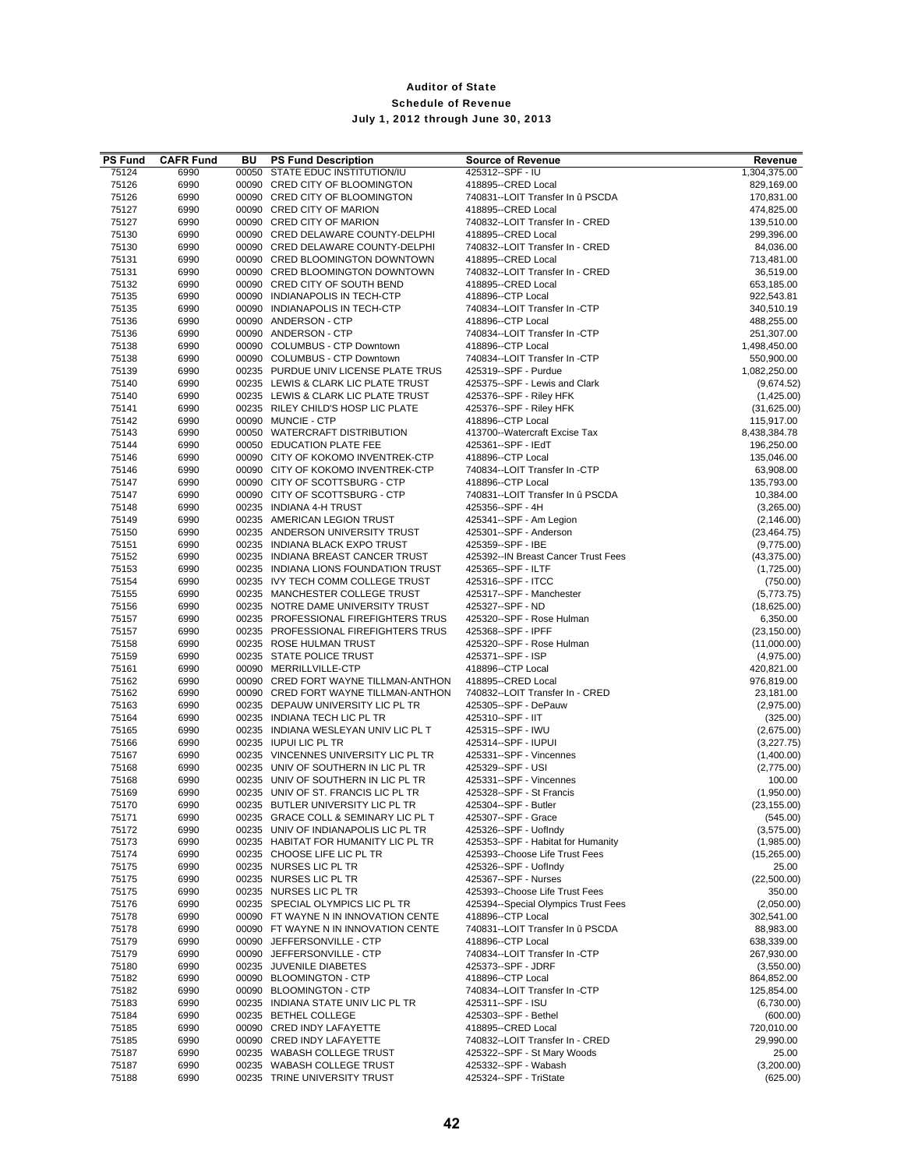| <b>PS Fund</b> | <b>CAFR Fund</b> | BU | <b>PS Fund Description</b>                                                | <b>Source of Revenue</b>                                       | Revenue                    |
|----------------|------------------|----|---------------------------------------------------------------------------|----------------------------------------------------------------|----------------------------|
| 75124          | 6990             |    | 00050 STATE EDUC INSTITUTION/IU                                           | 425312 -- SPF - IU                                             | 1,304,375.00               |
| 75126          | 6990             |    | 00090 CRED CITY OF BLOOMINGTON                                            | 418895--CRED Local                                             | 829,169.00                 |
| 75126          | 6990             |    | 00090 CRED CITY OF BLOOMINGTON                                            | 740831--LOIT Transfer In û PSCDA                               | 170,831.00                 |
| 75127<br>75127 | 6990<br>6990     |    | 00090 CRED CITY OF MARION<br>00090 CRED CITY OF MARION                    | 418895--CRED Local<br>740832--LOIT Transfer In - CRED          | 474,825.00<br>139,510.00   |
| 75130          | 6990             |    | 00090 CRED DELAWARE COUNTY-DELPHI                                         | 418895 -- CRED Local                                           | 299,396.00                 |
| 75130          | 6990             |    | 00090 CRED DELAWARE COUNTY-DELPHI                                         | 740832--LOIT Transfer In - CRED                                | 84,036.00                  |
| 75131          | 6990             |    | 00090 CRED BLOOMINGTON DOWNTOWN                                           | 418895--CRED Local                                             | 713,481.00                 |
| 75131          | 6990             |    | 00090 CRED BLOOMINGTON DOWNTOWN                                           | 740832--LOIT Transfer In - CRED                                | 36,519.00                  |
| 75132          | 6990             |    | 00090 CRED CITY OF SOUTH BEND                                             | 418895--CRED Local                                             | 653,185.00                 |
| 75135          | 6990             |    | 00090 INDIANAPOLIS IN TECH-CTP                                            | 418896--CTP Local                                              | 922,543.81                 |
| 75135          | 6990             |    | 00090 INDIANAPOLIS IN TECH-CTP                                            | 740834--LOIT Transfer In -CTP                                  | 340,510.19                 |
| 75136          | 6990             |    | 00090 ANDERSON - CTP                                                      | 418896--CTP Local                                              | 488,255.00                 |
| 75136<br>75138 | 6990             |    | 00090 ANDERSON - CTP<br>00090 COLUMBUS - CTP Downtown                     | 740834--LOIT Transfer In -CTP<br>418896 -- CTP Local           | 251,307.00                 |
| 75138          | 6990<br>6990     |    | 00090 COLUMBUS - CTP Downtown                                             | 740834--LOIT Transfer In -CTP                                  | 1,498,450.00<br>550,900.00 |
| 75139          | 6990             |    | 00235 PURDUE UNIV LICENSE PLATE TRUS                                      | 425319--SPF - Purdue                                           | 1,082,250.00               |
| 75140          | 6990             |    | 00235 LEWIS & CLARK LIC PLATE TRUST                                       | 425375--SPF - Lewis and Clark                                  | (9,674.52)                 |
| 75140          | 6990             |    | 00235 LEWIS & CLARK LIC PLATE TRUST                                       | 425376 -- SPF - Riley HFK                                      | (1,425.00)                 |
| 75141          | 6990             |    | 00235 RILEY CHILD'S HOSP LIC PLATE                                        | 425376--SPF - Riley HFK                                        | (31,625.00)                |
| 75142          | 6990             |    | 00090 MUNCIE - CTP                                                        | 418896--CTP Local                                              | 115,917.00                 |
| 75143          | 6990             |    | 00050 WATERCRAFT DISTRIBUTION                                             | 413700--Watercraft Excise Tax                                  | 8,438,384.78               |
| 75144          | 6990             |    | 00050 EDUCATION PLATE FEE                                                 | 425361--SPF - IEdT                                             | 196,250.00                 |
| 75146          | 6990             |    | 00090 CITY OF KOKOMO INVENTREK-CTP                                        | 418896--CTP Local                                              | 135,046.00                 |
| 75146<br>75147 | 6990             |    | 00090 CITY OF KOKOMO INVENTREK-CTP                                        | 740834--LOIT Transfer In -CTP                                  | 63,908.00                  |
| 75147          | 6990<br>6990     |    | 00090 CITY OF SCOTTSBURG - CTP<br>00090 CITY OF SCOTTSBURG - CTP          | 418896 -- CTP Local<br>740831--LOIT Transfer In û PSCDA        | 135,793.00<br>10,384.00    |
| 75148          | 6990             |    | 00235 INDIANA 4-H TRUST                                                   | 425356--SPF - 4H                                               | (3,265.00)                 |
| 75149          | 6990             |    | 00235 AMERICAN LEGION TRUST                                               | 425341--SPF - Am Legion                                        | (2, 146.00)                |
| 75150          | 6990             |    | 00235 ANDERSON UNIVERSITY TRUST                                           | 425301--SPF - Anderson                                         | (23, 464.75)               |
| 75151          | 6990             |    | 00235 INDIANA BLACK EXPO TRUST                                            | 425359--SPF - IBE                                              | (9,775.00)                 |
| 75152          | 6990             |    | 00235 INDIANA BREAST CANCER TRUST                                         | 425392--IN Breast Cancer Trust Fees                            | (43, 375.00)               |
| 75153          | 6990             |    | 00235 INDIANA LIONS FOUNDATION TRUST                                      | 425365--SPF - ILTF                                             | (1,725.00)                 |
| 75154          | 6990             |    | 00235 IVY TECH COMM COLLEGE TRUST                                         | 425316--SPF - ITCC                                             | (750.00)                   |
| 75155          | 6990             |    | 00235 MANCHESTER COLLEGE TRUST                                            | 425317--SPF - Manchester                                       | (5,773.75)                 |
| 75156<br>75157 | 6990<br>6990     |    | 00235 NOTRE DAME UNIVERSITY TRUST<br>00235 PROFESSIONAL FIREFIGHTERS TRUS | 425327 -- SPF - ND<br>425320--SPF - Rose Hulman                | (18,625.00)<br>6,350.00    |
| 75157          | 6990             |    | 00235 PROFESSIONAL FIREFIGHTERS TRUS                                      | 425368--SPF - IPFF                                             | (23, 150.00)               |
| 75158          | 6990             |    | 00235 ROSE HULMAN TRUST                                                   | 425320--SPF - Rose Hulman                                      | (11,000.00)                |
| 75159          | 6990             |    | 00235 STATE POLICE TRUST                                                  | 425371 -- SPF - ISP                                            | (4,975.00)                 |
| 75161          | 6990             |    | 00090 MERRILLVILLE-CTP                                                    | 418896 -- CTP Local                                            | 420,821.00                 |
| 75162          | 6990             |    | 00090 CRED FORT WAYNE TILLMAN-ANTHON                                      | 418895--CRED Local                                             | 976,819.00                 |
| 75162          | 6990             |    | 00090 CRED FORT WAYNE TILLMAN-ANTHON                                      | 740832--LOIT Transfer In - CRED                                | 23,181.00                  |
| 75163          | 6990             |    | 00235 DEPAUW UNIVERSITY LIC PL TR                                         | 425305--SPF - DePauw                                           | (2,975.00)                 |
| 75164          | 6990             |    | 00235 INDIANA TECH LIC PL TR                                              | 425310--SPF - IIT                                              | (325.00)                   |
| 75165          | 6990             |    | 00235 INDIANA WESLEYAN UNIV LIC PL T                                      | 425315 -- SPF - IWU<br>425314 -- SPF - IUPUI                   | (2,675.00)                 |
| 75166<br>75167 | 6990<br>6990     |    | 00235 IUPUI LIC PL TR<br>00235 VINCENNES UNIVERSITY LIC PL TR             | 425331--SPF - Vincennes                                        | (3,227.75)<br>(1,400.00)   |
| 75168          | 6990             |    | 00235 UNIV OF SOUTHERN IN LIC PL TR                                       | 425329 -- SPF - USI                                            | (2,775.00)                 |
| 75168          | 6990             |    | 00235 UNIV OF SOUTHERN IN LIC PL TR                                       | 425331--SPF - Vincennes                                        | 100.00                     |
| 75169          | 6990             |    | 00235 UNIV OF ST. FRANCIS LIC PL TR                                       | 425328--SPF - St Francis                                       | (1,950.00)                 |
| 75170          | 6990             |    | 00235 BUTLER UNIVERSITY LIC PL TR                                         | 425304--SPF - Butler                                           | (23, 155.00)               |
| 75171          | 6990             |    | 00235 GRACE COLL & SEMINARY LIC PL T                                      | 425307--SPF - Grace                                            | (545.00)                   |
| 75172          | 6990             |    | 00235 UNIV OF INDIANAPOLIS LIC PL TR                                      | 425326--SPF - UofIndy                                          | (3,575.00)                 |
| 75173          | 6990             |    | 00235 HABITAT FOR HUMANITY LIC PL TR                                      | 425353--SPF - Habitat for Humanity                             | (1,985.00)                 |
| 75174          | 6990             |    | 00235 CHOOSE LIFE LIC PL TR                                               | 425393--Choose Life Trust Fees                                 | (15,265.00)                |
| 75175          | 6990             |    | 00235 NURSES LIC PL TR                                                    | 425326--SPF - UofIndy                                          | 25.00                      |
| 75175<br>75175 | 6990<br>6990     |    | 00235 NURSES LIC PL TR<br>00235 NURSES LIC PL TR                          | 425367--SPF - Nurses<br>425393--Choose Life Trust Fees         | (22,500.00)<br>350.00      |
| 75176          | 6990             |    | 00235 SPECIAL OLYMPICS LIC PL TR                                          | 425394--Special Olympics Trust Fees                            | (2,050.00)                 |
| 75178          | 6990             |    | 00090 FT WAYNE N IN INNOVATION CENTE                                      | 418896--CTP Local                                              | 302,541.00                 |
| 75178          | 6990             |    | 00090 FT WAYNE N IN INNOVATION CENTE                                      | 740831--LOIT Transfer In û PSCDA                               | 88,983.00                  |
| 75179          | 6990             |    | 00090 JEFFERSONVILLE - CTP                                                | 418896--CTP Local                                              | 638,339.00                 |
| 75179          | 6990             |    | 00090 JEFFERSONVILLE - CTP                                                | 740834--LOIT Transfer In -CTP                                  | 267,930.00                 |
| 75180          | 6990             |    | 00235 JUVENILE DIABETES                                                   | 425373--SPF - JDRF                                             | (3,550.00)                 |
| 75182          | 6990             |    | 00090 BLOOMINGTON - CTP                                                   | 418896--CTP Local                                              | 864,852.00                 |
| 75182          | 6990             |    | 00090 BLOOMINGTON - CTP                                                   | 740834--LOIT Transfer In -CTP                                  | 125,854.00                 |
| 75183          | 6990             |    | 00235 INDIANA STATE UNIV LIC PL TR                                        | 425311--SPF - ISU                                              | (6,730.00)                 |
| 75184          | 6990             |    | 00235 BETHEL COLLEGE                                                      | 425303--SPF - Bethel                                           | (600.00)                   |
| 75185          | 6990             |    | 00090 CRED INDY LAFAYETTE                                                 | 418895--CRED Local                                             | 720,010.00<br>29,990.00    |
| 75185<br>75187 | 6990<br>6990     |    | 00090 CRED INDY LAFAYETTE<br>00235 WABASH COLLEGE TRUST                   | 740832--LOIT Transfer In - CRED<br>425322--SPF - St Mary Woods | 25.00                      |
| 75187          | 6990             |    | 00235 WABASH COLLEGE TRUST                                                | 425332--SPF - Wabash                                           | (3,200.00)                 |
| 75188          | 6990             |    | 00235 TRINE UNIVERSITY TRUST                                              | 425324--SPF - TriState                                         | (625.00)                   |
|                |                  |    |                                                                           |                                                                |                            |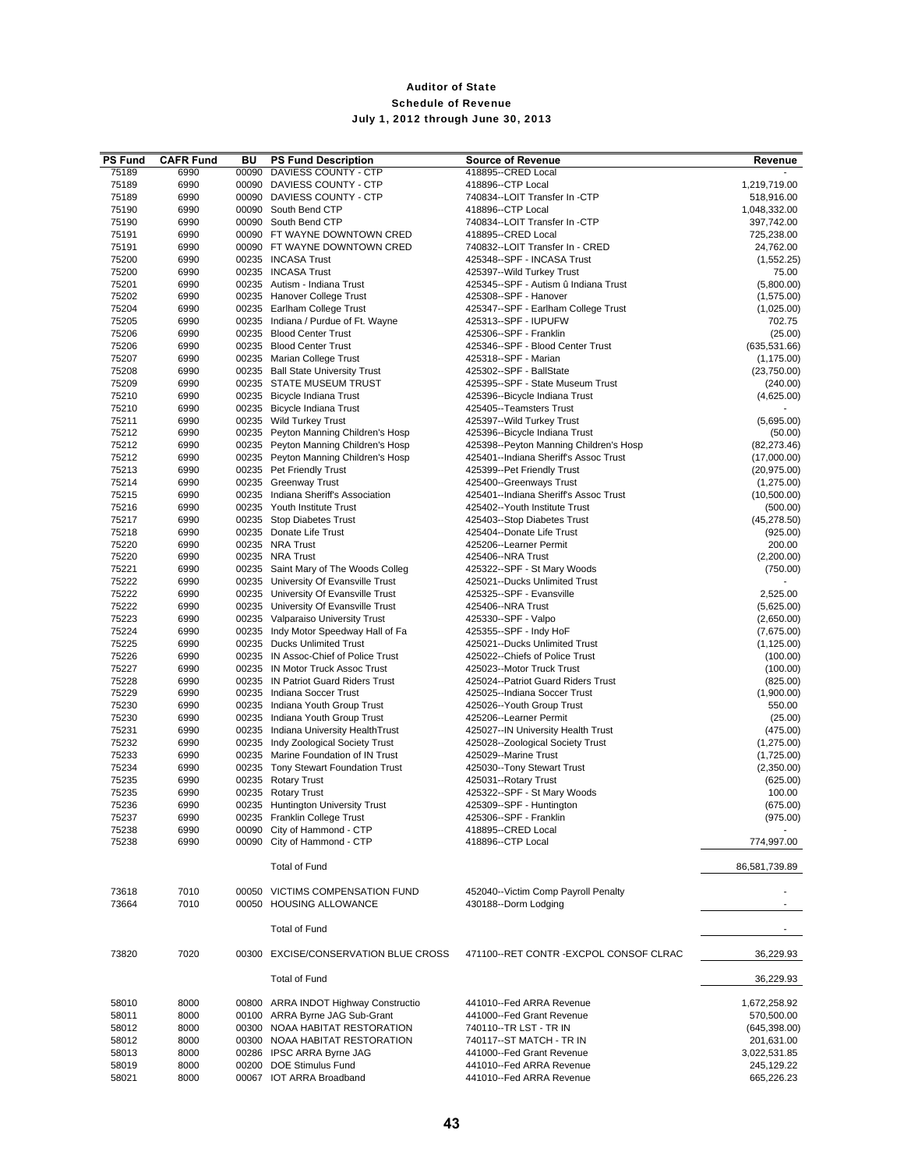| <b>PS Fund</b> | <b>CAFR Fund</b> | BU | <b>PS Fund Description</b>                                         | <b>Source of Revenue</b>                                 | Revenue                 |
|----------------|------------------|----|--------------------------------------------------------------------|----------------------------------------------------------|-------------------------|
| 75189          | 6990             |    | 00090 DAVIESS COUNTY - CTP                                         | 418895--CRED Local                                       |                         |
| 75189          | 6990             |    | 00090 DAVIESS COUNTY - CTP                                         | 418896--CTP Local                                        | 1,219,719.00            |
| 75189          | 6990             |    | 00090 DAVIESS COUNTY - CTP                                         | 740834--LOIT Transfer In -CTP                            | 518,916.00              |
| 75190          | 6990             |    | 00090 South Bend CTP                                               | 418896--CTP Local                                        | 1,048,332.00            |
| 75190          | 6990             |    | 00090 South Bend CTP                                               | 740834--LOIT Transfer In -CTP                            | 397,742.00              |
| 75191<br>75191 | 6990<br>6990     |    | 00090 FT WAYNE DOWNTOWN CRED<br>00090 FT WAYNE DOWNTOWN CRED       | 418895--CRED Local<br>740832--LOIT Transfer In - CRED    | 725,238.00<br>24,762.00 |
| 75200          | 6990             |    | 00235 INCASA Trust                                                 | 425348--SPF - INCASA Trust                               | (1,552.25)              |
| 75200          | 6990             |    | 00235 INCASA Trust                                                 | 425397--Wild Turkey Trust                                | 75.00                   |
| 75201          | 6990             |    | 00235 Autism - Indiana Trust                                       | 425345--SPF - Autism û Indiana Trust                     | (5,800.00)              |
| 75202          | 6990             |    | 00235 Hanover College Trust                                        | 425308--SPF - Hanover                                    | (1,575.00)              |
| 75204          | 6990             |    | 00235 Earlham College Trust                                        | 425347--SPF - Earlham College Trust                      | (1,025.00)              |
| 75205          | 6990             |    | 00235 Indiana / Purdue of Ft. Wayne                                | 425313--SPF - IUPUFW                                     | 702.75                  |
| 75206          | 6990             |    | 00235 Blood Center Trust                                           | 425306--SPF - Franklin                                   | (25.00)                 |
| 75206          | 6990             |    | 00235 Blood Center Trust                                           | 425346--SPF - Blood Center Trust                         | (635, 531.66)           |
| 75207          | 6990             |    | 00235 Marian College Trust                                         | 425318--SPF - Marian                                     | (1, 175.00)             |
| 75208          | 6990             |    | 00235 Ball State University Trust                                  | 425302--SPF - BallState                                  | (23,750.00)             |
| 75209          | 6990             |    | 00235 STATE MUSEUM TRUST                                           | 425395--SPF - State Museum Trust                         | (240.00)                |
| 75210<br>75210 | 6990<br>6990     |    | 00235 Bicycle Indiana Trust<br>00235 Bicycle Indiana Trust         | 425396--Bicycle Indiana Trust<br>425405--Teamsters Trust | (4,625.00)              |
| 75211          | 6990             |    | 00235 Wild Turkey Trust                                            | 425397--Wild Turkey Trust                                | (5,695.00)              |
| 75212          | 6990             |    | 00235 Peyton Manning Children's Hosp                               | 425396--Bicycle Indiana Trust                            | (50.00)                 |
| 75212          | 6990             |    | 00235 Peyton Manning Children's Hosp                               | 425398--Peyton Manning Children's Hosp                   | (82, 273.46)            |
| 75212          | 6990             |    | 00235 Peyton Manning Children's Hosp                               | 425401--Indiana Sheriff's Assoc Trust                    | (17,000.00)             |
| 75213          | 6990             |    | 00235 Pet Friendly Trust                                           | 425399--Pet Friendly Trust                               | (20, 975.00)            |
| 75214          | 6990             |    | 00235 Greenway Trust                                               | 425400--Greenways Trust                                  | (1,275.00)              |
| 75215          | 6990             |    | 00235 Indiana Sheriff's Association                                | 425401--Indiana Sheriff's Assoc Trust                    | (10,500.00)             |
| 75216          | 6990             |    | 00235 Youth Institute Trust                                        | 425402--Youth Institute Trust                            | (500.00)                |
| 75217          | 6990             |    | 00235 Stop Diabetes Trust                                          | 425403--Stop Diabetes Trust                              | (45, 278.50)            |
| 75218          | 6990             |    | 00235 Donate Life Trust                                            | 425404--Donate Life Trust                                | (925.00)                |
| 75220          | 6990             |    | 00235 NRA Trust                                                    | 425206--Learner Permit                                   | 200.00                  |
| 75220<br>75221 | 6990<br>6990     |    | 00235 NRA Trust<br>00235 Saint Mary of The Woods Colleg            | 425406--NRA Trust<br>425322--SPF - St Mary Woods         | (2,200.00)<br>(750.00)  |
| 75222          | 6990             |    | 00235 University Of Evansville Trust                               | 425021--Ducks Unlimited Trust                            |                         |
| 75222          | 6990             |    | 00235 University Of Evansville Trust                               | 425325--SPF - Evansville                                 | 2,525.00                |
| 75222          | 6990             |    | 00235 University Of Evansville Trust                               | 425406--NRA Trust                                        | (5,625.00)              |
| 75223          | 6990             |    | 00235 Valparaiso University Trust                                  | 425330--SPF - Valpo                                      | (2,650.00)              |
| 75224          | 6990             |    | 00235 Indy Motor Speedway Hall of Fa                               | 425355--SPF - Indy HoF                                   | (7,675.00)              |
| 75225          | 6990             |    | 00235 Ducks Unlimited Trust                                        | 425021--Ducks Unlimited Trust                            | (1, 125.00)             |
| 75226          | 6990             |    | 00235 IN Assoc-Chief of Police Trust                               | 425022--Chiefs of Police Trust                           | (100.00)                |
| 75227          | 6990             |    | 00235 IN Motor Truck Assoc Trust                                   | 425023--Motor Truck Trust                                | (100.00)                |
| 75228          | 6990             |    | 00235 IN Patriot Guard Riders Trust                                | 425024--Patriot Guard Riders Trust                       | (825.00)                |
| 75229          | 6990             |    | 00235 Indiana Soccer Trust                                         | 425025--Indiana Soccer Trust                             | (1,900.00)              |
| 75230<br>75230 | 6990<br>6990     |    | 00235 Indiana Youth Group Trust<br>00235 Indiana Youth Group Trust | 425026--Youth Group Trust<br>425206--Learner Permit      | 550.00                  |
| 75231          | 6990             |    | 00235 Indiana University HealthTrust                               | 425027--IN University Health Trust                       | (25.00)<br>(475.00)     |
| 75232          | 6990             |    | 00235 Indy Zoological Society Trust                                | 425028--Zoological Society Trust                         | (1,275.00)              |
| 75233          | 6990             |    | 00235 Marine Foundation of IN Trust                                | 425029--Marine Trust                                     | (1,725.00)              |
| 75234          | 6990             |    | 00235 Tony Stewart Foundation Trust                                | 425030--Tony Stewart Trust                               | (2,350.00)              |
| 75235          | 6990             |    | 00235 Rotary Trust                                                 | 425031--Rotary Trust                                     | (625.00)                |
| 75235          | 6990             |    | 00235 Rotary Trust                                                 | 425322--SPF - St Mary Woods                              | 100.00                  |
| 75236          | 6990             |    | 00235 Huntington University Trust                                  | 425309--SPF - Huntington                                 | (675.00)                |
| 75237          | 6990             |    | 00235 Franklin College Trust                                       | 425306--SPF - Franklin                                   | (975.00)                |
| 75238          | 6990             |    | 00090 City of Hammond - CTP                                        | 418895--CRED Local                                       |                         |
| 75238          | 6990             |    | 00090 City of Hammond - CTP                                        | 418896--CTP Local                                        | 774,997.00              |
|                |                  |    | <b>Total of Fund</b>                                               |                                                          | 86,581,739.89           |
| 73618          | 7010             |    | 00050 VICTIMS COMPENSATION FUND                                    | 452040--Victim Comp Payroll Penalty                      |                         |
| 73664          | 7010             |    | 00050 HOUSING ALLOWANCE                                            | 430188--Dorm Lodging                                     |                         |
|                |                  |    | <b>Total of Fund</b>                                               |                                                          |                         |
| 73820          | 7020             |    | 00300 EXCISE/CONSERVATION BLUE CROSS                               | 471100--RET CONTR - EXCPOL CONSOF CLRAC                  | 36,229.93               |
|                |                  |    | <b>Total of Fund</b>                                               |                                                          | 36,229.93               |
| 58010          | 8000             |    | 00800 ARRA INDOT Highway Constructio                               | 441010--Fed ARRA Revenue                                 | 1,672,258.92            |
| 58011          | 8000             |    | 00100 ARRA Byrne JAG Sub-Grant                                     | 441000--Fed Grant Revenue                                | 570,500.00              |
| 58012          | 8000             |    | 00300 NOAA HABITAT RESTORATION                                     | 740110--TR LST - TR IN                                   | (645, 398.00)           |
| 58012          | 8000             |    | 00300 NOAA HABITAT RESTORATION                                     | 740117--ST MATCH - TR IN                                 | 201,631.00              |
| 58013          | 8000             |    | 00286 IPSC ARRA Byrne JAG                                          | 441000--Fed Grant Revenue                                | 3,022,531.85            |
| 58019          | 8000             |    | 00200 DOE Stimulus Fund                                            | 441010--Fed ARRA Revenue                                 | 245,129.22              |
| 58021          | 8000             |    | 00067 IOT ARRA Broadband                                           | 441010--Fed ARRA Revenue                                 | 665,226.23              |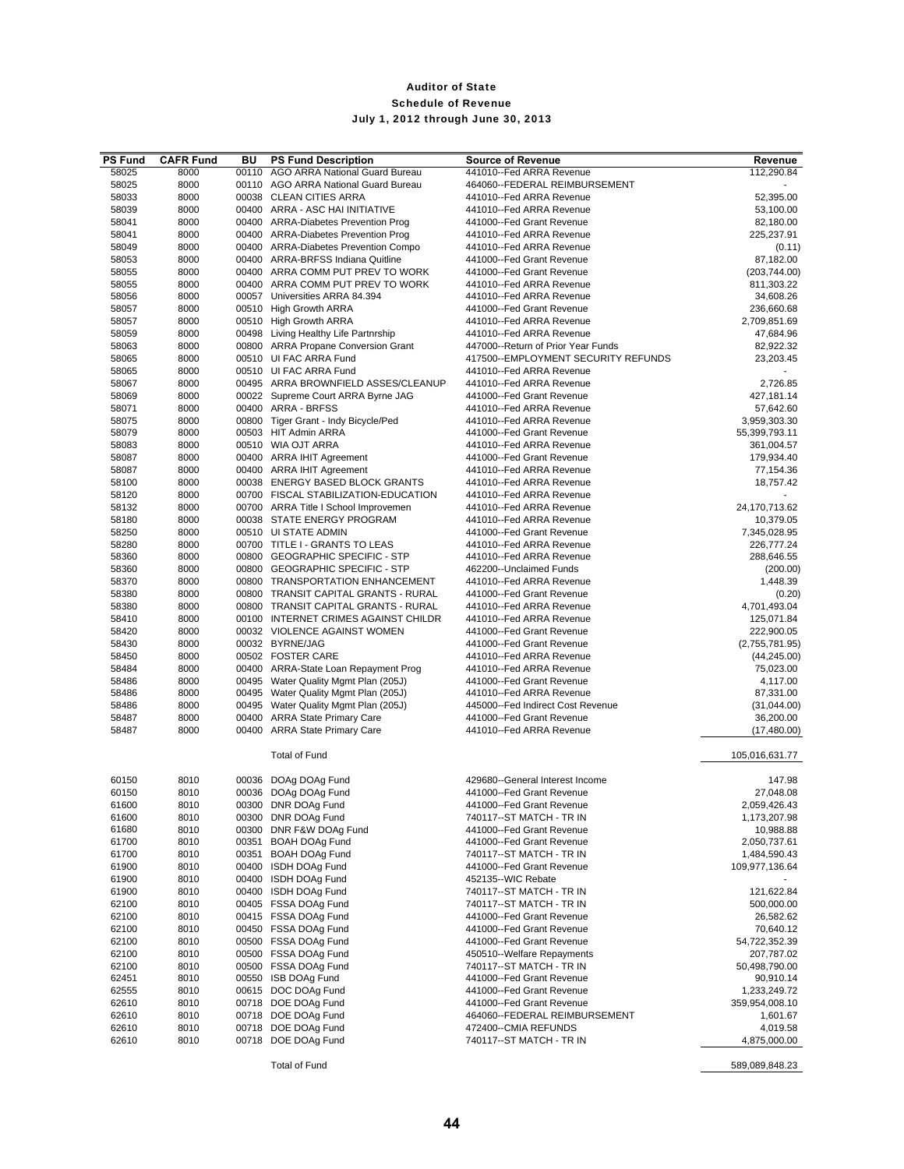| <b>PS Fund</b> | <b>CAFR Fund</b> | BU | <b>PS Fund Description</b>                                                   | <b>Source of Revenue</b>                               | Revenue                    |
|----------------|------------------|----|------------------------------------------------------------------------------|--------------------------------------------------------|----------------------------|
| 58025          | 8000             |    | 00110 AGO ARRA National Guard Bureau                                         | 441010--Fed ARRA Revenue                               | 112,290.84                 |
| 58025          | 8000             |    | 00110 AGO ARRA National Guard Bureau                                         | 464060--FEDERAL REIMBURSEMENT                          |                            |
| 58033          | 8000             |    | 00038 CLEAN CITIES ARRA                                                      | 441010--Fed ARRA Revenue                               | 52,395.00                  |
| 58039          | 8000             |    | 00400 ARRA - ASC HAI INITIATIVE                                              | 441010--Fed ARRA Revenue                               | 53,100.00                  |
| 58041          | 8000             |    | 00400 ARRA-Diabetes Prevention Prog                                          | 441000--Fed Grant Revenue                              | 82,180.00                  |
| 58041          | 8000             |    | 00400 ARRA-Diabetes Prevention Prog                                          | 441010--Fed ARRA Revenue                               | 225,237.91                 |
| 58049          | 8000             |    | 00400 ARRA-Diabetes Prevention Compo                                         | 441010--Fed ARRA Revenue                               | (0.11)                     |
| 58053          | 8000             |    | 00400 ARRA-BRFSS Indiana Quitline                                            | 441000--Fed Grant Revenue                              | 87,182.00                  |
| 58055          | 8000             |    | 00400 ARRA COMM PUT PREV TO WORK                                             | 441000--Fed Grant Revenue                              | (203, 744.00)              |
| 58055          | 8000             |    | 00400 ARRA COMM PUT PREV TO WORK                                             | 441010--Fed ARRA Revenue                               | 811,303.22                 |
| 58056          | 8000             |    | 00057 Universities ARRA 84.394<br>00510 High Growth ARRA                     | 441010--Fed ARRA Revenue                               | 34,608.26                  |
| 58057<br>58057 | 8000<br>8000     |    | 00510 High Growth ARRA                                                       | 441000--Fed Grant Revenue<br>441010--Fed ARRA Revenue  | 236,660.68<br>2,709,851.69 |
| 58059          | 8000             |    | 00498 Living Healthy Life Partnrship                                         | 441010--Fed ARRA Revenue                               | 47,684.96                  |
| 58063          | 8000             |    | 00800 ARRA Propane Conversion Grant                                          | 447000--Return of Prior Year Funds                     | 82,922.32                  |
| 58065          | 8000             |    | 00510 UI FAC ARRA Fund                                                       | 417500--EMPLOYMENT SECURITY REFUNDS                    | 23,203.45                  |
| 58065          | 8000             |    | 00510 UI FAC ARRA Fund                                                       | 441010--Fed ARRA Revenue                               |                            |
| 58067          | 8000             |    | 00495 ARRA BROWNFIELD ASSES/CLEANUP                                          | 441010--Fed ARRA Revenue                               | 2,726.85                   |
| 58069          | 8000             |    | 00022 Supreme Court ARRA Byrne JAG                                           | 441000--Fed Grant Revenue                              | 427,181.14                 |
| 58071          | 8000             |    | 00400 ARRA - BRFSS                                                           | 441010--Fed ARRA Revenue                               | 57,642.60                  |
| 58075          | 8000             |    | 00800 Tiger Grant - Indy Bicycle/Ped                                         | 441010--Fed ARRA Revenue                               | 3,959,303.30               |
| 58079          | 8000             |    | 00503 HIT Admin ARRA                                                         | 441000--Fed Grant Revenue                              | 55,399,793.11              |
| 58083          | 8000             |    | 00510 WIA OJT ARRA                                                           | 441010--Fed ARRA Revenue                               | 361,004.57                 |
| 58087          | 8000             |    | 00400 ARRA IHIT Agreement                                                    | 441000--Fed Grant Revenue                              | 179,934.40                 |
| 58087          | 8000             |    | 00400 ARRA IHIT Agreement                                                    | 441010--Fed ARRA Revenue                               | 77,154.36                  |
| 58100          | 8000             |    | 00038 ENERGY BASED BLOCK GRANTS                                              | 441010--Fed ARRA Revenue                               | 18,757.42                  |
| 58120          | 8000             |    | 00700 FISCAL STABILIZATION-EDUCATION                                         | 441010--Fed ARRA Revenue                               |                            |
| 58132          | 8000             |    | 00700 ARRA Title I School Improvemen                                         | 441010--Fed ARRA Revenue                               | 24,170,713.62              |
| 58180          | 8000             |    | 00038 STATE ENERGY PROGRAM                                                   | 441010--Fed ARRA Revenue                               | 10,379.05                  |
| 58250          | 8000             |    | 00510 UI STATE ADMIN                                                         | 441000--Fed Grant Revenue                              | 7,345,028.95               |
| 58280          | 8000             |    | 00700 TITLE I - GRANTS TO LEAS                                               | 441010--Fed ARRA Revenue                               | 226,777.24                 |
| 58360          | 8000             |    | 00800 GEOGRAPHIC SPECIFIC - STP                                              | 441010--Fed ARRA Revenue                               | 288,646.55                 |
| 58360          | 8000             |    | 00800 GEOGRAPHIC SPECIFIC - STP                                              | 462200--Unclaimed Funds                                | (200.00)                   |
| 58370          | 8000             |    | 00800 TRANSPORTATION ENHANCEMENT                                             | 441010--Fed ARRA Revenue                               | 1,448.39                   |
| 58380<br>58380 | 8000<br>8000     |    | 00800 TRANSIT CAPITAL GRANTS - RURAL<br>00800 TRANSIT CAPITAL GRANTS - RURAL | 441000--Fed Grant Revenue<br>441010--Fed ARRA Revenue  | (0.20)<br>4,701,493.04     |
| 58410          | 8000             |    | 00100 INTERNET CRIMES AGAINST CHILDR                                         | 441010--Fed ARRA Revenue                               | 125,071.84                 |
| 58420          | 8000             |    | 00032 VIOLENCE AGAINST WOMEN                                                 | 441000--Fed Grant Revenue                              | 222,900.05                 |
| 58430          | 8000             |    | 00032 BYRNE/JAG                                                              | 441000--Fed Grant Revenue                              | (2,755,781.95)             |
| 58450          | 8000             |    | 00502 FOSTER CARE                                                            | 441010--Fed ARRA Revenue                               | (44, 245.00)               |
| 58484          | 8000             |    | 00400 ARRA-State Loan Repayment Prog                                         | 441010--Fed ARRA Revenue                               | 75,023.00                  |
| 58486          | 8000             |    | 00495 Water Quality Mgmt Plan (205J)                                         | 441000--Fed Grant Revenue                              | 4,117.00                   |
| 58486          | 8000             |    | 00495 Water Quality Mgmt Plan (205J)                                         | 441010--Fed ARRA Revenue                               | 87,331.00                  |
| 58486          | 8000             |    | 00495 Water Quality Mgmt Plan (205J)                                         | 445000--Fed Indirect Cost Revenue                      | (31,044.00)                |
| 58487          | 8000             |    | 00400 ARRA State Primary Care                                                | 441000--Fed Grant Revenue                              | 36,200.00                  |
| 58487          | 8000             |    | 00400 ARRA State Primary Care                                                | 441010--Fed ARRA Revenue                               | (17, 480.00)               |
|                |                  |    |                                                                              |                                                        |                            |
|                |                  |    | <b>Total of Fund</b>                                                         |                                                        | 105,016,631.77             |
| 60150          | 8010             |    | 00036 DOAg DOAg Fund                                                         | 429680--General Interest Income                        | 147.98                     |
| 60150          | 8010             |    | 00036 DOAg DOAg Fund                                                         | 441000--Fed Grant Revenue                              | 27,048.08                  |
| 61600          | 8010             |    | 00300 DNR DOAg Fund                                                          | 441000--Fed Grant Revenue                              | 2,059,426.43               |
| 61600          | 8010             |    | 00300 DNR DOAg Fund                                                          | 740117--ST MATCH - TR IN                               | 1,173,207.98               |
| 61680          | 8010             |    | 00300 DNR F&W DOAg Fund                                                      | 441000--Fed Grant Revenue                              | 10,988.88                  |
| 61700          | 8010             |    | 00351 BOAH DOAg Fund                                                         | 441000--Fed Grant Revenue                              | 2,050,737.61               |
| 61700          | 8010             |    | 00351 BOAH DOAg Fund                                                         | 740117--ST MATCH - TR IN                               | 1,484,590.43               |
| 61900          | 8010             |    | 00400 ISDH DOAg Fund                                                         | 441000--Fed Grant Revenue                              | 109,977,136.64             |
| 61900          | 8010             |    | 00400 ISDH DOAg Fund                                                         | 452135--WIC Rebate                                     |                            |
| 61900          | 8010             |    | 00400 ISDH DOAg Fund                                                         | 740117--ST MATCH - TR IN                               | 121,622.84                 |
| 62100          | 8010             |    | 00405 FSSA DOAg Fund                                                         | 740117 -- ST MATCH - TR IN                             | 500,000.00                 |
| 62100          | 8010             |    | 00415 FSSA DOAg Fund                                                         | 441000--Fed Grant Revenue                              | 26,582.62                  |
| 62100          | 8010             |    | 00450 FSSA DOAg Fund                                                         | 441000--Fed Grant Revenue                              | 70,640.12                  |
| 62100          | 8010             |    | 00500 FSSA DOAg Fund                                                         | 441000--Fed Grant Revenue                              | 54,722,352.39              |
| 62100          | 8010             |    | 00500 FSSA DOAg Fund                                                         | 450510--Welfare Repayments                             | 207,787.02                 |
| 62100          | 8010             |    | 00500 FSSA DOAg Fund                                                         | 740117--ST MATCH - TR IN                               | 50,498,790.00              |
| 62451<br>62555 | 8010<br>8010     |    | 00550 ISB DOAg Fund<br>00615 DOC DOAg Fund                                   | 441000--Fed Grant Revenue<br>441000--Fed Grant Revenue | 90,910.14<br>1,233,249.72  |
| 62610          | 8010             |    | 00718 DOE DOAg Fund                                                          | 441000--Fed Grant Revenue                              | 359,954,008.10             |
| 62610          | 8010             |    | 00718 DOE DOAg Fund                                                          | 464060--FEDERAL REIMBURSEMENT                          | 1,601.67                   |
| 62610          | 8010             |    | 00718 DOE DOAg Fund                                                          | 472400--CMIA REFUNDS                                   | 4,019.58                   |
| 62610          | 8010             |    | 00718 DOE DOAg Fund                                                          | 740117--ST MATCH - TR IN                               | 4,875,000.00               |
|                |                  |    |                                                                              |                                                        |                            |
|                |                  |    | <b>Total of Fund</b>                                                         |                                                        | 589,089,848.23             |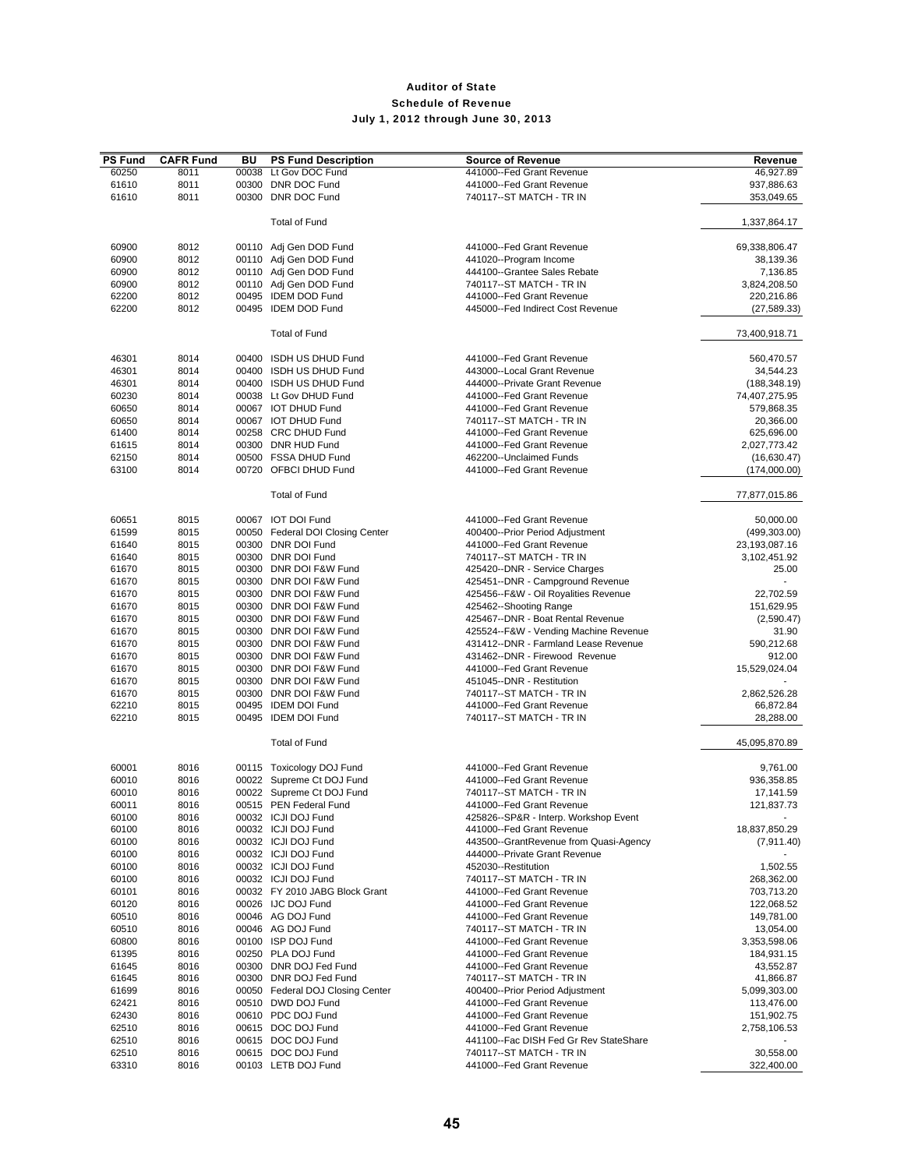| <b>PS Fund</b> | <b>CAFR Fund</b> | BU    | <b>PS Fund Description</b>                   | <b>Source of Revenue</b>               | Revenue                    |
|----------------|------------------|-------|----------------------------------------------|----------------------------------------|----------------------------|
| 60250          | 8011             | 00038 | Lt Gov DOC Fund                              | 441000--Fed Grant Revenue              | 46,927.89                  |
| 61610          | 8011             |       | 00300 DNR DOC Fund                           | 441000--Fed Grant Revenue              | 937,886.63                 |
| 61610          | 8011             |       | 00300 DNR DOC Fund                           | 740117--ST MATCH - TR IN               | 353,049.65                 |
|                |                  |       |                                              |                                        |                            |
|                |                  |       | <b>Total of Fund</b>                         |                                        | 1,337,864.17               |
| 60900          | 8012             |       | 00110 Adj Gen DOD Fund                       | 441000--Fed Grant Revenue              | 69,338,806.47              |
| 60900          | 8012             |       | 00110 Adj Gen DOD Fund                       | 441020--Program Income                 | 38,139.36                  |
| 60900          | 8012             |       | 00110 Adj Gen DOD Fund                       | 444100--Grantee Sales Rebate           | 7,136.85                   |
| 60900          | 8012             |       | 00110 Adj Gen DOD Fund                       | 740117--ST MATCH - TR IN               |                            |
| 62200          | 8012             |       | 00495 IDEM DOD Fund                          | 441000--Fed Grant Revenue              | 3,824,208.50<br>220,216.86 |
| 62200          | 8012             |       | 00495 IDEM DOD Fund                          | 445000--Fed Indirect Cost Revenue      | (27, 589.33)               |
|                |                  |       |                                              |                                        |                            |
|                |                  |       | <b>Total of Fund</b>                         |                                        | 73,400,918.71              |
| 46301          | 8014             |       | 00400 ISDH US DHUD Fund                      | 441000--Fed Grant Revenue              | 560.470.57                 |
| 46301          | 8014             |       | 00400 ISDH US DHUD Fund                      | 443000--Local Grant Revenue            | 34,544.23                  |
| 46301          | 8014             |       | 00400 ISDH US DHUD Fund                      | 444000--Private Grant Revenue          | (188, 348.19)              |
| 60230          | 8014             |       | 00038 Lt Gov DHUD Fund                       | 441000--Fed Grant Revenue              | 74,407,275.95              |
|                | 8014             |       | 00067 IOT DHUD Fund                          | 441000--Fed Grant Revenue              |                            |
| 60650          | 8014             |       | 00067 IOT DHUD Fund                          | 740117--ST MATCH - TR IN               | 579,868.35                 |
| 60650          |                  |       |                                              |                                        | 20,366.00                  |
| 61400          | 8014             |       | 00258 CRC DHUD Fund                          | 441000--Fed Grant Revenue              | 625,696.00                 |
| 61615          | 8014             |       | 00300 DNR HUD Fund                           | 441000--Fed Grant Revenue              | 2,027,773.42               |
| 62150          | 8014             |       | 00500 FSSA DHUD Fund                         | 462200--Unclaimed Funds                | (16,630.47)                |
| 63100          | 8014             |       | 00720 OFBCI DHUD Fund                        | 441000--Fed Grant Revenue              | (174,000.00)               |
|                |                  |       | <b>Total of Fund</b>                         |                                        | 77,877,015.86              |
| 60651          | 8015             |       | 00067 IOT DOI Fund                           | 441000--Fed Grant Revenue              | 50,000.00                  |
| 61599          | 8015             |       | 00050 Federal DOI Closing Center             | 400400--Prior Period Adjustment        | (499, 303.00)              |
| 61640          | 8015             |       | 00300 DNR DOI Fund                           | 441000--Fed Grant Revenue              | 23,193,087.16              |
| 61640          | 8015             |       | 00300 DNR DOI Fund                           | 740117--ST MATCH - TR IN               | 3,102,451.92               |
| 61670          | 8015             |       | 00300 DNR DOI F&W Fund                       | 425420--DNR - Service Charges          | 25.00                      |
| 61670          | 8015             |       | 00300 DNR DOI F&W Fund                       | 425451--DNR - Campground Revenue       |                            |
|                |                  |       |                                              |                                        |                            |
| 61670          | 8015             |       | 00300 DNR DOI F&W Fund                       | 425456--F&W - Oil Royalities Revenue   | 22,702.59                  |
| 61670          | 8015             |       | 00300 DNR DOI F&W Fund                       | 425462--Shooting Range                 | 151,629.95                 |
| 61670          | 8015             |       | 00300 DNR DOI F&W Fund                       | 425467--DNR - Boat Rental Revenue      | (2,590.47)                 |
| 61670          | 8015             |       | 00300 DNR DOI F&W Fund                       | 425524--F&W - Vending Machine Revenue  | 31.90                      |
| 61670          | 8015             |       | 00300 DNR DOI F&W Fund                       | 431412--DNR - Farmland Lease Revenue   | 590,212.68                 |
| 61670          | 8015             |       | 00300 DNR DOI F&W Fund                       | 431462--DNR - Firewood Revenue         | 912.00                     |
| 61670          | 8015             |       | 00300 DNR DOI F&W Fund                       | 441000--Fed Grant Revenue              | 15,529,024.04              |
| 61670          | 8015             |       | 00300 DNR DOI F&W Fund                       | 451045--DNR - Restitution              |                            |
| 61670          | 8015             |       | 00300 DNR DOI F&W Fund                       | 740117--ST MATCH - TR IN               | 2,862,526.28               |
| 62210          | 8015             |       | 00495 IDEM DOI Fund                          | 441000--Fed Grant Revenue              | 66,872.84                  |
| 62210          | 8015             |       | 00495 IDEM DOI Fund                          | 740117--ST MATCH - TR IN               | 28,288.00                  |
|                |                  |       | <b>Total of Fund</b>                         |                                        | 45,095,870.89              |
| 60001          | 8016             |       | 00115 Toxicology DOJ Fund                    | 441000--Fed Grant Revenue              | 9,761.00                   |
| 60010          | 8016             |       | 00022 Supreme Ct DOJ Fund                    | 441000--Fed Grant Revenue              | 936,358.85                 |
| 60010          | 8016             |       | 00022 Supreme Ct DOJ Fund                    | 740117 -- ST MATCH - TR IN             | 17,141.59                  |
| 60011          | 8016             |       | 00515 PEN Federal Fund                       | 441000--Fed Grant Revenue              | 121,837.73                 |
| 60100          | 8016             |       | 00032 ICJI DOJ Fund                          | 425826--SP&R - Interp. Workshop Event  |                            |
| 60100          | 8016             |       | 00032 ICJI DOJ Fund                          | 441000--Fed Grant Revenue              | 18,837,850.29              |
| 60100          | 8016             |       | 00032 ICJI DOJ Fund                          | 443500--GrantRevenue from Quasi-Agency | (7,911.40)                 |
| 60100          | 8016             |       | 00032 ICJI DOJ Fund                          | 444000--Private Grant Revenue          |                            |
| 60100          | 8016             |       | 00032 ICJI DOJ Fund                          | 452030--Restitution                    | 1,502.55                   |
|                |                  |       |                                              | 740117 -- ST MATCH - TR IN             |                            |
| 60100          | 8016             |       | 00032 ICJI DOJ Fund                          |                                        | 268,362.00                 |
| 60101          | 8016             |       | 00032 FY 2010 JABG Block Grant               | 441000--Fed Grant Revenue              | 703,713.20                 |
| 60120          | 8016             |       | 00026 IJC DOJ Fund                           | 441000--Fed Grant Revenue              | 122,068.52                 |
| 60510          | 8016             |       | 00046 AG DOJ Fund                            | 441000--Fed Grant Revenue              | 149,781.00                 |
| 60510          | 8016             |       | 00046 AG DOJ Fund                            | 740117--ST MATCH - TR IN               | 13,054.00                  |
| 60800          | 8016             |       | 00100 ISP DOJ Fund                           | 441000--Fed Grant Revenue              | 3,353,598.06               |
| 61395          | 8016             |       | 00250 PLA DOJ Fund<br>00300 DNR DOJ Fed Fund | 441000--Fed Grant Revenue              | 184,931.15                 |
| 61645          | 8016             |       |                                              | 441000--Fed Grant Revenue              | 43,552.87                  |
| 61645          | 8016             |       | 00300 DNR DOJ Fed Fund                       | 740117--ST MATCH - TR IN               | 41,866.87                  |
| 61699          | 8016             |       | 00050 Federal DOJ Closing Center             | 400400--Prior Period Adjustment        | 5,099,303.00               |
| 62421          | 8016             |       | 00510 DWD DOJ Fund                           | 441000--Fed Grant Revenue              | 113,476.00                 |
| 62430          | 8016             |       | 00610 PDC DOJ Fund                           | 441000--Fed Grant Revenue              | 151,902.75                 |
| 62510          | 8016             |       | 00615 DOC DOJ Fund                           | 441000--Fed Grant Revenue              | 2,758,106.53               |
| 62510          | 8016             |       | 00615 DOC DOJ Fund                           | 441100--Fac DISH Fed Gr Rev StateShare |                            |
| 62510          | 8016             |       | 00615 DOC DOJ Fund                           | 740117--ST MATCH - TR IN               | 30,558.00                  |
| 63310          | 8016             |       | 00103 LETB DOJ Fund                          | 441000--Fed Grant Revenue              | 322,400.00                 |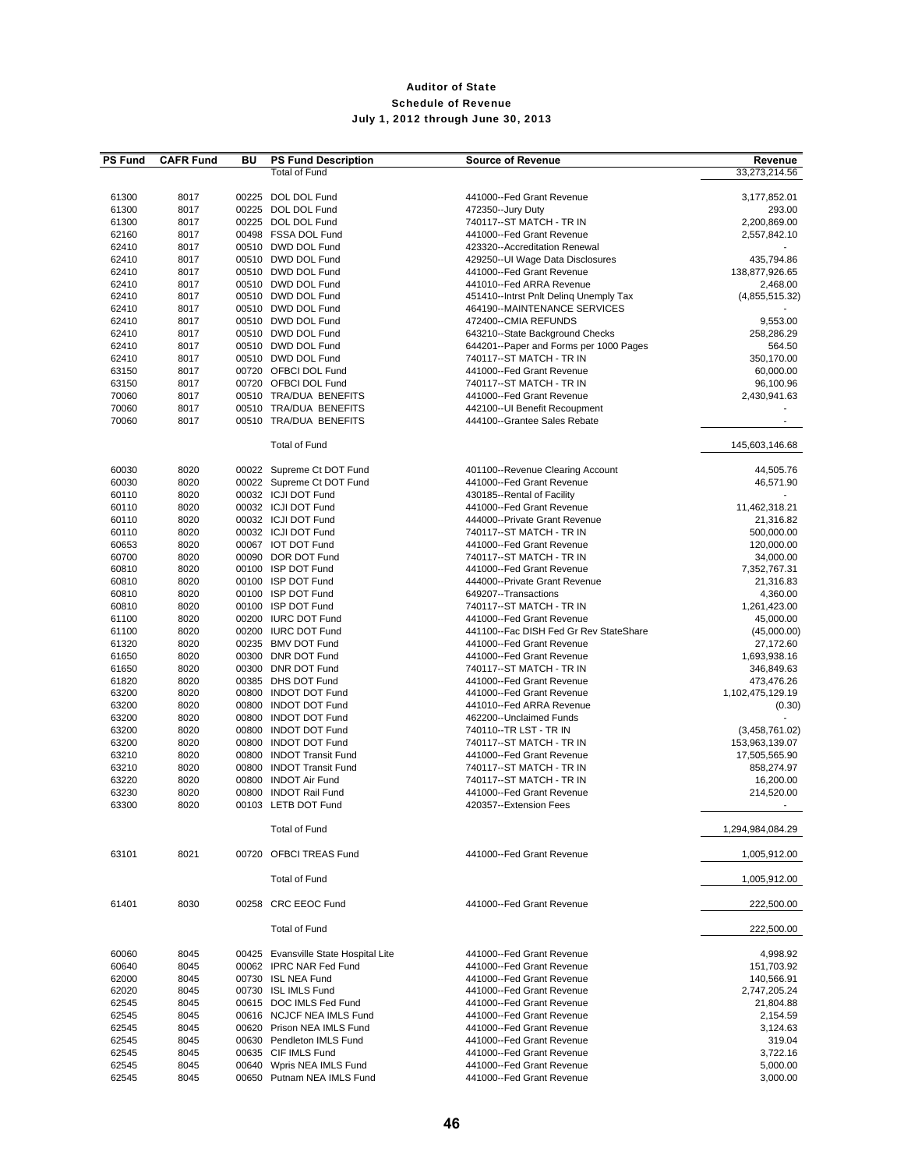| <b>PS Fund</b> | <b>CAFR Fund</b> | BU | <b>PS Fund Description</b>           | <b>Source of Revenue</b>               | Revenue          |
|----------------|------------------|----|--------------------------------------|----------------------------------------|------------------|
|                |                  |    | <b>Total of Fund</b>                 |                                        | 33,273,214.56    |
|                |                  |    |                                      |                                        |                  |
| 61300          | 8017             |    | 00225 DOL DOL Fund                   | 441000--Fed Grant Revenue              | 3,177,852.01     |
| 61300          | 8017             |    | 00225 DOL DOL Fund                   | 472350--Jury Duty                      | 293.00           |
| 61300          | 8017             |    | 00225 DOL DOL Fund                   | 740117--ST MATCH - TR IN               | 2,200,869.00     |
| 62160          | 8017             |    | 00498 FSSA DOL Fund                  | 441000--Fed Grant Revenue              | 2,557,842.10     |
| 62410          | 8017             |    | 00510 DWD DOL Fund                   | 423320--Accreditation Renewal          |                  |
| 62410          | 8017             |    | 00510 DWD DOL Fund                   | 429250--UI Wage Data Disclosures       | 435,794.86       |
| 62410          | 8017             |    | 00510 DWD DOL Fund                   | 441000--Fed Grant Revenue              | 138,877,926.65   |
| 62410          | 8017             |    | 00510 DWD DOL Fund                   | 441010--Fed ARRA Revenue               | 2,468.00         |
| 62410          | 8017             |    | 00510 DWD DOL Fund                   | 451410--Intrst Pnlt Deling Unemply Tax | (4,855,515.32)   |
| 62410          | 8017             |    | 00510 DWD DOL Fund                   | 464190--MAINTENANCE SERVICES           |                  |
| 62410          | 8017             |    | 00510 DWD DOL Fund                   | 472400--CMIA REFUNDS                   | 9,553.00         |
|                |                  |    | 00510 DWD DOL Fund                   | 643210--State Background Checks        |                  |
| 62410          | 8017             |    |                                      |                                        | 258,286.29       |
| 62410          | 8017             |    | 00510 DWD DOL Fund                   | 644201--Paper and Forms per 1000 Pages | 564.50           |
| 62410          | 8017             |    | 00510 DWD DOL Fund                   | 740117--ST MATCH - TR IN               | 350,170.00       |
| 63150          | 8017             |    | 00720 OFBCI DOL Fund                 | 441000--Fed Grant Revenue              | 60,000.00        |
| 63150          | 8017             |    | 00720 OFBCI DOL Fund                 | 740117--ST MATCH - TR IN               | 96,100.96        |
| 70060          | 8017             |    | 00510 TRA/DUA BENEFITS               | 441000--Fed Grant Revenue              | 2,430,941.63     |
| 70060          | 8017             |    | 00510 TRA/DUA BENEFITS               | 442100--UI Benefit Recoupment          |                  |
| 70060          | 8017             |    | 00510 TRA/DUA BENEFITS               | 444100--Grantee Sales Rebate           |                  |
|                |                  |    |                                      |                                        |                  |
|                |                  |    | <b>Total of Fund</b>                 |                                        | 145.603.146.68   |
|                |                  |    |                                      |                                        |                  |
| 60030          | 8020             |    | 00022 Supreme Ct DOT Fund            | 401100--Revenue Clearing Account       | 44,505.76        |
| 60030          | 8020             |    | 00022 Supreme Ct DOT Fund            | 441000--Fed Grant Revenue              | 46,571.90        |
| 60110          | 8020             |    | 00032 ICJI DOT Fund                  | 430185--Rental of Facility             |                  |
| 60110          | 8020             |    | 00032 ICJI DOT Fund                  | 441000--Fed Grant Revenue              | 11,462,318.21    |
|                |                  |    |                                      | 444000--Private Grant Revenue          |                  |
| 60110          | 8020             |    | 00032 ICJI DOT Fund                  |                                        | 21,316.82        |
| 60110          | 8020             |    | 00032 ICJI DOT Fund                  | 740117--ST MATCH - TR IN               | 500,000.00       |
| 60653          | 8020             |    | 00067 IOT DOT Fund                   | 441000--Fed Grant Revenue              | 120,000.00       |
| 60700          | 8020             |    | 00090 DOR DOT Fund                   | 740117--ST MATCH - TR IN               | 34,000.00        |
| 60810          | 8020             |    | 00100 ISP DOT Fund                   | 441000--Fed Grant Revenue              | 7,352,767.31     |
| 60810          | 8020             |    | 00100 ISP DOT Fund                   | 444000--Private Grant Revenue          | 21,316.83        |
| 60810          | 8020             |    | 00100 ISP DOT Fund                   | 649207--Transactions                   | 4,360.00         |
| 60810          | 8020             |    | 00100 ISP DOT Fund                   | 740117--ST MATCH - TR IN               | 1,261,423.00     |
| 61100          | 8020             |    | 00200 IURC DOT Fund                  | 441000--Fed Grant Revenue              | 45,000.00        |
| 61100          | 8020             |    | 00200 IURC DOT Fund                  | 441100--Fac DISH Fed Gr Rev StateShare | (45,000.00)      |
| 61320          | 8020             |    | 00235 BMV DOT Fund                   | 441000--Fed Grant Revenue              | 27,172.60        |
| 61650          | 8020             |    | 00300 DNR DOT Fund                   | 441000--Fed Grant Revenue              | 1,693,938.16     |
| 61650          | 8020             |    | 00300 DNR DOT Fund                   | 740117--ST MATCH - TR IN               | 346,849.63       |
| 61820          | 8020             |    | 00385 DHS DOT Fund                   | 441000--Fed Grant Revenue              | 473,476.26       |
| 63200          | 8020             |    | 00800 INDOT DOT Fund                 | 441000--Fed Grant Revenue              | 1,102,475,129.19 |
|                |                  |    | 00800 INDOT DOT Fund                 |                                        |                  |
| 63200          | 8020             |    |                                      | 441010--Fed ARRA Revenue               | (0.30)           |
| 63200          | 8020             |    | 00800 INDOT DOT Fund                 | 462200--Unclaimed Funds                |                  |
| 63200          | 8020             |    | 00800 INDOT DOT Fund                 | 740110--TR LST - TR IN                 | (3,458,761.02)   |
| 63200          | 8020             |    | 00800 INDOT DOT Fund                 | 740117--ST MATCH - TR IN               | 153,963,139.07   |
| 63210          | 8020             |    | 00800 INDOT Transit Fund             | 441000--Fed Grant Revenue              | 17,505,565.90    |
| 63210          | 8020             |    | 00800 INDOT Transit Fund             | 740117--ST MATCH - TR IN               | 858,274.97       |
| 63220          | 8020             |    | 00800 INDOT Air Fund                 | 740117--ST MATCH - TR IN               | 16,200.00        |
| 63230          | 8020             |    | 00800 INDOT Rail Fund                | 441000--Fed Grant Revenue              | 214,520.00       |
| 63300          | 8020             |    | 00103 LETB DOT Fund                  | 420357--Extension Fees                 |                  |
|                |                  |    |                                      |                                        |                  |
|                |                  |    | <b>Total of Fund</b>                 |                                        | 1,294,984,084.29 |
|                |                  |    |                                      |                                        |                  |
| 63101          | 8021             |    | 00720 OFBCI TREAS Fund               | 441000--Fed Grant Revenue              | 1,005,912.00     |
|                |                  |    |                                      |                                        |                  |
|                |                  |    | <b>Total of Fund</b>                 |                                        | 1,005,912.00     |
|                |                  |    |                                      |                                        |                  |
| 61401          | 8030             |    | 00258 CRC EEOC Fund                  | 441000--Fed Grant Revenue              | 222,500.00       |
|                |                  |    |                                      |                                        |                  |
|                |                  |    | <b>Total of Fund</b>                 |                                        | 222,500.00       |
|                |                  |    |                                      |                                        |                  |
| 60060          | 8045             |    | 00425 Evansville State Hospital Lite | 441000--Fed Grant Revenue              | 4,998.92         |
| 60640          | 8045             |    | 00062 IPRC NAR Fed Fund              | 441000--Fed Grant Revenue              | 151,703.92       |
| 62000          | 8045             |    | 00730 ISL NEA Fund                   | 441000--Fed Grant Revenue              | 140,566.91       |
| 62020          | 8045             |    | 00730 ISL IMLS Fund                  | 441000--Fed Grant Revenue              | 2,747,205.24     |
| 62545          | 8045             |    | 00615 DOC IMLS Fed Fund              | 441000--Fed Grant Revenue              | 21,804.88        |
| 62545          | 8045             |    | 00616 NCJCF NEA IMLS Fund            | 441000--Fed Grant Revenue              | 2,154.59         |
| 62545          | 8045             |    | 00620 Prison NEA IMLS Fund           | 441000--Fed Grant Revenue              | 3,124.63         |
| 62545          | 8045             |    | 00630 Pendleton IMLS Fund            | 441000--Fed Grant Revenue              | 319.04           |
| 62545          | 8045             |    | 00635 CIF IMLS Fund                  | 441000--Fed Grant Revenue              | 3,722.16         |
| 62545          | 8045             |    | 00640 Wpris NEA IMLS Fund            | 441000--Fed Grant Revenue              | 5,000.00         |
| 62545          | 8045             |    | 00650 Putnam NEA IMLS Fund           | 441000--Fed Grant Revenue              | 3,000.00         |
|                |                  |    |                                      |                                        |                  |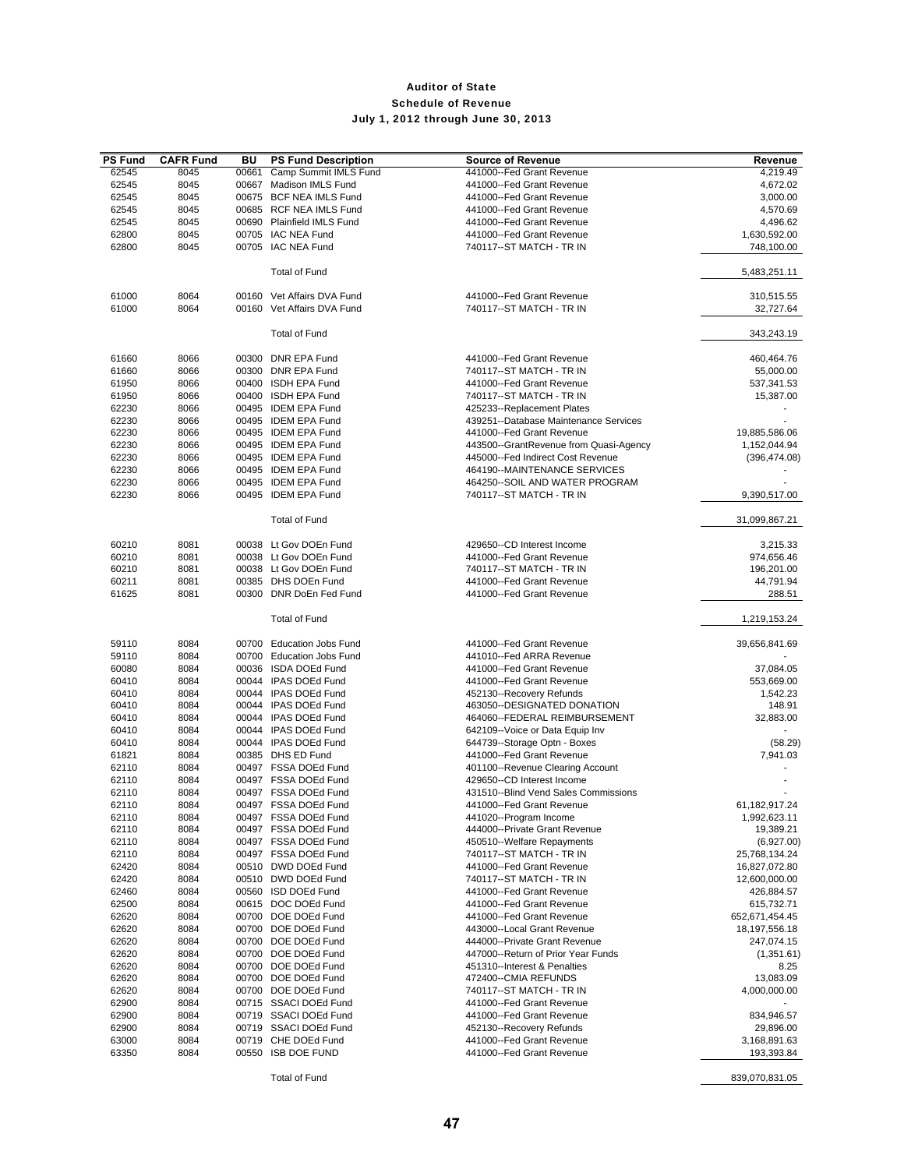| <b>PS Fund</b> | <b>CAFR Fund</b> | BU    | <b>PS Fund Description</b>                 | <b>Source of Revenue</b>                               | Revenue                         |
|----------------|------------------|-------|--------------------------------------------|--------------------------------------------------------|---------------------------------|
| 62545          | 8045             | 00661 | Camp Summit IMLS Fund                      | 441000--Fed Grant Revenue                              | 4,219.49                        |
| 62545          | 8045             |       | 00667 Madison IMLS Fund                    | 441000--Fed Grant Revenue                              | 4,672.02                        |
| 62545          | 8045             |       | 00675 BCF NEA IMLS Fund                    | 441000--Fed Grant Revenue                              | 3,000.00                        |
| 62545          | 8045             |       | 00685 RCF NEA IMLS Fund                    | 441000--Fed Grant Revenue                              | 4,570.69                        |
| 62545          | 8045             |       | 00690 Plainfield IMLS Fund                 | 441000--Fed Grant Revenue                              | 4,496.62                        |
| 62800          | 8045             |       | 00705 IAC NEA Fund                         | 441000--Fed Grant Revenue                              | 1,630,592.00                    |
| 62800          | 8045             |       | 00705 IAC NEA Fund                         | 740117--ST MATCH - TR IN                               | 748,100.00                      |
|                |                  |       | <b>Total of Fund</b>                       |                                                        | 5,483,251.11                    |
|                |                  |       |                                            |                                                        |                                 |
| 61000          | 8064             |       | 00160 Vet Affairs DVA Fund                 | 441000--Fed Grant Revenue                              | 310,515.55                      |
| 61000          | 8064             |       | 00160 Vet Affairs DVA Fund                 | 740117--ST MATCH - TR IN                               | 32,727.64                       |
|                |                  |       | <b>Total of Fund</b>                       |                                                        | 343,243.19                      |
|                |                  |       |                                            |                                                        |                                 |
| 61660          | 8066             |       | 00300 DNR EPA Fund                         | 441000--Fed Grant Revenue                              | 460,464.76                      |
| 61660          | 8066             |       | 00300 DNR EPA Fund                         | 740117--ST MATCH - TR IN                               | 55,000.00                       |
| 61950          | 8066             |       | 00400 ISDH EPA Fund                        | 441000--Fed Grant Revenue                              | 537,341.53                      |
| 61950          | 8066             |       | 00400 ISDH EPA Fund                        | 740117--ST MATCH - TR IN                               | 15,387.00                       |
| 62230          | 8066             |       | 00495 IDEM EPA Fund                        | 425233--Replacement Plates                             |                                 |
| 62230          | 8066             |       | 00495 IDEM EPA Fund                        | 439251--Database Maintenance Services                  |                                 |
| 62230          | 8066             |       | 00495 IDEM EPA Fund                        | 441000--Fed Grant Revenue                              | 19,885,586.06                   |
| 62230          | 8066             |       | 00495 IDEM EPA Fund                        | 443500--GrantRevenue from Quasi-Agency                 | 1,152,044.94                    |
| 62230          | 8066             |       | 00495 IDEM EPA Fund                        | 445000--Fed Indirect Cost Revenue                      | (396, 474.08)                   |
| 62230          | 8066             |       | 00495 IDEM EPA Fund                        | 464190--MAINTENANCE SERVICES                           |                                 |
| 62230          | 8066             |       | 00495 IDEM EPA Fund                        | 464250--SOIL AND WATER PROGRAM                         |                                 |
| 62230          | 8066             |       | 00495 IDEM EPA Fund                        | 740117--ST MATCH - TR IN                               | 9,390,517.00                    |
|                |                  |       | <b>Total of Fund</b>                       |                                                        | 31,099,867.21                   |
|                |                  |       |                                            |                                                        |                                 |
| 60210          | 8081             |       | 00038 Lt Gov DOEn Fund                     | 429650--CD Interest Income                             | 3,215.33                        |
| 60210          | 8081             |       | 00038 Lt Gov DOEn Fund                     | 441000--Fed Grant Revenue                              | 974,656.46                      |
| 60210          | 8081             |       | 00038 Lt Gov DOEn Fund                     | 740117--ST MATCH - TR IN                               | 196,201.00                      |
| 60211          | 8081             |       | 00385 DHS DOEn Fund                        | 441000--Fed Grant Revenue                              | 44,791.94                       |
| 61625          | 8081             |       | 00300 DNR DoEn Fed Fund                    | 441000--Fed Grant Revenue                              | 288.51                          |
|                |                  |       | <b>Total of Fund</b>                       |                                                        | 1,219,153.24                    |
| 59110          | 8084             |       | 00700 Education Jobs Fund                  | 441000--Fed Grant Revenue                              | 39,656,841.69                   |
| 59110          | 8084             |       | 00700 Education Jobs Fund                  | 441010--Fed ARRA Revenue                               |                                 |
| 60080          | 8084             |       | 00036 ISDA DOEd Fund                       | 441000--Fed Grant Revenue                              | 37,084.05                       |
| 60410          | 8084             |       | 00044 IPAS DOEd Fund                       | 441000--Fed Grant Revenue                              | 553,669.00                      |
| 60410          | 8084             |       | 00044 IPAS DOEd Fund                       | 452130--Recovery Refunds                               | 1,542.23                        |
| 60410          | 8084             |       | 00044 IPAS DOEd Fund                       | 463050--DESIGNATED DONATION                            | 148.91                          |
| 60410          | 8084             |       | 00044 IPAS DOEd Fund                       | 464060--FEDERAL REIMBURSEMENT                          | 32,883.00                       |
| 60410          | 8084             |       | 00044 IPAS DOEd Fund                       | 642109--Voice or Data Equip Inv                        |                                 |
| 60410          | 8084             |       | 00044 IPAS DOEd Fund                       | 644739--Storage Optn - Boxes                           | (58.29)                         |
| 61821          | 8084             |       | 00385 DHS ED Fund                          | 441000--Fed Grant Revenue                              | 7,941.03                        |
| 62110          | 8084             |       | 00497 FSSA DOEd Fund                       | 401100--Revenue Clearing Account                       |                                 |
| 62110          | 8084             |       | 00497 FSSA DOEd Fund                       | 429650--CD Interest Income                             |                                 |
| 62110          | 8084             |       | 00497 FSSA DOEd Fund                       | 431510--Blind Vend Sales Commissions                   |                                 |
| 62110          | 8084             |       | 00497 FSSA DOEd Fund                       | 441000--Fed Grant Revenue                              | 61,182,917.24                   |
| 62110          | 8084             |       | 00497 FSSA DOEd Fund                       | 441020--Program Income                                 | 1,992,623.11                    |
| 62110          | 8084             |       | 00497 FSSA DOEd Fund                       | 444000--Private Grant Revenue                          | 19,389.21                       |
| 62110          | 8084             |       | 00497 FSSA DOEd Fund                       | 450510--Welfare Repayments                             | (6,927.00)                      |
| 62110          | 8084             |       | 00497 FSSA DOEd Fund                       | 740117--ST MATCH - TR IN                               | 25,768,134.24                   |
| 62420          | 8084             |       | 00510 DWD DOEd Fund                        | 441000--Fed Grant Revenue                              | 16,827,072.80                   |
| 62420          | 8084             |       | 00510 DWD DOEd Fund                        | 740117--ST MATCH - TR IN                               | 12,600,000.00                   |
| 62460          | 8084             |       | 00560 ISD DOEd Fund<br>00615 DOC DOEd Fund | 441000--Fed Grant Revenue                              | 426,884.57                      |
| 62500          | 8084             |       | 00700 DOE DOEd Fund                        | 441000--Fed Grant Revenue<br>441000--Fed Grant Revenue | 615,732.71                      |
| 62620<br>62620 | 8084<br>8084     |       | 00700 DOE DOEd Fund                        | 443000--Local Grant Revenue                            | 652,671,454.45<br>18,197,556.18 |
| 62620          | 8084             |       | 00700 DOE DOEd Fund                        | 444000--Private Grant Revenue                          | 247,074.15                      |
| 62620          | 8084             |       | 00700 DOE DOEd Fund                        | 447000--Return of Prior Year Funds                     | (1,351.61)                      |
| 62620          | 8084             |       | 00700 DOE DOEd Fund                        | 451310--Interest & Penalties                           | 8.25                            |
| 62620          | 8084             |       | 00700 DOE DOEd Fund                        | 472400--CMIA REFUNDS                                   | 13,083.09                       |
| 62620          | 8084             |       | 00700 DOE DOEd Fund                        | 740117--ST MATCH - TR IN                               | 4,000,000.00                    |
| 62900          | 8084             |       | 00715 SSACI DOEd Fund                      | 441000--Fed Grant Revenue                              |                                 |
| 62900          | 8084             |       | 00719 SSACI DOEd Fund                      | 441000--Fed Grant Revenue                              | 834,946.57                      |
| 62900          | 8084             |       | 00719 SSACI DOEd Fund                      | 452130--Recovery Refunds                               | 29,896.00                       |
| 63000          | 8084             |       | 00719 CHE DOEd Fund                        | 441000--Fed Grant Revenue                              | 3,168,891.63                    |
| 63350          | 8084             |       | 00550 ISB DOE FUND                         | 441000--Fed Grant Revenue                              | 193,393.84                      |
|                |                  |       |                                            |                                                        |                                 |

Total of Fund 839,070,831.05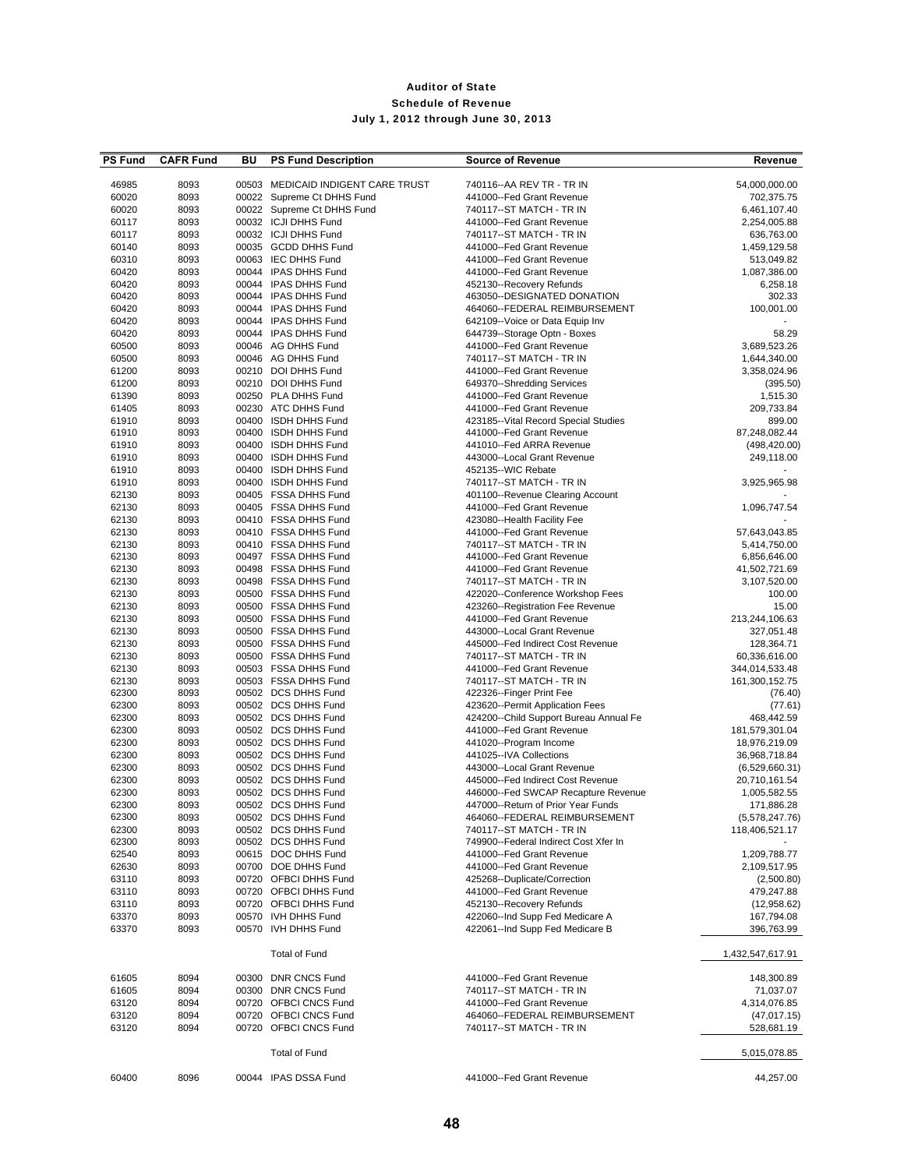| <b>PS Fund</b> | <b>CAFR Fund</b> | BU | <b>PS Fund Description</b>                   | <b>Source of Revenue</b>                                       | Revenue                       |
|----------------|------------------|----|----------------------------------------------|----------------------------------------------------------------|-------------------------------|
|                |                  |    |                                              |                                                                |                               |
| 46985          | 8093             |    | 00503 MEDICAID INDIGENT CARE TRUST           | 740116 -- AA REV TR - TR IN                                    | 54,000,000.00                 |
| 60020          | 8093             |    | 00022 Supreme Ct DHHS Fund                   | 441000--Fed Grant Revenue                                      | 702,375.75                    |
| 60020          | 8093             |    | 00022 Supreme Ct DHHS Fund                   | 740117--ST MATCH - TR IN                                       | 6,461,107.40                  |
| 60117          | 8093             |    | 00032 ICJI DHHS Fund                         | 441000--Fed Grant Revenue                                      | 2,254,005.88                  |
| 60117          | 8093             |    | 00032 ICJI DHHS Fund                         | 740117--ST MATCH - TR IN                                       | 636,763.00                    |
| 60140          | 8093             |    | 00035 GCDD DHHS Fund                         | 441000--Fed Grant Revenue                                      | 1,459,129.58                  |
| 60310          | 8093             |    | 00063 IEC DHHS Fund                          | 441000--Fed Grant Revenue                                      | 513,049.82                    |
| 60420          | 8093             |    | 00044 IPAS DHHS Fund                         | 441000--Fed Grant Revenue                                      | 1,087,386.00                  |
| 60420          | 8093             |    | 00044 IPAS DHHS Fund                         | 452130--Recovery Refunds                                       | 6,258.18                      |
| 60420<br>60420 | 8093             |    | 00044 IPAS DHHS Fund<br>00044 IPAS DHHS Fund | 463050--DESIGNATED DONATION<br>464060--FEDERAL REIMBURSEMENT   | 302.33<br>100,001.00          |
|                | 8093             |    | 00044 IPAS DHHS Fund                         | 642109--Voice or Data Equip Inv                                |                               |
| 60420          | 8093             |    | 00044 IPAS DHHS Fund                         | 644739--Storage Optn - Boxes                                   | 58.29                         |
| 60420          | 8093             |    |                                              |                                                                | 3,689,523.26                  |
| 60500<br>60500 | 8093<br>8093     |    | 00046 AG DHHS Fund<br>00046 AG DHHS Fund     | 441000--Fed Grant Revenue<br>740117--ST MATCH - TR IN          | 1,644,340.00                  |
| 61200          | 8093             |    | 00210 DOI DHHS Fund                          | 441000--Fed Grant Revenue                                      | 3,358,024.96                  |
|                |                  |    | 00210 DOI DHHS Fund                          |                                                                |                               |
| 61200<br>61390 | 8093<br>8093     |    | 00250 PLA DHHS Fund                          | 649370--Shredding Services<br>441000--Fed Grant Revenue        | (395.50)<br>1,515.30          |
| 61405          | 8093             |    | 00230 ATC DHHS Fund                          | 441000--Fed Grant Revenue                                      | 209,733.84                    |
| 61910          | 8093             |    | 00400 ISDH DHHS Fund                         | 423185--Vital Record Special Studies                           | 899.00                        |
| 61910          | 8093             |    | 00400 ISDH DHHS Fund                         | 441000--Fed Grant Revenue                                      | 87,248,082.44                 |
| 61910          | 8093             |    | 00400 ISDH DHHS Fund                         | 441010--Fed ARRA Revenue                                       | (498, 420.00)                 |
| 61910          | 8093             |    | 00400 ISDH DHHS Fund                         | 443000--Local Grant Revenue                                    | 249,118.00                    |
| 61910          | 8093             |    | 00400 ISDH DHHS Fund                         | 452135--WIC Rebate                                             |                               |
|                |                  |    |                                              |                                                                |                               |
| 61910<br>62130 | 8093<br>8093     |    | 00400 ISDH DHHS Fund<br>00405 FSSA DHHS Fund | 740117 -- ST MATCH - TR IN<br>401100--Revenue Clearing Account | 3,925,965.98                  |
| 62130          |                  |    | 00405 FSSA DHHS Fund                         |                                                                | 1,096,747.54                  |
| 62130          | 8093<br>8093     |    | 00410 FSSA DHHS Fund                         | 441000--Fed Grant Revenue<br>423080--Health Facility Fee       |                               |
| 62130          | 8093             |    | 00410 FSSA DHHS Fund                         | 441000--Fed Grant Revenue                                      |                               |
| 62130          | 8093             |    | 00410 FSSA DHHS Fund                         | 740117--ST MATCH - TR IN                                       | 57,643,043.85<br>5,414,750.00 |
| 62130          | 8093             |    | 00497 FSSA DHHS Fund                         | 441000--Fed Grant Revenue                                      | 6,856,646.00                  |
| 62130          | 8093             |    | 00498 FSSA DHHS Fund                         | 441000--Fed Grant Revenue                                      | 41,502,721.69                 |
| 62130          | 8093             |    | 00498 FSSA DHHS Fund                         | 740117--ST MATCH - TR IN                                       | 3,107,520.00                  |
| 62130          | 8093             |    | 00500 FSSA DHHS Fund                         | 422020--Conference Workshop Fees                               | 100.00                        |
| 62130          | 8093             |    | 00500 FSSA DHHS Fund                         | 423260--Registration Fee Revenue                               | 15.00                         |
| 62130          | 8093             |    | 00500 FSSA DHHS Fund                         | 441000--Fed Grant Revenue                                      | 213,244,106.63                |
| 62130          | 8093             |    | 00500 FSSA DHHS Fund                         | 443000--Local Grant Revenue                                    | 327,051.48                    |
| 62130          | 8093             |    | 00500 FSSA DHHS Fund                         | 445000--Fed Indirect Cost Revenue                              | 128,364.71                    |
| 62130          | 8093             |    | 00500 FSSA DHHS Fund                         | 740117 -- ST MATCH - TR IN                                     | 60,336,616.00                 |
| 62130          | 8093             |    | 00503 FSSA DHHS Fund                         | 441000--Fed Grant Revenue                                      | 344,014,533.48                |
| 62130          | 8093             |    | 00503 FSSA DHHS Fund                         | 740117--ST MATCH - TR IN                                       | 161,300,152.75                |
| 62300          | 8093             |    | 00502 DCS DHHS Fund                          | 422326--Finger Print Fee                                       | (76.40)                       |
| 62300          | 8093             |    | 00502 DCS DHHS Fund                          | 423620--Permit Application Fees                                | (77.61)                       |
| 62300          | 8093             |    | 00502 DCS DHHS Fund                          | 424200--Child Support Bureau Annual Fe                         | 468,442.59                    |
| 62300          | 8093             |    | 00502 DCS DHHS Fund                          | 441000--Fed Grant Revenue                                      | 181,579,301.04                |
| 62300          | 8093             |    | 00502 DCS DHHS Fund                          | 441020--Program Income                                         | 18,976,219.09                 |
| 62300          | 8093             |    | 00502 DCS DHHS Fund                          | 441025--IVA Collections                                        | 36,968,718.84                 |
| 62300          | 8093             |    | 00502 DCS DHHS Fund                          | 443000--Local Grant Revenue                                    | (6,529,660.31)                |
| 62300          | 8093             |    | 00502 DCS DHHS Fund                          | 445000--Fed Indirect Cost Revenue                              | 20,710,161.54                 |
| 62300          | 8093             |    | 00502 DCS DHHS Fund                          | 446000--Fed SWCAP Recapture Revenue                            | 1,005,582.55                  |
| 62300          | 8093             |    | 00502 DCS DHHS Fund                          | 447000--Return of Prior Year Funds                             | 171,886.28                    |
| 62300          | 8093             |    | 00502 DCS DHHS Fund                          | 464060--FEDERAL REIMBURSEMENT                                  | (5,578,247.76)                |
| 62300          | 8093             |    | 00502 DCS DHHS Fund                          | 740117 -- ST MATCH - TR IN                                     | 118,406,521.17                |
| 62300          | 8093             |    | 00502 DCS DHHS Fund                          | 749900--Federal Indirect Cost Xfer In                          |                               |
| 62540          | 8093             |    | 00615 DOC DHHS Fund                          | 441000--Fed Grant Revenue                                      | 1,209,788.77                  |
| 62630          | 8093             |    | 00700 DOE DHHS Fund                          | 441000--Fed Grant Revenue                                      | 2,109,517.95                  |
| 63110          | 8093             |    | 00720 OFBCI DHHS Fund                        | 425268--Duplicate/Correction                                   | (2,500.80)                    |
| 63110          | 8093             |    | 00720 OFBCI DHHS Fund                        | 441000--Fed Grant Revenue                                      | 479,247.88                    |
| 63110          | 8093             |    | 00720 OFBCI DHHS Fund                        | 452130--Recovery Refunds                                       | (12,958.62)                   |
| 63370          | 8093             |    | 00570 IVH DHHS Fund                          | 422060--Ind Supp Fed Medicare A                                | 167,794.08                    |
| 63370          | 8093             |    | 00570 IVH DHHS Fund                          | 422061--Ind Supp Fed Medicare B                                | 396,763.99                    |
|                |                  |    |                                              |                                                                |                               |
|                |                  |    | <b>Total of Fund</b>                         |                                                                | 1,432,547,617.91              |
| 61605          | 8094             |    | 00300 DNR CNCS Fund                          | 441000--Fed Grant Revenue                                      | 148,300.89                    |
| 61605          | 8094             |    | 00300 DNR CNCS Fund                          | 740117--ST MATCH - TR IN                                       | 71,037.07                     |
| 63120          | 8094             |    | 00720 OFBCI CNCS Fund                        | 441000--Fed Grant Revenue                                      | 4,314,076.85                  |
| 63120          | 8094             |    | 00720 OFBCI CNCS Fund                        | 464060--FEDERAL REIMBURSEMENT                                  | (47, 017.15)                  |
| 63120          | 8094             |    | 00720 OFBCI CNCS Fund                        | 740117--ST MATCH - TR IN                                       | 528,681.19                    |
|                |                  |    | <b>Total of Fund</b>                         |                                                                | 5,015,078.85                  |
| 60400          | 8096             |    | 00044 IPAS DSSA Fund                         | 441000--Fed Grant Revenue                                      | 44,257.00                     |
|                |                  |    |                                              |                                                                |                               |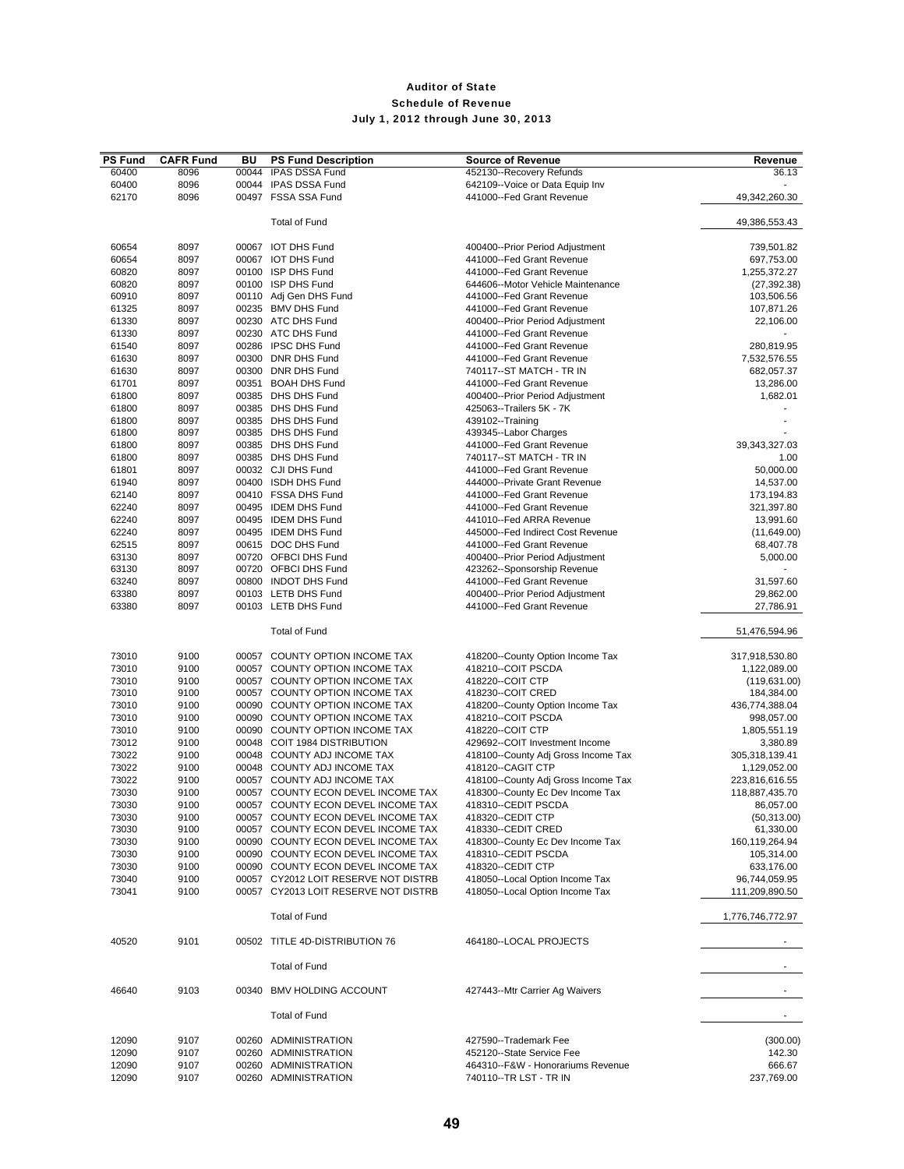| <b>PS Fund</b> | <b>CAFR Fund</b> | BU    | <b>PS Fund Description</b>           | <b>Source of Revenue</b>                                     | Revenue          |
|----------------|------------------|-------|--------------------------------------|--------------------------------------------------------------|------------------|
| 60400          | 8096             | 00044 | <b>IPAS DSSA Fund</b>                | 452130--Recovery Refunds                                     | 36.13            |
| 60400          | 8096             |       | 00044 IPAS DSSA Fund                 | 642109--Voice or Data Equip Inv                              |                  |
| 62170          | 8096             |       | 00497 FSSA SSA Fund                  | 441000--Fed Grant Revenue                                    | 49,342,260.30    |
|                |                  |       |                                      |                                                              |                  |
|                |                  |       | <b>Total of Fund</b>                 |                                                              | 49,386,553.43    |
| 60654          | 8097             |       | 00067 IOT DHS Fund                   |                                                              | 739,501.82       |
|                |                  |       | 00067 IOT DHS Fund                   | 400400--Prior Period Adjustment<br>441000--Fed Grant Revenue |                  |
| 60654          | 8097             |       | 00100 ISP DHS Fund                   |                                                              | 697,753.00       |
| 60820          | 8097             |       |                                      | 441000--Fed Grant Revenue                                    | 1,255,372.27     |
| 60820          | 8097             |       | 00100 ISP DHS Fund                   | 644606--Motor Vehicle Maintenance                            | (27, 392.38)     |
| 60910          | 8097             |       | 00110 Adj Gen DHS Fund               | 441000--Fed Grant Revenue                                    | 103,506.56       |
| 61325          | 8097             |       | 00235 BMV DHS Fund                   | 441000--Fed Grant Revenue                                    | 107,871.26       |
| 61330          | 8097             |       | 00230 ATC DHS Fund                   | 400400--Prior Period Adjustment                              | 22,106.00        |
| 61330          | 8097             |       | 00230 ATC DHS Fund                   | 441000--Fed Grant Revenue                                    | ٠                |
| 61540          | 8097             |       | 00286 IPSC DHS Fund                  | 441000--Fed Grant Revenue                                    | 280,819.95       |
| 61630          | 8097             |       | 00300 DNR DHS Fund                   | 441000--Fed Grant Revenue                                    | 7,532,576.55     |
| 61630          | 8097             |       | 00300 DNR DHS Fund                   | 740117--ST MATCH - TR IN                                     | 682,057.37       |
| 61701          | 8097             |       | 00351 BOAH DHS Fund                  | 441000--Fed Grant Revenue                                    | 13,286.00        |
| 61800          | 8097             |       | 00385 DHS DHS Fund                   | 400400--Prior Period Adjustment                              | 1,682.01         |
| 61800          | 8097             |       | 00385 DHS DHS Fund                   | 425063--Trailers 5K - 7K                                     |                  |
| 61800          | 8097             |       | 00385 DHS DHS Fund                   | 439102--Training                                             |                  |
| 61800          | 8097             |       | 00385 DHS DHS Fund                   | 439345--Labor Charges                                        |                  |
| 61800          | 8097             |       | 00385 DHS DHS Fund                   | 441000--Fed Grant Revenue                                    | 39,343,327.03    |
| 61800          | 8097             |       | 00385 DHS DHS Fund                   | 740117--ST MATCH - TR IN                                     | 1.00             |
| 61801          | 8097             |       | 00032 CJI DHS Fund                   | 441000--Fed Grant Revenue                                    | 50,000.00        |
| 61940          | 8097             |       | 00400 ISDH DHS Fund                  | 444000--Private Grant Revenue                                | 14,537.00        |
|                |                  |       | 00410 FSSA DHS Fund                  | 441000--Fed Grant Revenue                                    |                  |
| 62140          | 8097             |       |                                      |                                                              | 173,194.83       |
| 62240          | 8097             |       | 00495 IDEM DHS Fund                  | 441000--Fed Grant Revenue                                    | 321,397.80       |
| 62240          | 8097             |       | 00495 IDEM DHS Fund                  | 441010--Fed ARRA Revenue                                     | 13,991.60        |
| 62240          | 8097             |       | 00495 IDEM DHS Fund                  | 445000--Fed Indirect Cost Revenue                            | (11,649.00)      |
| 62515          | 8097             |       | 00615 DOC DHS Fund                   | 441000--Fed Grant Revenue                                    | 68,407.78        |
| 63130          | 8097             |       | 00720 OFBCI DHS Fund                 | 400400--Prior Period Adjustment                              | 5,000.00         |
| 63130          | 8097             |       | 00720 OFBCI DHS Fund                 | 423262--Sponsorship Revenue                                  |                  |
| 63240          | 8097             |       | 00800 INDOT DHS Fund                 | 441000--Fed Grant Revenue                                    | 31,597.60        |
| 63380          | 8097             |       | 00103 LETB DHS Fund                  | 400400--Prior Period Adjustment                              | 29,862.00        |
| 63380          | 8097             |       | 00103 LETB DHS Fund                  | 441000--Fed Grant Revenue                                    | 27,786.91        |
|                |                  |       | <b>Total of Fund</b>                 |                                                              | 51,476,594.96    |
|                |                  |       |                                      |                                                              |                  |
| 73010          | 9100             |       | 00057 COUNTY OPTION INCOME TAX       | 418200--County Option Income Tax                             | 317,918,530.80   |
| 73010          | 9100             |       | 00057 COUNTY OPTION INCOME TAX       | 418210--COIT PSCDA                                           | 1,122,089.00     |
| 73010          | 9100             |       | 00057 COUNTY OPTION INCOME TAX       | 418220--COIT CTP                                             | (119, 631.00)    |
| 73010          |                  |       | 00057 COUNTY OPTION INCOME TAX       | 418230--COIT CRED                                            |                  |
|                | 9100             |       | 00090 COUNTY OPTION INCOME TAX       |                                                              | 184,384.00       |
| 73010          | 9100             |       |                                      | 418200--County Option Income Tax                             | 436,774,388.04   |
| 73010          | 9100             |       | 00090 COUNTY OPTION INCOME TAX       | 418210--COIT PSCDA                                           | 998,057.00       |
| 73010          | 9100             |       | 00090 COUNTY OPTION INCOME TAX       | 418220--COIT CTP                                             | 1,805,551.19     |
| 73012          | 9100             |       | 00048 COIT 1984 DISTRIBUTION         | 429692--COIT Investment Income                               | 3,380.89         |
| 73022          | 9100             |       | 00048 COUNTY ADJ INCOME TAX          | 418100--County Adj Gross Income Tax                          | 305,318,139.41   |
| 73022          | 9100             |       | 00048 COUNTY ADJ INCOME TAX          | 418120--CAGIT CTP                                            | 1,129,052.00     |
| 73022          | 9100             |       | 00057 COUNTY ADJ INCOME TAX          | 418100--County Adj Gross Income Tax                          | 223,816,616.55   |
| 73030          | 9100             |       | 00057 COUNTY ECON DEVEL INCOME TAX   | 418300--County Ec Dev Income Tax                             | 118,887,435.70   |
| 73030          | 9100             |       | 00057 COUNTY ECON DEVEL INCOME TAX   | 418310--CEDIT PSCDA                                          | 86,057.00        |
| 73030          | 9100             |       | 00057 COUNTY ECON DEVEL INCOME TAX   | 418320--CEDIT CTP                                            | (50, 313.00)     |
| 73030          | 9100             |       | 00057 COUNTY ECON DEVEL INCOME TAX   | 418330--CEDIT CRED                                           | 61,330.00        |
| 73030          | 9100             |       | 00090 COUNTY ECON DEVEL INCOME TAX   | 418300--County Ec Dev Income Tax                             | 160,119,264.94   |
| 73030          | 9100             |       | 00090 COUNTY ECON DEVEL INCOME TAX   | 418310--CEDIT PSCDA                                          | 105,314.00       |
| 73030          | 9100             |       | 00090 COUNTY ECON DEVEL INCOME TAX   | 418320--CEDIT CTP                                            | 633,176.00       |
| 73040          | 9100             |       | 00057 CY2012 LOIT RESERVE NOT DISTRB | 418050--Local Option Income Tax                              | 96,744,059.95    |
| 73041          | 9100             |       | 00057 CY2013 LOIT RESERVE NOT DISTRB | 418050--Local Option Income Tax                              | 111,209,890.50   |
|                |                  |       | <b>Total of Fund</b>                 |                                                              | 1,776,746,772.97 |
|                |                  |       |                                      |                                                              |                  |
| 40520          | 9101             |       | 00502 TITLE 4D-DISTRIBUTION 76       | 464180--LOCAL PROJECTS                                       |                  |
|                |                  |       | <b>Total of Fund</b>                 |                                                              |                  |
| 46640          | 9103             |       | 00340 BMV HOLDING ACCOUNT            | 427443--Mtr Carrier Ag Waivers                               |                  |
|                |                  |       | <b>Total of Fund</b>                 |                                                              | $\blacksquare$   |
| 12090          | 9107             |       | 00260 ADMINISTRATION                 | 427590--Trademark Fee                                        | (300.00)         |
| 12090          | 9107             |       | 00260 ADMINISTRATION                 | 452120--State Service Fee                                    | 142.30           |
|                |                  |       | 00260 ADMINISTRATION                 | 464310--F&W - Honorariums Revenue                            | 666.67           |
| 12090<br>12090 | 9107             |       |                                      |                                                              |                  |
|                | 9107             |       | 00260 ADMINISTRATION                 | 740110--TR LST - TR IN                                       | 237,769.00       |